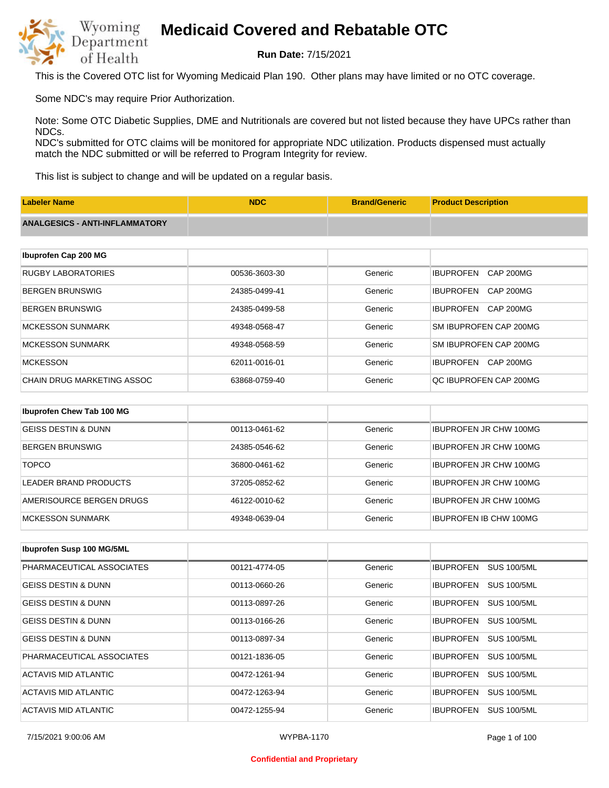

**Run Date:** 7/15/2021

This is the Covered OTC list for Wyoming Medicaid Plan 190. Other plans may have limited or no OTC coverage.

Some NDC's may require Prior Authorization.

Note: Some OTC Diabetic Supplies, DME and Nutritionals are covered but not listed because they have UPCs rather than NDCs.

NDC's submitted for OTC claims will be monitored for appropriate NDC utilization. Products dispensed must actually match the NDC submitted or will be referred to Program Integrity for review.

This list is subject to change and will be updated on a regular basis.

| <b>Labeler Name</b>                   | <b>NDC</b>    | <b>Brand/Generic</b> | <b>Product Description</b>           |
|---------------------------------------|---------------|----------------------|--------------------------------------|
| <b>ANALGESICS - ANTI-INFLAMMATORY</b> |               |                      |                                      |
|                                       |               |                      |                                      |
| Ibuprofen Cap 200 MG                  |               |                      |                                      |
| <b>RUGBY LABORATORIES</b>             | 00536-3603-30 | Generic              | <b>IBUPROFEN</b><br><b>CAP 200MG</b> |
| <b>BERGEN BRUNSWIG</b>                | 24385-0499-41 | Generic              | <b>IBUPROFEN</b><br><b>CAP 200MG</b> |
| <b>BERGEN BRUNSWIG</b>                | 24385-0499-58 | Generic              | <b>IBUPROFEN</b><br><b>CAP 200MG</b> |
| <b>MCKESSON SUNMARK</b>               | 49348-0568-47 | Generic              | SM IBUPROFEN CAP 200MG               |
| <b>MCKESSON SUNMARK</b>               | 49348-0568-59 | Generic              | SM IBUPROFEN CAP 200MG               |
| <b>MCKESSON</b>                       | 62011-0016-01 | Generic              | CAP 200MG<br><b>IBUPROFEN</b>        |
| <b>CHAIN DRUG MARKETING ASSOC</b>     | 63868-0759-40 | Generic              | QC IBUPROFEN CAP 200MG               |
|                                       |               |                      |                                      |
| Ibuprofen Chew Tab 100 MG             |               |                      |                                      |
| <b>GEISS DESTIN &amp; DUNN</b>        | 00113-0461-62 | Generic              | <b>IBUPROFEN JR CHW 100MG</b>        |

| BERGEN BRUNSWIG          | 24385-0546-62 | Generic | <b>IBUPROFEN JR CHW 100MG</b> |
|--------------------------|---------------|---------|-------------------------------|
| <b>TOPCO</b>             | 36800-0461-62 | Generic | <b>IBUPROFEN JR CHW 100MG</b> |
| LEADER BRAND PRODUCTS    | 37205-0852-62 | Generic | <b>IBUPROFEN JR CHW 100MG</b> |
| AMERISOURCE BERGEN DRUGS | 46122-0010-62 | Generic | <b>IBUPROFEN JR CHW 100MG</b> |
| IMCKESSON SUNMARK        | 49348-0639-04 | Generic | <b>IBUPROFEN IB CHW 100MG</b> |

| Ibuprofen Susp 100 MG/5ML      |               |         |                                        |
|--------------------------------|---------------|---------|----------------------------------------|
| PHARMACEUTICAL ASSOCIATES      | 00121-4774-05 | Generic | <b>SUS 100/5ML</b><br><b>IBUPROFEN</b> |
| <b>GEISS DESTIN &amp; DUNN</b> | 00113-0660-26 | Generic | <b>SUS 100/5ML</b><br><b>IBUPROFEN</b> |
| <b>GEISS DESTIN &amp; DUNN</b> | 00113-0897-26 | Generic | <b>SUS 100/5ML</b><br><b>IBUPROFEN</b> |
| <b>GEISS DESTIN &amp; DUNN</b> | 00113-0166-26 | Generic | <b>SUS 100/5ML</b><br><b>IBUPROFEN</b> |
| <b>GEISS DESTIN &amp; DUNN</b> | 00113-0897-34 | Generic | <b>SUS 100/5ML</b><br><b>IBUPROFEN</b> |
| PHARMACEUTICAL ASSOCIATES      | 00121-1836-05 | Generic | <b>SUS 100/5ML</b><br><b>IBUPROFEN</b> |
| ACTAVIS MID ATLANTIC           | 00472-1261-94 | Generic | <b>SUS 100/5ML</b><br><b>IBUPROFEN</b> |
| ACTAVIS MID ATLANTIC           | 00472-1263-94 | Generic | <b>SUS 100/5ML</b><br><b>IBUPROFEN</b> |
| ACTAVIS MID ATLANTIC           | 00472-1255-94 | Generic | <b>IBUPROFEN</b><br><b>SUS 100/5ML</b> |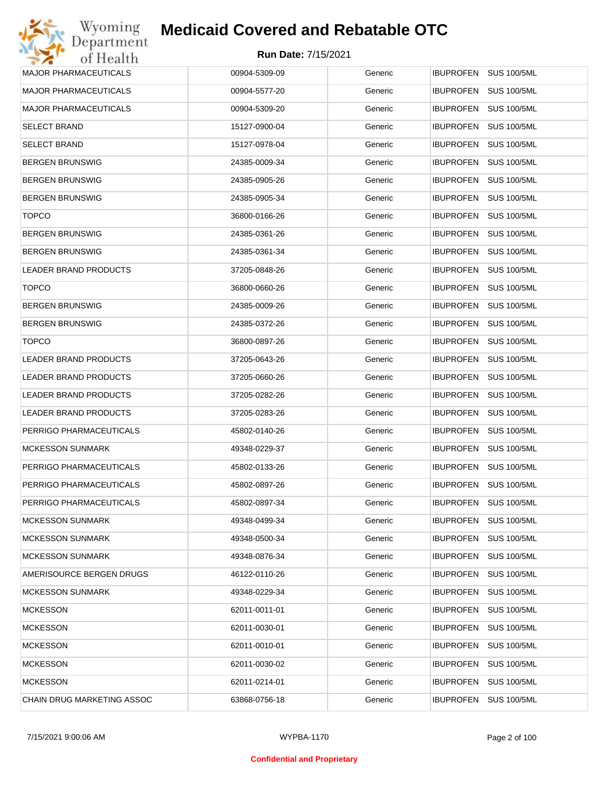| Wyoming                      | <b>Medicaid Covered and Rebatable OTC</b> |         |                                        |
|------------------------------|-------------------------------------------|---------|----------------------------------------|
| Department<br>of Health      | <b>Run Date: 7/15/2021</b>                |         |                                        |
| <b>MAJOR PHARMACEUTICALS</b> | 00904-5309-09                             | Generic | IBUPROFEN SUS 100/5ML                  |
| <b>MAJOR PHARMACEUTICALS</b> | 00904-5577-20                             | Generic | <b>IBUPROFEN</b><br><b>SUS 100/5ML</b> |
| <b>MAJOR PHARMACEUTICALS</b> | 00904-5309-20                             | Generic | <b>SUS 100/5ML</b><br><b>IBUPROFEN</b> |
| <b>SELECT BRAND</b>          | 15127-0900-04                             | Generic | <b>IBUPROFEN</b><br><b>SUS 100/5ML</b> |
| <b>SELECT BRAND</b>          | 15127-0978-04                             | Generic | <b>IBUPROFEN</b><br><b>SUS 100/5ML</b> |
| <b>BERGEN BRUNSWIG</b>       | 24385-0009-34                             | Generic | <b>IBUPROFEN</b><br><b>SUS 100/5ML</b> |
| <b>BERGEN BRUNSWIG</b>       | 24385-0905-26                             | Generic | <b>IBUPROFEN</b><br><b>SUS 100/5ML</b> |
| <b>BERGEN BRUNSWIG</b>       | 24385-0905-34                             | Generic | <b>IBUPROFEN</b><br><b>SUS 100/5ML</b> |
| <b>TOPCO</b>                 | 36800-0166-26                             | Generic | <b>IBUPROFEN</b><br><b>SUS 100/5ML</b> |
| <b>BERGEN BRUNSWIG</b>       | 24385-0361-26                             | Generic | <b>IBUPROFEN</b><br><b>SUS 100/5ML</b> |
| <b>BERGEN BRUNSWIG</b>       | 24385-0361-34                             | Generic | <b>IBUPROFEN</b><br><b>SUS 100/5ML</b> |
| <b>LEADER BRAND PRODUCTS</b> | 37205-0848-26                             | Generic | <b>IBUPROFEN</b><br><b>SUS 100/5ML</b> |
| <b>TOPCO</b>                 | 36800-0660-26                             | Generic | <b>IBUPROFEN</b><br><b>SUS 100/5ML</b> |
| <b>BERGEN BRUNSWIG</b>       | 24385-0009-26                             | Generic | <b>IBUPROFEN</b><br><b>SUS 100/5ML</b> |
| <b>BERGEN BRUNSWIG</b>       | 24385-0372-26                             | Generic | <b>IBUPROFEN</b><br><b>SUS 100/5ML</b> |
| <b>TOPCO</b>                 | 36800-0897-26                             | Generic | <b>IBUPROFEN</b><br><b>SUS 100/5ML</b> |
| LEADER BRAND PRODUCTS        | 37205-0643-26                             | Generic | <b>IBUPROFEN</b><br><b>SUS 100/5ML</b> |
| LEADER BRAND PRODUCTS        | 37205-0660-26                             | Generic | <b>IBUPROFEN</b><br><b>SUS 100/5ML</b> |
| LEADER BRAND PRODUCTS        | 37205-0282-26                             | Generic | <b>IBUPROFEN</b><br><b>SUS 100/5ML</b> |
| LEADER BRAND PRODUCTS        | 37205-0283-26                             | Generic | <b>IBUPROFEN</b><br><b>SUS 100/5ML</b> |
| PERRIGO PHARMACEUTICALS      | 45802-0140-26                             | Generic | <b>SUS 100/5ML</b><br><b>IBUPROFEN</b> |
| <b>MCKESSON SUNMARK</b>      | 49348-0229-37                             | Generic | IBUPROFEN SUS 100/5ML                  |
| PERRIGO PHARMACEUTICALS      | 45802-0133-26                             | Generic | IBUPROFEN SUS 100/5ML                  |
| PERRIGO PHARMACEUTICALS      | 45802-0897-26                             | Generic | <b>IBUPROFEN</b><br><b>SUS 100/5ML</b> |
| PERRIGO PHARMACEUTICALS      | 45802-0897-34                             | Generic | <b>IBUPROFEN</b><br><b>SUS 100/5ML</b> |
| <b>MCKESSON SUNMARK</b>      | 49348-0499-34                             | Generic | <b>IBUPROFEN</b><br><b>SUS 100/5ML</b> |
| <b>MCKESSON SUNMARK</b>      | 49348-0500-34                             | Generic | <b>IBUPROFEN</b><br><b>SUS 100/5ML</b> |
| <b>MCKESSON SUNMARK</b>      | 49348-0876-34                             | Generic | <b>IBUPROFEN</b><br><b>SUS 100/5ML</b> |
| AMERISOURCE BERGEN DRUGS     | 46122-0110-26                             | Generic | <b>IBUPROFEN</b><br><b>SUS 100/5ML</b> |
| <b>MCKESSON SUNMARK</b>      | 49348-0229-34                             | Generic | <b>IBUPROFEN</b><br><b>SUS 100/5ML</b> |
| <b>MCKESSON</b>              | 62011-0011-01                             | Generic | <b>IBUPROFEN</b><br><b>SUS 100/5ML</b> |
| <b>MCKESSON</b>              | 62011-0030-01                             | Generic | <b>IBUPROFEN</b><br><b>SUS 100/5ML</b> |
| <b>MCKESSON</b>              | 62011-0010-01                             | Generic | <b>IBUPROFEN</b><br><b>SUS 100/5ML</b> |
| <b>MCKESSON</b>              | 62011-0030-02                             | Generic | <b>IBUPROFEN</b><br><b>SUS 100/5ML</b> |
| <b>MCKESSON</b>              | 62011-0214-01                             | Generic | <b>SUS 100/5ML</b><br><b>IBUPROFEN</b> |
| CHAIN DRUG MARKETING ASSOC   | 63868-0756-18                             | Generic | <b>SUS 100/5ML</b><br><b>IBUPROFEN</b> |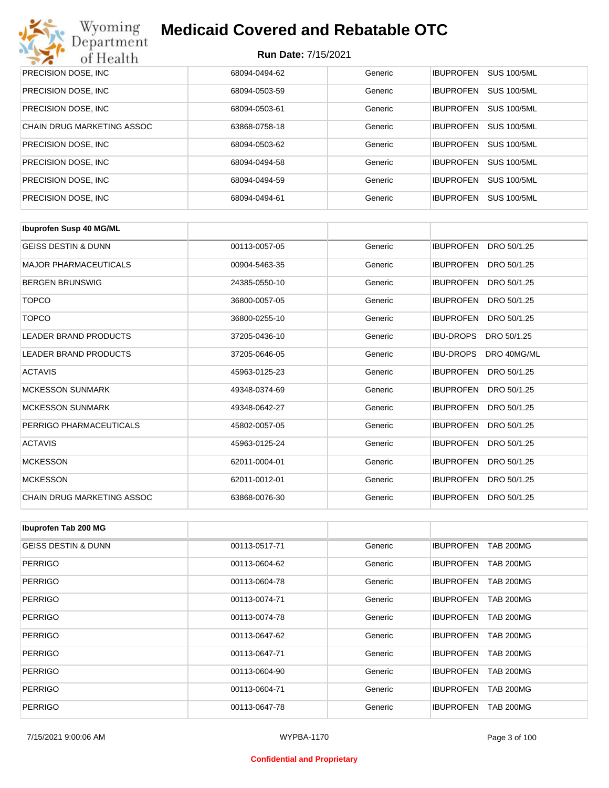

| PRECISION DOSE, INC.       | 68094-0494-62 | Generic | <b>IBUPROFEN</b><br><b>SUS 100/5ML</b> |
|----------------------------|---------------|---------|----------------------------------------|
| PRECISION DOSE, INC.       | 68094-0503-59 | Generic | <b>SUS 100/5ML</b><br><b>IBUPROFEN</b> |
| PRECISION DOSE, INC.       | 68094-0503-61 | Generic | <b>SUS 100/5ML</b><br><b>IBUPROFEN</b> |
| CHAIN DRUG MARKETING ASSOC | 63868-0758-18 | Generic | <b>IBUPROFEN</b><br><b>SUS 100/5ML</b> |
| PRECISION DOSE, INC.       | 68094-0503-62 | Generic | <b>SUS 100/5ML</b><br><b>IBUPROFEN</b> |
| PRECISION DOSE, INC.       | 68094-0494-58 | Generic | <b>IBUPROFEN</b><br><b>SUS 100/5ML</b> |
| PRECISION DOSE, INC.       | 68094-0494-59 | Generic | <b>SUS 100/5ML</b><br><b>IBUPROFEN</b> |
| PRECISION DOSE, INC.       | 68094-0494-61 | Generic | <b>IBUPROFEN</b><br><b>SUS 100/5ML</b> |

| <b>Ibuprofen Susp 40 MG/ML</b>    |               |         |                                 |
|-----------------------------------|---------------|---------|---------------------------------|
| <b>GEISS DESTIN &amp; DUNN</b>    | 00113-0057-05 | Generic | <b>IBUPROFEN</b><br>DRO 50/1.25 |
| <b>MAJOR PHARMACEUTICALS</b>      | 00904-5463-35 | Generic | <b>IBUPROFEN</b><br>DRO 50/1.25 |
| <b>BERGEN BRUNSWIG</b>            | 24385-0550-10 | Generic | <b>IBUPROFEN</b><br>DRO 50/1.25 |
| <b>TOPCO</b>                      | 36800-0057-05 | Generic | <b>IBUPROFEN</b><br>DRO 50/1.25 |
| <b>TOPCO</b>                      | 36800-0255-10 | Generic | <b>IBUPROFEN</b><br>DRO 50/1.25 |
| <b>LEADER BRAND PRODUCTS</b>      | 37205-0436-10 | Generic | <b>IBU-DROPS</b><br>DRO 50/1.25 |
| LEADER BRAND PRODUCTS             | 37205-0646-05 | Generic | <b>IBU-DROPS</b><br>DRO 40MG/ML |
| <b>ACTAVIS</b>                    | 45963-0125-23 | Generic | <b>IBUPROFEN</b><br>DRO 50/1.25 |
| <b>MCKESSON SUNMARK</b>           | 49348-0374-69 | Generic | <b>IBUPROFEN</b><br>DRO 50/1.25 |
| <b>MCKESSON SUNMARK</b>           | 49348-0642-27 | Generic | <b>IBUPROFEN</b><br>DRO 50/1.25 |
| PERRIGO PHARMACEUTICALS           | 45802-0057-05 | Generic | <b>IBUPROFEN</b><br>DRO 50/1.25 |
| <b>ACTAVIS</b>                    | 45963-0125-24 | Generic | <b>IBUPROFEN</b><br>DRO 50/1.25 |
| <b>MCKESSON</b>                   | 62011-0004-01 | Generic | <b>IBUPROFEN</b><br>DRO 50/1.25 |
| <b>MCKESSON</b>                   | 62011-0012-01 | Generic | <b>IBUPROFEN</b><br>DRO 50/1.25 |
| <b>CHAIN DRUG MARKETING ASSOC</b> | 63868-0076-30 | Generic | <b>IBUPROFEN</b><br>DRO 50/1.25 |

| Ibuprofen Tab 200 MG           |               |         |                                      |
|--------------------------------|---------------|---------|--------------------------------------|
| <b>GEISS DESTIN &amp; DUNN</b> | 00113-0517-71 | Generic | <b>IBUPROFEN</b><br><b>TAB 200MG</b> |
| <b>PERRIGO</b>                 | 00113-0604-62 | Generic | <b>IBUPROFEN</b><br><b>TAB 200MG</b> |
| <b>PERRIGO</b>                 | 00113-0604-78 | Generic | <b>TAB 200MG</b><br><b>IBUPROFEN</b> |
| <b>PERRIGO</b>                 | 00113-0074-71 | Generic | <b>TAB 200MG</b><br><b>IBUPROFEN</b> |
| <b>PERRIGO</b>                 | 00113-0074-78 | Generic | <b>IBUPROFEN</b><br><b>TAB 200MG</b> |
| <b>PERRIGO</b>                 | 00113-0647-62 | Generic | <b>TAB 200MG</b><br><b>IBUPROFEN</b> |
| <b>PERRIGO</b>                 | 00113-0647-71 | Generic | <b>IBUPROFEN</b><br><b>TAB 200MG</b> |
| <b>PERRIGO</b>                 | 00113-0604-90 | Generic | <b>IBUPROFEN</b><br><b>TAB 200MG</b> |
| <b>PERRIGO</b>                 | 00113-0604-71 | Generic | <b>IBUPROFEN</b><br><b>TAB 200MG</b> |
| <b>PERRIGO</b>                 | 00113-0647-78 | Generic | <b>IBUPROFEN</b><br><b>TAB 200MG</b> |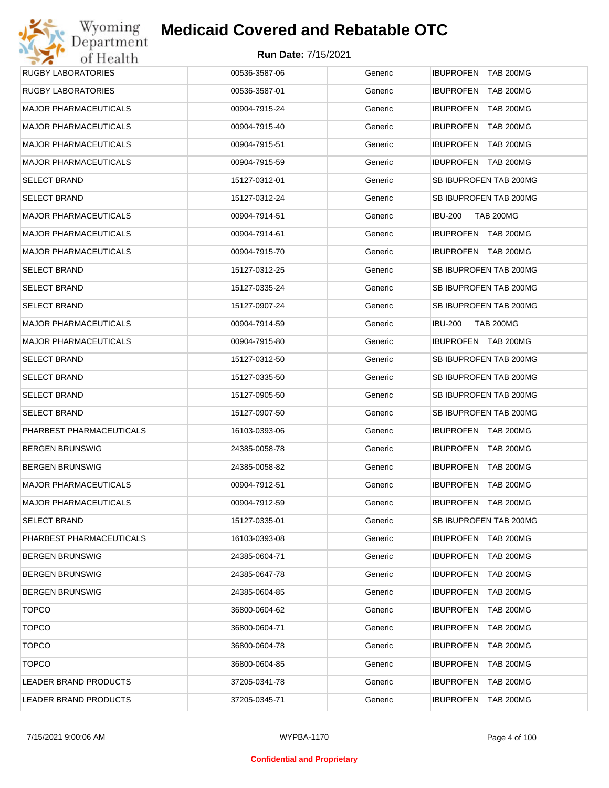## Wyoming<br>Department<br>of Health **Medicaid Covered and Rebatable OTC**

| <b>RUGBY LABORATORIES</b>    | 00536-3587-06 | Generic | IBUPROFEN TAB 200MG                  |
|------------------------------|---------------|---------|--------------------------------------|
| <b>RUGBY LABORATORIES</b>    | 00536-3587-01 | Generic | IBUPROFEN TAB 200MG                  |
| <b>MAJOR PHARMACEUTICALS</b> | 00904-7915-24 | Generic | IBUPROFEN TAB 200MG                  |
| <b>MAJOR PHARMACEUTICALS</b> | 00904-7915-40 | Generic | IBUPROFEN TAB 200MG                  |
| <b>MAJOR PHARMACEUTICALS</b> | 00904-7915-51 | Generic | IBUPROFEN TAB 200MG                  |
| <b>MAJOR PHARMACEUTICALS</b> | 00904-7915-59 | Generic | IBUPROFEN TAB 200MG                  |
| <b>SELECT BRAND</b>          | 15127-0312-01 | Generic | SB IBUPROFEN TAB 200MG               |
| <b>SELECT BRAND</b>          | 15127-0312-24 | Generic | SB IBUPROFEN TAB 200MG               |
| <b>MAJOR PHARMACEUTICALS</b> | 00904-7914-51 | Generic | <b>TAB 200MG</b><br><b>IBU-200</b>   |
| <b>MAJOR PHARMACEUTICALS</b> | 00904-7914-61 | Generic | IBUPROFEN TAB 200MG                  |
| <b>MAJOR PHARMACEUTICALS</b> | 00904-7915-70 | Generic | IBUPROFEN TAB 200MG                  |
| <b>SELECT BRAND</b>          | 15127-0312-25 | Generic | SB IBUPROFEN TAB 200MG               |
| <b>SELECT BRAND</b>          | 15127-0335-24 | Generic | SB IBUPROFEN TAB 200MG               |
| <b>SELECT BRAND</b>          | 15127-0907-24 | Generic | SB IBUPROFEN TAB 200MG               |
| <b>MAJOR PHARMACEUTICALS</b> | 00904-7914-59 | Generic | <b>TAB 200MG</b><br><b>IBU-200</b>   |
| <b>MAJOR PHARMACEUTICALS</b> | 00904-7915-80 | Generic | IBUPROFEN TAB 200MG                  |
| <b>SELECT BRAND</b>          | 15127-0312-50 | Generic | SB IBUPROFEN TAB 200MG               |
| <b>SELECT BRAND</b>          | 15127-0335-50 | Generic | SB IBUPROFEN TAB 200MG               |
| <b>SELECT BRAND</b>          | 15127-0905-50 | Generic | SB IBUPROFEN TAB 200MG               |
| <b>SELECT BRAND</b>          | 15127-0907-50 | Generic | SB IBUPROFEN TAB 200MG               |
| PHARBEST PHARMACEUTICALS     | 16103-0393-06 | Generic | IBUPROFEN TAB 200MG                  |
| <b>BERGEN BRUNSWIG</b>       | 24385-0058-78 | Generic | IBUPROFEN TAB 200MG                  |
| <b>BERGEN BRUNSWIG</b>       | 24385-0058-82 | Generic | IBUPROFEN TAB 200MG                  |
| <b>MAJOR PHARMACEUTICALS</b> | 00904-7912-51 | Generic | IBUPROFEN TAB 200MG                  |
| <b>MAJOR PHARMACEUTICALS</b> | 00904-7912-59 | Generic | IBUPROFEN TAB 200MG                  |
| <b>SELECT BRAND</b>          | 15127-0335-01 | Generic | SB IBUPROFEN TAB 200MG               |
| PHARBEST PHARMACEUTICALS     | 16103-0393-08 | Generic | IBUPROFEN TAB 200MG                  |
| <b>BERGEN BRUNSWIG</b>       | 24385-0604-71 | Generic | IBUPROFEN TAB 200MG                  |
| <b>BERGEN BRUNSWIG</b>       | 24385-0647-78 | Generic | IBUPROFEN TAB 200MG                  |
| <b>BERGEN BRUNSWIG</b>       | 24385-0604-85 | Generic | IBUPROFEN TAB 200MG                  |
| <b>TOPCO</b>                 | 36800-0604-62 | Generic | IBUPROFEN TAB 200MG                  |
| <b>TOPCO</b>                 | 36800-0604-71 | Generic | IBUPROFEN TAB 200MG                  |
| <b>TOPCO</b>                 | 36800-0604-78 | Generic | <b>IBUPROFEN</b><br><b>TAB 200MG</b> |
| <b>TOPCO</b>                 | 36800-0604-85 | Generic | IBUPROFEN TAB 200MG                  |
| LEADER BRAND PRODUCTS        | 37205-0341-78 | Generic | <b>IBUPROFEN</b><br><b>TAB 200MG</b> |
| LEADER BRAND PRODUCTS        | 37205-0345-71 | Generic | IBUPROFEN TAB 200MG                  |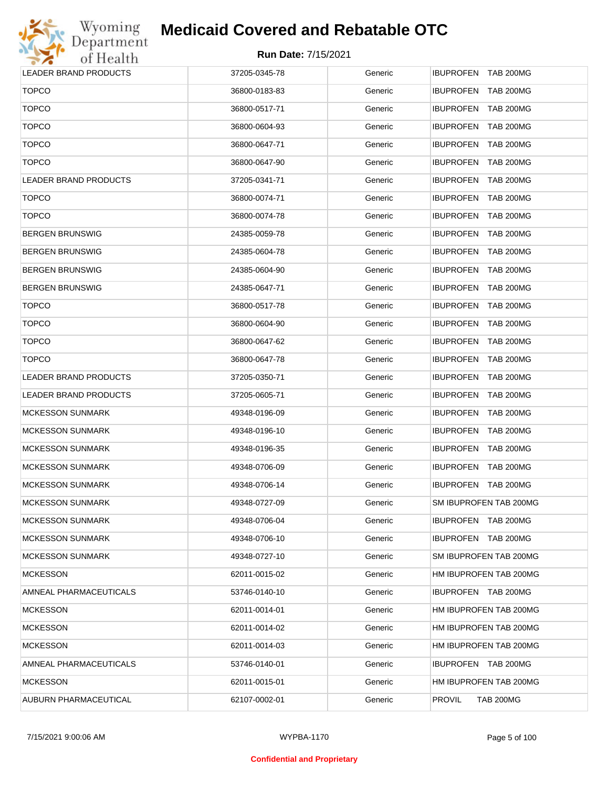

| LEADER BRAND PRODUCTS   | 37205-0345-78 | Generic | IBUPROFEN TAB 200MG                  |
|-------------------------|---------------|---------|--------------------------------------|
| <b>TOPCO</b>            | 36800-0183-83 | Generic | <b>IBUPROFEN</b><br><b>TAB 200MG</b> |
| <b>TOPCO</b>            | 36800-0517-71 | Generic | <b>IBUPROFEN</b><br><b>TAB 200MG</b> |
| <b>TOPCO</b>            | 36800-0604-93 | Generic | <b>IBUPROFEN</b><br><b>TAB 200MG</b> |
| <b>TOPCO</b>            | 36800-0647-71 | Generic | <b>IBUPROFEN</b><br><b>TAB 200MG</b> |
| <b>TOPCO</b>            | 36800-0647-90 | Generic | <b>IBUPROFEN</b><br><b>TAB 200MG</b> |
| LEADER BRAND PRODUCTS   | 37205-0341-71 | Generic | <b>IBUPROFEN</b><br><b>TAB 200MG</b> |
| <b>TOPCO</b>            | 36800-0074-71 | Generic | <b>IBUPROFEN</b><br><b>TAB 200MG</b> |
| <b>TOPCO</b>            | 36800-0074-78 | Generic | <b>IBUPROFEN</b><br><b>TAB 200MG</b> |
| BERGEN BRUNSWIG         | 24385-0059-78 | Generic | <b>IBUPROFEN</b><br><b>TAB 200MG</b> |
| BERGEN BRUNSWIG         | 24385-0604-78 | Generic | <b>IBUPROFEN</b><br><b>TAB 200MG</b> |
| BERGEN BRUNSWIG         | 24385-0604-90 | Generic | <b>IBUPROFEN</b><br><b>TAB 200MG</b> |
| BERGEN BRUNSWIG         | 24385-0647-71 | Generic | <b>IBUPROFEN</b><br><b>TAB 200MG</b> |
| <b>TOPCO</b>            | 36800-0517-78 | Generic | <b>IBUPROFEN</b><br><b>TAB 200MG</b> |
| <b>TOPCO</b>            | 36800-0604-90 | Generic | <b>IBUPROFEN</b><br><b>TAB 200MG</b> |
| <b>TOPCO</b>            | 36800-0647-62 | Generic | <b>IBUPROFEN</b><br><b>TAB 200MG</b> |
| <b>TOPCO</b>            | 36800-0647-78 | Generic | <b>IBUPROFEN</b><br><b>TAB 200MG</b> |
| LEADER BRAND PRODUCTS   | 37205-0350-71 | Generic | <b>IBUPROFEN</b><br><b>TAB 200MG</b> |
| LEADER BRAND PRODUCTS   | 37205-0605-71 | Generic | <b>IBUPROFEN</b><br><b>TAB 200MG</b> |
| <b>MCKESSON SUNMARK</b> | 49348-0196-09 | Generic | <b>IBUPROFEN</b><br><b>TAB 200MG</b> |
| MCKESSON SUNMARK        | 49348-0196-10 | Generic | <b>IBUPROFEN</b><br><b>TAB 200MG</b> |
| MCKESSON SUNMARK        | 49348-0196-35 | Generic | <b>IBUPROFEN</b><br><b>TAB 200MG</b> |
| <b>MCKESSON SUNMARK</b> | 49348-0706-09 | Generic | <b>TAB 200MG</b><br><b>IBUPROFEN</b> |
| <b>MCKESSON SUNMARK</b> | 49348-0706-14 | Generic | <b>IBUPROFEN</b><br>TAB 200MG        |
| MCKESSON SUNMARK        | 49348-0727-09 | Generic | SM IBUPROFEN TAB 200MG               |
| MCKESSON SUNMARK        | 49348-0706-04 | Generic | IBUPROFEN TAB 200MG                  |
| <b>MCKESSON SUNMARK</b> | 49348-0706-10 | Generic | IBUPROFEN TAB 200MG                  |
| <b>MCKESSON SUNMARK</b> | 49348-0727-10 | Generic | SM IBUPROFEN TAB 200MG               |
| <b>MCKESSON</b>         | 62011-0015-02 | Generic | HM IBUPROFEN TAB 200MG               |
| AMNEAL PHARMACEUTICALS  | 53746-0140-10 | Generic | IBUPROFEN TAB 200MG                  |
| <b>MCKESSON</b>         | 62011-0014-01 | Generic | HM IBUPROFEN TAB 200MG               |
| <b>MCKESSON</b>         | 62011-0014-02 | Generic | HM IBUPROFEN TAB 200MG               |
| <b>MCKESSON</b>         | 62011-0014-03 | Generic | HM IBUPROFEN TAB 200MG               |
| AMNEAL PHARMACEUTICALS  | 53746-0140-01 | Generic | IBUPROFEN TAB 200MG                  |
| <b>MCKESSON</b>         | 62011-0015-01 | Generic | HM IBUPROFEN TAB 200MG               |
| AUBURN PHARMACEUTICAL   | 62107-0002-01 | Generic | <b>PROVIL</b><br><b>TAB 200MG</b>    |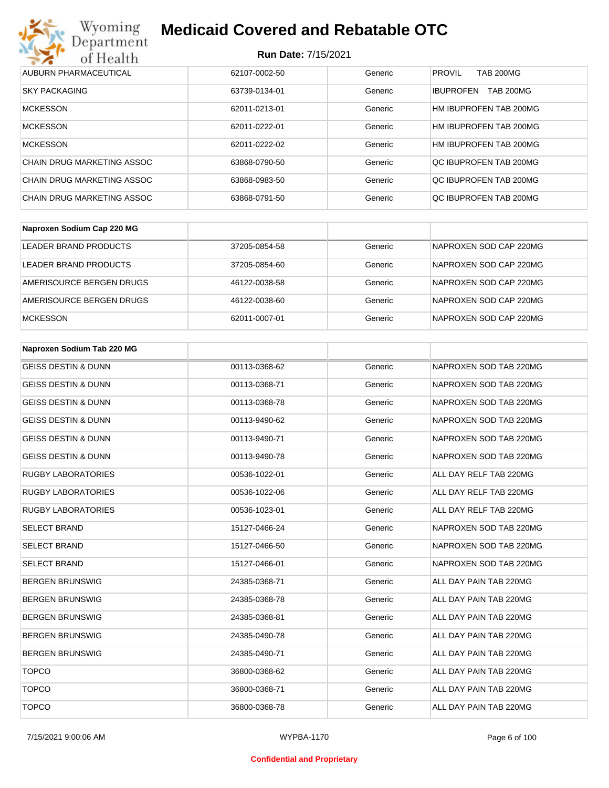

| AUBURN PHARMACEUTICAL      | 62107-0002-50 | Generic | <b>PROVIL</b><br><b>TAB 200MG</b>    |
|----------------------------|---------------|---------|--------------------------------------|
| <b>SKY PACKAGING</b>       | 63739-0134-01 | Generic | <b>TAB 200MG</b><br><b>IBUPROFEN</b> |
| <b>MCKESSON</b>            | 62011-0213-01 | Generic | HM IBUPROFEN TAB 200MG               |
| <b>MCKESSON</b>            | 62011-0222-01 | Generic | HM IBUPROFEN TAB 200MG               |
| <b>MCKESSON</b>            | 62011-0222-02 | Generic | HM IBUPROFEN TAB 200MG               |
| CHAIN DRUG MARKETING ASSOC | 63868-0790-50 | Generic | OC IBUPROFEN TAB 200MG               |
| CHAIN DRUG MARKETING ASSOC | 63868-0983-50 | Generic | OC IBUPROFEN TAB 200MG               |
| CHAIN DRUG MARKETING ASSOC | 63868-0791-50 | Generic | OC IBUPROFEN TAB 200MG               |

| Naproxen Sodium Cap 220 MG |               |         |                        |
|----------------------------|---------------|---------|------------------------|
| LEADER BRAND PRODUCTS      | 37205-0854-58 | Generic | NAPROXEN SOD CAP 220MG |
| LEADER BRAND PRODUCTS      | 37205-0854-60 | Generic | NAPROXEN SOD CAP 220MG |
| AMERISOURCE BERGEN DRUGS   | 46122-0038-58 | Generic | NAPROXEN SOD CAP 220MG |
| AMERISOURCE BERGEN DRUGS   | 46122-0038-60 | Generic | NAPROXEN SOD CAP 220MG |
| <b>MCKESSON</b>            | 62011-0007-01 | Generic | NAPROXEN SOD CAP 220MG |

| Naproxen Sodium Tab 220 MG     |               |         |                        |
|--------------------------------|---------------|---------|------------------------|
| <b>GEISS DESTIN &amp; DUNN</b> | 00113-0368-62 | Generic | NAPROXEN SOD TAB 220MG |
| <b>GEISS DESTIN &amp; DUNN</b> | 00113-0368-71 | Generic | NAPROXEN SOD TAB 220MG |
| <b>GEISS DESTIN &amp; DUNN</b> | 00113-0368-78 | Generic | NAPROXEN SOD TAB 220MG |
| <b>GEISS DESTIN &amp; DUNN</b> | 00113-9490-62 | Generic | NAPROXEN SOD TAB 220MG |
| <b>GEISS DESTIN &amp; DUNN</b> | 00113-9490-71 | Generic | NAPROXEN SOD TAB 220MG |
| <b>GEISS DESTIN &amp; DUNN</b> | 00113-9490-78 | Generic | NAPROXEN SOD TAB 220MG |
| <b>RUGBY LABORATORIES</b>      | 00536-1022-01 | Generic | ALL DAY RELF TAB 220MG |
| <b>RUGBY LABORATORIES</b>      | 00536-1022-06 | Generic | ALL DAY RELF TAB 220MG |
| <b>RUGBY LABORATORIES</b>      | 00536-1023-01 | Generic | ALL DAY RELF TAB 220MG |
| <b>SELECT BRAND</b>            | 15127-0466-24 | Generic | NAPROXEN SOD TAB 220MG |
| <b>SELECT BRAND</b>            | 15127-0466-50 | Generic | NAPROXEN SOD TAB 220MG |
| <b>SELECT BRAND</b>            | 15127-0466-01 | Generic | NAPROXEN SOD TAB 220MG |
| <b>BERGEN BRUNSWIG</b>         | 24385-0368-71 | Generic | ALL DAY PAIN TAB 220MG |
| <b>BERGEN BRUNSWIG</b>         | 24385-0368-78 | Generic | ALL DAY PAIN TAB 220MG |
| <b>BERGEN BRUNSWIG</b>         | 24385-0368-81 | Generic | ALL DAY PAIN TAB 220MG |
| <b>BERGEN BRUNSWIG</b>         | 24385-0490-78 | Generic | ALL DAY PAIN TAB 220MG |
| <b>BERGEN BRUNSWIG</b>         | 24385-0490-71 | Generic | ALL DAY PAIN TAB 220MG |
| <b>TOPCO</b>                   | 36800-0368-62 | Generic | ALL DAY PAIN TAB 220MG |
| <b>TOPCO</b>                   | 36800-0368-71 | Generic | ALL DAY PAIN TAB 220MG |
| <b>TOPCO</b>                   | 36800-0368-78 | Generic | ALL DAY PAIN TAB 220MG |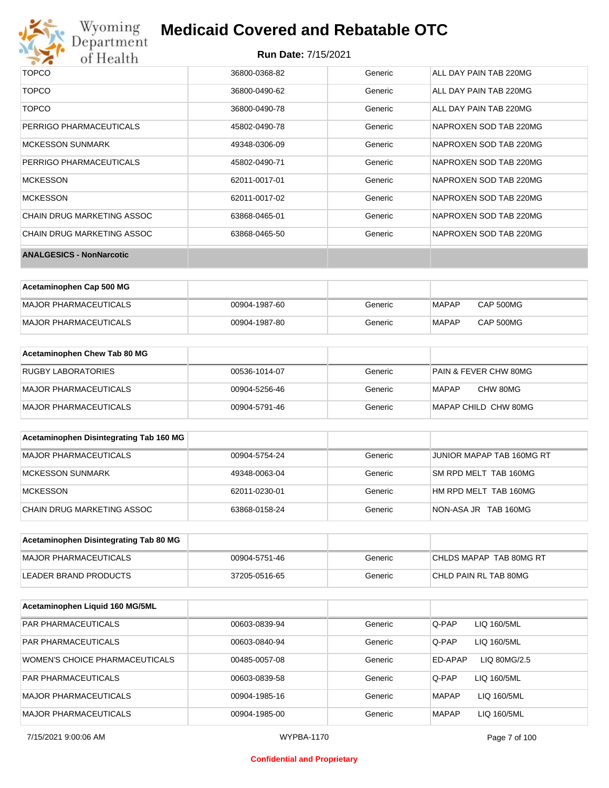

# Wyoming<br>Department<br>of Health

## **Medicaid Covered and Rebatable OTC**

| <b>TOPCO</b>                    | 36800-0368-82 | Generic | ALL DAY PAIN TAB 220MG |
|---------------------------------|---------------|---------|------------------------|
| <b>TOPCO</b>                    | 36800-0490-62 | Generic | ALL DAY PAIN TAB 220MG |
| <b>TOPCO</b>                    | 36800-0490-78 | Generic | ALL DAY PAIN TAB 220MG |
| PERRIGO PHARMACEUTICALS         | 45802-0490-78 | Generic | NAPROXEN SOD TAB 220MG |
| <b>MCKESSON SUNMARK</b>         | 49348-0306-09 | Generic | NAPROXEN SOD TAB 220MG |
| PERRIGO PHARMACEUTICALS         | 45802-0490-71 | Generic | NAPROXEN SOD TAB 220MG |
| <b>MCKESSON</b>                 | 62011-0017-01 | Generic | NAPROXEN SOD TAB 220MG |
| <b>MCKESSON</b>                 | 62011-0017-02 | Generic | NAPROXEN SOD TAB 220MG |
| CHAIN DRUG MARKETING ASSOC      | 63868-0465-01 | Generic | NAPROXEN SOD TAB 220MG |
| CHAIN DRUG MARKETING ASSOC      | 63868-0465-50 | Generic | NAPROXEN SOD TAB 220MG |
| <b>ANALGESICS - NonNarcotic</b> |               |         |                        |

| Acetaminophen Cap 500 MG |               |         |              |           |
|--------------------------|---------------|---------|--------------|-----------|
| MAJOR PHARMACEUTICALS    | 00904-1987-60 | Generic | MAPAP        | CAP 500MG |
| MAJOR PHARMACEUTICALS    | 00904-1987-80 | Generic | <b>MAPAP</b> | CAP 500MG |

| Acetaminophen Chew Tab 80 MG |               |         |                                  |
|------------------------------|---------------|---------|----------------------------------|
| <b>RUGBY LABORATORIES</b>    | 00536-1014-07 | Generic | <b>PAIN &amp; FEVER CHW 80MG</b> |
| MAJOR PHARMACEUTICALS        | 00904-5256-46 | Generic | CHW 80MG<br>MAPAP                |
| MAJOR PHARMACEUTICALS        | 00904-5791-46 | Generic | MAPAP CHILD CHW 80MG             |

| Acetaminophen Disintegrating Tab 160 MG |               |         |                           |
|-----------------------------------------|---------------|---------|---------------------------|
| MAJOR PHARMACEUTICALS                   | 00904-5754-24 | Generic | JUNIOR MAPAP TAB 160MG RT |
| MCKESSON SUNMARK                        | 49348-0063-04 | Generic | SM RPD MELT TAB 160MG     |
| <b>MCKESSON</b>                         | 62011-0230-01 | Generic | HM RPD MELT TAB 160MG     |
| CHAIN DRUG MARKETING ASSOC              | 63868-0158-24 | Generic | NON-ASA JR TAB 160MG      |

| Acetaminophen Disintegrating Tab 80 MG |               |         |                         |
|----------------------------------------|---------------|---------|-------------------------|
| MAJOR PHARMACEUTICALS                  | 00904-5751-46 | Generic | CHLDS MAPAP TAB 80MG RT |
| LEADER BRAND PRODUCTS                  | 37205-0516-65 | Generic | CHLD PAIN RL TAB 80MG   |

| Acetaminophen Liquid 160 MG/5ML |               |         |                             |
|---------------------------------|---------------|---------|-----------------------------|
| <b>PAR PHARMACEUTICALS</b>      | 00603-0839-94 | Generic | Q-PAP<br>LIQ 160/5ML        |
| <b>PAR PHARMACEUTICALS</b>      | 00603-0840-94 | Generic | Q-PAP<br>LIQ 160/5ML        |
| WOMEN'S CHOICE PHARMACEUTICALS  | 00485-0057-08 | Generic | ED-APAP<br>LIQ 80MG/2.5     |
| <b>PAR PHARMACEUTICALS</b>      | 00603-0839-58 | Generic | Q-PAP<br>LIQ 160/5ML        |
| MAJOR PHARMACEUTICALS           | 00904-1985-16 | Generic | <b>MAPAP</b><br>LIQ 160/5ML |
| <b>MAJOR PHARMACEUTICALS</b>    | 00904-1985-00 | Generic | <b>MAPAP</b><br>LIQ 160/5ML |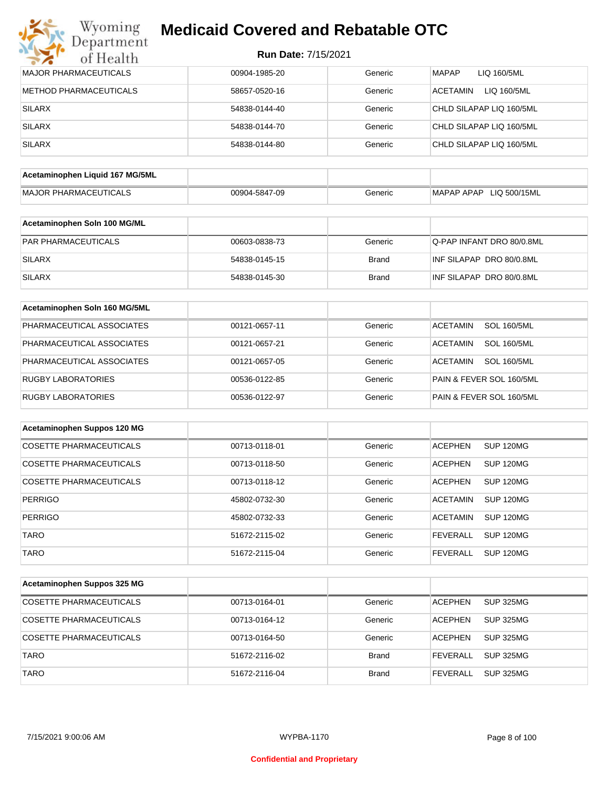## Wyoming<br>Department<br>of Health **Medicaid Covered and Rebatable OTC**

| <b>MAJOR PHARMACEUTICALS</b>    | 00904-1985-20 | Generic      | <b>MAPAP</b><br>LIQ 160/5ML           |
|---------------------------------|---------------|--------------|---------------------------------------|
| <b>METHOD PHARMACEUTICALS</b>   | 58657-0520-16 | Generic      | LIQ 160/5ML<br><b>ACETAMIN</b>        |
| <b>SILARX</b>                   | 54838-0144-40 | Generic      | CHLD SILAPAP LIQ 160/5ML              |
| <b>SILARX</b>                   | 54838-0144-70 | Generic      | CHLD SILAPAP LIQ 160/5ML              |
| <b>SILARX</b>                   | 54838-0144-80 | Generic      | CHLD SILAPAP LIQ 160/5ML              |
| Acetaminophen Liquid 167 MG/5ML |               |              |                                       |
|                                 |               |              |                                       |
| <b>MAJOR PHARMACEUTICALS</b>    | 00904-5847-09 | Generic      | MAPAP APAP LIQ 500/15ML               |
| Acetaminophen Soln 100 MG/ML    |               |              |                                       |
| PAR PHARMACEUTICALS             | 00603-0838-73 | Generic      | Q-PAP INFANT DRO 80/0.8ML             |
| <b>SILARX</b>                   | 54838-0145-15 | <b>Brand</b> | INF SILAPAP DRO 80/0.8ML              |
| <b>SILARX</b>                   | 54838-0145-30 | <b>Brand</b> | INF SILAPAP DRO 80/0.8ML              |
| Acetaminophen Soln 160 MG/5ML   |               |              |                                       |
| PHARMACEUTICAL ASSOCIATES       | 00121-0657-11 | Generic      | <b>SOL 160/5ML</b><br><b>ACETAMIN</b> |
| PHARMACEUTICAL ASSOCIATES       | 00121-0657-21 | Generic      | <b>ACETAMIN</b><br><b>SOL 160/5ML</b> |
| PHARMACEUTICAL ASSOCIATES       | 00121-0657-05 | Generic      | <b>SOL 160/5ML</b><br><b>ACETAMIN</b> |
| <b>RUGBY LABORATORIES</b>       | 00536-0122-85 | Generic      | PAIN & FEVER SOL 160/5ML              |
| <b>RUGBY LABORATORIES</b>       | 00536-0122-97 | Generic      | PAIN & FEVER SOL 160/5ML              |
| Acetaminophen Suppos 120 MG     |               |              |                                       |
|                                 |               |              |                                       |
| <b>COSETTE PHARMACEUTICALS</b>  | 00713-0118-01 | Generic      | <b>ACEPHEN</b><br><b>SUP 120MG</b>    |
| COSETTE PHARMACEUTICALS         | 00713-0118-50 | Generic      | <b>ACEPHEN</b><br>SUP 120MG           |
| <b>COSETTE PHARMACEUTICALS</b>  | 00713-0118-12 | Generic      | <b>ACEPHEN</b><br><b>SUP 120MG</b>    |
| <b>PERRIGO</b>                  | 45802-0732-30 | Generic      | <b>ACETAMIN</b><br>SUP 120MG          |
| PERRIGO                         | 45802-0732-33 | Generic      | <b>ACETAMIN</b><br>SUP 120MG          |
| <b>TARO</b>                     | 51672-2115-02 | Generic      | <b>SUP 120MG</b><br><b>FEVERALL</b>   |
| <b>TARO</b>                     | 51672-2115-04 | Generic      | <b>FEVERALL</b><br><b>SUP 120MG</b>   |
|                                 |               |              |                                       |
| Acetaminophen Suppos 325 MG     |               |              |                                       |
| COSETTE PHARMACEUTICALS         | 00713-0164-01 | Generic      | <b>ACEPHEN</b><br>SUP 325MG           |
| <b>COSETTE PHARMACEUTICALS</b>  | 00713-0164-12 | Generic      | <b>ACEPHEN</b><br><b>SUP 325MG</b>    |
| COSETTE PHARMACEUTICALS         | 00713-0164-50 | Generic      | <b>ACEPHEN</b><br><b>SUP 325MG</b>    |
| <b>TARO</b>                     | 51672-2116-02 | <b>Brand</b> | <b>FEVERALL</b><br><b>SUP 325MG</b>   |
| <b>TARO</b>                     | 51672-2116-04 | <b>Brand</b> | <b>FEVERALL</b><br><b>SUP 325MG</b>   |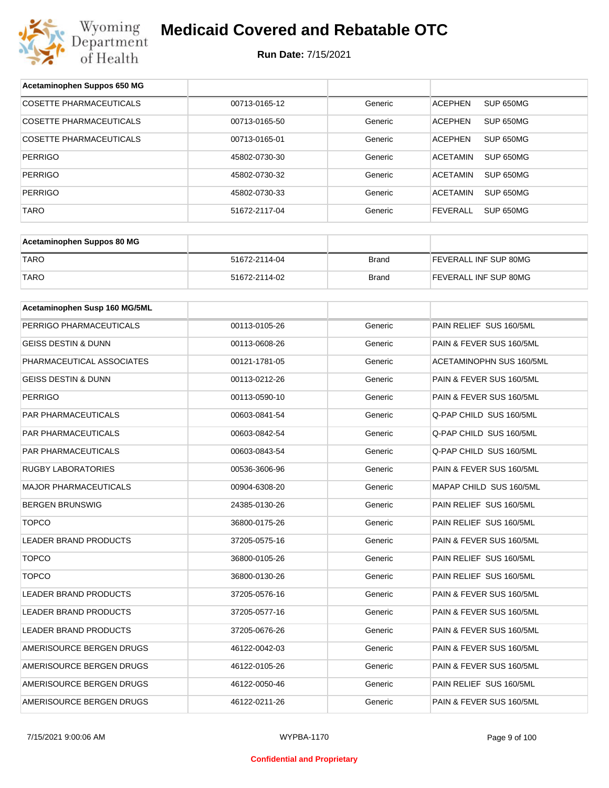

| Acetaminophen Suppos 650 MG    |               |              |                                 |
|--------------------------------|---------------|--------------|---------------------------------|
| <b>COSETTE PHARMACEUTICALS</b> | 00713-0165-12 | Generic      | SUP 650MG<br><b>ACEPHEN</b>     |
| COSETTE PHARMACEUTICALS        | 00713-0165-50 | Generic      | <b>ACEPHEN</b><br>SUP 650MG     |
| <b>COSETTE PHARMACEUTICALS</b> | 00713-0165-01 | Generic      | <b>ACEPHEN</b><br>SUP 650MG     |
| PERRIGO                        | 45802-0730-30 | Generic      | <b>ACETAMIN</b><br>SUP 650MG    |
| PERRIGO                        | 45802-0730-32 | Generic      | <b>ACETAMIN</b><br>SUP 650MG    |
| <b>PERRIGO</b>                 | 45802-0730-33 | Generic      | <b>ACETAMIN</b><br>SUP 650MG    |
| <b>TARO</b>                    | 51672-2117-04 | Generic      | <b>FEVERALL</b><br>SUP 650MG    |
|                                |               |              |                                 |
| Acetaminophen Suppos 80 MG     |               |              |                                 |
| <b>TARO</b>                    | 51672-2114-04 | <b>Brand</b> | FEVERALL INF SUP 80MG           |
| <b>TARO</b>                    | 51672-2114-02 | <b>Brand</b> | FEVERALL INF SUP 80MG           |
| Acetaminophen Susp 160 MG/5ML  |               |              |                                 |
|                                |               |              |                                 |
| PERRIGO PHARMACEUTICALS        | 00113-0105-26 | Generic      | PAIN RELIEF SUS 160/5ML         |
| <b>GEISS DESTIN &amp; DUNN</b> | 00113-0608-26 | Generic      | PAIN & FEVER SUS 160/5ML        |
| PHARMACEUTICAL ASSOCIATES      | 00121-1781-05 | Generic      | <b>ACETAMINOPHN SUS 160/5ML</b> |
| GEISS DESTIN & DUNN            | 00113-0212-26 | Generic      | PAIN & FEVER SUS 160/5ML        |
| PERRIGO                        | 00113-0590-10 | Generic      | PAIN & FEVER SUS 160/5ML        |
| PAR PHARMACEUTICALS            | 00603-0841-54 | Generic      | Q-PAP CHILD SUS 160/5ML         |
| PAR PHARMACEUTICALS            | 00603-0842-54 | Generic      | Q-PAP CHILD SUS 160/5ML         |
| PAR PHARMACEUTICALS            | 00603-0843-54 | Generic      | Q-PAP CHILD SUS 160/5ML         |
| RUGBY LABORATORIES             | 00536-3606-96 | Generic      | PAIN & FEVER SUS 160/5ML        |
| MAJOR PHARMACEUTICALS          | 00904-6308-20 | Generic      | MAPAP CHILD SUS 160/5ML         |
| <b>BERGEN BRUNSWIG</b>         | 24385-0130-26 | Generic      | PAIN RELIEF SUS 160/5ML         |
| <b>TOPCO</b>                   | 36800-0175-26 | Generic      | PAIN RELIEF SUS 160/5ML         |
| LEADER BRAND PRODUCTS          | 37205-0575-16 | Generic      | PAIN & FEVER SUS 160/5ML        |
| <b>TOPCO</b>                   | 36800-0105-26 | Generic      | PAIN RELIEF SUS 160/5ML         |
| <b>TOPCO</b>                   | 36800-0130-26 | Generic      | PAIN RELIEF SUS 160/5ML         |
| LEADER BRAND PRODUCTS          | 37205-0576-16 | Generic      | PAIN & FEVER SUS 160/5ML        |
| LEADER BRAND PRODUCTS          | 37205-0577-16 | Generic      | PAIN & FEVER SUS 160/5ML        |
| LEADER BRAND PRODUCTS          | 37205-0676-26 | Generic      | PAIN & FEVER SUS 160/5ML        |
| AMERISOURCE BERGEN DRUGS       | 46122-0042-03 | Generic      | PAIN & FEVER SUS 160/5ML        |
| AMERISOURCE BERGEN DRUGS       | 46122-0105-26 | Generic      | PAIN & FEVER SUS 160/5ML        |
| AMERISOURCE BERGEN DRUGS       | 46122-0050-46 | Generic      | PAIN RELIEF SUS 160/5ML         |
| AMERISOURCE BERGEN DRUGS       | 46122-0211-26 | Generic      | PAIN & FEVER SUS 160/5ML        |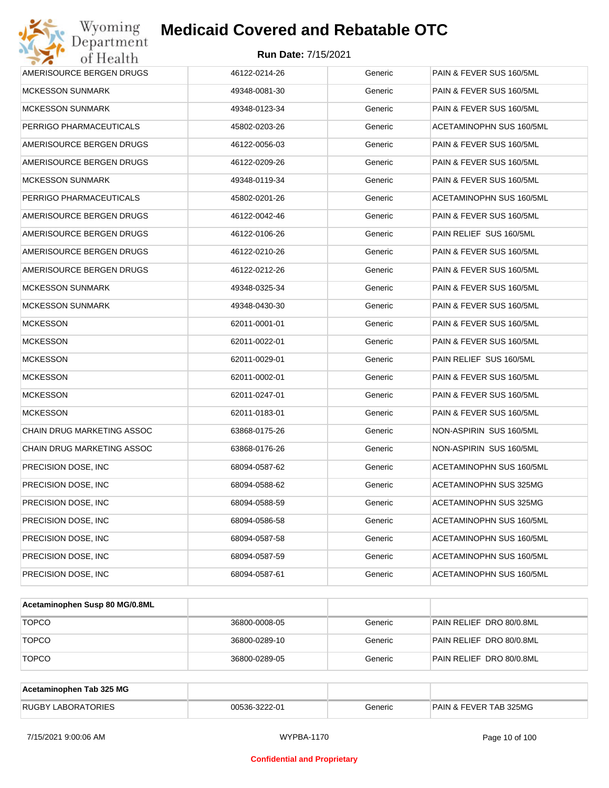| Wyoming<br>Department                   | <b>Medicaid Covered and Rebatable OTC</b> |         |                          |  |  |  |
|-----------------------------------------|-------------------------------------------|---------|--------------------------|--|--|--|
| <b>Run Date: 7/15/2021</b><br>of Health |                                           |         |                          |  |  |  |
| AMERISOURCE BERGEN DRUGS                | 46122-0214-26                             | Generic | PAIN & FEVER SUS 160/5ML |  |  |  |
| MCKESSON SUNMARK                        | 49348-0081-30                             | Generic | PAIN & FEVER SUS 160/5ML |  |  |  |
| MCKESSON SUNMARK                        | 49348-0123-34                             | Generic | PAIN & FEVER SUS 160/5ML |  |  |  |
| PERRIGO PHARMACEUTICALS                 | 45802-0203-26                             | Generic | ACETAMINOPHN SUS 160/5ML |  |  |  |
| AMERISOURCE BERGEN DRUGS                | 46122-0056-03                             | Generic | PAIN & FEVER SUS 160/5ML |  |  |  |
| AMERISOURCE BERGEN DRUGS                | 46122-0209-26                             | Generic | PAIN & FEVER SUS 160/5ML |  |  |  |
| <b>MCKESSON SUNMARK</b>                 | 49348-0119-34                             | Generic | PAIN & FEVER SUS 160/5ML |  |  |  |
| PERRIGO PHARMACEUTICALS                 | 45802-0201-26                             | Generic | ACETAMINOPHN SUS 160/5ML |  |  |  |
| AMERISOURCE BERGEN DRUGS                | 46122-0042-46                             | Generic | PAIN & FEVER SUS 160/5ML |  |  |  |
| AMERISOURCE BERGEN DRUGS                | 46122-0106-26                             | Generic | PAIN RELIEF SUS 160/5ML  |  |  |  |
| AMERISOURCE BERGEN DRUGS                | 46122-0210-26                             | Generic | PAIN & FEVER SUS 160/5ML |  |  |  |
| AMERISOURCE BERGEN DRUGS                | 46122-0212-26                             | Generic | PAIN & FEVER SUS 160/5ML |  |  |  |
| <b>MCKESSON SUNMARK</b>                 | 49348-0325-34                             | Generic | PAIN & FEVER SUS 160/5ML |  |  |  |
| MCKESSON SUNMARK                        | 49348-0430-30                             | Generic | PAIN & FEVER SUS 160/5ML |  |  |  |
| <b>MCKESSON</b>                         | 62011-0001-01                             | Generic | PAIN & FEVER SUS 160/5ML |  |  |  |
| MCKESSON                                | 62011-0022-01                             | Generic | PAIN & FEVER SUS 160/5ML |  |  |  |
| <b>MCKESSON</b>                         | 62011-0029-01                             | Generic | PAIN RELIEF SUS 160/5ML  |  |  |  |
| <b>MCKESSON</b>                         | 62011-0002-01                             | Generic | PAIN & FEVER SUS 160/5ML |  |  |  |
| <b>MCKESSON</b>                         | 62011-0247-01                             | Generic | PAIN & FEVER SUS 160/5ML |  |  |  |
| <b>MCKESSON</b>                         | 62011-0183-01                             | Generic | PAIN & FEVER SUS 160/5ML |  |  |  |
| CHAIN DRUG MARKETING ASSOC              | 63868-0175-26                             | Generic | NON-ASPIRIN SUS 160/5ML  |  |  |  |
| <b>CHAIN DRUG MARKETING ASSOC</b>       | 63868-0176-26                             | Generic | NON-ASPIRIN SUS 160/5ML  |  |  |  |
| PRECISION DOSE, INC                     | 68094-0587-62                             | Generic | ACETAMINOPHN SUS 160/5ML |  |  |  |
| PRECISION DOSE, INC                     | 68094-0588-62                             | Generic | ACETAMINOPHN SUS 325MG   |  |  |  |
| PRECISION DOSE, INC.                    | 68094-0588-59                             | Generic | ACETAMINOPHN SUS 325MG   |  |  |  |
| PRECISION DOSE, INC.                    | 68094-0586-58                             | Generic | ACETAMINOPHN SUS 160/5ML |  |  |  |
| PRECISION DOSE, INC.                    | 68094-0587-58                             | Generic | ACETAMINOPHN SUS 160/5ML |  |  |  |
| PRECISION DOSE, INC.                    | 68094-0587-59                             | Generic | ACETAMINOPHN SUS 160/5ML |  |  |  |
| PRECISION DOSE, INC.                    | 68094-0587-61                             | Generic | ACETAMINOPHN SUS 160/5ML |  |  |  |

| Acetaminophen Susp 80 MG/0.8ML |               |         |                          |
|--------------------------------|---------------|---------|--------------------------|
| <b>TOPCO</b>                   | 36800-0008-05 | Generic | PAIN RELIEF DRO 80/0.8ML |
| <b>TOPCO</b>                   | 36800-0289-10 | Generic | PAIN RELIEF DRO 80/0.8ML |
| <b>TOPCO</b>                   | 36800-0289-05 | Generic | PAIN RELIEF DRO 80/0.8ML |

| Acetaminophen Tab 325 MG  |               |         |                                   |
|---------------------------|---------------|---------|-----------------------------------|
| <b>RUGBY LABORATORIES</b> | 00536-3222-01 | Generic | <b>PAIN &amp; FEVER TAB 325MG</b> |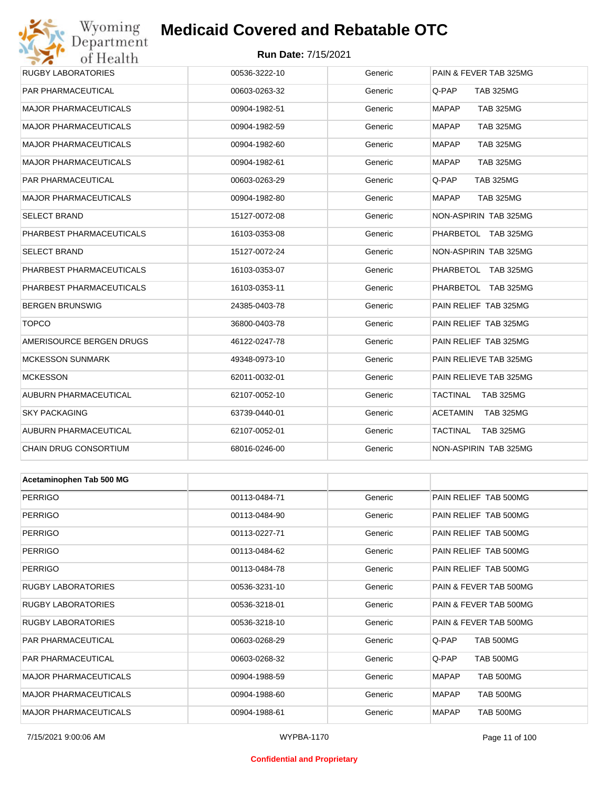## Wyoming<br>Department<br>of Health

## **Medicaid Covered and Rebatable OTC**

#### **Run Date:** 7/15/2021

| 011100111                    |               |         |                                  |
|------------------------------|---------------|---------|----------------------------------|
| RUGBY LABORATORIES           | 00536-3222-10 | Generic | PAIN & FEVER TAB 325MG           |
| PAR PHARMACEUTICAL           | 00603-0263-32 | Generic | Q-PAP<br><b>TAB 325MG</b>        |
| MAJOR PHARMACEUTICALS        | 00904-1982-51 | Generic | <b>TAB 325MG</b><br><b>MAPAP</b> |
| <b>MAJOR PHARMACEUTICALS</b> | 00904-1982-59 | Generic | <b>TAB 325MG</b><br>MAPAP        |
| MAJOR PHARMACEUTICALS        | 00904-1982-60 | Generic | <b>MAPAP</b><br><b>TAB 325MG</b> |
| MAJOR PHARMACEUTICALS        | 00904-1982-61 | Generic | MAPAP<br><b>TAB 325MG</b>        |
| PAR PHARMACEUTICAL           | 00603-0263-29 | Generic | Q-PAP<br><b>TAB 325MG</b>        |
| MAJOR PHARMACEUTICALS        | 00904-1982-80 | Generic | MAPAP<br><b>TAB 325MG</b>        |
| SELECT BRAND                 | 15127-0072-08 | Generic | NON-ASPIRIN TAB 325MG            |
| PHARBEST PHARMACEUTICALS     | 16103-0353-08 | Generic | PHARBETOL TAB 325MG              |
| SELECT BRAND                 | 15127-0072-24 | Generic | NON-ASPIRIN TAB 325MG            |
| PHARBEST PHARMACEUTICALS     | 16103-0353-07 | Generic | PHARBETOL TAB 325MG              |
| PHARBEST PHARMACEUTICALS     | 16103-0353-11 | Generic | PHARBETOL TAB 325MG              |
| BERGEN BRUNSWIG              | 24385-0403-78 | Generic | PAIN RELIEF TAB 325MG            |
| <b>TOPCO</b>                 | 36800-0403-78 | Generic | PAIN RELIEF TAB 325MG            |
| AMERISOURCE BERGEN DRUGS     | 46122-0247-78 | Generic | PAIN RELIEF TAB 325MG            |
| <b>MCKESSON SUNMARK</b>      | 49348-0973-10 | Generic | PAIN RELIEVE TAB 325MG           |
| <b>MCKESSON</b>              | 62011-0032-01 | Generic | PAIN RELIEVE TAB 325MG           |
| AUBURN PHARMACEUTICAL        | 62107-0052-10 | Generic | TACTINAL<br>TAB 325MG            |
| SKY PACKAGING                | 63739-0440-01 | Generic | ACETAMIN<br>TAB 325MG            |
| AUBURN PHARMACEUTICAL        | 62107-0052-01 | Generic | TACTINAL<br>TAB 325MG            |
| CHAIN DRUG CONSORTIUM        | 68016-0246-00 | Generic | NON-ASPIRIN TAB 325MG            |
|                              |               |         |                                  |
| Acetaminophen Tab 500 MG     |               |         |                                  |
| <b>PERRIGO</b>               | 00113-0484-71 | Generic | PAIN RELIEF TAB 500MG            |
| <b>PERRIGO</b>               | 00113-0484-90 | Generic | PAIN RELIEF TAB 500MG            |
| PERRIGO                      | 00113-0227-71 | Generic | PAIN RELIEF TAB 500MG            |
| <b>PERRIGO</b>               | 00113-0484-62 | Generic | PAIN RELIEF TAB 500MG            |
| <b>PERRIGO</b>               | 00113-0484-78 | Generic | PAIN RELIEF TAB 500MG            |
| RUGBY LABORATORIES           | 00536-3231-10 | Generic | PAIN & FEVER TAB 500MG           |
| RUGBY LABORATORIES           | 00536-3218-01 | Generic | PAIN & FEVER TAB 500MG           |
| <b>RUGBY LABORATORIES</b>    | 00536-3218-10 | Generic | PAIN & FEVER TAB 500MG           |
| PAR PHARMACEUTICAL           | 00603-0268-29 | Generic | <b>TAB 500MG</b><br>Q-PAP        |
| PAR PHARMACEUTICAL           | 00603-0268-32 | Generic | Q-PAP<br><b>TAB 500MG</b>        |

MAJOR PHARMACEUTICALS 00904-1988-59 Generic MAPAP TAB 500MG MAJOR PHARMACEUTICALS 00904-1988-60 Generic MAPAP TAB 500MG MAJOR PHARMACEUTICALS 
and the composition of the composition of the composition of the component of the component of the component of the component of the component of the component of the component of the component of th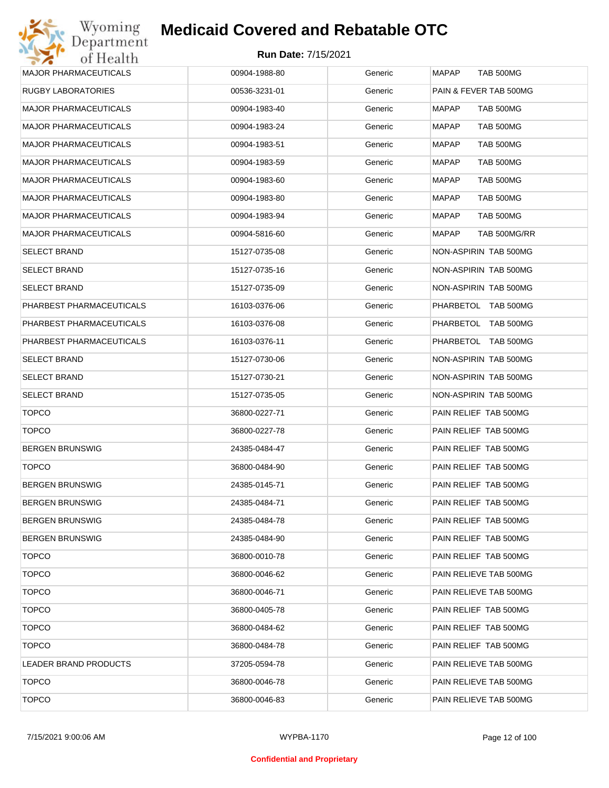| <b>MAJOR PHARMACEUTICALS</b> | 00904-1988-80 | Generic | <b>TAB 500MG</b><br><b>MAPAP</b> |
|------------------------------|---------------|---------|----------------------------------|
| <b>RUGBY LABORATORIES</b>    | 00536-3231-01 | Generic | PAIN & FEVER TAB 500MG           |
| <b>MAJOR PHARMACEUTICALS</b> | 00904-1983-40 | Generic | MAPAP<br>TAB 500MG               |
| <b>MAJOR PHARMACEUTICALS</b> | 00904-1983-24 | Generic | TAB 500MG<br>MAPAP               |
| <b>MAJOR PHARMACEUTICALS</b> | 00904-1983-51 | Generic | <b>MAPAP</b><br>TAB 500MG        |
| <b>MAJOR PHARMACEUTICALS</b> | 00904-1983-59 | Generic | TAB 500MG<br>MAPAP               |
| <b>MAJOR PHARMACEUTICALS</b> | 00904-1983-60 | Generic | <b>MAPAP</b><br>TAB 500MG        |
| <b>MAJOR PHARMACEUTICALS</b> | 00904-1983-80 | Generic | TAB 500MG<br>MAPAP               |
| <b>MAJOR PHARMACEUTICALS</b> | 00904-1983-94 | Generic | TAB 500MG<br><b>MAPAP</b>        |
| <b>MAJOR PHARMACEUTICALS</b> | 00904-5816-60 | Generic | MAPAP<br>TAB 500MG/RR            |
| <b>SELECT BRAND</b>          | 15127-0735-08 | Generic | NON-ASPIRIN TAB 500MG            |
| <b>SELECT BRAND</b>          | 15127-0735-16 | Generic | NON-ASPIRIN TAB 500MG            |
| <b>SELECT BRAND</b>          | 15127-0735-09 | Generic | NON-ASPIRIN TAB 500MG            |
| PHARBEST PHARMACEUTICALS     | 16103-0376-06 | Generic | PHARBETOL TAB 500MG              |
| PHARBEST PHARMACEUTICALS     | 16103-0376-08 | Generic | PHARBETOL TAB 500MG              |
| PHARBEST PHARMACEUTICALS     | 16103-0376-11 | Generic | PHARBETOL TAB 500MG              |
| <b>SELECT BRAND</b>          | 15127-0730-06 | Generic | NON-ASPIRIN TAB 500MG            |
| <b>SELECT BRAND</b>          | 15127-0730-21 | Generic | NON-ASPIRIN TAB 500MG            |
| <b>SELECT BRAND</b>          | 15127-0735-05 | Generic | NON-ASPIRIN TAB 500MG            |
| <b>TOPCO</b>                 | 36800-0227-71 | Generic | PAIN RELIEF TAB 500MG            |
| <b>TOPCO</b>                 | 36800-0227-78 | Generic | PAIN RELIEF TAB 500MG            |
| <b>BERGEN BRUNSWIG</b>       | 24385-0484-47 | Generic | PAIN RELIEF TAB 500MG            |
| <b>TOPCO</b>                 | 36800-0484-90 | Generic | PAIN RELIEF TAB 500MG            |
| <b>BERGEN BRUNSWIG</b>       | 24385-0145-71 | Generic | PAIN RELIEF TAB 500MG            |
| <b>BERGEN BRUNSWIG</b>       | 24385-0484-71 | Generic | PAIN RELIEF TAB 500MG            |
| <b>BERGEN BRUNSWIG</b>       | 24385-0484-78 | Generic | PAIN RELIEF TAB 500MG            |
| <b>BERGEN BRUNSWIG</b>       | 24385-0484-90 | Generic | PAIN RELIEF TAB 500MG            |
| <b>TOPCO</b>                 | 36800-0010-78 | Generic | PAIN RELIEF TAB 500MG            |
| <b>TOPCO</b>                 | 36800-0046-62 | Generic | PAIN RELIEVE TAB 500MG           |
| <b>TOPCO</b>                 | 36800-0046-71 | Generic | PAIN RELIEVE TAB 500MG           |
| <b>TOPCO</b>                 | 36800-0405-78 | Generic | PAIN RELIEF TAB 500MG            |
| <b>TOPCO</b>                 | 36800-0484-62 | Generic | PAIN RELIEF TAB 500MG            |
| <b>TOPCO</b>                 | 36800-0484-78 | Generic | PAIN RELIEF TAB 500MG            |
| LEADER BRAND PRODUCTS        | 37205-0594-78 | Generic | PAIN RELIEVE TAB 500MG           |
| <b>TOPCO</b>                 | 36800-0046-78 | Generic | PAIN RELIEVE TAB 500MG           |
| <b>TOPCO</b>                 | 36800-0046-83 | Generic | PAIN RELIEVE TAB 500MG           |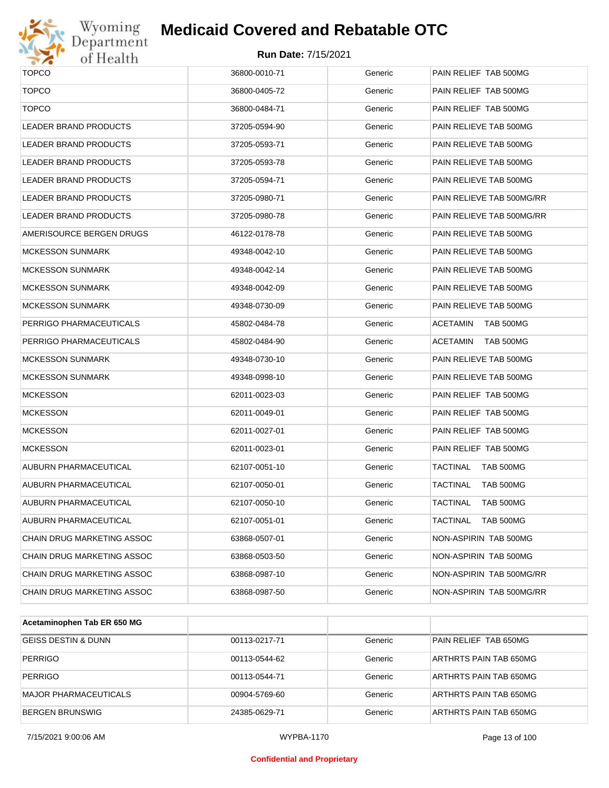

# Wyoming<br>Department<br>of Health

## **Medicaid Covered and Rebatable OTC**

| <b>TOPCO</b>                 | 36800-0010-71 | Generic | PAIN RELIEF TAB 500MG        |
|------------------------------|---------------|---------|------------------------------|
| <b>TOPCO</b>                 | 36800-0405-72 | Generic | PAIN RELIEF TAB 500MG        |
| <b>TOPCO</b>                 | 36800-0484-71 | Generic | PAIN RELIEF TAB 500MG        |
| <b>LEADER BRAND PRODUCTS</b> | 37205-0594-90 | Generic | PAIN RELIEVE TAB 500MG       |
|                              |               |         |                              |
| LEADER BRAND PRODUCTS        | 37205-0593-71 | Generic | PAIN RELIEVE TAB 500MG       |
| LEADER BRAND PRODUCTS        | 37205-0593-78 | Generic | PAIN RELIEVE TAB 500MG       |
| LEADER BRAND PRODUCTS        | 37205-0594-71 | Generic | PAIN RELIEVE TAB 500MG       |
| LEADER BRAND PRODUCTS        | 37205-0980-71 | Generic | PAIN RELIEVE TAB 500MG/RR    |
| LEADER BRAND PRODUCTS        | 37205-0980-78 | Generic | PAIN RELIEVE TAB 500MG/RR    |
| AMERISOURCE BERGEN DRUGS     | 46122-0178-78 | Generic | PAIN RELIEVE TAB 500MG       |
| <b>MCKESSON SUNMARK</b>      | 49348-0042-10 | Generic | PAIN RELIEVE TAB 500MG       |
| <b>MCKESSON SUNMARK</b>      | 49348-0042-14 | Generic | PAIN RELIEVE TAB 500MG       |
| <b>MCKESSON SUNMARK</b>      | 49348-0042-09 | Generic | PAIN RELIEVE TAB 500MG       |
| <b>MCKESSON SUNMARK</b>      | 49348-0730-09 | Generic | PAIN RELIEVE TAB 500MG       |
| PERRIGO PHARMACEUTICALS      | 45802-0484-78 | Generic | ACETAMIN<br>TAB 500MG        |
| PERRIGO PHARMACEUTICALS      | 45802-0484-90 | Generic | <b>ACETAMIN</b><br>TAB 500MG |
| <b>MCKESSON SUNMARK</b>      | 49348-0730-10 | Generic | PAIN RELIEVE TAB 500MG       |
| <b>MCKESSON SUNMARK</b>      | 49348-0998-10 | Generic | PAIN RELIEVE TAB 500MG       |
| <b>MCKESSON</b>              | 62011-0023-03 | Generic | PAIN RELIEF TAB 500MG        |
| <b>MCKESSON</b>              | 62011-0049-01 | Generic | PAIN RELIEF TAB 500MG        |
| <b>MCKESSON</b>              | 62011-0027-01 | Generic | PAIN RELIEF TAB 500MG        |
| <b>MCKESSON</b>              | 62011-0023-01 | Generic | PAIN RELIEF TAB 500MG        |
| <b>AUBURN PHARMACEUTICAL</b> | 62107-0051-10 | Generic | TACTINAL<br>TAB 500MG        |
| AUBURN PHARMACEUTICAL        | 62107-0050-01 | Generic | <b>TACTINAL</b><br>TAB 500MG |
| AUBURN PHARMACEUTICAL        | 62107-0050-10 | Generic | TACTINAL<br>TAB 500MG        |
| AUBURN PHARMACEUTICAL        | 62107-0051-01 | Generic | TACTINAL<br>TAB 500MG        |
| CHAIN DRUG MARKETING ASSOC   | 63868-0507-01 | Generic | NON-ASPIRIN TAB 500MG        |
| CHAIN DRUG MARKETING ASSOC   | 63868-0503-50 | Generic | NON-ASPIRIN TAB 500MG        |
| CHAIN DRUG MARKETING ASSOC   | 63868-0987-10 | Generic | NON-ASPIRIN TAB 500MG/RR     |
| CHAIN DRUG MARKETING ASSOC   | 63868-0987-50 | Generic | NON-ASPIRIN TAB 500MG/RR     |
|                              |               |         |                              |

| Acetaminophen Tab ER 650 MG  |               |         |                        |
|------------------------------|---------------|---------|------------------------|
| GEISS DESTIN & DUNN          | 00113-0217-71 | Generic | PAIN RELIEF TAB 650MG  |
| <b>PERRIGO</b>               | 00113-0544-62 | Generic | ARTHRTS PAIN TAB 650MG |
| <b>PERRIGO</b>               | 00113-0544-71 | Generic | ARTHRTS PAIN TAB 650MG |
| <b>MAJOR PHARMACEUTICALS</b> | 00904-5769-60 | Generic | ARTHRTS PAIN TAB 650MG |
| <b>BERGEN BRUNSWIG</b>       | 24385-0629-71 | Generic | ARTHRTS PAIN TAB 650MG |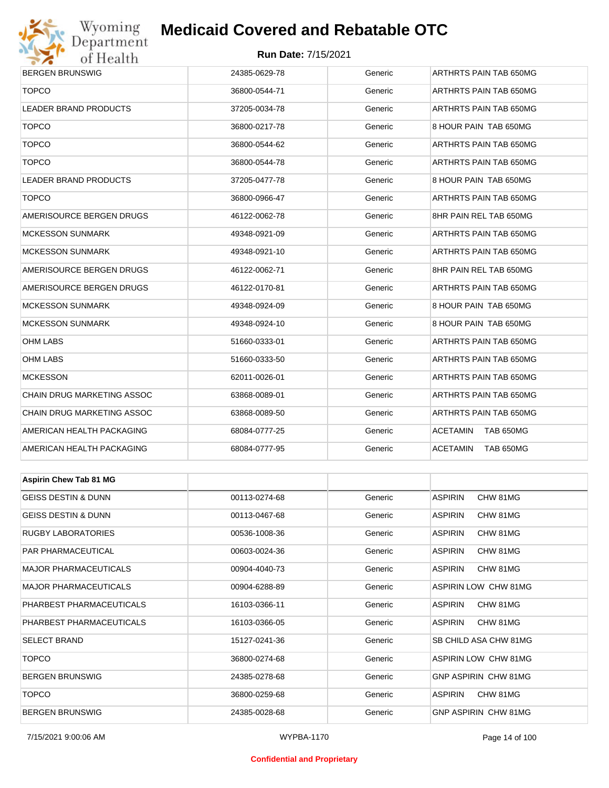

#### **Run Date:** 7/15/2021

| <b>ULLIVAILLE</b>              |               |         |                              |  |  |
|--------------------------------|---------------|---------|------------------------------|--|--|
| <b>BERGEN BRUNSWIG</b>         | 24385-0629-78 | Generic | ARTHRTS PAIN TAB 650MG       |  |  |
| <b>TOPCO</b>                   | 36800-0544-71 | Generic | ARTHRTS PAIN TAB 650MG       |  |  |
| LEADER BRAND PRODUCTS          | 37205-0034-78 | Generic | ARTHRTS PAIN TAB 650MG       |  |  |
| <b>TOPCO</b>                   | 36800-0217-78 | Generic | 8 HOUR PAIN TAB 650MG        |  |  |
| <b>TOPCO</b>                   | 36800-0544-62 | Generic | ARTHRTS PAIN TAB 650MG       |  |  |
| <b>TOPCO</b>                   | 36800-0544-78 | Generic | ARTHRTS PAIN TAB 650MG       |  |  |
| LEADER BRAND PRODUCTS          | 37205-0477-78 | Generic | 8 HOUR PAIN TAB 650MG        |  |  |
| <b>TOPCO</b>                   | 36800-0966-47 | Generic | ARTHRTS PAIN TAB 650MG       |  |  |
| AMERISOURCE BERGEN DRUGS       | 46122-0062-78 | Generic | 8HR PAIN REL TAB 650MG       |  |  |
| <b>MCKESSON SUNMARK</b>        | 49348-0921-09 | Generic | ARTHRTS PAIN TAB 650MG       |  |  |
| <b>MCKESSON SUNMARK</b>        | 49348-0921-10 | Generic | ARTHRTS PAIN TAB 650MG       |  |  |
| AMERISOURCE BERGEN DRUGS       | 46122-0062-71 | Generic | 8HR PAIN REL TAB 650MG       |  |  |
| AMERISOURCE BERGEN DRUGS       | 46122-0170-81 | Generic | ARTHRTS PAIN TAB 650MG       |  |  |
| <b>MCKESSON SUNMARK</b>        | 49348-0924-09 | Generic | 8 HOUR PAIN TAB 650MG        |  |  |
| <b>MCKESSON SUNMARK</b>        | 49348-0924-10 | Generic | 8 HOUR PAIN TAB 650MG        |  |  |
| <b>OHM LABS</b>                | 51660-0333-01 | Generic | ARTHRTS PAIN TAB 650MG       |  |  |
| OHM LABS                       | 51660-0333-50 | Generic | ARTHRTS PAIN TAB 650MG       |  |  |
| <b>MCKESSON</b>                | 62011-0026-01 | Generic | ARTHRTS PAIN TAB 650MG       |  |  |
| CHAIN DRUG MARKETING ASSOC     | 63868-0089-01 | Generic | ARTHRTS PAIN TAB 650MG       |  |  |
| CHAIN DRUG MARKETING ASSOC     | 63868-0089-50 | Generic | ARTHRTS PAIN TAB 650MG       |  |  |
| AMERICAN HEALTH PACKAGING      | 68084-0777-25 | Generic | <b>ACETAMIN</b><br>TAB 650MG |  |  |
| AMERICAN HEALTH PACKAGING      | 68084-0777-95 | Generic | ACETAMIN<br>TAB 650MG        |  |  |
|                                |               |         |                              |  |  |
| <b>Aspirin Chew Tab 81 MG</b>  |               |         |                              |  |  |
| <b>GEISS DESTIN &amp; DUNN</b> | 00113-0274-68 | Generic | <b>ASPIRIN</b><br>CHW 81MG   |  |  |
| <b>GEISS DESTIN &amp; DUNN</b> | 00113-0467-68 | Generic | ASPIRIN<br>CHW 81MG          |  |  |
| <b>RUGBY LABORATORIES</b>      | 00536-1008-36 | Generic | <b>ASPIRIN</b><br>CHW 81MG   |  |  |
| PAR PHARMACEUTICAL             | 00603-0024-36 | Generic | <b>ASPIRIN</b><br>CHW 81MG   |  |  |
| <b>MAJOR PHARMACEUTICALS</b>   | 00904-4040-73 | Generic | <b>ASPIRIN</b><br>CHW 81MG   |  |  |
| <b>MAJOR PHARMACEUTICALS</b>   | 00904-6288-89 | Generic | ASPIRIN LOW CHW 81MG         |  |  |
|                                |               |         |                              |  |  |

PHARBEST PHARMACEUTICALS 16103-0366-11 Generic ASPIRIN CHW 81MG PHARBEST PHARMACEUTICALS 16103-0366-05 Generic ASPIRIN CHW 81MG SELECT BRAND 15127-0241-36 Generic SB CHILD ASA CHW 81MG TOPCO 36800-0274-68 Generic ASPIRIN LOW CHW 81MG BERGEN BRUNSWIG 24385-0278-68 Generic GNP ASPIRIN CHW 81MG TOPCO 36800-0259-68 Generic ASPIRIN CHW 81MG BERGEN BRUNSWIG 24385-0028-68 Generic GNP ASPIRIN CHW 81MG

#### **Confidential and Proprietary**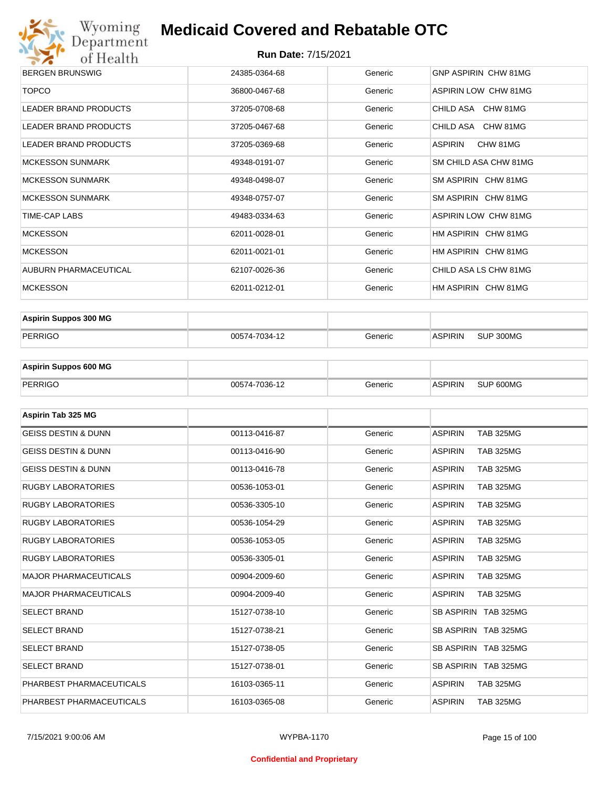

| <b>BERGEN BRUNSWIG</b>       | 24385-0364-68 | Generic | GNP ASPIRIN CHW 81MG        |
|------------------------------|---------------|---------|-----------------------------|
| <b>TOPCO</b>                 | 36800-0467-68 | Generic | <b>ASPIRIN LOW CHW 81MG</b> |
| LEADER BRAND PRODUCTS        | 37205-0708-68 | Generic | CHILD ASA CHW 81MG          |
| LEADER BRAND PRODUCTS        | 37205-0467-68 | Generic | CHILD ASA CHW 81MG          |
| <b>LEADER BRAND PRODUCTS</b> | 37205-0369-68 | Generic | CHW 81MG<br>ASPIRIN         |
| <b>MCKESSON SUNMARK</b>      | 49348-0191-07 | Generic | SM CHILD ASA CHW 81MG       |
| <b>MCKESSON SUNMARK</b>      | 49348-0498-07 | Generic | SM ASPIRIN CHW 81MG         |
| <b>MCKESSON SUNMARK</b>      | 49348-0757-07 | Generic | SM ASPIRIN CHW 81MG         |
| TIME-CAP LABS                | 49483-0334-63 | Generic | ASPIRIN LOW CHW 81MG        |
| <b>MCKESSON</b>              | 62011-0028-01 | Generic | HM ASPIRIN CHW 81MG         |
| <b>MCKESSON</b>              | 62011-0021-01 | Generic | HM ASPIRIN CHW 81MG         |
| AUBURN PHARMACEUTICAL        | 62107-0026-36 | Generic | CHILD ASA LS CHW 81MG       |
| <b>MCKESSON</b>              | 62011-0212-01 | Generic | HM ASPIRIN CHW 81MG         |

| <b>Aspirin Suppos 300 MG</b> |               |         |                |           |
|------------------------------|---------------|---------|----------------|-----------|
| PERRIGO                      | 00574-7034-12 | Generic | <b>ASPIRIN</b> | SUP 300MG |

| <b>Aspirin Suppos 600 MG</b> |               |         |          |           |
|------------------------------|---------------|---------|----------|-----------|
| PERRIGO                      | 00574-7036-12 | Generic | ⊪ASPIRIN | SUP 600MG |

| Aspirin Tab 325 MG             |               |         |                                    |
|--------------------------------|---------------|---------|------------------------------------|
| <b>GEISS DESTIN &amp; DUNN</b> | 00113-0416-87 | Generic | <b>ASPIRIN</b><br><b>TAB 325MG</b> |
| <b>GEISS DESTIN &amp; DUNN</b> | 00113-0416-90 | Generic | <b>ASPIRIN</b><br><b>TAB 325MG</b> |
| <b>GEISS DESTIN &amp; DUNN</b> | 00113-0416-78 | Generic | <b>ASPIRIN</b><br><b>TAB 325MG</b> |
| <b>RUGBY LABORATORIES</b>      | 00536-1053-01 | Generic | <b>TAB 325MG</b><br><b>ASPIRIN</b> |
| <b>RUGBY LABORATORIES</b>      | 00536-3305-10 | Generic | <b>ASPIRIN</b><br><b>TAB 325MG</b> |
| <b>RUGBY LABORATORIES</b>      | 00536-1054-29 | Generic | <b>ASPIRIN</b><br><b>TAB 325MG</b> |
| <b>RUGBY LABORATORIES</b>      | 00536-1053-05 | Generic | <b>ASPIRIN</b><br><b>TAB 325MG</b> |
| <b>RUGBY LABORATORIES</b>      | 00536-3305-01 | Generic | <b>ASPIRIN</b><br><b>TAB 325MG</b> |
| <b>MAJOR PHARMACEUTICALS</b>   | 00904-2009-60 | Generic | <b>TAB 325MG</b><br><b>ASPIRIN</b> |
| <b>MAJOR PHARMACEUTICALS</b>   | 00904-2009-40 | Generic | <b>ASPIRIN</b><br><b>TAB 325MG</b> |
| <b>SELECT BRAND</b>            | 15127-0738-10 | Generic | SB ASPIRIN TAB 325MG               |
| <b>SELECT BRAND</b>            | 15127-0738-21 | Generic | SB ASPIRIN TAB 325MG               |
| <b>SELECT BRAND</b>            | 15127-0738-05 | Generic | SB ASPIRIN TAB 325MG               |
| <b>SELECT BRAND</b>            | 15127-0738-01 | Generic | SB ASPIRIN TAB 325MG               |
| PHARBEST PHARMACEUTICALS       | 16103-0365-11 | Generic | <b>ASPIRIN</b><br><b>TAB 325MG</b> |
| PHARBEST PHARMACEUTICALS       | 16103-0365-08 | Generic | <b>ASPIRIN</b><br><b>TAB 325MG</b> |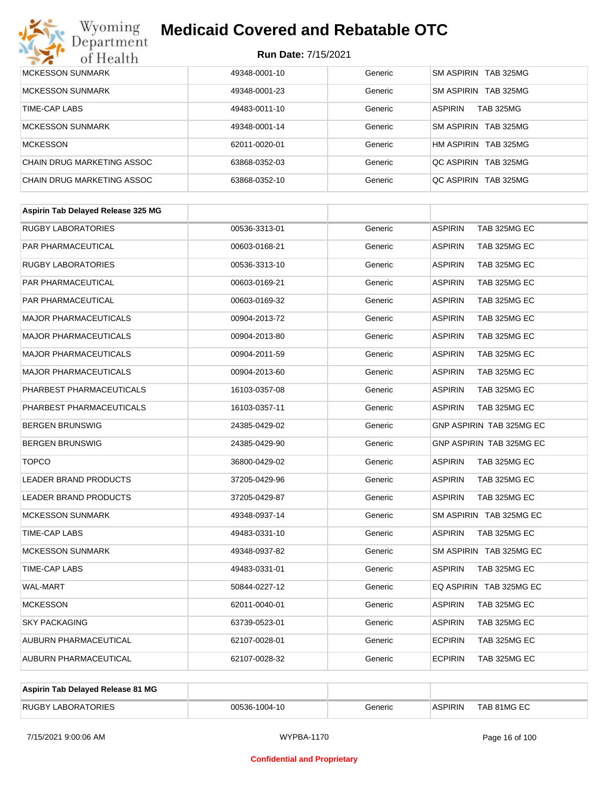

| <b>MCKESSON SUNMARK</b>    | 49348-0001-10 | Generic | SM ASPIRIN TAB 325MG               |
|----------------------------|---------------|---------|------------------------------------|
| <b>MCKESSON SUNMARK</b>    | 49348-0001-23 | Generic | SM ASPIRIN TAB 325MG               |
| TIME-CAP LABS              | 49483-0011-10 | Generic | <b>ASPIRIN</b><br><b>TAB 325MG</b> |
| <b>MCKESSON SUNMARK</b>    | 49348-0001-14 | Generic | SM ASPIRIN TAB 325MG               |
| <b>MCKESSON</b>            | 62011-0020-01 | Generic | HM ASPIRIN TAB 325MG               |
| CHAIN DRUG MARKETING ASSOC | 63868-0352-03 | Generic | OC ASPIRIN TAB 325MG               |
| CHAIN DRUG MARKETING ASSOC | 63868-0352-10 | Generic | OC ASPIRIN TAB 325MG               |

| <b>RUGBY LABORATORIES</b><br><b>ASPIRIN</b><br>TAB 325MG EC<br>00536-3313-01<br>Generic<br>PAR PHARMACEUTICAL<br><b>ASPIRIN</b><br>TAB 325MG EC<br>00603-0168-21<br>Generic<br><b>RUGBY LABORATORIES</b><br><b>ASPIRIN</b><br>TAB 325MG EC<br>00536-3313-10<br>Generic<br>PAR PHARMACEUTICAL<br>Generic<br><b>ASPIRIN</b><br>TAB 325MG EC<br>00603-0169-21<br>PAR PHARMACEUTICAL<br><b>ASPIRIN</b><br>TAB 325MG EC<br>00603-0169-32<br>Generic<br><b>MAJOR PHARMACEUTICALS</b><br>00904-2013-72<br>Generic<br><b>ASPIRIN</b><br>TAB 325MG EC<br><b>MAJOR PHARMACEUTICALS</b><br><b>ASPIRIN</b><br>TAB 325MG EC<br>00904-2013-80<br>Generic<br><b>MAJOR PHARMACEUTICALS</b><br><b>ASPIRIN</b><br>TAB 325MG EC<br>00904-2011-59<br>Generic<br><b>MAJOR PHARMACEUTICALS</b><br><b>ASPIRIN</b><br>TAB 325MG EC<br>00904-2013-60<br>Generic<br>PHARBEST PHARMACEUTICALS<br><b>ASPIRIN</b><br>TAB 325MG EC<br>16103-0357-08<br>Generic<br>PHARBEST PHARMACEUTICALS<br>Generic<br><b>ASPIRIN</b><br>TAB 325MG EC<br>16103-0357-11<br><b>BERGEN BRUNSWIG</b><br>GNP ASPIRIN TAB 325MG EC<br>24385-0429-02<br>Generic<br>GNP ASPIRIN TAB 325MG EC<br><b>BERGEN BRUNSWIG</b><br>24385-0429-90<br>Generic<br><b>TOPCO</b><br><b>ASPIRIN</b><br>TAB 325MG EC<br>36800-0429-02<br>Generic<br><b>LEADER BRAND PRODUCTS</b><br>37205-0429-96<br>Generic<br><b>ASPIRIN</b><br>TAB 325MG EC<br><b>LEADER BRAND PRODUCTS</b><br><b>ASPIRIN</b><br>TAB 325MG EC<br>Generic<br>37205-0429-87<br>SM ASPIRIN TAB 325MG EC<br><b>MCKESSON SUNMARK</b><br>49348-0937-14<br>Generic<br>TIME-CAP LABS<br><b>ASPIRIN</b><br>TAB 325MG EC<br>49483-0331-10<br>Generic<br><b>MCKESSON SUNMARK</b><br>49348-0937-82<br>Generic<br>SM ASPIRIN TAB 325MG EC<br>TIME-CAP LABS<br>Generic<br><b>ASPIRIN</b><br>TAB 325MG EC<br>49483-0331-01<br><b>WAL-MART</b><br>50844-0227-12<br>Generic<br>EQ ASPIRIN TAB 325MG EC<br><b>ASPIRIN</b><br>TAB 325MG EC<br><b>MCKESSON</b><br>62011-0040-01<br>Generic<br><b>SKY PACKAGING</b><br>63739-0523-01<br>Generic<br><b>ASPIRIN</b><br>TAB 325MG EC<br>AUBURN PHARMACEUTICAL<br><b>ECPIRIN</b><br>TAB 325MG EC<br>62107-0028-01<br>Generic<br>AUBURN PHARMACEUTICAL<br>62107-0028-32<br><b>ECPIRIN</b><br>TAB 325MG EC<br>Generic | Aspirin Tab Delayed Release 325 MG |  |  |
|-------------------------------------------------------------------------------------------------------------------------------------------------------------------------------------------------------------------------------------------------------------------------------------------------------------------------------------------------------------------------------------------------------------------------------------------------------------------------------------------------------------------------------------------------------------------------------------------------------------------------------------------------------------------------------------------------------------------------------------------------------------------------------------------------------------------------------------------------------------------------------------------------------------------------------------------------------------------------------------------------------------------------------------------------------------------------------------------------------------------------------------------------------------------------------------------------------------------------------------------------------------------------------------------------------------------------------------------------------------------------------------------------------------------------------------------------------------------------------------------------------------------------------------------------------------------------------------------------------------------------------------------------------------------------------------------------------------------------------------------------------------------------------------------------------------------------------------------------------------------------------------------------------------------------------------------------------------------------------------------------------------------------------------------------------------------------------------------------------------------------------------------------------------------------------------------------------------------------------------------|------------------------------------|--|--|
|                                                                                                                                                                                                                                                                                                                                                                                                                                                                                                                                                                                                                                                                                                                                                                                                                                                                                                                                                                                                                                                                                                                                                                                                                                                                                                                                                                                                                                                                                                                                                                                                                                                                                                                                                                                                                                                                                                                                                                                                                                                                                                                                                                                                                                           |                                    |  |  |
|                                                                                                                                                                                                                                                                                                                                                                                                                                                                                                                                                                                                                                                                                                                                                                                                                                                                                                                                                                                                                                                                                                                                                                                                                                                                                                                                                                                                                                                                                                                                                                                                                                                                                                                                                                                                                                                                                                                                                                                                                                                                                                                                                                                                                                           |                                    |  |  |
|                                                                                                                                                                                                                                                                                                                                                                                                                                                                                                                                                                                                                                                                                                                                                                                                                                                                                                                                                                                                                                                                                                                                                                                                                                                                                                                                                                                                                                                                                                                                                                                                                                                                                                                                                                                                                                                                                                                                                                                                                                                                                                                                                                                                                                           |                                    |  |  |
|                                                                                                                                                                                                                                                                                                                                                                                                                                                                                                                                                                                                                                                                                                                                                                                                                                                                                                                                                                                                                                                                                                                                                                                                                                                                                                                                                                                                                                                                                                                                                                                                                                                                                                                                                                                                                                                                                                                                                                                                                                                                                                                                                                                                                                           |                                    |  |  |
|                                                                                                                                                                                                                                                                                                                                                                                                                                                                                                                                                                                                                                                                                                                                                                                                                                                                                                                                                                                                                                                                                                                                                                                                                                                                                                                                                                                                                                                                                                                                                                                                                                                                                                                                                                                                                                                                                                                                                                                                                                                                                                                                                                                                                                           |                                    |  |  |
|                                                                                                                                                                                                                                                                                                                                                                                                                                                                                                                                                                                                                                                                                                                                                                                                                                                                                                                                                                                                                                                                                                                                                                                                                                                                                                                                                                                                                                                                                                                                                                                                                                                                                                                                                                                                                                                                                                                                                                                                                                                                                                                                                                                                                                           |                                    |  |  |
|                                                                                                                                                                                                                                                                                                                                                                                                                                                                                                                                                                                                                                                                                                                                                                                                                                                                                                                                                                                                                                                                                                                                                                                                                                                                                                                                                                                                                                                                                                                                                                                                                                                                                                                                                                                                                                                                                                                                                                                                                                                                                                                                                                                                                                           |                                    |  |  |
|                                                                                                                                                                                                                                                                                                                                                                                                                                                                                                                                                                                                                                                                                                                                                                                                                                                                                                                                                                                                                                                                                                                                                                                                                                                                                                                                                                                                                                                                                                                                                                                                                                                                                                                                                                                                                                                                                                                                                                                                                                                                                                                                                                                                                                           |                                    |  |  |
|                                                                                                                                                                                                                                                                                                                                                                                                                                                                                                                                                                                                                                                                                                                                                                                                                                                                                                                                                                                                                                                                                                                                                                                                                                                                                                                                                                                                                                                                                                                                                                                                                                                                                                                                                                                                                                                                                                                                                                                                                                                                                                                                                                                                                                           |                                    |  |  |
|                                                                                                                                                                                                                                                                                                                                                                                                                                                                                                                                                                                                                                                                                                                                                                                                                                                                                                                                                                                                                                                                                                                                                                                                                                                                                                                                                                                                                                                                                                                                                                                                                                                                                                                                                                                                                                                                                                                                                                                                                                                                                                                                                                                                                                           |                                    |  |  |
|                                                                                                                                                                                                                                                                                                                                                                                                                                                                                                                                                                                                                                                                                                                                                                                                                                                                                                                                                                                                                                                                                                                                                                                                                                                                                                                                                                                                                                                                                                                                                                                                                                                                                                                                                                                                                                                                                                                                                                                                                                                                                                                                                                                                                                           |                                    |  |  |
|                                                                                                                                                                                                                                                                                                                                                                                                                                                                                                                                                                                                                                                                                                                                                                                                                                                                                                                                                                                                                                                                                                                                                                                                                                                                                                                                                                                                                                                                                                                                                                                                                                                                                                                                                                                                                                                                                                                                                                                                                                                                                                                                                                                                                                           |                                    |  |  |
|                                                                                                                                                                                                                                                                                                                                                                                                                                                                                                                                                                                                                                                                                                                                                                                                                                                                                                                                                                                                                                                                                                                                                                                                                                                                                                                                                                                                                                                                                                                                                                                                                                                                                                                                                                                                                                                                                                                                                                                                                                                                                                                                                                                                                                           |                                    |  |  |
|                                                                                                                                                                                                                                                                                                                                                                                                                                                                                                                                                                                                                                                                                                                                                                                                                                                                                                                                                                                                                                                                                                                                                                                                                                                                                                                                                                                                                                                                                                                                                                                                                                                                                                                                                                                                                                                                                                                                                                                                                                                                                                                                                                                                                                           |                                    |  |  |
|                                                                                                                                                                                                                                                                                                                                                                                                                                                                                                                                                                                                                                                                                                                                                                                                                                                                                                                                                                                                                                                                                                                                                                                                                                                                                                                                                                                                                                                                                                                                                                                                                                                                                                                                                                                                                                                                                                                                                                                                                                                                                                                                                                                                                                           |                                    |  |  |
|                                                                                                                                                                                                                                                                                                                                                                                                                                                                                                                                                                                                                                                                                                                                                                                                                                                                                                                                                                                                                                                                                                                                                                                                                                                                                                                                                                                                                                                                                                                                                                                                                                                                                                                                                                                                                                                                                                                                                                                                                                                                                                                                                                                                                                           |                                    |  |  |
|                                                                                                                                                                                                                                                                                                                                                                                                                                                                                                                                                                                                                                                                                                                                                                                                                                                                                                                                                                                                                                                                                                                                                                                                                                                                                                                                                                                                                                                                                                                                                                                                                                                                                                                                                                                                                                                                                                                                                                                                                                                                                                                                                                                                                                           |                                    |  |  |
|                                                                                                                                                                                                                                                                                                                                                                                                                                                                                                                                                                                                                                                                                                                                                                                                                                                                                                                                                                                                                                                                                                                                                                                                                                                                                                                                                                                                                                                                                                                                                                                                                                                                                                                                                                                                                                                                                                                                                                                                                                                                                                                                                                                                                                           |                                    |  |  |
|                                                                                                                                                                                                                                                                                                                                                                                                                                                                                                                                                                                                                                                                                                                                                                                                                                                                                                                                                                                                                                                                                                                                                                                                                                                                                                                                                                                                                                                                                                                                                                                                                                                                                                                                                                                                                                                                                                                                                                                                                                                                                                                                                                                                                                           |                                    |  |  |
|                                                                                                                                                                                                                                                                                                                                                                                                                                                                                                                                                                                                                                                                                                                                                                                                                                                                                                                                                                                                                                                                                                                                                                                                                                                                                                                                                                                                                                                                                                                                                                                                                                                                                                                                                                                                                                                                                                                                                                                                                                                                                                                                                                                                                                           |                                    |  |  |
|                                                                                                                                                                                                                                                                                                                                                                                                                                                                                                                                                                                                                                                                                                                                                                                                                                                                                                                                                                                                                                                                                                                                                                                                                                                                                                                                                                                                                                                                                                                                                                                                                                                                                                                                                                                                                                                                                                                                                                                                                                                                                                                                                                                                                                           |                                    |  |  |
|                                                                                                                                                                                                                                                                                                                                                                                                                                                                                                                                                                                                                                                                                                                                                                                                                                                                                                                                                                                                                                                                                                                                                                                                                                                                                                                                                                                                                                                                                                                                                                                                                                                                                                                                                                                                                                                                                                                                                                                                                                                                                                                                                                                                                                           |                                    |  |  |
|                                                                                                                                                                                                                                                                                                                                                                                                                                                                                                                                                                                                                                                                                                                                                                                                                                                                                                                                                                                                                                                                                                                                                                                                                                                                                                                                                                                                                                                                                                                                                                                                                                                                                                                                                                                                                                                                                                                                                                                                                                                                                                                                                                                                                                           |                                    |  |  |
|                                                                                                                                                                                                                                                                                                                                                                                                                                                                                                                                                                                                                                                                                                                                                                                                                                                                                                                                                                                                                                                                                                                                                                                                                                                                                                                                                                                                                                                                                                                                                                                                                                                                                                                                                                                                                                                                                                                                                                                                                                                                                                                                                                                                                                           |                                    |  |  |
|                                                                                                                                                                                                                                                                                                                                                                                                                                                                                                                                                                                                                                                                                                                                                                                                                                                                                                                                                                                                                                                                                                                                                                                                                                                                                                                                                                                                                                                                                                                                                                                                                                                                                                                                                                                                                                                                                                                                                                                                                                                                                                                                                                                                                                           |                                    |  |  |

| Aspirin Tab Delayed Release 81 MG |               |         |                |             |
|-----------------------------------|---------------|---------|----------------|-------------|
| <b>RUGBY LABORATORIES</b>         | 00536-1004-10 | Generic | <b>ASPIRIN</b> | TAB 81MG EC |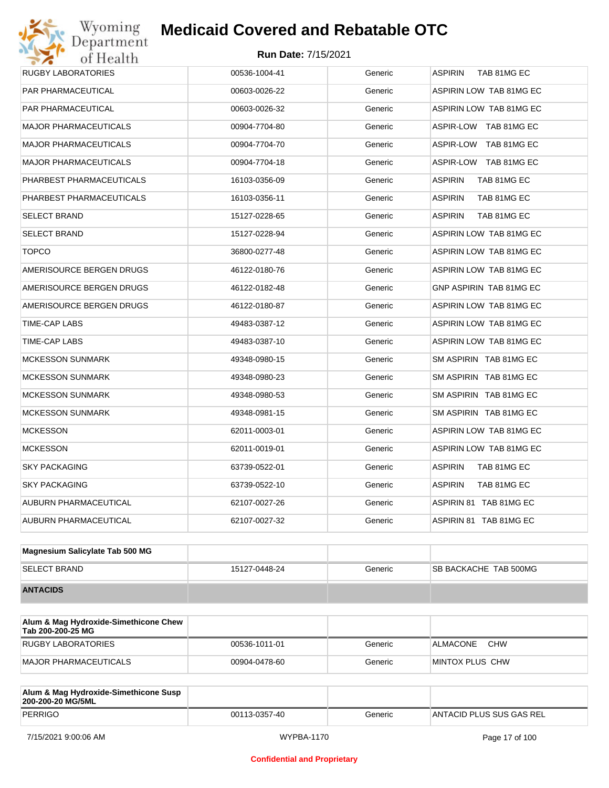| <b>RUGBY LABORATORIES</b>    | 00536-1004-41 | Generic | <b>ASPIRIN</b><br>TAB 81MG EC  |
|------------------------------|---------------|---------|--------------------------------|
| <b>PAR PHARMACEUTICAL</b>    | 00603-0026-22 | Generic | ASPIRIN LOW TAB 81MG EC        |
| <b>PAR PHARMACEUTICAL</b>    | 00603-0026-32 | Generic | ASPIRIN LOW TAB 81MG EC        |
| <b>MAJOR PHARMACEUTICALS</b> | 00904-7704-80 | Generic | ASPIR-LOW TAB 81MG EC          |
| <b>MAJOR PHARMACEUTICALS</b> | 00904-7704-70 | Generic | ASPIR-LOW TAB 81MG EC          |
| <b>MAJOR PHARMACEUTICALS</b> | 00904-7704-18 | Generic | ASPIR-LOW TAB 81MG EC          |
| PHARBEST PHARMACEUTICALS     | 16103-0356-09 | Generic | <b>ASPIRIN</b><br>TAB 81MG EC  |
| PHARBEST PHARMACEUTICALS     | 16103-0356-11 | Generic | <b>ASPIRIN</b><br>TAB 81MG EC  |
| <b>SELECT BRAND</b>          | 15127-0228-65 | Generic | <b>ASPIRIN</b><br>TAB 81MG EC  |
| <b>SELECT BRAND</b>          | 15127-0228-94 | Generic | ASPIRIN LOW TAB 81MG EC        |
| <b>TOPCO</b>                 | 36800-0277-48 | Generic | ASPIRIN LOW TAB 81MG EC        |
| AMERISOURCE BERGEN DRUGS     | 46122-0180-76 | Generic | ASPIRIN LOW TAB 81MG EC        |
| AMERISOURCE BERGEN DRUGS     | 46122-0182-48 | Generic | GNP ASPIRIN TAB 81MG EC        |
| AMERISOURCE BERGEN DRUGS     | 46122-0180-87 | Generic | ASPIRIN LOW TAB 81MG EC        |
| TIME-CAP LABS                | 49483-0387-12 | Generic | ASPIRIN LOW TAB 81MG EC        |
| TIME-CAP LABS                | 49483-0387-10 | Generic | ASPIRIN LOW TAB 81MG EC        |
| <b>MCKESSON SUNMARK</b>      | 49348-0980-15 | Generic | SM ASPIRIN TAB 81MG EC         |
| <b>MCKESSON SUNMARK</b>      | 49348-0980-23 | Generic | SM ASPIRIN TAB 81MG EC         |
| <b>MCKESSON SUNMARK</b>      | 49348-0980-53 | Generic | SM ASPIRIN TAB 81MG EC         |
| <b>MCKESSON SUNMARK</b>      | 49348-0981-15 | Generic | SM ASPIRIN TAB 81MG EC         |
| <b>MCKESSON</b>              | 62011-0003-01 | Generic | ASPIRIN LOW TAB 81MG EC        |
| <b>MCKESSON</b>              | 62011-0019-01 | Generic | <b>ASPIRIN LOW TAB 81MG EC</b> |
| <b>SKY PACKAGING</b>         | 63739-0522-01 | Generic | <b>ASPIRIN</b><br>TAB 81MG EC  |
| <b>SKY PACKAGING</b>         | 63739-0522-10 | Generic | <b>ASPIRIN</b><br>TAB 81MG EC  |
| AUBURN PHARMACEUTICAL        | 62107-0027-26 | Generic | ASPIRIN 81 TAB 81MG EC         |
| AUBURN PHARMACEUTICAL        | 62107-0027-32 | Generic | ASPIRIN 81 TAB 81MG EC         |
|                              |               |         |                                |

| Magnesium Salicylate Tab 500 MG |               |         |                              |
|---------------------------------|---------------|---------|------------------------------|
| <b>SELECT BRAND</b>             | 15127-0448-24 | Generic | <b>SB BACKACHE TAB 500MG</b> |
| <b>ANTACIDS</b>                 |               |         |                              |

| Alum & Mag Hydroxide-Simethicone Chew<br>Tab 200-200-25 MG |               |         |                        |
|------------------------------------------------------------|---------------|---------|------------------------|
| RUGBY LABORATORIES                                         | 00536-1011-01 | Generic | <b>CHW</b><br>ALMACONE |
| MAJOR PHARMACEUTICALS                                      | 00904-0478-60 | Generic | MINTOX PLUS CHW        |

| Alum & Mag Hydroxide-Simethicone Susp<br>200-200-20 MG/5ML |               |         |                          |
|------------------------------------------------------------|---------------|---------|--------------------------|
| PERRIGO                                                    | 00113-0357-40 | Generic | ANTACID PLUS SUS GAS REL |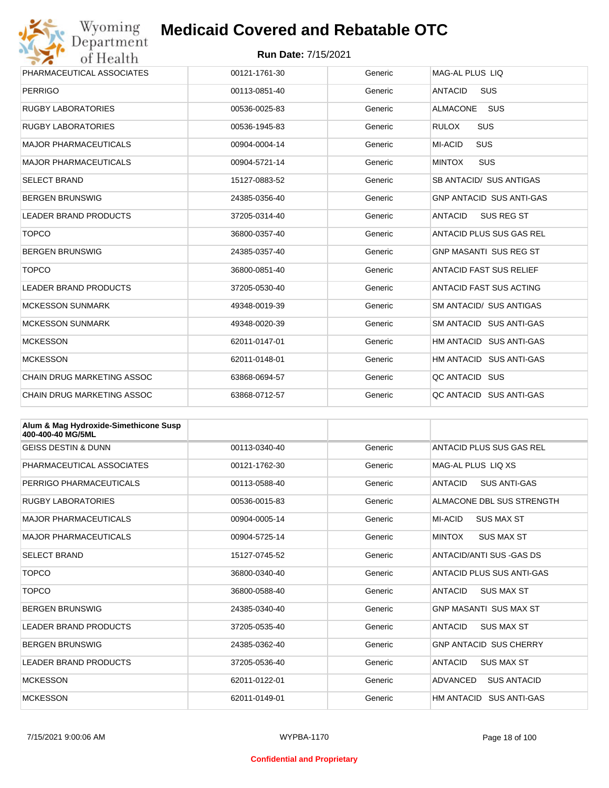

| Wyoming                           | <b>Medicaid Covered and Rebatable OTC</b> |         |                                 |  |  |
|-----------------------------------|-------------------------------------------|---------|---------------------------------|--|--|
| Department<br>of Health           | <b>Run Date: 7/15/2021</b>                |         |                                 |  |  |
| PHARMACEUTICAL ASSOCIATES         | 00121-1761-30                             | Generic | MAG-AL PLUS LIQ                 |  |  |
| <b>PERRIGO</b>                    | 00113-0851-40                             | Generic | SUS<br><b>ANTACID</b>           |  |  |
| <b>RUGBY LABORATORIES</b>         | 00536-0025-83                             | Generic | <b>ALMACONE</b><br><b>SUS</b>   |  |  |
| <b>RUGBY LABORATORIES</b>         | 00536-1945-83                             | Generic | <b>SUS</b><br><b>RULOX</b>      |  |  |
| <b>MAJOR PHARMACEUTICALS</b>      | 00904-0004-14                             | Generic | <b>SUS</b><br><b>MI-ACID</b>    |  |  |
| <b>MAJOR PHARMACEUTICALS</b>      | 00904-5721-14                             | Generic | <b>MINTOX</b><br><b>SUS</b>     |  |  |
| <b>SELECT BRAND</b>               | 15127-0883-52                             | Generic | SB ANTACID/ SUS ANTIGAS         |  |  |
| <b>BERGEN BRUNSWIG</b>            | 24385-0356-40                             | Generic | <b>GNP ANTACID SUS ANTI-GAS</b> |  |  |
| <b>LEADER BRAND PRODUCTS</b>      | 37205-0314-40                             | Generic | <b>ANTACID</b><br>SUS REG ST    |  |  |
| <b>TOPCO</b>                      | 36800-0357-40                             | Generic | ANTACID PLUS SUS GAS REL        |  |  |
| <b>BERGEN BRUNSWIG</b>            | 24385-0357-40                             | Generic | <b>GNP MASANTI SUS REG ST</b>   |  |  |
| <b>TOPCO</b>                      | 36800-0851-40                             | Generic | <b>ANTACID FAST SUS RELIEF</b>  |  |  |
| <b>LEADER BRAND PRODUCTS</b>      | 37205-0530-40                             | Generic | ANTACID FAST SUS ACTING         |  |  |
| <b>MCKESSON SUNMARK</b>           | 49348-0019-39                             | Generic | <b>SM ANTACID/ SUS ANTIGAS</b>  |  |  |
| <b>MCKESSON SUNMARK</b>           | 49348-0020-39                             | Generic | SM ANTACID SUS ANTI-GAS         |  |  |
| <b>MCKESSON</b>                   | 62011-0147-01                             | Generic | HM ANTACID SUS ANTI-GAS         |  |  |
| <b>MCKESSON</b>                   | 62011-0148-01                             | Generic | HM ANTACID SUS ANTI-GAS         |  |  |
| <b>CHAIN DRUG MARKETING ASSOC</b> | 63868-0694-57                             | Generic | QC ANTACID SUS                  |  |  |
| <b>CHAIN DRUG MARKETING ASSOC</b> | 63868-0712-57                             | Generic | QC ANTACID SUS ANTI-GAS         |  |  |

| Alum & Mag Hydroxide-Simethicone Susp<br>400-400-40 MG/5ML |               |         |                                       |
|------------------------------------------------------------|---------------|---------|---------------------------------------|
| <b>GEISS DESTIN &amp; DUNN</b>                             | 00113-0340-40 | Generic | ANTACID PLUS SUS GAS REL              |
| PHARMACEUTICAL ASSOCIATES                                  | 00121-1762-30 | Generic | MAG-AL PLUS LIO XS                    |
| PERRIGO PHARMACEUTICALS                                    | 00113-0588-40 | Generic | <b>ANTACID</b><br><b>SUS ANTI-GAS</b> |
| <b>RUGBY LABORATORIES</b>                                  | 00536-0015-83 | Generic | ALMACONE DBL SUS STRENGTH             |
| <b>MAJOR PHARMACEUTICALS</b>                               | 00904-0005-14 | Generic | MI-ACID<br><b>SUS MAX ST</b>          |
| <b>MAJOR PHARMACEUTICALS</b>                               | 00904-5725-14 | Generic | <b>MINTOX</b><br><b>SUS MAX ST</b>    |
| <b>SELECT BRAND</b>                                        | 15127-0745-52 | Generic | ANTACID/ANTI SUS -GAS DS              |
| <b>TOPCO</b>                                               | 36800-0340-40 | Generic | ANTACID PLUS SUS ANTI-GAS             |
| <b>TOPCO</b>                                               | 36800-0588-40 | Generic | <b>ANTACID</b><br><b>SUS MAX ST</b>   |
| <b>BERGEN BRUNSWIG</b>                                     | 24385-0340-40 | Generic | <b>GNP MASANTI SUS MAX ST</b>         |
| <b>LEADER BRAND PRODUCTS</b>                               | 37205-0535-40 | Generic | <b>ANTACID</b><br><b>SUS MAX ST</b>   |
| <b>BERGEN BRUNSWIG</b>                                     | 24385-0362-40 | Generic | <b>GNP ANTACID SUS CHERRY</b>         |
| <b>LEADER BRAND PRODUCTS</b>                               | 37205-0536-40 | Generic | <b>ANTACID</b><br><b>SUS MAX ST</b>   |
| <b>MCKESSON</b>                                            | 62011-0122-01 | Generic | ADVANCED<br><b>SUS ANTACID</b>        |
| <b>MCKESSON</b>                                            | 62011-0149-01 | Generic | HM ANTACID<br><b>SUS ANTI-GAS</b>     |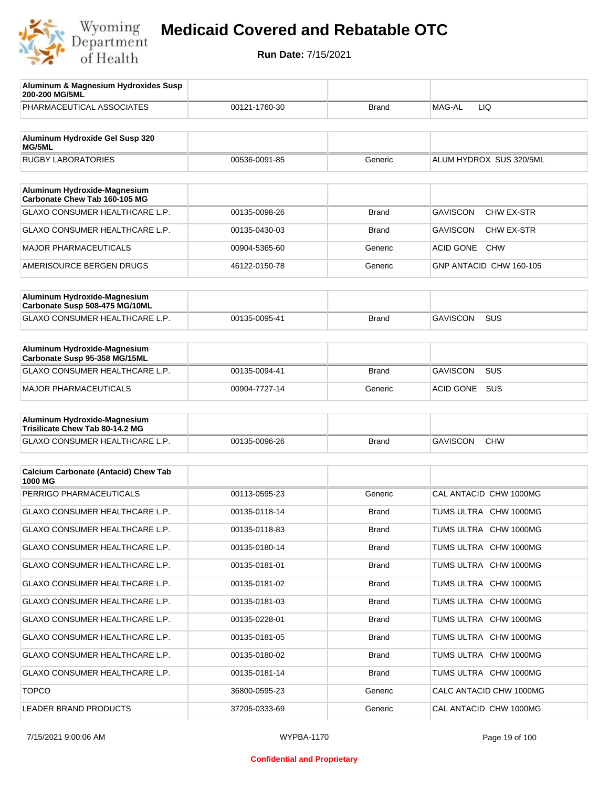

| Aluminum & Magnesium Hydroxides Susp<br>200-200 MG/5ML        |               |              |                                      |
|---------------------------------------------------------------|---------------|--------------|--------------------------------------|
| PHARMACEUTICAL ASSOCIATES                                     | 00121-1760-30 | Brand        | MAG-AL<br>LIQ                        |
| Aluminum Hydroxide Gel Susp 320<br>MG/5ML                     |               |              |                                      |
| <b>RUGBY LABORATORIES</b>                                     | 00536-0091-85 | Generic      | ALUM HYDROX SUS 320/5ML              |
| Aluminum Hydroxide-Magnesium                                  |               |              |                                      |
| Carbonate Chew Tab 160-105 MG                                 |               |              |                                      |
| <b>GLAXO CONSUMER HEALTHCARE L.P.</b>                         | 00135-0098-26 | <b>Brand</b> | <b>GAVISCON</b><br><b>CHW EX-STR</b> |
| <b>GLAXO CONSUMER HEALTHCARE L.P.</b>                         | 00135-0430-03 | Brand        | <b>GAVISCON</b><br>CHW EX-STR        |
| <b>MAJOR PHARMACEUTICALS</b>                                  | 00904-5365-60 | Generic      | <b>ACID GONE</b><br><b>CHW</b>       |
| AMERISOURCE BERGEN DRUGS                                      | 46122-0150-78 | Generic      | GNP ANTACID CHW 160-105              |
| Aluminum Hydroxide-Magnesium                                  |               |              |                                      |
| Carbonate Susp 508-475 MG/10ML                                |               |              |                                      |
| <b>GLAXO CONSUMER HEALTHCARE L.P.</b>                         | 00135-0095-41 | <b>Brand</b> | <b>GAVISCON</b><br><b>SUS</b>        |
| Aluminum Hydroxide-Magnesium<br>Carbonate Susp 95-358 MG/15ML |               |              |                                      |
| <b>GLAXO CONSUMER HEALTHCARE L.P.</b>                         | 00135-0094-41 | Brand        | <b>GAVISCON</b><br><b>SUS</b>        |
| <b>MAJOR PHARMACEUTICALS</b>                                  | 00904-7727-14 | Generic      | SUS<br><b>ACID GONE</b>              |
| Aluminum Hydroxide-Magnesium                                  |               |              |                                      |
| Trisilicate Chew Tab 80-14.2 MG                               |               |              |                                      |
| GLAXO CONSUMER HEALTHCARE L.P.                                | 00135-0096-26 | Brand        | <b>GAVISCON</b><br><b>CHW</b>        |
| <b>Calcium Carbonate (Antacid) Chew Tab</b>                   |               |              |                                      |
| 1000 MG                                                       |               |              |                                      |
| PERRIGO PHARMACEUTICALS                                       | 00113-0595-23 | Generic      | CAL ANTACID CHW 1000MG               |
| GLAXO CONSUMER HEALTHCARE L.P.                                | 00135-0118-14 | Brand        | TUMS ULTRA CHW 1000MG                |
| GLAXO CONSUMER HEALTHCARE L.P.                                | 00135-0118-83 | Brand        | TUMS ULTRA CHW 1000MG                |
| <b>GLAXO CONSUMER HEALTHCARE L.P.</b>                         | 00135-0180-14 | <b>Brand</b> | TUMS ULTRA CHW 1000MG                |
| GLAXO CONSUMER HEALTHCARE L.P.                                | 00135-0181-01 | <b>Brand</b> | TUMS ULTRA CHW 1000MG                |
| GLAXO CONSUMER HEALTHCARE L.P.                                | 00135-0181-02 | <b>Brand</b> | TUMS ULTRA CHW 1000MG                |
| GLAXO CONSUMER HEALTHCARE L.P.                                | 00135-0181-03 | <b>Brand</b> | TUMS ULTRA CHW 1000MG                |
| GLAXO CONSUMER HEALTHCARE L.P.                                | 00135-0228-01 | <b>Brand</b> | TUMS ULTRA CHW 1000MG                |
| GLAXO CONSUMER HEALTHCARE L.P.                                | 00135-0181-05 | <b>Brand</b> | TUMS ULTRA CHW 1000MG                |
| GLAXO CONSUMER HEALTHCARE L.P.                                | 00135-0180-02 | <b>Brand</b> | TUMS ULTRA CHW 1000MG                |
| GLAXO CONSUMER HEALTHCARE L.P.                                | 00135-0181-14 | <b>Brand</b> | TUMS ULTRA CHW 1000MG                |
| <b>TOPCO</b>                                                  | 36800-0595-23 | Generic      | CALC ANTACID CHW 1000MG              |
| LEADER BRAND PRODUCTS                                         | 37205-0333-69 | Generic      | CAL ANTACID CHW 1000MG               |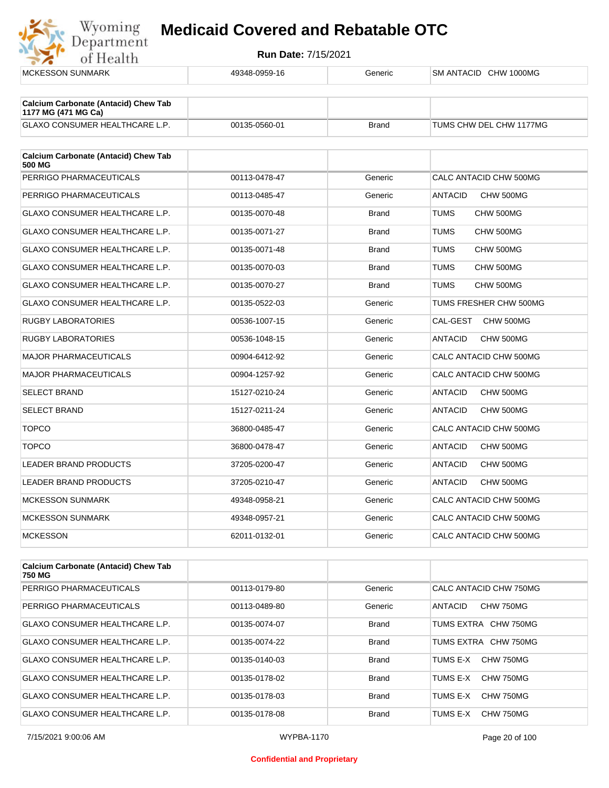

| <b>MCKESSON SUNMARK</b>                                            | 49348-0959-16 | Generic      | SM ANTACID CHW 1000MG       |
|--------------------------------------------------------------------|---------------|--------------|-----------------------------|
|                                                                    |               |              |                             |
| <b>Calcium Carbonate (Antacid) Chew Tab</b><br>1177 MG (471 MG Ca) |               |              |                             |
| <b>GLAXO CONSUMER HEALTHCARE L.P.</b>                              | 00135-0560-01 | <b>Brand</b> | TUMS CHW DEL CHW 1177MG     |
| <b>Calcium Carbonate (Antacid) Chew Tab</b><br>500 MG              |               |              |                             |
| PERRIGO PHARMACEUTICALS                                            | 00113-0478-47 | Generic      | CALC ANTACID CHW 500MG      |
| PERRIGO PHARMACEUTICALS                                            | 00113-0485-47 | Generic      | <b>ANTACID</b><br>CHW 500MG |
| <b>GLAXO CONSUMER HEALTHCARE L.P.</b>                              | 00135-0070-48 | <b>Brand</b> | <b>TUMS</b><br>CHW 500MG    |
| <b>GLAXO CONSUMER HEALTHCARE L.P.</b>                              | 00135-0071-27 | <b>Brand</b> | <b>TUMS</b><br>CHW 500MG    |
| GLAXO CONSUMER HEALTHCARE L.P.                                     | 00135-0071-48 | <b>Brand</b> | <b>TUMS</b><br>CHW 500MG    |
| <b>GLAXO CONSUMER HEALTHCARE L.P.</b>                              | 00135-0070-03 | <b>Brand</b> | <b>TUMS</b><br>CHW 500MG    |
| <b>GLAXO CONSUMER HEALTHCARE L.P.</b>                              | 00135-0070-27 | <b>Brand</b> | <b>TUMS</b><br>CHW 500MG    |
| GLAXO CONSUMER HEALTHCARE L.P.                                     | 00135-0522-03 | Generic      | TUMS FRESHER CHW 500MG      |
| <b>RUGBY LABORATORIES</b>                                          | 00536-1007-15 | Generic      | CAL-GEST<br>CHW 500MG       |
| <b>RUGBY LABORATORIES</b>                                          | 00536-1048-15 | Generic      | <b>ANTACID</b><br>CHW 500MG |
| <b>MAJOR PHARMACEUTICALS</b>                                       | 00904-6412-92 | Generic      | CALC ANTACID CHW 500MG      |
| <b>MAJOR PHARMACEUTICALS</b>                                       | 00904-1257-92 | Generic      | CALC ANTACID CHW 500MG      |
| <b>SELECT BRAND</b>                                                | 15127-0210-24 | Generic      | <b>ANTACID</b><br>CHW 500MG |
| <b>SELECT BRAND</b>                                                | 15127-0211-24 | Generic      | <b>ANTACID</b><br>CHW 500MG |
| <b>TOPCO</b>                                                       | 36800-0485-47 | Generic      | CALC ANTACID CHW 500MG      |
| <b>TOPCO</b>                                                       | 36800-0478-47 | Generic      | <b>ANTACID</b><br>CHW 500MG |
| LEADER BRAND PRODUCTS                                              | 37205-0200-47 | Generic      | <b>ANTACID</b><br>CHW 500MG |
| <b>LEADER BRAND PRODUCTS</b>                                       | 37205-0210-47 | Generic      | <b>ANTACID</b><br>CHW 500MG |
| <b>MCKESSON SUNMARK</b>                                            | 49348-0958-21 | Generic      | CALC ANTACID CHW 500MG      |
| <b>MCKESSON SUNMARK</b>                                            | 49348-0957-21 | Generic      | CALC ANTACID CHW 500MG      |
| <b>MCKESSON</b>                                                    | 62011-0132-01 | Generic      | CALC ANTACID CHW 500MG      |
| Calcium Carbonate (Antonial) Cheur Tab                             |               |              |                             |

| <b>Calcium Carbonate (Antacid) Chew Tab</b><br>750 MG |               |              |                              |
|-------------------------------------------------------|---------------|--------------|------------------------------|
| PERRIGO PHARMACEUTICALS                               | 00113-0179-80 | Generic      | CALC ANTACID CHW 750MG       |
| PERRIGO PHARMACEUTICALS                               | 00113-0489-80 | Generic      | CHW 750MG<br><b>ANTACID</b>  |
| GLAXO CONSUMER HEALTHCARE L.P.                        | 00135-0074-07 | <b>Brand</b> | TUMS EXTRA CHW 750MG         |
| GLAXO CONSUMER HEALTHCARE L.P.                        | 00135-0074-22 | <b>Brand</b> | TUMS EXTRA CHW 750MG         |
| GLAXO CONSUMER HEALTHCARE L.P.                        | 00135-0140-03 | <b>Brand</b> | CHW 750MG<br>TUMS E-X        |
| <b>GLAXO CONSUMER HEALTHCARE L.P.</b>                 | 00135-0178-02 | <b>Brand</b> | CHW 750MG<br>TUMS E-X        |
| <b>GLAXO CONSUMER HEALTHCARE L.P.</b>                 | 00135-0178-03 | <b>Brand</b> | <b>CHW 750MG</b><br>TUMS E-X |
| <b>GLAXO CONSUMER HEALTHCARE L.P.</b>                 | 00135-0178-08 | <b>Brand</b> | TUMS E-X<br>CHW 750MG        |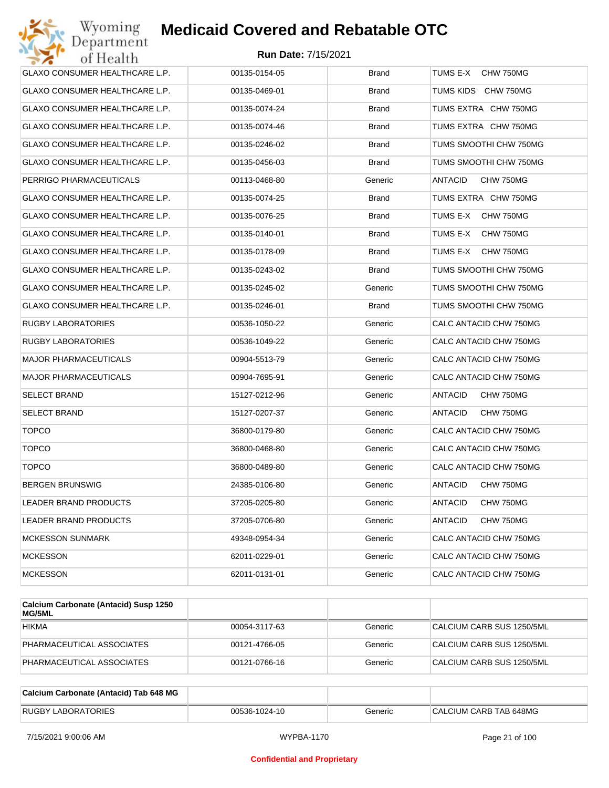| Wyoming<br>Department                 | <b>Medicaid Covered and Rebatable OTC</b> |              |                             |
|---------------------------------------|-------------------------------------------|--------------|-----------------------------|
| of Health                             | <b>Run Date: 7/15/2021</b>                |              |                             |
| GLAXO CONSUMER HEALTHCARE L.P.        | 00135-0154-05                             | <b>Brand</b> | TUMS E-X<br>CHW 750MG       |
| GLAXO CONSUMER HEALTHCARE L.P.        | 00135-0469-01                             | Brand        | TUMS KIDS<br>CHW 750MG      |
| GLAXO CONSUMER HEALTHCARE L.P.        | 00135-0074-24                             | <b>Brand</b> | TUMS EXTRA CHW 750MG        |
| GLAXO CONSUMER HEALTHCARE L.P.        | 00135-0074-46                             | <b>Brand</b> | TUMS EXTRA CHW 750MG        |
| GLAXO CONSUMER HEALTHCARE L.P.        | 00135-0246-02                             | <b>Brand</b> | TUMS SMOOTHI CHW 750MG      |
| GLAXO CONSUMER HEALTHCARE L.P.        | 00135-0456-03                             | <b>Brand</b> | TUMS SMOOTHI CHW 750MG      |
| PERRIGO PHARMACEUTICALS               | 00113-0468-80                             | Generic      | ANTACID<br>CHW 750MG        |
| GLAXO CONSUMER HEALTHCARE L.P.        | 00135-0074-25                             | <b>Brand</b> | TUMS EXTRA CHW 750MG        |
| GLAXO CONSUMER HEALTHCARE L.P.        | 00135-0076-25                             | <b>Brand</b> | TUMS E-X<br>CHW 750MG       |
| <b>GLAXO CONSUMER HEALTHCARE L.P.</b> | 00135-0140-01                             | <b>Brand</b> | TUMS E-X<br>CHW 750MG       |
| GLAXO CONSUMER HEALTHCARE L.P.        | 00135-0178-09                             | <b>Brand</b> | TUMS E-X<br>CHW 750MG       |
| GLAXO CONSUMER HEALTHCARE L.P.        | 00135-0243-02                             | <b>Brand</b> | TUMS SMOOTHI CHW 750MG      |
| GLAXO CONSUMER HEALTHCARE L.P.        | 00135-0245-02                             | Generic      | TUMS SMOOTHI CHW 750MG      |
| GLAXO CONSUMER HEALTHCARE L.P.        | 00135-0246-01                             | <b>Brand</b> | TUMS SMOOTHI CHW 750MG      |
| RUGBY LABORATORIES                    | 00536-1050-22                             | Generic      | CALC ANTACID CHW 750MG      |
| RUGBY LABORATORIES                    | 00536-1049-22                             | Generic      | CALC ANTACID CHW 750MG      |
| <b>MAJOR PHARMACEUTICALS</b>          | 00904-5513-79                             | Generic      | CALC ANTACID CHW 750MG      |
| MAJOR PHARMACEUTICALS                 | 00904-7695-91                             | Generic      | CALC ANTACID CHW 750MG      |
| SELECT BRAND                          | 15127-0212-96                             | Generic      | ANTACID<br>CHW 750MG        |
| SELECT BRAND                          | 15127-0207-37                             | Generic      | ANTACID<br>CHW 750MG        |
| <b>TOPCO</b>                          | 36800-0179-80                             | Generic      | CALC ANTACID CHW 750MG      |
| <b>TOPCO</b>                          | 36800-0468-80                             | Generic      | CALC ANTACID CHW 750MG      |
| <b>TOPCO</b>                          | 36800-0489-80                             | Generic      | CALC ANTACID CHW 750MG      |
| BERGEN BRUNSWIG                       | 24385-0106-80                             | Generic      | CHW 750MG<br>ANTACID        |
| LEADER BRAND PRODUCTS                 | 37205-0205-80                             | Generic      | <b>ANTACID</b><br>CHW 750MG |
| LEADER BRAND PRODUCTS                 | 37205-0706-80                             | Generic      | ANTACID<br>CHW 750MG        |
| <b>MCKESSON SUNMARK</b>               | 49348-0954-34                             | Generic      | CALC ANTACID CHW 750MG      |
| <b>MCKESSON</b>                       | 62011-0229-01                             | Generic      | CALC ANTACID CHW 750MG      |
| <b>MCKESSON</b>                       | 62011-0131-01                             | Generic      | CALC ANTACID CHW 750MG      |

| Calcium Carbonate (Antacid) Susp 1250<br>MG/5ML |               |         |                           |
|-------------------------------------------------|---------------|---------|---------------------------|
| <b>HIKMA</b>                                    | 00054-3117-63 | Generic | CALCIUM CARB SUS 1250/5ML |
| PHARMACEUTICAL ASSOCIATES                       | 00121-4766-05 | Generic | CALCIUM CARB SUS 1250/5ML |
| PHARMACEUTICAL ASSOCIATES                       | 00121-0766-16 | Generic | CALCIUM CARB SUS 1250/5ML |

| Calcium Carbonate (Antacid) Tab 648 MG |               |         |                        |
|----------------------------------------|---------------|---------|------------------------|
| <b>RUGBY LABORATORIES</b>              | 00536-1024-10 | Generic | CALCIUM CARB TAB 648MG |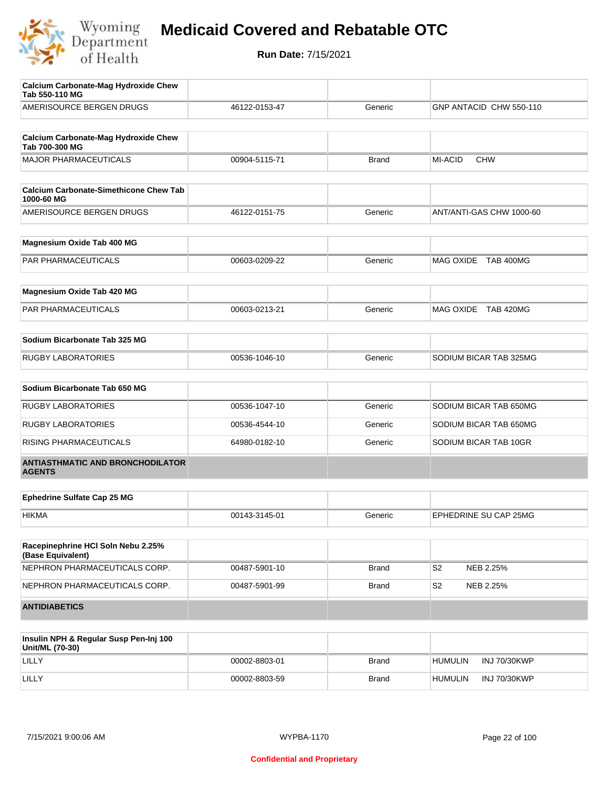

| <b>Calcium Carbonate-Mag Hydroxide Chew</b><br>Tab 550-110 MG |               |              |                              |
|---------------------------------------------------------------|---------------|--------------|------------------------------|
| AMERISOURCE BERGEN DRUGS                                      | 46122-0153-47 | Generic      | GNP ANTACID CHW 550-110      |
|                                                               |               |              |                              |
| <b>Calcium Carbonate-Mag Hydroxide Chew</b><br>Tab 700-300 MG |               |              |                              |
| <b>MAJOR PHARMACEUTICALS</b>                                  | 00904-5115-71 | <b>Brand</b> | <b>MI-ACID</b><br><b>CHW</b> |
|                                                               |               |              |                              |
| <b>Calcium Carbonate-Simethicone Chew Tab</b><br>1000-60 MG   |               |              |                              |
| AMERISOURCE BERGEN DRUGS                                      | 46122-0151-75 | Generic      | ANT/ANTI-GAS CHW 1000-60     |
| Magnesium Oxide Tab 400 MG                                    |               |              |                              |
| <b>PAR PHARMACEUTICALS</b>                                    | 00603-0209-22 | Generic      | MAG OXIDE TAB 400MG          |
|                                                               |               |              |                              |
| Magnesium Oxide Tab 420 MG                                    |               |              |                              |
| PAR PHARMACEUTICALS                                           | 00603-0213-21 | Generic      | MAG OXIDE TAB 420MG          |
| Sodium Bicarbonate Tab 325 MG                                 |               |              |                              |
| <b>RUGBY LABORATORIES</b>                                     | 00536-1046-10 | Generic      | SODIUM BICAR TAB 325MG       |
|                                                               |               |              |                              |
| Sodium Bicarbonate Tab 650 MG                                 |               |              |                              |
| <b>RUGBY LABORATORIES</b>                                     | 00536-1047-10 | Generic      | SODIUM BICAR TAB 650MG       |
| <b>RUGBY LABORATORIES</b>                                     | 00536-4544-10 | Generic      | SODIUM BICAR TAB 650MG       |
| <b>RISING PHARMACEUTICALS</b>                                 | 64980-0182-10 | Generic      | SODIUM BICAR TAB 10GR        |
| <b>ANTIASTHMATIC AND BRONCHODILATOR</b><br><b>AGENTS</b>      |               |              |                              |
| <b>Ephedrine Sulfate Cap 25 MG</b>                            |               |              |                              |
| <b>HIKMA</b>                                                  | 00143-3145-01 | Generic      | EPHEDRINE SU CAP 25MG        |
|                                                               |               |              |                              |
| Racepinephrine HCI Soln Nebu 2.25%<br>(Base Equivalent)       |               |              |                              |
| NEPHRON PHARMACEUTICALS CORP.                                 | 00487-5901-10 | <b>Brand</b> | S <sub>2</sub><br>NEB 2.25%  |
| NEPHRON PHARMACEUTICALS CORP.                                 | 00487-5901-99 | <b>Brand</b> | S2<br>NEB 2.25%              |
| <b>ANTIDIABETICS</b>                                          |               |              |                              |
|                                                               |               |              |                              |
|                                                               |               |              |                              |

| Insulin NPH & Regular Susp Pen-Inj 100<br>Unit/ML (70-30) |               |              |                                |
|-----------------------------------------------------------|---------------|--------------|--------------------------------|
| LILLY                                                     | 00002-8803-01 | <b>Brand</b> | INJ 70/30KWP<br><b>HUMULIN</b> |
| LILLY                                                     | 00002-8803-59 | <b>Brand</b> | INJ 70/30KWP<br><b>HUMULIN</b> |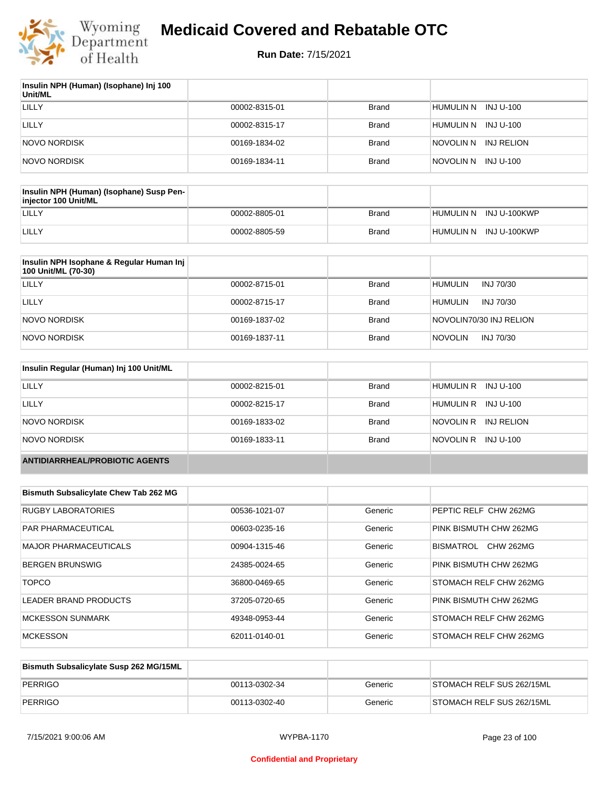

| Insulin NPH (Human) (Isophane) Inj 100<br>Unit/ML |               |              |                         |
|---------------------------------------------------|---------------|--------------|-------------------------|
| LILLY                                             | 00002-8315-01 | Brand        | HUMULIN N INJ U-100     |
| LILLY                                             | 00002-8315-17 | Brand        | HUMULIN N<br>INJ U-100  |
| NOVO NORDISK                                      | 00169-1834-02 | Brand        | INJ RELION<br>NOVOLIN N |
| NOVO NORDISK                                      | 00169-1834-11 | <b>Brand</b> | INJ U-100<br>NOVOLIN N  |

| Insulin NPH (Human) (Isophane) Susp Pen-<br>injector 100 Unit/ML |               |              |                        |
|------------------------------------------------------------------|---------------|--------------|------------------------|
| LILLY                                                            | 00002-8805-01 | Brand        | HUMULIN N INJ U-100KWP |
| LILLY                                                            | 00002-8805-59 | <b>Brand</b> | HUMULIN N INJ U-100KWP |

| Insulin NPH Isophane & Regular Human Inj<br>100 Unit/ML (70-30) |               |              |                             |
|-----------------------------------------------------------------|---------------|--------------|-----------------------------|
| LILLY                                                           | 00002-8715-01 | <b>Brand</b> | <b>HUMULIN</b><br>INJ 70/30 |
| LILLY                                                           | 00002-8715-17 | <b>Brand</b> | <b>HUMULIN</b><br>INJ 70/30 |
| NOVO NORDISK                                                    | 00169-1837-02 | <b>Brand</b> | NOVOLIN70/30 INJ RELION     |
| NOVO NORDISK                                                    | 00169-1837-11 | <b>Brand</b> | <b>NOVOLIN</b><br>INJ 70/30 |

| Insulin Regular (Human) Inj 100 Unit/ML |               |              |                         |
|-----------------------------------------|---------------|--------------|-------------------------|
| <b>LILLY</b>                            | 00002-8215-01 | <b>Brand</b> | HUMULIN R INJ U-100     |
| LILLY                                   | 00002-8215-17 | <b>Brand</b> | HUMULIN R INJ U-100     |
| NOVO NORDISK                            | 00169-1833-02 | <b>Brand</b> | NOVOLIN R<br>INJ RELION |
| NOVO NORDISK                            | 00169-1833-11 | <b>Brand</b> | NOVOLIN R INJ U-100     |
| <b>ANTIDIARRHEAL/PROBIOTIC AGENTS</b>   |               |              |                         |

| <b>Bismuth Subsalicylate Chew Tab 262 MG</b> |               |         |                               |
|----------------------------------------------|---------------|---------|-------------------------------|
| <b>RUGBY LABORATORIES</b>                    | 00536-1021-07 | Generic | PEPTIC RELF CHW 262MG         |
| <b>PAR PHARMACEUTICAL</b>                    | 00603-0235-16 | Generic | PINK BISMUTH CHW 262MG        |
| <b>MAJOR PHARMACEUTICALS</b>                 | 00904-1315-46 | Generic | <b>CHW 262MG</b><br>BISMATROL |
| <b>BERGEN BRUNSWIG</b>                       | 24385-0024-65 | Generic | PINK BISMUTH CHW 262MG        |
| <b>TOPCO</b>                                 | 36800-0469-65 | Generic | STOMACH RELF CHW 262MG        |
| LEADER BRAND PRODUCTS                        | 37205-0720-65 | Generic | PINK BISMUTH CHW 262MG        |
| <b>MCKESSON SUNMARK</b>                      | 49348-0953-44 | Generic | STOMACH RELF CHW 262MG        |
| <b>MCKESSON</b>                              | 62011-0140-01 | Generic | STOMACH RELF CHW 262MG        |

| Bismuth Subsalicylate Susp 262 MG/15ML |               |         |                                   |
|----------------------------------------|---------------|---------|-----------------------------------|
| PERRIGO                                | 00113-0302-34 | Generic | STOMACH RELF SUS 262/15ML         |
| PERRIGO                                | 00113-0302-40 | Generic | <b>ISTOMACH RELF SUS 262/15ML</b> |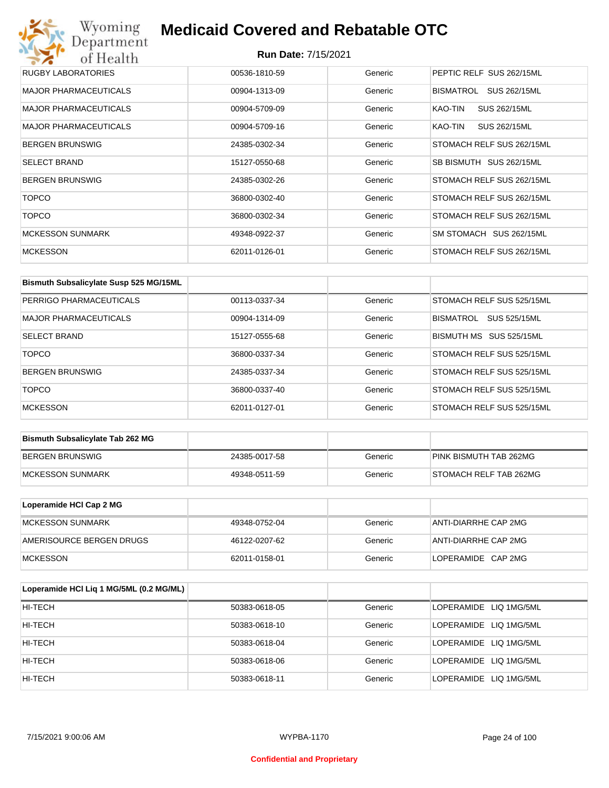## Wyoming<br>Department<br>of Health **Medicaid Covered and Rebatable OTC**

| RUGBY LABORATORIES           | 00536-1810-59 | Generic | PEPTIC RELF SUS 262/15ML  |
|------------------------------|---------------|---------|---------------------------|
| <b>MAJOR PHARMACEUTICALS</b> | 00904-1313-09 | Generic | BISMATROL<br>SUS 262/15ML |
| <b>MAJOR PHARMACEUTICALS</b> | 00904-5709-09 | Generic | SUS 262/15ML<br>KAO-TIN   |
| <b>MAJOR PHARMACEUTICALS</b> | 00904-5709-16 | Generic | SUS 262/15ML<br>KAO-TIN   |
| <b>BERGEN BRUNSWIG</b>       | 24385-0302-34 | Generic | STOMACH RELF SUS 262/15ML |
| <b>SELECT BRAND</b>          | 15127-0550-68 | Generic | SB BISMUTH SUS 262/15ML   |
| <b>BERGEN BRUNSWIG</b>       | 24385-0302-26 | Generic | STOMACH RELF SUS 262/15ML |
| <b>TOPCO</b>                 | 36800-0302-40 | Generic | STOMACH RELF SUS 262/15ML |
| <b>TOPCO</b>                 | 36800-0302-34 | Generic | STOMACH RELF SUS 262/15ML |
| <b>MCKESSON SUNMARK</b>      | 49348-0922-37 | Generic | SM STOMACH SUS 262/15ML   |
| <b>MCKESSON</b>              | 62011-0126-01 | Generic | STOMACH RELF SUS 262/15ML |

| Bismuth Subsalicylate Susp 525 MG/15ML |               |         |                                  |
|----------------------------------------|---------------|---------|----------------------------------|
| PERRIGO PHARMACEUTICALS                | 00113-0337-34 | Generic | STOMACH RELF SUS 525/15ML        |
| MAJOR PHARMACEUTICALS                  | 00904-1314-09 | Generic | SUS 525/15ML<br><b>BISMATROL</b> |
| <b>SELECT BRAND</b>                    | 15127-0555-68 | Generic | BISMUTH MS SUS 525/15ML          |
| <b>TOPCO</b>                           | 36800-0337-34 | Generic | STOMACH RELF SUS 525/15ML        |
| <b>BERGEN BRUNSWIG</b>                 | 24385-0337-34 | Generic | STOMACH RELF SUS 525/15ML        |
| <b>TOPCO</b>                           | 36800-0337-40 | Generic | STOMACH RELF SUS 525/15ML        |
| <b>MCKESSON</b>                        | 62011-0127-01 | Generic | STOMACH RELF SUS 525/15ML        |

| <b>Bismuth Subsalicylate Tab 262 MG</b> |               |         |                        |
|-----------------------------------------|---------------|---------|------------------------|
| BERGEN BRUNSWIG                         | 24385-0017-58 | Generic | PINK BISMUTH TAB 262MG |
| <b>IMCKESSON SUNMARK</b>                | 49348-0511-59 | Generic | STOMACH RELF TAB 262MG |

| Loperamide HCI Cap 2 MG  |               |         |                      |
|--------------------------|---------------|---------|----------------------|
| <b>IMCKESSON SUNMARK</b> | 49348-0752-04 | Generic | ANTI-DIARRHE CAP 2MG |
| AMERISOURCE BERGEN DRUGS | 46122-0207-62 | Generic | ANTI-DIARRHE CAP 2MG |
| <b>IMCKESSON</b>         | 62011-0158-01 | Generic | LOPERAMIDE CAP 2MG   |

| Loperamide HCI Liq 1 MG/5ML (0.2 MG/ML) |               |         |                        |
|-----------------------------------------|---------------|---------|------------------------|
| HI-TECH                                 | 50383-0618-05 | Generic | LOPERAMIDE LIQ 1MG/5ML |
| HI-TECH                                 | 50383-0618-10 | Generic | LOPERAMIDE LIQ 1MG/5ML |
| HI-TECH                                 | 50383-0618-04 | Generic | LOPERAMIDE LIQ 1MG/5ML |
| HI-TECH                                 | 50383-0618-06 | Generic | LOPERAMIDE LIQ 1MG/5ML |
| HI-TECH                                 | 50383-0618-11 | Generic | LOPERAMIDE LIQ 1MG/5ML |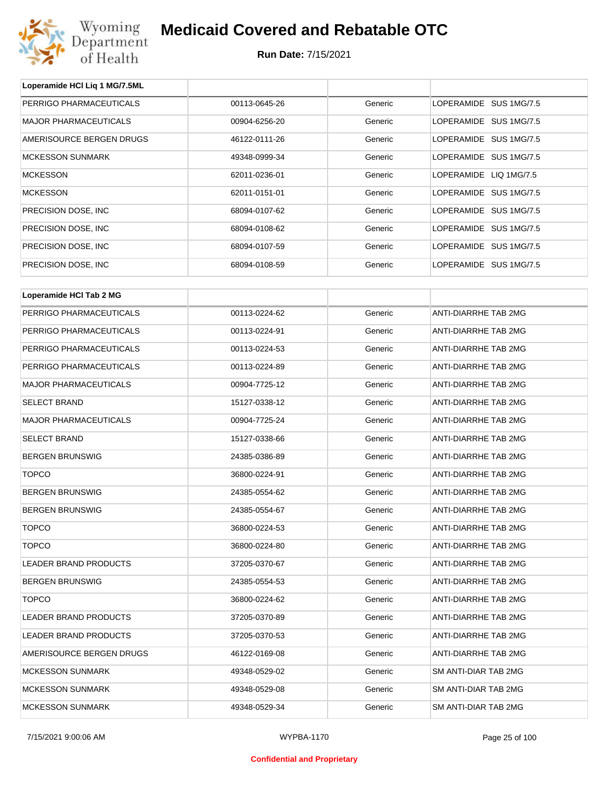

**Loperamide HCl Liq 1 MG/7.5ML**

## **Medicaid Covered and Rebatable OTC**

| PERRIGO PHARMACEUTICALS      | 00113-0645-26 | Generic | LOPERAMIDE SUS 1MG/7.5      |
|------------------------------|---------------|---------|-----------------------------|
| <b>MAJOR PHARMACEUTICALS</b> | 00904-6256-20 | Generic | LOPERAMIDE SUS 1MG/7.5      |
| AMERISOURCE BERGEN DRUGS     | 46122-0111-26 | Generic | LOPERAMIDE SUS 1MG/7.5      |
| <b>MCKESSON SUNMARK</b>      | 49348-0999-34 | Generic | LOPERAMIDE SUS 1MG/7.5      |
| <b>MCKESSON</b>              | 62011-0236-01 | Generic | LOPERAMIDE LIQ 1MG/7.5      |
| <b>MCKESSON</b>              | 62011-0151-01 | Generic | LOPERAMIDE SUS 1MG/7.5      |
| PRECISION DOSE, INC.         | 68094-0107-62 | Generic | LOPERAMIDE SUS 1MG/7.5      |
| PRECISION DOSE, INC.         | 68094-0108-62 | Generic | LOPERAMIDE SUS 1MG/7.5      |
| PRECISION DOSE, INC.         | 68094-0107-59 | Generic | LOPERAMIDE SUS 1MG/7.5      |
| PRECISION DOSE, INC.         | 68094-0108-59 | Generic | LOPERAMIDE SUS 1MG/7.5      |
| Loperamide HCI Tab 2 MG      |               |         |                             |
| PERRIGO PHARMACEUTICALS      | 00113-0224-62 | Generic | ANTI-DIARRHE TAB 2MG        |
| PERRIGO PHARMACEUTICALS      | 00113-0224-91 | Generic | ANTI-DIARRHE TAB 2MG        |
| PERRIGO PHARMACEUTICALS      | 00113-0224-53 | Generic | ANTI-DIARRHE TAB 2MG        |
| PERRIGO PHARMACEUTICALS      | 00113-0224-89 | Generic | ANTI-DIARRHE TAB 2MG        |
| <b>MAJOR PHARMACEUTICALS</b> | 00904-7725-12 | Generic | ANTI-DIARRHE TAB 2MG        |
| <b>SELECT BRAND</b>          | 15127-0338-12 | Generic | ANTI-DIARRHE TAB 2MG        |
| MAJOR PHARMACEUTICALS        | 00904-7725-24 | Generic | ANTI-DIARRHE TAB 2MG        |
| <b>SELECT BRAND</b>          | 15127-0338-66 | Generic | ANTI-DIARRHE TAB 2MG        |
| <b>BERGEN BRUNSWIG</b>       | 24385-0386-89 | Generic | ANTI-DIARRHE TAB 2MG        |
| <b>TOPCO</b>                 | 36800-0224-91 | Generic | ANTI-DIARRHE TAB 2MG        |
| <b>BERGEN BRUNSWIG</b>       | 24385-0554-62 | Generic | ANTI-DIARRHE TAB 2MG        |
| <b>BERGEN BRUNSWIG</b>       | 24385-0554-67 | Generic | ANTI-DIARRHE TAB 2MG        |
| <b>TOPCO</b>                 | 36800-0224-53 | Generic | ANTI-DIARRHE TAB 2MG        |
| <b>TOPCO</b>                 | 36800-0224-80 | Generic | <b>ANTI-DIARRHE TAB 2MG</b> |
| <b>LEADER BRAND PRODUCTS</b> | 37205-0370-67 | Generic | ANTI-DIARRHE TAB 2MG        |
| <b>BERGEN BRUNSWIG</b>       | 24385-0554-53 | Generic | ANTI-DIARRHE TAB 2MG        |
| <b>TOPCO</b>                 | 36800-0224-62 | Generic | ANTI-DIARRHE TAB 2MG        |
| LEADER BRAND PRODUCTS        | 37205-0370-89 | Generic | ANTI-DIARRHE TAB 2MG        |
| LEADER BRAND PRODUCTS        | 37205-0370-53 | Generic | ANTI-DIARRHE TAB 2MG        |
| AMERISOURCE BERGEN DRUGS     | 46122-0169-08 | Generic | ANTI-DIARRHE TAB 2MG        |
| <b>MCKESSON SUNMARK</b>      | 49348-0529-02 | Generic | SM ANTI-DIAR TAB 2MG        |
| <b>MCKESSON SUNMARK</b>      | 49348-0529-08 | Generic | SM ANTI-DIAR TAB 2MG        |
| <b>MCKESSON SUNMARK</b>      | 49348-0529-34 | Generic | SM ANTI-DIAR TAB 2MG        |
|                              |               |         |                             |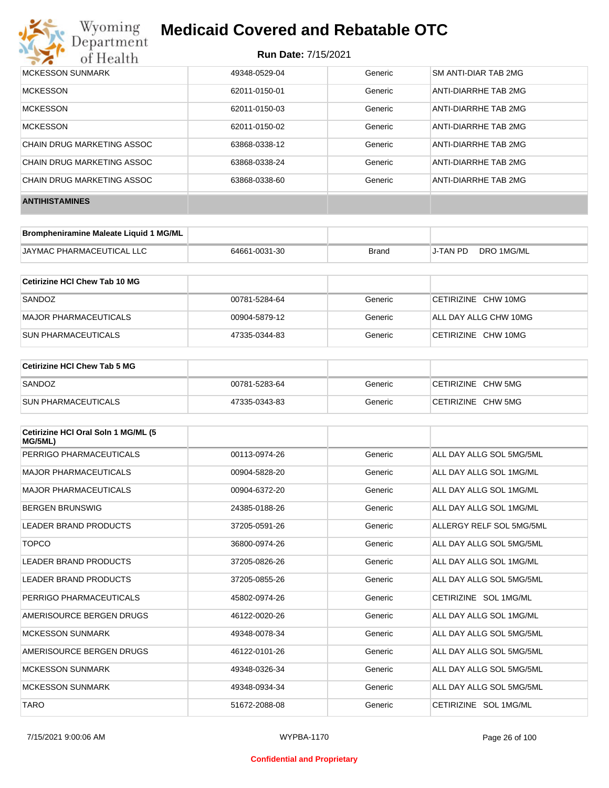

| MCKESSON SUNMARK           | 49348-0529-04 | Generic | SM ANTI-DIAR TAB 2MG |
|----------------------------|---------------|---------|----------------------|
| <b>MCKESSON</b>            | 62011-0150-01 | Generic | ANTI-DIARRHE TAB 2MG |
| <b>MCKESSON</b>            | 62011-0150-03 | Generic | ANTI-DIARRHE TAB 2MG |
| <b>MCKESSON</b>            | 62011-0150-02 | Generic | ANTI-DIARRHE TAB 2MG |
| CHAIN DRUG MARKETING ASSOC | 63868-0338-12 | Generic | ANTI-DIARRHE TAB 2MG |
| CHAIN DRUG MARKETING ASSOC | 63868-0338-24 | Generic | ANTI-DIARRHE TAB 2MG |
| CHAIN DRUG MARKETING ASSOC | 63868-0338-60 | Generic | ANTI-DIARRHE TAB 2MG |
| <b>ANTIHISTAMINES</b>      |               |         |                      |

| Brompheniramine Maleate Liquid 1 MG/ML |               |              |          |            |
|----------------------------------------|---------------|--------------|----------|------------|
| JAYMAC PHARMACEUTICAL LLC              | 64661-0031-30 | <b>Brand</b> | J-TAN PD | DRO 1MG/ML |

| Cetirizine HCI Chew Tab 10 MG |               |         |                       |
|-------------------------------|---------------|---------|-----------------------|
| SANDOZ                        | 00781-5284-64 | Generic | CETIRIZINE CHW 10MG   |
| MAJOR PHARMACEUTICALS         | 00904-5879-12 | Generic | ALL DAY ALLG CHW 10MG |
| <b>SUN PHARMACEUTICALS</b>    | 47335-0344-83 | Generic | CETIRIZINE CHW 10MG   |

| <b>Cetirizine HCI Chew Tab 5 MG</b> |               |         |                    |
|-------------------------------------|---------------|---------|--------------------|
| SANDOZ                              | 00781-5283-64 | Generic | CETIRIZINE CHW 5MG |
| <b>SUN PHARMACEUTICALS</b>          | 47335-0343-83 | Generic | CETIRIZINE CHW 5MG |

| Cetirizine HCI Oral Soln 1 MG/ML (5<br>MG/5ML) |               |         |                          |
|------------------------------------------------|---------------|---------|--------------------------|
| PERRIGO PHARMACEUTICALS                        | 00113-0974-26 | Generic | ALL DAY ALLG SOL 5MG/5ML |
| <b>MAJOR PHARMACEUTICALS</b>                   | 00904-5828-20 | Generic | ALL DAY ALLG SOL 1MG/ML  |
| <b>MAJOR PHARMACEUTICALS</b>                   | 00904-6372-20 | Generic | ALL DAY ALLG SOL 1MG/ML  |
| <b>BERGEN BRUNSWIG</b>                         | 24385-0188-26 | Generic | ALL DAY ALLG SOL 1MG/ML  |
| LEADER BRAND PRODUCTS                          | 37205-0591-26 | Generic | ALLERGY RELF SOL 5MG/5ML |
| <b>TOPCO</b>                                   | 36800-0974-26 | Generic | ALL DAY ALLG SOL 5MG/5ML |
| LEADER BRAND PRODUCTS                          | 37205-0826-26 | Generic | ALL DAY ALLG SOL 1MG/ML  |
| LEADER BRAND PRODUCTS                          | 37205-0855-26 | Generic | ALL DAY ALLG SOL 5MG/5ML |
| PERRIGO PHARMACEUTICALS                        | 45802-0974-26 | Generic | CETIRIZINE SOL 1MG/ML    |
| AMERISOURCE BERGEN DRUGS                       | 46122-0020-26 | Generic | ALL DAY ALLG SOL 1MG/ML  |
| <b>MCKESSON SUNMARK</b>                        | 49348-0078-34 | Generic | ALL DAY ALLG SOL 5MG/5ML |
| AMERISOURCE BERGEN DRUGS                       | 46122-0101-26 | Generic | ALL DAY ALLG SOL 5MG/5ML |
| <b>MCKESSON SUNMARK</b>                        | 49348-0326-34 | Generic | ALL DAY ALLG SOL 5MG/5ML |
| <b>MCKESSON SUNMARK</b>                        | 49348-0934-34 | Generic | ALL DAY ALLG SOL 5MG/5ML |
| <b>TARO</b>                                    | 51672-2088-08 | Generic | CETIRIZINE SOL 1MG/ML    |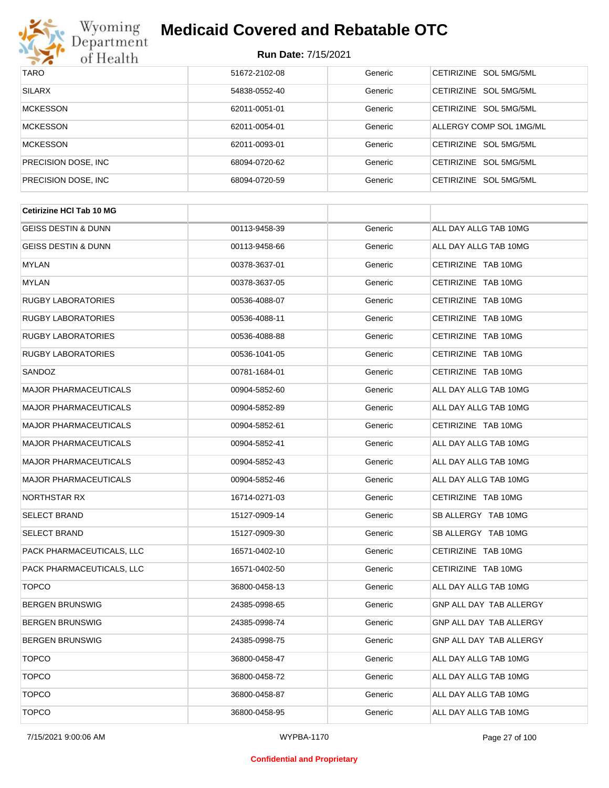

| <b>TARO</b>          | 51672-2102-08 | Generic | CETIRIZINE SOL 5MG/5ML           |
|----------------------|---------------|---------|----------------------------------|
| <b>SILARX</b>        | 54838-0552-40 | Generic | CETIRIZINE SOL 5MG/5ML           |
| <b>MCKESSON</b>      | 62011-0051-01 | Generic | CETIRIZINE SOL 5MG/5ML           |
| <b>MCKESSON</b>      | 62011-0054-01 | Generic | ALLERGY COMP SOL 1MG/ML          |
| <b>MCKESSON</b>      | 62011-0093-01 | Generic | CETIRIZINE SOL 5MG/5ML           |
| PRECISION DOSE, INC. | 68094-0720-62 | Generic | CETIRIZINE SOL 5MG/5ML           |
| PRECISION DOSE, INC. | 68094-0720-59 | Generic | <b>CETIRIZINE</b><br>SOL 5MG/5ML |

| 00113-9458-39 | Generic | ALL DAY ALLG TAB 10MG          |
|---------------|---------|--------------------------------|
| 00113-9458-66 | Generic | ALL DAY ALLG TAB 10MG          |
| 00378-3637-01 | Generic | CETIRIZINE TAB 10MG            |
| 00378-3637-05 | Generic | CETIRIZINE TAB 10MG            |
| 00536-4088-07 | Generic | CETIRIZINE TAB 10MG            |
| 00536-4088-11 | Generic | CETIRIZINE TAB 10MG            |
| 00536-4088-88 | Generic | CETIRIZINE TAB 10MG            |
| 00536-1041-05 | Generic | CETIRIZINE TAB 10MG            |
| 00781-1684-01 | Generic | CETIRIZINE TAB 10MG            |
| 00904-5852-60 | Generic | ALL DAY ALLG TAB 10MG          |
| 00904-5852-89 | Generic | ALL DAY ALLG TAB 10MG          |
| 00904-5852-61 | Generic | CETIRIZINE TAB 10MG            |
| 00904-5852-41 | Generic | ALL DAY ALLG TAB 10MG          |
| 00904-5852-43 | Generic | ALL DAY ALLG TAB 10MG          |
| 00904-5852-46 | Generic | ALL DAY ALLG TAB 10MG          |
| 16714-0271-03 | Generic | CETIRIZINE TAB 10MG            |
| 15127-0909-14 | Generic | SB ALLERGY TAB 10MG            |
| 15127-0909-30 | Generic | SB ALLERGY TAB 10MG            |
| 16571-0402-10 | Generic | CETIRIZINE TAB 10MG            |
| 16571-0402-50 | Generic | CETIRIZINE TAB 10MG            |
| 36800-0458-13 | Generic | ALL DAY ALLG TAB 10MG          |
| 24385-0998-65 | Generic | GNP ALL DAY TAB ALLERGY        |
| 24385-0998-74 | Generic | <b>GNP ALL DAY TAB ALLERGY</b> |
| 24385-0998-75 | Generic | GNP ALL DAY TAB ALLERGY        |
| 36800-0458-47 | Generic | ALL DAY ALLG TAB 10MG          |
| 36800-0458-72 | Generic | ALL DAY ALLG TAB 10MG          |
| 36800-0458-87 | Generic | ALL DAY ALLG TAB 10MG          |
| 36800-0458-95 | Generic | ALL DAY ALLG TAB 10MG          |
|               |         |                                |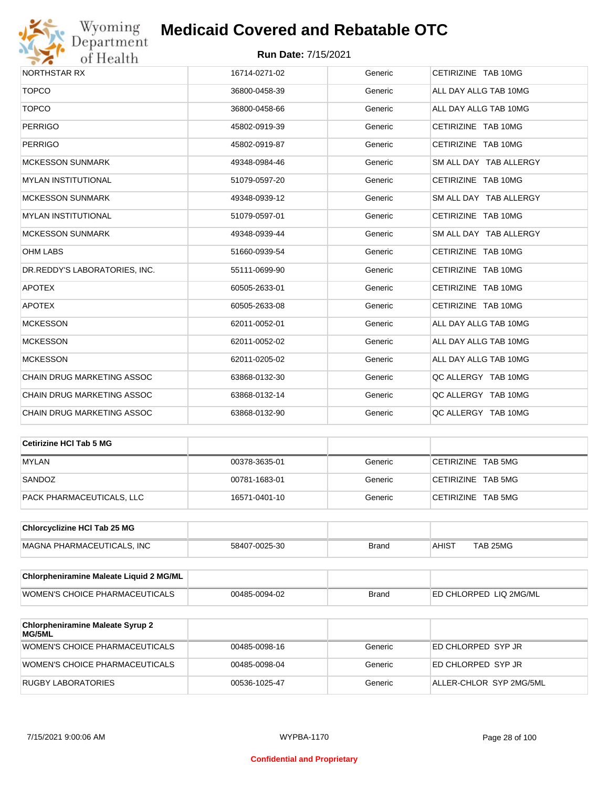

| NORTHSTAR RX                      | 16714-0271-02 | Generic | CETIRIZINE TAB 10MG    |
|-----------------------------------|---------------|---------|------------------------|
| <b>TOPCO</b>                      | 36800-0458-39 | Generic | ALL DAY ALLG TAB 10MG  |
| <b>TOPCO</b>                      | 36800-0458-66 | Generic | ALL DAY ALLG TAB 10MG  |
| <b>PERRIGO</b>                    | 45802-0919-39 | Generic | CETIRIZINE TAB 10MG    |
| <b>PERRIGO</b>                    | 45802-0919-87 | Generic | CETIRIZINE TAB 10MG    |
| <b>MCKESSON SUNMARK</b>           | 49348-0984-46 | Generic | SM ALL DAY TAB ALLERGY |
| <b>MYLAN INSTITUTIONAL</b>        | 51079-0597-20 | Generic | CETIRIZINE TAB 10MG    |
| <b>MCKESSON SUNMARK</b>           | 49348-0939-12 | Generic | SM ALL DAY TAB ALLERGY |
| <b>MYLAN INSTITUTIONAL</b>        | 51079-0597-01 | Generic | CETIRIZINE TAB 10MG    |
| <b>MCKESSON SUNMARK</b>           | 49348-0939-44 | Generic | SM ALL DAY TAB ALLERGY |
| <b>OHM LABS</b>                   | 51660-0939-54 | Generic | CETIRIZINE TAB 10MG    |
| DR.REDDY'S LABORATORIES, INC.     | 55111-0699-90 | Generic | CETIRIZINE TAB 10MG    |
| <b>APOTEX</b>                     | 60505-2633-01 | Generic | CETIRIZINE TAB 10MG    |
| <b>APOTEX</b>                     | 60505-2633-08 | Generic | CETIRIZINE TAB 10MG    |
| <b>MCKESSON</b>                   | 62011-0052-01 | Generic | ALL DAY ALLG TAB 10MG  |
| <b>MCKESSON</b>                   | 62011-0052-02 | Generic | ALL DAY ALLG TAB 10MG  |
| <b>MCKESSON</b>                   | 62011-0205-02 | Generic | ALL DAY ALLG TAB 10MG  |
| <b>CHAIN DRUG MARKETING ASSOC</b> | 63868-0132-30 | Generic | QC ALLERGY TAB 10MG    |
| CHAIN DRUG MARKETING ASSOC        | 63868-0132-14 | Generic | QC ALLERGY TAB 10MG    |
| CHAIN DRUG MARKETING ASSOC        | 63868-0132-90 | Generic | QC ALLERGY TAB 10MG    |

| ∣Cetirizine HCl Tab 5 MG  |               |         |                    |
|---------------------------|---------------|---------|--------------------|
| <b>MYLAN</b>              | 00378-3635-01 | Generic | CETIRIZINE TAB 5MG |
| SANDOZ                    | 00781-1683-01 | Generic | CETIRIZINE TAB 5MG |
| PACK PHARMACEUTICALS, LLC | 16571-0401-10 | Generic | CETIRIZINE TAB 5MG |

| <b>Chlorcyclizine HCI Tab 25 MG</b> |               |       |              |          |
|-------------------------------------|---------------|-------|--------------|----------|
| MAGNA PHARMACEUTICALS. INC          | 58407-0025-30 | Brand | <b>AHIST</b> | TAB 25MG |

| Chlorpheniramine Maleate Liquid 2 MG/ML |               |              |                                |
|-----------------------------------------|---------------|--------------|--------------------------------|
| WOMEN'S CHOICE PHARMACEUTICALS          | 00485-0094-02 | <b>Brand</b> | <b>LED CHLORPED LIQ 2MG/ML</b> |

| <b>Chlorpheniramine Maleate Syrup 2</b><br><b>MG/5ML</b> |               |         |                         |
|----------------------------------------------------------|---------------|---------|-------------------------|
| WOMEN'S CHOICE PHARMACEUTICALS                           | 00485-0098-16 | Generic | ED CHLORPED SYP JR      |
| WOMEN'S CHOICE PHARMACEUTICALS                           | 00485-0098-04 | Generic | ED CHLORPED SYP JR      |
| RUGBY LABORATORIES                                       | 00536-1025-47 | Generic | ALLER-CHLOR SYP 2MG/5ML |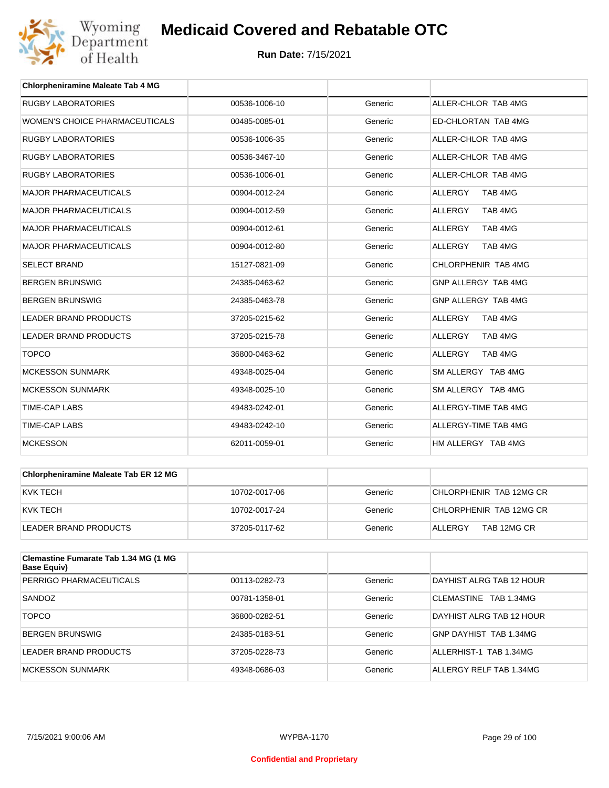

| <b>Chlorpheniramine Maleate Tab 4 MG</b> |               |         |                           |
|------------------------------------------|---------------|---------|---------------------------|
| <b>RUGBY LABORATORIES</b>                | 00536-1006-10 | Generic | ALLER-CHLOR TAB 4MG       |
| <b>WOMEN'S CHOICE PHARMACEUTICALS</b>    | 00485-0085-01 | Generic | ED-CHLORTAN TAB 4MG       |
| <b>RUGBY LABORATORIES</b>                | 00536-1006-35 | Generic | ALLER-CHLOR TAB 4MG       |
| <b>RUGBY LABORATORIES</b>                | 00536-3467-10 | Generic | ALLER-CHLOR TAB 4MG       |
| <b>RUGBY LABORATORIES</b>                | 00536-1006-01 | Generic | ALLER-CHLOR TAB 4MG       |
| <b>MAJOR PHARMACEUTICALS</b>             | 00904-0012-24 | Generic | TAB 4MG<br><b>ALLERGY</b> |
| <b>MAJOR PHARMACEUTICALS</b>             | 00904-0012-59 | Generic | ALLERGY<br>TAB 4MG        |
| <b>MAJOR PHARMACEUTICALS</b>             | 00904-0012-61 | Generic | <b>ALLERGY</b><br>TAB 4MG |
| <b>MAJOR PHARMACEUTICALS</b>             | 00904-0012-80 | Generic | TAB 4MG<br>ALLERGY        |
| <b>SELECT BRAND</b>                      | 15127-0821-09 | Generic | CHLORPHENIR TAB 4MG       |
| <b>BERGEN BRUNSWIG</b>                   | 24385-0463-62 | Generic | GNP ALLERGY TAB 4MG       |
| <b>BERGEN BRUNSWIG</b>                   | 24385-0463-78 | Generic | GNP ALLERGY TAB 4MG       |
| <b>LEADER BRAND PRODUCTS</b>             | 37205-0215-62 | Generic | <b>ALLERGY</b><br>TAB 4MG |
| <b>LEADER BRAND PRODUCTS</b>             | 37205-0215-78 | Generic | <b>ALLERGY</b><br>TAB 4MG |
| <b>TOPCO</b>                             | 36800-0463-62 | Generic | <b>ALLERGY</b><br>TAB 4MG |
| <b>MCKESSON SUNMARK</b>                  | 49348-0025-04 | Generic | SM ALLERGY TAB 4MG        |
| <b>MCKESSON SUNMARK</b>                  | 49348-0025-10 | Generic | SM ALLERGY TAB 4MG        |
| <b>TIME-CAP LABS</b>                     | 49483-0242-01 | Generic | ALLERGY-TIME TAB 4MG      |
| <b>TIME-CAP LABS</b>                     | 49483-0242-10 | Generic | ALLERGY-TIME TAB 4MG      |
| <b>MCKESSON</b>                          | 62011-0059-01 | Generic | HM ALLERGY TAB 4MG        |

| Chlorpheniramine Maleate Tab ER 12 MG |               |         |                         |
|---------------------------------------|---------------|---------|-------------------------|
| KVK TECH                              | 10702-0017-06 | Generic | CHLORPHENIR TAB 12MG CR |
| KVK TECH                              | 10702-0017-24 | Generic | CHLORPHENIR TAB 12MG CR |
| LEADER BRAND PRODUCTS                 | 37205-0117-62 | Generic | TAB 12MG CR<br>ALLERGY  |

| <b>Clemastine Fumarate Tab 1.34 MG (1 MG)</b><br>Base Equiv) |               |         |                          |
|--------------------------------------------------------------|---------------|---------|--------------------------|
| PERRIGO PHARMACEUTICALS                                      | 00113-0282-73 | Generic | DAYHIST ALRG TAB 12 HOUR |
| SANDOZ                                                       | 00781-1358-01 | Generic | CLEMASTINE TAB 1.34MG    |
| <b>TOPCO</b>                                                 | 36800-0282-51 | Generic | DAYHIST ALRG TAB 12 HOUR |
| <b>BERGEN BRUNSWIG</b>                                       | 24385-0183-51 | Generic | GNP DAYHIST TAB 1.34MG   |
| LEADER BRAND PRODUCTS                                        | 37205-0228-73 | Generic | ALLERHIST-1 TAB 1.34MG   |
| <b>MCKESSON SUNMARK</b>                                      | 49348-0686-03 | Generic | ALLERGY RELF TAB 1.34MG  |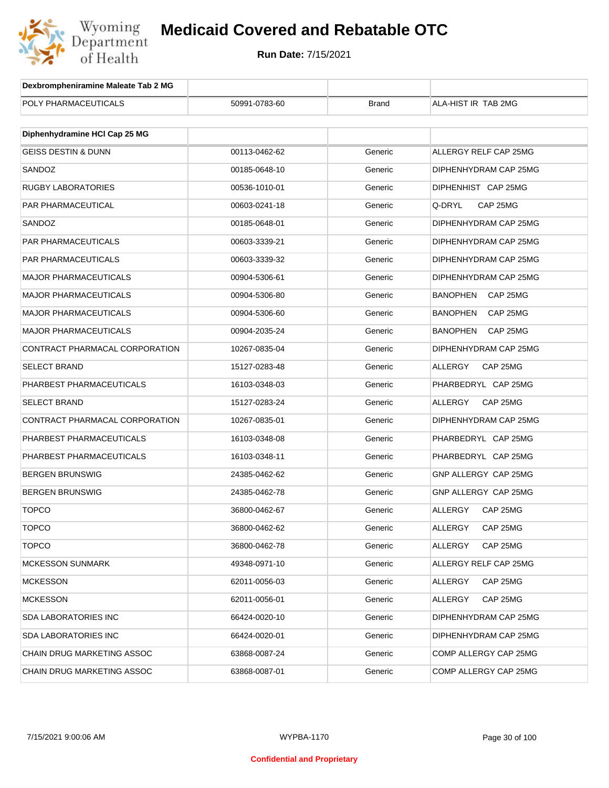

| Dexbrompheniramine Maleate Tab 2 MG |               |              |                             |
|-------------------------------------|---------------|--------------|-----------------------------|
| POLY PHARMACEUTICALS                | 50991-0783-60 | <b>Brand</b> | ALA-HIST IR TAB 2MG         |
|                                     |               |              |                             |
| Diphenhydramine HCI Cap 25 MG       |               |              |                             |
| <b>GEISS DESTIN &amp; DUNN</b>      | 00113-0462-62 | Generic      | ALLERGY RELF CAP 25MG       |
| SANDOZ                              | 00185-0648-10 | Generic      | DIPHENHYDRAM CAP 25MG       |
| RUGBY LABORATORIES                  | 00536-1010-01 | Generic      | DIPHENHIST CAP 25MG         |
| PAR PHARMACEUTICAL                  | 00603-0241-18 | Generic      | Q-DRYL<br>CAP 25MG          |
| SANDOZ                              | 00185-0648-01 | Generic      | DIPHENHYDRAM CAP 25MG       |
| PAR PHARMACEUTICALS                 | 00603-3339-21 | Generic      | DIPHENHYDRAM CAP 25MG       |
| PAR PHARMACEUTICALS                 | 00603-3339-32 | Generic      | DIPHENHYDRAM CAP 25MG       |
| MAJOR PHARMACEUTICALS               | 00904-5306-61 | Generic      | DIPHENHYDRAM CAP 25MG       |
| <b>MAJOR PHARMACEUTICALS</b>        | 00904-5306-80 | Generic      | <b>BANOPHEN</b><br>CAP 25MG |
| MAJOR PHARMACEUTICALS               | 00904-5306-60 | Generic      | <b>BANOPHEN</b><br>CAP 25MG |
| MAJOR PHARMACEUTICALS               | 00904-2035-24 | Generic      | <b>BANOPHEN</b><br>CAP 25MG |
| CONTRACT PHARMACAL CORPORATION      | 10267-0835-04 | Generic      | DIPHENHYDRAM CAP 25MG       |
| <b>SELECT BRAND</b>                 | 15127-0283-48 | Generic      | ALLERGY<br>CAP 25MG         |
| PHARBEST PHARMACEUTICALS            | 16103-0348-03 | Generic      | PHARBEDRYL CAP 25MG         |
| <b>SELECT BRAND</b>                 | 15127-0283-24 | Generic      | ALLERGY<br>CAP 25MG         |
| CONTRACT PHARMACAL CORPORATION      | 10267-0835-01 | Generic      | DIPHENHYDRAM CAP 25MG       |
| PHARBEST PHARMACEUTICALS            | 16103-0348-08 | Generic      | PHARBEDRYL CAP 25MG         |
| PHARBEST PHARMACEUTICALS            | 16103-0348-11 | Generic      | PHARBEDRYL CAP 25MG         |
| BERGEN BRUNSWIG                     | 24385-0462-62 | Generic      | GNP ALLERGY CAP 25MG        |
| BERGEN BRUNSWIG                     | 24385-0462-78 | Generic      | GNP ALLERGY CAP 25MG        |
| <b>TOPCO</b>                        | 36800-0462-67 | Generic      | ALLERGY<br>CAP 25MG         |
| TOPCO                               | 36800-0462-62 | Generic      | ALLERGY<br>CAP 25MG         |
| <b>TOPCO</b>                        | 36800-0462-78 | Generic      | ALLERGY<br>CAP 25MG         |
| <b>MCKESSON SUNMARK</b>             | 49348-0971-10 | Generic      | ALLERGY RELF CAP 25MG       |
| <b>MCKESSON</b>                     | 62011-0056-03 | Generic      | ALLERGY<br>CAP 25MG         |
| <b>MCKESSON</b>                     | 62011-0056-01 | Generic      | ALLERGY<br>CAP 25MG         |
| SDA LABORATORIES INC                | 66424-0020-10 | Generic      | DIPHENHYDRAM CAP 25MG       |
| SDA LABORATORIES INC                | 66424-0020-01 | Generic      | DIPHENHYDRAM CAP 25MG       |
| CHAIN DRUG MARKETING ASSOC          | 63868-0087-24 | Generic      | COMP ALLERGY CAP 25MG       |
| CHAIN DRUG MARKETING ASSOC          | 63868-0087-01 | Generic      | COMP ALLERGY CAP 25MG       |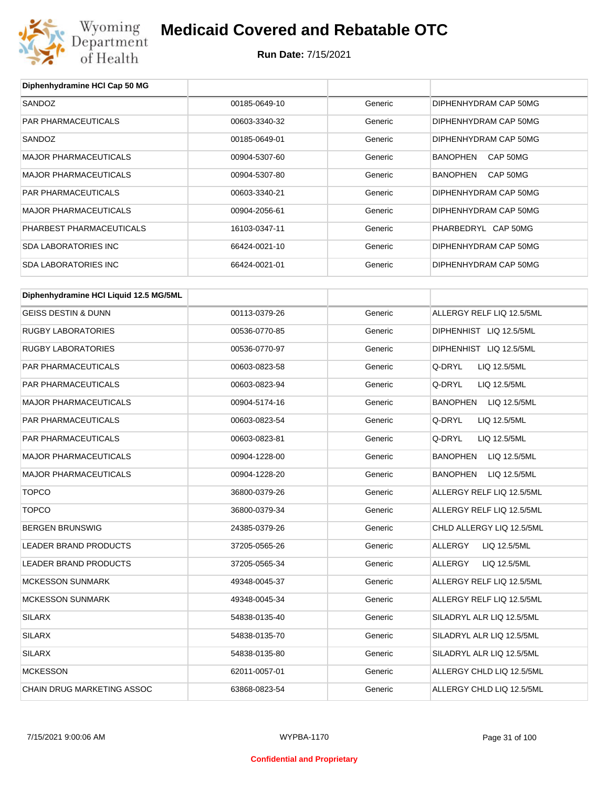

**Run Date:** 7/15/2021

| Diphenhydramine HCI Cap 50 MG          |               |         |                                 |
|----------------------------------------|---------------|---------|---------------------------------|
| SANDOZ                                 | 00185-0649-10 | Generic | DIPHENHYDRAM CAP 50MG           |
| PAR PHARMACEUTICALS                    | 00603-3340-32 | Generic | DIPHENHYDRAM CAP 50MG           |
| SANDOZ                                 | 00185-0649-01 | Generic | DIPHENHYDRAM CAP 50MG           |
| <b>MAJOR PHARMACEUTICALS</b>           | 00904-5307-60 | Generic | CAP 50MG<br>BANOPHEN            |
| <b>MAJOR PHARMACEUTICALS</b>           | 00904-5307-80 | Generic | <b>BANOPHEN</b><br>CAP 50MG     |
| PAR PHARMACEUTICALS                    | 00603-3340-21 | Generic | DIPHENHYDRAM CAP 50MG           |
| <b>MAJOR PHARMACEUTICALS</b>           | 00904-2056-61 | Generic | DIPHENHYDRAM CAP 50MG           |
| PHARBEST PHARMACEUTICALS               | 16103-0347-11 | Generic | PHARBEDRYL CAP 50MG             |
| <b>SDA LABORATORIES INC</b>            | 66424-0021-10 | Generic | DIPHENHYDRAM CAP 50MG           |
| <b>SDA LABORATORIES INC</b>            | 66424-0021-01 | Generic | DIPHENHYDRAM CAP 50MG           |
| Diphenhydramine HCI Liquid 12.5 MG/5ML |               |         |                                 |
| <b>GEISS DESTIN &amp; DUNN</b>         | 00113-0379-26 | Generic | ALLERGY RELF LIQ 12.5/5ML       |
| <b>RUGBY LABORATORIES</b>              | 00536-0770-85 | Generic | DIPHENHIST LIQ 12.5/5ML         |
| <b>RUGBY LABORATORIES</b>              | 00536-0770-97 | Generic | DIPHENHIST LIQ 12.5/5ML         |
| PAR PHARMACEUTICALS                    | 00603-0823-58 | Generic | Q-DRYL<br>LIQ 12.5/5ML          |
| PAR PHARMACEUTICALS                    | 00603-0823-94 | Generic | Q-DRYL<br>LIQ 12.5/5ML          |
| <b>MAJOR PHARMACEUTICALS</b>           | 00904-5174-16 | Generic | <b>BANOPHEN</b><br>LIQ 12.5/5ML |
| PAR PHARMACEUTICALS                    | 00603-0823-54 | Generic | Q-DRYL<br>LIQ 12.5/5ML          |
| PAR PHARMACEUTICALS                    | 00603-0823-81 | Generic | Q-DRYL<br>LIQ 12.5/5ML          |
| <b>MAJOR PHARMACEUTICALS</b>           | 00904-1228-00 | Generic | LIQ 12.5/5ML<br><b>BANOPHEN</b> |
| <b>MAJOR PHARMACEUTICALS</b>           | 00904-1228-20 | Generic | <b>BANOPHEN</b><br>LIQ 12.5/5ML |
| <b>TOPCO</b>                           | 36800-0379-26 | Generic | ALLERGY RELF LIQ 12.5/5ML       |
| <b>TOPCO</b>                           | 36800-0379-34 | Generic | ALLERGY RELF LIQ 12.5/5ML       |
| <b>BERGEN BRUNSWIG</b>                 | 24385-0379-26 | Generic | CHLD ALLERGY LIQ 12.5/5ML       |
| <b>LEADER BRAND PRODUCTS</b>           | 37205-0565-26 | Generic | <b>ALLERGY</b><br>LIQ 12.5/5ML  |
| LEADER BRAND PRODUCTS                  | 37205-0565-34 | Generic | <b>ALLERGY</b><br>LIQ 12.5/5ML  |
| <b>MCKESSON SUNMARK</b>                | 49348-0045-37 | Generic | ALLERGY RELF LIQ 12.5/5ML       |
| <b>MCKESSON SUNMARK</b>                | 49348-0045-34 | Generic | ALLERGY RELF LIQ 12.5/5ML       |
| <b>SILARX</b>                          | 54838-0135-40 | Generic | SILADRYL ALR LIQ 12.5/5ML       |
| <b>SILARX</b>                          | 54838-0135-70 | Generic | SILADRYL ALR LIQ 12.5/5ML       |
| <b>SILARX</b>                          | 54838-0135-80 | Generic | SILADRYL ALR LIQ 12.5/5ML       |
| <b>MCKESSON</b>                        | 62011-0057-01 | Generic | ALLERGY CHLD LIQ 12.5/5ML       |
| CHAIN DRUG MARKETING ASSOC             | 63868-0823-54 | Generic | ALLERGY CHLD LIQ 12.5/5ML       |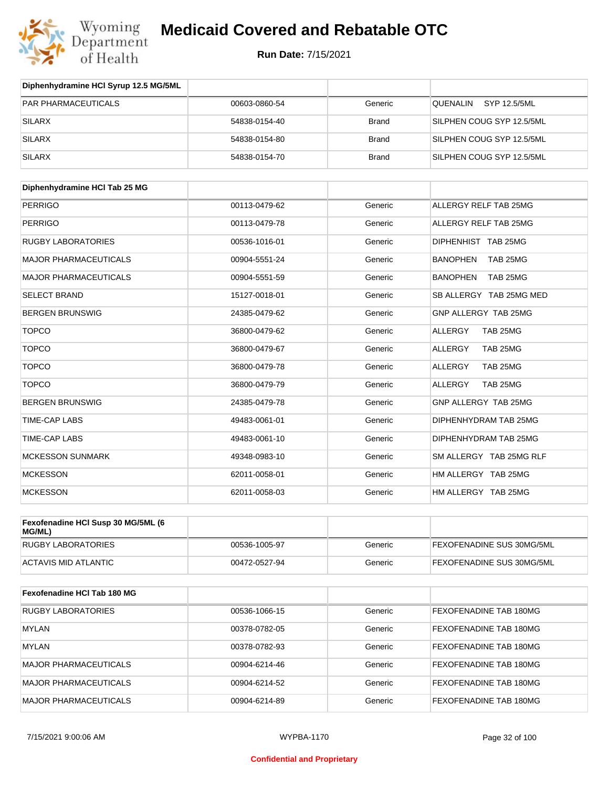

| Diphenhydramine HCI Syrup 12.5 MG/5ML |               |              |                           |
|---------------------------------------|---------------|--------------|---------------------------|
| <b>PAR PHARMACEUTICALS</b>            | 00603-0860-54 | Generic      | SYP 12.5/5ML<br>QUENALIN  |
| SILARX                                | 54838-0154-40 | <b>Brand</b> | SILPHEN COUG SYP 12.5/5ML |
| SILARX                                | 54838-0154-80 | <b>Brand</b> | SILPHEN COUG SYP 12.5/5ML |
| SILARX                                | 54838-0154-70 | <b>Brand</b> | SILPHEN COUG SYP 12.5/5ML |

| Diphenhydramine HCI Tab 25 MG |               |         |                             |
|-------------------------------|---------------|---------|-----------------------------|
| <b>PERRIGO</b>                | 00113-0479-62 | Generic | ALLERGY RELF TAB 25MG       |
| <b>PERRIGO</b>                | 00113-0479-78 | Generic | ALLERGY RELF TAB 25MG       |
| <b>RUGBY LABORATORIES</b>     | 00536-1016-01 | Generic | DIPHENHIST TAB 25MG         |
| <b>MAJOR PHARMACEUTICALS</b>  | 00904-5551-24 | Generic | <b>BANOPHEN</b><br>TAB 25MG |
| <b>MAJOR PHARMACEUTICALS</b>  | 00904-5551-59 | Generic | <b>BANOPHEN</b><br>TAB 25MG |
| <b>SELECT BRAND</b>           | 15127-0018-01 | Generic | SB ALLERGY TAB 25MG MED     |
| <b>BERGEN BRUNSWIG</b>        | 24385-0479-62 | Generic | GNP ALLERGY TAB 25MG        |
| <b>TOPCO</b>                  | 36800-0479-62 | Generic | <b>ALLERGY</b><br>TAB 25MG  |
| <b>TOPCO</b>                  | 36800-0479-67 | Generic | ALLERGY<br>TAB 25MG         |
| <b>TOPCO</b>                  | 36800-0479-78 | Generic | <b>ALLERGY</b><br>TAB 25MG  |
| <b>TOPCO</b>                  | 36800-0479-79 | Generic | <b>ALLERGY</b><br>TAB 25MG  |
| <b>BERGEN BRUNSWIG</b>        | 24385-0479-78 | Generic | GNP ALLERGY TAB 25MG        |
| <b>TIME-CAP LABS</b>          | 49483-0061-01 | Generic | DIPHENHYDRAM TAB 25MG       |
| TIME-CAP LABS                 | 49483-0061-10 | Generic | DIPHENHYDRAM TAB 25MG       |
| <b>MCKESSON SUNMARK</b>       | 49348-0983-10 | Generic | SM ALLERGY TAB 25MG RLF     |
| <b>MCKESSON</b>               | 62011-0058-01 | Generic | HM ALLERGY TAB 25MG         |
| <b>MCKESSON</b>               | 62011-0058-03 | Generic | HM ALLERGY TAB 25MG         |

| Fexofenadine HCI Susp 30 MG/5ML (6<br>MG/ML) |               |         |                                  |
|----------------------------------------------|---------------|---------|----------------------------------|
| <b>RUGBY LABORATORIES</b>                    | 00536-1005-97 | Generic | <b>FEXOFENADINE SUS 30MG/5ML</b> |
| ACTAVIS MID ATLANTIC                         | 00472-0527-94 | Generic | <b>FEXOFENADINE SUS 30MG/5ML</b> |

| Fexofenadine HCI Tab 180 MG  |               |         |                               |
|------------------------------|---------------|---------|-------------------------------|
| <b>RUGBY LABORATORIES</b>    | 00536-1066-15 | Generic | <b>FEXOFENADINE TAB 180MG</b> |
| IMYLAN                       | 00378-0782-05 | Generic | <b>FEXOFENADINE TAB 180MG</b> |
| <b>MYLAN</b>                 | 00378-0782-93 | Generic | FEXOFENADINE TAB 180MG        |
| <b>MAJOR PHARMACEUTICALS</b> | 00904-6214-46 | Generic | <b>FEXOFENADINE TAB 180MG</b> |
| <b>MAJOR PHARMACEUTICALS</b> | 00904-6214-52 | Generic | FEXOFENADINE TAB 180MG        |
| <b>MAJOR PHARMACEUTICALS</b> | 00904-6214-89 | Generic | FEXOFENADINE TAB 180MG        |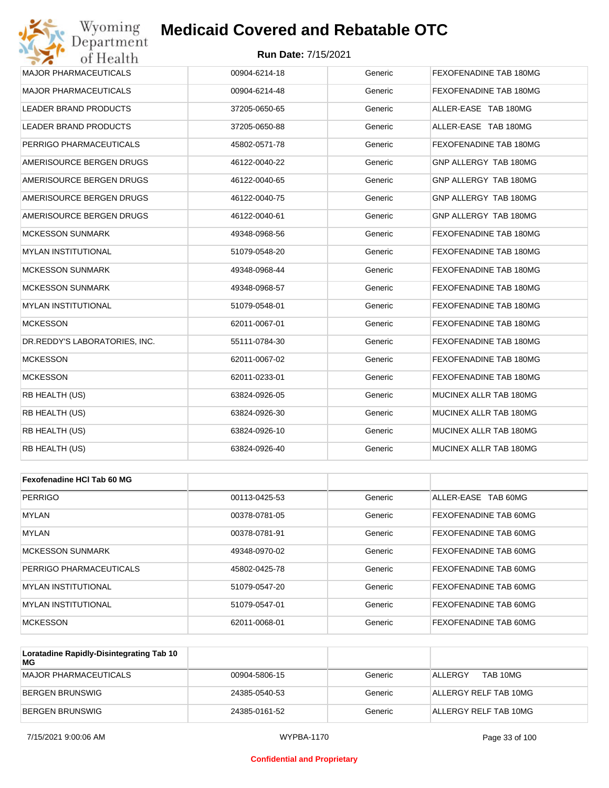### **Run Date:** 7/15/2021

| Wyoming<br>Department         | <b>Medicaid Covered and Rebatable OTC</b> |         |                        |
|-------------------------------|-------------------------------------------|---------|------------------------|
| of Health                     | <b>Run Date: 7/15/2021</b>                |         |                        |
| <b>MAJOR PHARMACEUTICALS</b>  | 00904-6214-18                             | Generic | FEXOFENADINE TAB 180MG |
| <b>MAJOR PHARMACEUTICALS</b>  | 00904-6214-48                             | Generic | FEXOFENADINE TAB 180MG |
| LEADER BRAND PRODUCTS         | 37205-0650-65                             | Generic | ALLER-EASE TAB 180MG   |
| <b>LEADER BRAND PRODUCTS</b>  | 37205-0650-88                             | Generic | ALLER-EASE TAB 180MG   |
| PERRIGO PHARMACEUTICALS       | 45802-0571-78                             | Generic | FEXOFENADINE TAB 180MG |
| AMERISOURCE BERGEN DRUGS      | 46122-0040-22                             | Generic | GNP ALLERGY TAB 180MG  |
| AMERISOURCE BERGEN DRUGS      | 46122-0040-65                             | Generic | GNP ALLERGY TAB 180MG  |
| AMERISOURCE BERGEN DRUGS      | 46122-0040-75                             | Generic | GNP ALLERGY TAB 180MG  |
| AMERISOURCE BERGEN DRUGS      | 46122-0040-61                             | Generic | GNP ALLERGY TAB 180MG  |
| <b>MCKESSON SUNMARK</b>       | 49348-0968-56                             | Generic | FEXOFENADINE TAB 180MG |
| MYLAN INSTITUTIONAL           | 51079-0548-20                             | Generic | FEXOFENADINE TAB 180MG |
| <b>MCKESSON SUNMARK</b>       | 49348-0968-44                             | Generic | FEXOFENADINE TAB 180MG |
| <b>MCKESSON SUNMARK</b>       | 49348-0968-57                             | Generic | FEXOFENADINE TAB 180MG |
| MYLAN INSTITUTIONAL           | 51079-0548-01                             | Generic | FEXOFENADINE TAB 180MG |
| <b>MCKESSON</b>               | 62011-0067-01                             | Generic | FEXOFENADINE TAB 180MG |
| DR.REDDY'S LABORATORIES, INC. | 55111-0784-30                             | Generic | FEXOFENADINE TAB 180MG |
| <b>MCKESSON</b>               | 62011-0067-02                             | Generic | FEXOFENADINE TAB 180MG |
| <b>MCKESSON</b>               | 62011-0233-01                             | Generic | FEXOFENADINE TAB 180MG |
| RB HEALTH (US)                | 63824-0926-05                             | Generic | MUCINEX ALLR TAB 180MG |
| RB HEALTH (US)                | 63824-0926-30                             | Generic | MUCINEX ALLR TAB 180MG |
| RB HEALTH (US)                | 63824-0926-10                             | Generic | MUCINEX ALLR TAB 180MG |
| RB HEALTH (US)                | 63824-0926-40                             | Generic | MUCINEX ALLR TAB 180MG |
|                               |                                           |         |                        |
| Fexofenadine HCI Tab 60 MG    |                                           |         |                        |
| <b>PERRIGO</b>                | 00113-0425-53                             | Generic | ALLER-EASE TAB 60MG    |
| MYLAN                         | 00378-0781-05                             | Generic | FEXOFENADINE TAB 60MG  |
| <b>MYLAN</b>                  | 00378-0781-91                             | Generic | FEXOFENADINE TAB 60MG  |
| <b>MCKESSON SUNMARK</b>       | 49348-0970-02                             | Generic | FEXOFENADINE TAB 60MG  |
|                               |                                           |         |                        |

| IMCKESSON SUNMARK           | 49348-0970-02 | Generic | <b>FEXOFENADINE TAB 60MG</b> |
|-----------------------------|---------------|---------|------------------------------|
| PERRIGO PHARMACEUTICALS     | 45802-0425-78 | Generic | <b>FEXOFENADINE TAB 60MG</b> |
| <b>IMYLAN INSTITUTIONAL</b> | 51079-0547-20 | Generic | <b>FEXOFENADINE TAB 60MG</b> |
| <b>IMYLAN INSTITUTIONAL</b> | 51079-0547-01 | Generic | <b>FEXOFENADINE TAB 60MG</b> |
| MCKESSON                    | 62011-0068-01 | Generic | <b>FEXOFENADINE TAB 60MG</b> |

| Loratadine Rapidly-Disintegrating Tab 10<br>MG |               |         |                       |
|------------------------------------------------|---------------|---------|-----------------------|
| MAJOR PHARMACEUTICALS                          | 00904-5806-15 | Generic | TAB 10MG<br>ALLERGY   |
| BERGEN BRUNSWIG                                | 24385-0540-53 | Generic | ALLERGY RELF TAB 10MG |
| BERGEN BRUNSWIG                                | 24385-0161-52 | Generic | ALLERGY RELF TAB 10MG |

#### **Confidential and Proprietary**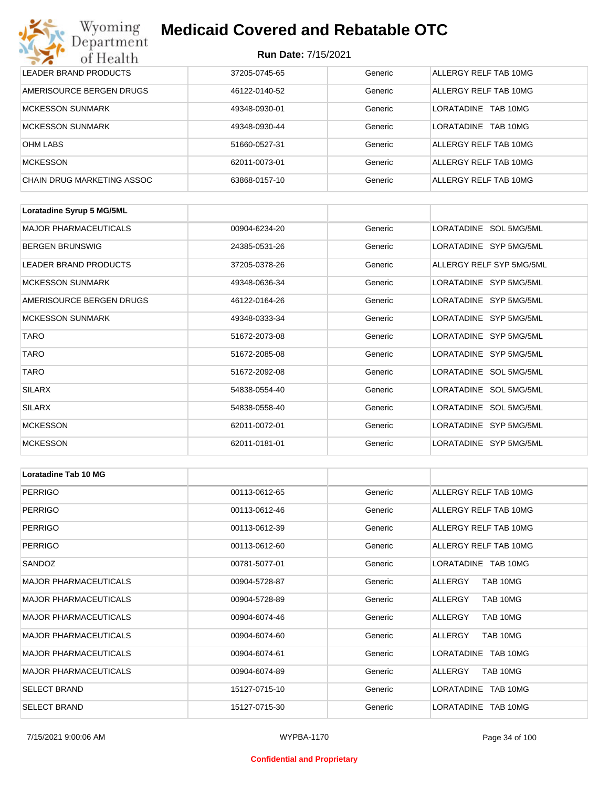| Wyoming<br>Department      | <b>Medicaid Covered and Rebatable OTC</b><br><b>Run Date: 7/15/2021</b> |         |                               |  |
|----------------------------|-------------------------------------------------------------------------|---------|-------------------------------|--|
| of Health                  |                                                                         |         |                               |  |
| LEADER BRAND PRODUCTS      | 37205-0745-65                                                           | Generic | ALLERGY RELF TAB 10MG         |  |
| AMERISOURCE BERGEN DRUGS   | 46122-0140-52                                                           | Generic | ALLERGY RELF TAB 10MG         |  |
| <b>MCKESSON SUNMARK</b>    | 49348-0930-01                                                           | Generic | <b>LORATADINE</b><br>TAB 10MG |  |
| <b>MCKESSON SUNMARK</b>    | 49348-0930-44                                                           | Generic | <b>LORATADINE</b><br>TAB 10MG |  |
| <b>OHM LABS</b>            | 51660-0527-31                                                           | Generic | ALLERGY RELF TAB 10MG         |  |
| <b>MCKESSON</b>            | 62011-0073-01                                                           | Generic | ALLERGY RELF TAB 10MG         |  |
| CHAIN DRUG MARKETING ASSOC | 63868-0157-10                                                           | Generic | ALLERGY RELF TAB 10MG         |  |

| Loratadine Syrup 5 MG/5ML    |               |         |                          |
|------------------------------|---------------|---------|--------------------------|
| <b>MAJOR PHARMACEUTICALS</b> | 00904-6234-20 | Generic | LORATADINE SOL 5MG/5ML   |
| <b>BERGEN BRUNSWIG</b>       | 24385-0531-26 | Generic | LORATADINE SYP 5MG/5ML   |
| LEADER BRAND PRODUCTS        | 37205-0378-26 | Generic | ALLERGY RELF SYP 5MG/5ML |
| <b>MCKESSON SUNMARK</b>      | 49348-0636-34 | Generic | LORATADINE SYP 5MG/5ML   |
| AMERISOURCE BERGEN DRUGS     | 46122-0164-26 | Generic | LORATADINE SYP 5MG/5ML   |
| <b>MCKESSON SUNMARK</b>      | 49348-0333-34 | Generic | LORATADINE SYP 5MG/5ML   |
| <b>TARO</b>                  | 51672-2073-08 | Generic | LORATADINE SYP 5MG/5ML   |
| <b>TARO</b>                  | 51672-2085-08 | Generic | LORATADINE SYP 5MG/5ML   |
| <b>TARO</b>                  | 51672-2092-08 | Generic | LORATADINE SOL 5MG/5ML   |
| <b>SILARX</b>                | 54838-0554-40 | Generic | LORATADINE SOL 5MG/5ML   |
| SILARX                       | 54838-0558-40 | Generic | LORATADINE SOL 5MG/5ML   |
| <b>MCKESSON</b>              | 62011-0072-01 | Generic | LORATADINE SYP 5MG/5ML   |
| <b>MCKESSON</b>              | 62011-0181-01 | Generic | LORATADINE SYP 5MG/5ML   |

| Loratadine Tab 10 MG         |               |         |                       |
|------------------------------|---------------|---------|-----------------------|
| <b>PERRIGO</b>               | 00113-0612-65 | Generic | ALLERGY RELF TAB 10MG |
| <b>PERRIGO</b>               | 00113-0612-46 | Generic | ALLERGY RELF TAB 10MG |
| <b>PERRIGO</b>               | 00113-0612-39 | Generic | ALLERGY RELF TAB 10MG |
| <b>PERRIGO</b>               | 00113-0612-60 | Generic | ALLERGY RELF TAB 10MG |
| SANDOZ                       | 00781-5077-01 | Generic | LORATADINE TAB 10MG   |
| <b>MAJOR PHARMACEUTICALS</b> | 00904-5728-87 | Generic | TAB 10MG<br>ALLERGY   |
| <b>MAJOR PHARMACEUTICALS</b> | 00904-5728-89 | Generic | ALLERGY<br>TAB 10MG   |
| <b>MAJOR PHARMACEUTICALS</b> | 00904-6074-46 | Generic | TAB 10MG<br>ALLERGY   |
| <b>MAJOR PHARMACEUTICALS</b> | 00904-6074-60 | Generic | TAB 10MG<br>ALLERGY   |
| <b>MAJOR PHARMACEUTICALS</b> | 00904-6074-61 | Generic | LORATADINE TAB 10MG   |
| <b>MAJOR PHARMACEUTICALS</b> | 00904-6074-89 | Generic | TAB 10MG<br>ALLERGY   |
| <b>SELECT BRAND</b>          | 15127-0715-10 | Generic | LORATADINE TAB 10MG   |
| <b>SELECT BRAND</b>          | 15127-0715-30 | Generic | LORATADINE TAB 10MG   |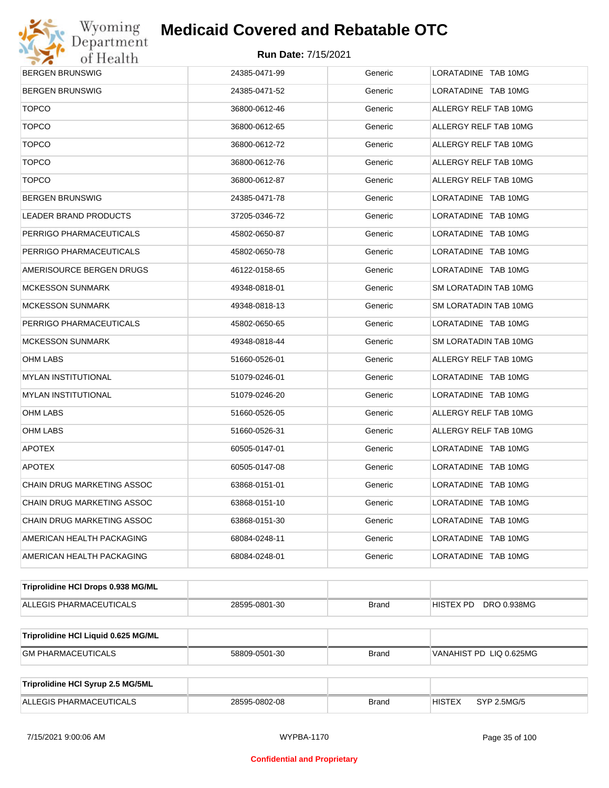

| <b>BERGEN BRUNSWIG</b>              | 24385-0471-99 | Generic      | LORATADINE TAB 10MG          |
|-------------------------------------|---------------|--------------|------------------------------|
| <b>BERGEN BRUNSWIG</b>              | 24385-0471-52 | Generic      | LORATADINE TAB 10MG          |
| <b>TOPCO</b>                        | 36800-0612-46 | Generic      | ALLERGY RELF TAB 10MG        |
| <b>TOPCO</b>                        | 36800-0612-65 | Generic      | ALLERGY RELF TAB 10MG        |
| <b>TOPCO</b>                        | 36800-0612-72 | Generic      | ALLERGY RELF TAB 10MG        |
| <b>TOPCO</b>                        | 36800-0612-76 | Generic      | ALLERGY RELF TAB 10MG        |
| <b>TOPCO</b>                        | 36800-0612-87 | Generic      | ALLERGY RELF TAB 10MG        |
| BERGEN BRUNSWIG                     | 24385-0471-78 | Generic      | LORATADINE TAB 10MG          |
| LEADER BRAND PRODUCTS               | 37205-0346-72 | Generic      | LORATADINE TAB 10MG          |
| PERRIGO PHARMACEUTICALS             | 45802-0650-87 | Generic      | LORATADINE TAB 10MG          |
| PERRIGO PHARMACEUTICALS             | 45802-0650-78 | Generic      | LORATADINE TAB 10MG          |
| AMERISOURCE BERGEN DRUGS            | 46122-0158-65 | Generic      | LORATADINE TAB 10MG          |
| MCKESSON SUNMARK                    | 49348-0818-01 | Generic      | SM LORATADIN TAB 10MG        |
| MCKESSON SUNMARK                    | 49348-0818-13 | Generic      | SM LORATADIN TAB 10MG        |
| PERRIGO PHARMACEUTICALS             | 45802-0650-65 | Generic      | LORATADINE TAB 10MG          |
| <b>MCKESSON SUNMARK</b>             | 49348-0818-44 | Generic      | SM LORATADIN TAB 10MG        |
| OHM LABS                            | 51660-0526-01 | Generic      | ALLERGY RELF TAB 10MG        |
| MYLAN INSTITUTIONAL                 | 51079-0246-01 | Generic      | LORATADINE TAB 10MG          |
| <b>MYLAN INSTITUTIONAL</b>          | 51079-0246-20 | Generic      | LORATADINE TAB 10MG          |
| OHM LABS                            | 51660-0526-05 | Generic      | ALLERGY RELF TAB 10MG        |
| OHM LABS                            | 51660-0526-31 | Generic      | ALLERGY RELF TAB 10MG        |
| <b>APOTEX</b>                       | 60505-0147-01 | Generic      | LORATADINE TAB 10MG          |
| <b>APOTEX</b>                       | 60505-0147-08 | Generic      | LORATADINE TAB 10MG          |
| CHAIN DRUG MARKETING ASSOC          | 63868-0151-01 | Generic      | LORATADINE TAB 10MG          |
| CHAIN DRUG MARKETING ASSOC          | 63868-0151-10 | Generic      | LORATADINE TAB 10MG          |
| CHAIN DRUG MARKETING ASSOC          | 63868-0151-30 | Generic      | LORATADINE TAB 10MG          |
| AMERICAN HEALTH PACKAGING           | 68084-0248-11 | Generic      | LORATADINE TAB 10MG          |
| AMERICAN HEALTH PACKAGING           | 68084-0248-01 | Generic      | LORATADINE TAB 10MG          |
| Triprolidine HCI Drops 0.938 MG/ML  |               |              |                              |
| ALLEGIS PHARMACEUTICALS             | 28595-0801-30 | <b>Brand</b> | HISTEX PD DRO 0.938MG        |
| Triprolidine HCI Liquid 0.625 MG/ML |               |              |                              |
| <b>GM PHARMACEUTICALS</b>           | 58809-0501-30 | <b>Brand</b> | VANAHIST PD LIQ 0.625MG      |
|                                     |               |              |                              |
| Triprolidine HCI Syrup 2.5 MG/5ML   |               |              |                              |
| ALLEGIS PHARMACEUTICALS             | 28595-0802-08 | <b>Brand</b> | <b>HISTEX</b><br>SYP 2.5MG/5 |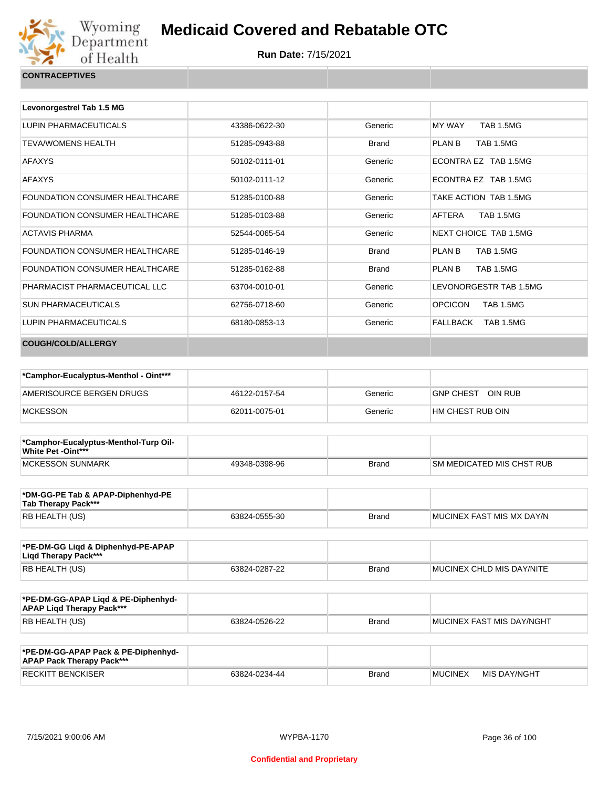

| Levonorgestrel Tab 1.5 MG             |               |              |                                    |
|---------------------------------------|---------------|--------------|------------------------------------|
| LUPIN PHARMACEUTICALS                 | 43386-0622-30 | Generic      | <b>MY WAY</b><br><b>TAB 1.5MG</b>  |
| <b>TEVA/WOMENS HEALTH</b>             | 51285-0943-88 | <b>Brand</b> | PLAN B<br><b>TAB 1.5MG</b>         |
| <b>AFAXYS</b>                         | 50102-0111-01 | Generic      | ECONTRA EZ TAB 1.5MG               |
| <b>AFAXYS</b>                         | 50102-0111-12 | Generic      | ECONTRA EZ TAB 1.5MG               |
| <b>FOUNDATION CONSUMER HEALTHCARE</b> | 51285-0100-88 | Generic      | TAKE ACTION TAB 1.5MG              |
| <b>FOUNDATION CONSUMER HEALTHCARE</b> | 51285-0103-88 | Generic      | AFTERA<br><b>TAB 1.5MG</b>         |
| <b>ACTAVIS PHARMA</b>                 | 52544-0065-54 | Generic      | NEXT CHOICE TAB 1.5MG              |
| FOUNDATION CONSUMER HEALTHCARE        | 51285-0146-19 | <b>Brand</b> | <b>TAB 1.5MG</b><br>PLAN B         |
| <b>FOUNDATION CONSUMER HEALTHCARE</b> | 51285-0162-88 | <b>Brand</b> | <b>TAB 1.5MG</b><br>PLAN B         |
| PHARMACIST PHARMACEUTICAL LLC         | 63704-0010-01 | Generic      | LEVONORGESTR TAB 1.5MG             |
| <b>SUN PHARMACEUTICALS</b>            | 62756-0718-60 | Generic      | <b>OPCICON</b><br><b>TAB 1.5MG</b> |
| LUPIN PHARMACEUTICALS                 | 68180-0853-13 | Generic      | FALLBACK<br>TAB 1.5MG              |
| COUGH/COLD/ALLERGY                    |               |              |                                    |

| *Camphor-Eucalyptus-Menthol - Oint*** |               |         |                   |
|---------------------------------------|---------------|---------|-------------------|
| AMERISOURCE BERGEN DRUGS              | 46122-0157-54 | Generic | GNP CHEST OIN RUB |
| <b>MCKESSON</b>                       | 62011-0075-01 | Generic | HM CHEST RUB OIN  |

| *Camphor-Eucalyptus-Menthol-Turp Oil-<br>White Pet -Oint*** |               |              |                            |
|-------------------------------------------------------------|---------------|--------------|----------------------------|
| <b>IMCKESSON SUNMARK</b>                                    | 49348-0398-96 | <b>Brand</b> | ISM MEDICATED MIS CHST RUB |

| *DM-GG-PE Tab & APAP-Diphenhyd-PE<br>Tab Therapy Pack*** |               |       |                           |
|----------------------------------------------------------|---------------|-------|---------------------------|
| RB HEALTH (US)                                           | 63824-0555-30 | Brand | MUCINEX FAST MIS MX DAY/N |

| *PE-DM-GG Ligd & Diphenhyd-PE-APAP<br>Ligd Therapy Pack*** |               |              |                           |
|------------------------------------------------------------|---------------|--------------|---------------------------|
| RB HEALTH (US)                                             | 63824-0287-22 | <b>Brand</b> | MUCINEX CHLD MIS DAY/NITE |

| *PE-DM-GG-APAP Ligd & PE-Diphenhyd-<br><b>APAP Ligd Therapy Pack***</b> |               |       |                           |
|-------------------------------------------------------------------------|---------------|-------|---------------------------|
| <b>RB HEALTH (US)</b>                                                   | 63824-0526-22 | Brand | MUCINEX FAST MIS DAY/NGHT |

| *PE-DM-GG-APAP Pack & PE-Diphenhyd-<br><b>APAP Pack Therapy Pack***</b> |               |              |                |              |
|-------------------------------------------------------------------------|---------------|--------------|----------------|--------------|
| <b>RECKITT BENCKISER</b>                                                | 63824-0234-44 | <b>Brand</b> | <b>MUCINEX</b> | MIS DAY/NGHT |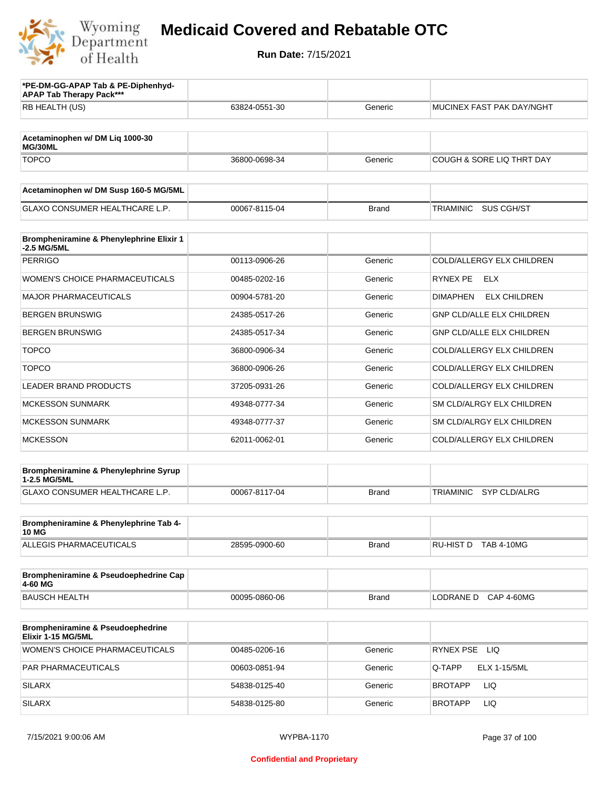

| *PE-DM-GG-APAP Tab & PE-Diphenhyd-<br><b>APAP Tab Therapy Pack***</b> |               |              |                                        |
|-----------------------------------------------------------------------|---------------|--------------|----------------------------------------|
| RB HEALTH (US)                                                        | 63824-0551-30 | Generic      | MUCINEX FAST PAK DAY/NGHT              |
| Acetaminophen w/ DM Liq 1000-30<br>MG/30ML                            |               |              |                                        |
| <b>TOPCO</b>                                                          | 36800-0698-34 | Generic      | COUGH & SORE LIQ THRT DAY              |
| Acetaminophen w/ DM Susp 160-5 MG/5ML                                 |               |              |                                        |
| <b>GLAXO CONSUMER HEALTHCARE L.P.</b>                                 | 00067-8115-04 | <b>Brand</b> | SUS CGH/ST<br><b>TRIAMINIC</b>         |
| Brompheniramine & Phenylephrine Elixir 1<br>-2.5 MG/5ML               |               |              |                                        |
| <b>PERRIGO</b>                                                        | 00113-0906-26 | Generic      | COLD/ALLERGY ELX CHILDREN              |
| <b>WOMEN'S CHOICE PHARMACEUTICALS</b>                                 | 00485-0202-16 | Generic      | RYNEX PE<br>ELX                        |
| <b>MAJOR PHARMACEUTICALS</b>                                          | 00904-5781-20 | Generic      | <b>ELX CHILDREN</b><br><b>DIMAPHEN</b> |
| <b>BERGEN BRUNSWIG</b>                                                | 24385-0517-26 | Generic      | <b>GNP CLD/ALLE ELX CHILDREN</b>       |
| <b>BERGEN BRUNSWIG</b>                                                | 24385-0517-34 | Generic      | <b>GNP CLD/ALLE ELX CHILDREN</b>       |
| <b>TOPCO</b>                                                          | 36800-0906-34 | Generic      | COLD/ALLERGY ELX CHILDREN              |
| <b>TOPCO</b>                                                          | 36800-0906-26 | Generic      | COLD/ALLERGY ELX CHILDREN              |
| LEADER BRAND PRODUCTS                                                 | 37205-0931-26 | Generic      | COLD/ALLERGY ELX CHILDREN              |
| <b>MCKESSON SUNMARK</b>                                               | 49348-0777-34 | Generic      | SM CLD/ALRGY ELX CHILDREN              |
| <b>MCKESSON SUNMARK</b>                                               | 49348-0777-37 | Generic      | SM CLD/ALRGY ELX CHILDREN              |
| <b>MCKESSON</b>                                                       | 62011-0062-01 | Generic      | COLD/ALLERGY ELX CHILDREN              |
| Brompheniramine & Phenylephrine Syrup<br>1-2.5 MG/5ML                 |               |              |                                        |
| GLAXO CONSUMER HEALTHCARE L.P.                                        | 00067-8117-04 | <b>Brand</b> | TRIAMINIC<br>SYP CLD/ALRG              |
| Brompheniramine & Phenylephrine Tab 4-<br><b>10 MG</b>                |               |              |                                        |
| <b>ALLEGIS PHARMACEUTICALS</b>                                        | 28595-0900-60 | <b>Brand</b> | RU-HIST D TAB 4-10MG                   |
| Brompheniramine & Pseudoephedrine Cap<br>4-60 MG                      |               |              |                                        |
| <b>BAUSCH HEALTH</b>                                                  | 00095-0860-06 | <b>Brand</b> | LODRANE D<br><b>CAP 4-60MG</b>         |
| Brompheniramine & Pseudoephedrine<br>Elixir 1-15 MG/5ML               |               |              |                                        |
| <b>WOMEN'S CHOICE PHARMACEUTICALS</b>                                 | 00485-0206-16 | Generic      | RYNEX PSE LIQ                          |
| PAR PHARMACEUTICALS                                                   | 00603-0851-94 | Generic      | <b>ELX 1-15/5ML</b><br>Q-TAPP          |
| <b>SILARX</b>                                                         | 54838-0125-40 | Generic      | <b>LIQ</b><br><b>BROTAPP</b>           |
| <b>SILARX</b>                                                         | 54838-0125-80 | Generic      | <b>LIQ</b><br><b>BROTAPP</b>           |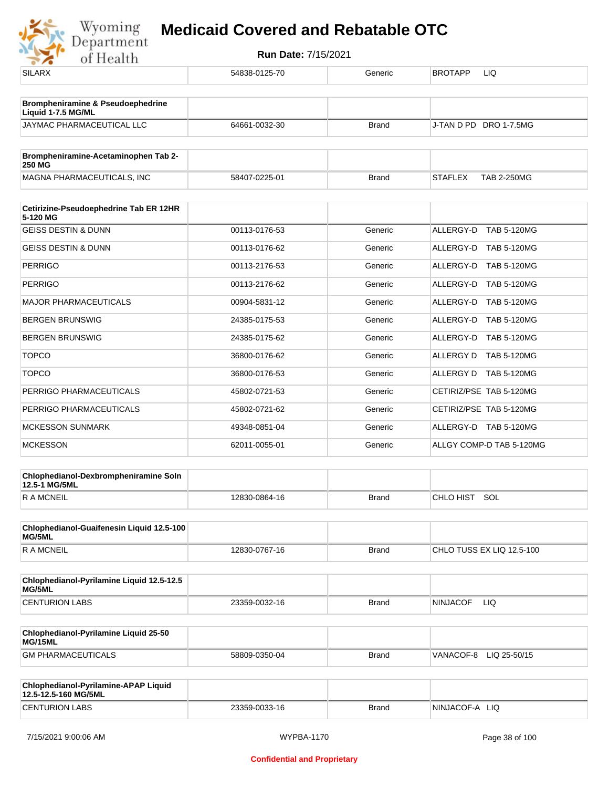| <b>SILARX</b>                                                | 54838-0125-70 | Generic      | <b>BROTAPP</b><br>LIQ                |
|--------------------------------------------------------------|---------------|--------------|--------------------------------------|
| Brompheniramine & Pseudoephedrine<br>Liquid 1-7.5 MG/ML      |               |              |                                      |
| JAYMAC PHARMACEUTICAL LLC                                    | 64661-0032-30 | <b>Brand</b> | J-TAN D PD DRO 1-7.5MG               |
| Brompheniramine-Acetaminophen Tab 2-<br>250 MG               |               |              |                                      |
| MAGNA PHARMACEUTICALS, INC                                   | 58407-0225-01 | <b>Brand</b> | <b>STAFLEX</b><br><b>TAB 2-250MG</b> |
| Cetirizine-Pseudoephedrine Tab ER 12HR<br>5-120 MG           |               |              |                                      |
| <b>GEISS DESTIN &amp; DUNN</b>                               | 00113-0176-53 | Generic      | ALLERGY-D TAB 5-120MG                |
| <b>GEISS DESTIN &amp; DUNN</b>                               | 00113-0176-62 | Generic      | ALLERGY-D TAB 5-120MG                |
| <b>PERRIGO</b>                                               | 00113-2176-53 | Generic      | ALLERGY-D TAB 5-120MG                |
| <b>PERRIGO</b>                                               | 00113-2176-62 | Generic      | ALLERGY-D TAB 5-120MG                |
| <b>MAJOR PHARMACEUTICALS</b>                                 | 00904-5831-12 | Generic      | ALLERGY-D TAB 5-120MG                |
| <b>BERGEN BRUNSWIG</b>                                       | 24385-0175-53 | Generic      | ALLERGY-D TAB 5-120MG                |
| <b>BERGEN BRUNSWIG</b>                                       | 24385-0175-62 | Generic      | ALLERGY-D TAB 5-120MG                |
| <b>TOPCO</b>                                                 | 36800-0176-62 | Generic      | ALLERGY D TAB 5-120MG                |
| <b>TOPCO</b>                                                 | 36800-0176-53 | Generic      | ALLERGY D TAB 5-120MG                |
| PERRIGO PHARMACEUTICALS                                      | 45802-0721-53 | Generic      | CETIRIZ/PSE TAB 5-120MG              |
| PERRIGO PHARMACEUTICALS                                      | 45802-0721-62 | Generic      | CETIRIZ/PSE TAB 5-120MG              |
| <b>MCKESSON SUNMARK</b>                                      | 49348-0851-04 | Generic      | ALLERGY-D TAB 5-120MG                |
| <b>MCKESSON</b>                                              | 62011-0055-01 | Generic      | ALLGY COMP-D TAB 5-120MG             |
| Chlophedianol-Dexbrompheniramine Soln<br>12.5-1 MG/5ML       |               |              |                                      |
| <b>RAMCNEIL</b>                                              | 12830-0864-16 | <b>Brand</b> | CHLO HIST SOL                        |
| Chlophedianol-Guaifenesin Liquid 12.5-100<br>MG/5ML          |               |              |                                      |
| <b>RAMCNEIL</b>                                              | 12830-0767-16 | Brand        | CHLO TUSS EX LIQ 12.5-100            |
| Chlophedianol-Pyrilamine Liquid 12.5-12.5<br>MG/5ML          |               |              |                                      |
| <b>CENTURION LABS</b>                                        | 23359-0032-16 | <b>Brand</b> | <b>NINJACOF</b><br>LIQ.              |
| Chlophedianol-Pyrilamine Liquid 25-50<br>MG/15ML             |               |              |                                      |
| <b>GM PHARMACEUTICALS</b>                                    | 58809-0350-04 | <b>Brand</b> | VANACOF-8 LIQ 25-50/15               |
| Chlophedianol-Pyrilamine-APAP Liquid<br>12.5-12.5-160 MG/5ML |               |              |                                      |
| <b>CENTURION LABS</b>                                        | 23359-0033-16 | <b>Brand</b> | NINJACOF-A LIQ                       |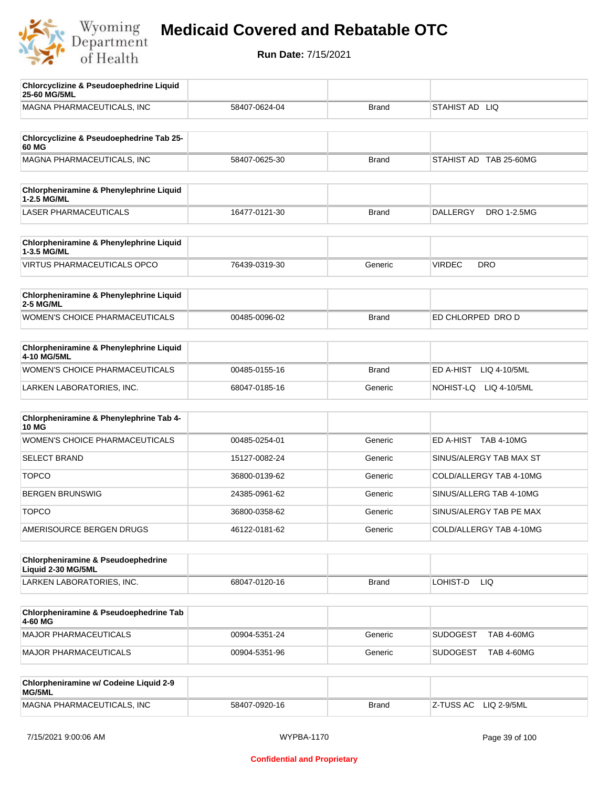

| <b>Chlorcyclizine &amp; Pseudoephedrine Liquid</b><br>25-60 MG/5ML |               |              |                                       |
|--------------------------------------------------------------------|---------------|--------------|---------------------------------------|
| MAGNA PHARMACEUTICALS, INC                                         | 58407-0624-04 | <b>Brand</b> | STAHIST AD LIQ                        |
| Chlorcyclizine & Pseudoephedrine Tab 25-<br>60 MG                  |               |              |                                       |
| MAGNA PHARMACEUTICALS, INC                                         | 58407-0625-30 | <b>Brand</b> | STAHIST AD TAB 25-60MG                |
| <b>Chlorpheniramine &amp; Phenylephrine Liquid</b><br>1-2.5 MG/ML  |               |              |                                       |
| <b>LASER PHARMACEUTICALS</b>                                       | 16477-0121-30 | <b>Brand</b> | <b>DALLERGY</b><br><b>DRO 1-2.5MG</b> |
| Chlorpheniramine & Phenylephrine Liquid<br>1-3.5 MG/ML             |               |              |                                       |
| <b>VIRTUS PHARMACEUTICALS OPCO</b>                                 | 76439-0319-30 | Generic      | <b>VIRDEC</b><br><b>DRO</b>           |
| Chlorpheniramine & Phenylephrine Liquid<br>2-5 MG/ML               |               |              |                                       |
| <b>WOMEN'S CHOICE PHARMACEUTICALS</b>                              | 00485-0096-02 | <b>Brand</b> | ED CHLORPED DRO D                     |
| Chlorpheniramine & Phenylephrine Liquid<br>4-10 MG/5ML             |               |              |                                       |
| WOMEN'S CHOICE PHARMACEUTICALS                                     | 00485-0155-16 | <b>Brand</b> | ED A-HIST<br>LIQ 4-10/5ML             |
| LARKEN LABORATORIES, INC.                                          | 68047-0185-16 | Generic      | NOHIST-LQ LIQ 4-10/5ML                |
| Chlorpheniramine & Phenylephrine Tab 4-<br><b>10 MG</b>            |               |              |                                       |
| <b>WOMEN'S CHOICE PHARMACEUTICALS</b>                              | 00485-0254-01 | Generic      | ED A-HIST TAB 4-10MG                  |
| <b>SELECT BRAND</b>                                                | 15127-0082-24 | Generic      | SINUS/ALERGY TAB MAX ST               |
| <b>TOPCO</b>                                                       | 36800-0139-62 | Generic      | COLD/ALLERGY TAB 4-10MG               |
| <b>BERGEN BRUNSWIG</b>                                             | 24385-0961-62 | Generic      | SINUS/ALLERG TAB 4-10MG               |
| <b>TOPCO</b>                                                       | 36800-0358-62 | Generic      | SINUS/ALERGY TAB PE MAX               |
| AMERISOURCE BERGEN DRUGS                                           | 46122-0181-62 | Generic      | COLD/ALLERGY TAB 4-10MG               |
| Chlorpheniramine & Pseudoephedrine<br>Liquid 2-30 MG/5ML           |               |              |                                       |
| LARKEN LABORATORIES, INC.                                          | 68047-0120-16 | <b>Brand</b> | LOHIST-D<br>LIQ.                      |
| Chlorpheniramine & Pseudoephedrine Tab<br>4-60 MG                  |               |              |                                       |
| MAJOR PHARMACEUTICALS                                              | 00904-5351-24 | Generic      | <b>SUDOGEST</b><br><b>TAB 4-60MG</b>  |
| MAJOR PHARMACEUTICALS                                              | 00904-5351-96 | Generic      | <b>SUDOGEST</b><br><b>TAB 4-60MG</b>  |
| Chlorpheniramine w/ Codeine Liquid 2-9<br>MG/5ML                   |               |              |                                       |
| MAGNA PHARMACEUTICALS, INC                                         | 58407-0920-16 | <b>Brand</b> | Z-TUSS AC<br>LIQ 2-9/5ML              |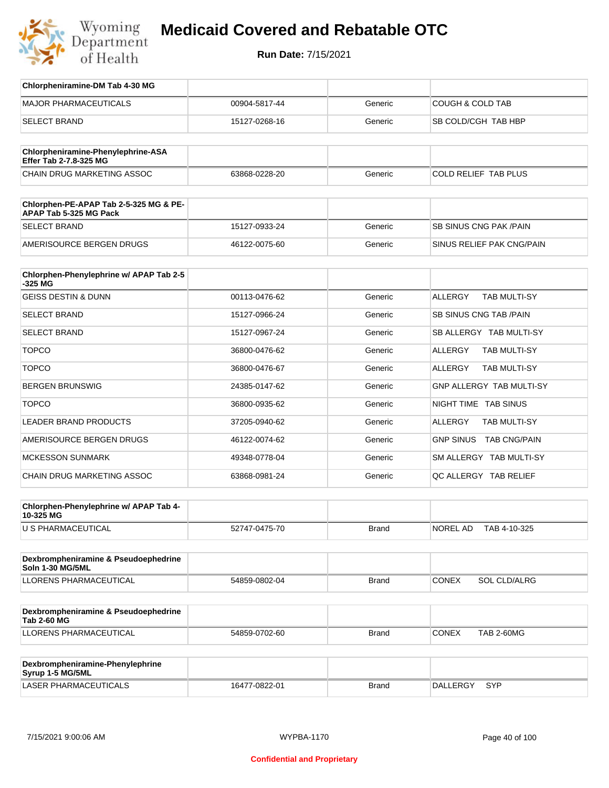

**Run Date:** 7/15/2021

| Chlorpheniramine-DM Tab 4-30 MG                                  |               |              |                                       |
|------------------------------------------------------------------|---------------|--------------|---------------------------------------|
| <b>MAJOR PHARMACEUTICALS</b>                                     | 00904-5817-44 | Generic      | <b>COUGH &amp; COLD TAB</b>           |
| <b>SELECT BRAND</b>                                              | 15127-0268-16 | Generic      | SB COLD/CGH TAB HBP                   |
|                                                                  |               |              |                                       |
| Chlorpheniramine-Phenylephrine-ASA<br>Effer Tab 2-7.8-325 MG     |               |              |                                       |
| CHAIN DRUG MARKETING ASSOC                                       | 63868-0228-20 | Generic      | COLD RELIEF TAB PLUS                  |
| Chlorphen-PE-APAP Tab 2-5-325 MG & PE-<br>APAP Tab 5-325 MG Pack |               |              |                                       |
| <b>SELECT BRAND</b>                                              | 15127-0933-24 | Generic      | <b>SB SINUS CNG PAK/PAIN</b>          |
| AMERISOURCE BERGEN DRUGS                                         | 46122-0075-60 | Generic      | SINUS RELIEF PAK CNG/PAIN             |
| Chlorphen-Phenylephrine w/ APAP Tab 2-5                          |               |              |                                       |
| $-325$ MG                                                        |               |              |                                       |
| <b>GEISS DESTIN &amp; DUNN</b>                                   | 00113-0476-62 | Generic      | <b>ALLERGY</b><br><b>TAB MULTI-SY</b> |
| <b>SELECT BRAND</b>                                              | 15127-0966-24 | Generic      | <b>SB SINUS CNG TAB /PAIN</b>         |
| <b>SELECT BRAND</b>                                              | 15127-0967-24 | Generic      | SB ALLERGY TAB MULTI-SY               |
| <b>TOPCO</b>                                                     | 36800-0476-62 | Generic      | <b>TAB MULTI-SY</b><br><b>ALLERGY</b> |
| <b>TOPCO</b>                                                     | 36800-0476-67 | Generic      | <b>TAB MULTI-SY</b><br>ALLERGY        |
| <b>BERGEN BRUNSWIG</b>                                           | 24385-0147-62 | Generic      | <b>GNP ALLERGY TAB MULTI-SY</b>       |
| <b>TOPCO</b>                                                     | 36800-0935-62 | Generic      | NIGHT TIME TAB SINUS                  |
| LEADER BRAND PRODUCTS                                            | 37205-0940-62 | Generic      | <b>ALLERGY</b><br>TAB MULTI-SY        |
| AMERISOURCE BERGEN DRUGS                                         | 46122-0074-62 | Generic      | GNP SINUS TAB CNG/PAIN                |
| <b>MCKESSON SUNMARK</b>                                          | 49348-0778-04 | Generic      | SM ALLERGY TAB MULTI-SY               |
| CHAIN DRUG MARKETING ASSOC                                       | 63868-0981-24 | Generic      | QC ALLERGY TAB RELIEF                 |
|                                                                  |               |              |                                       |
| Chlorphen-Phenylephrine w/ APAP Tab 4-<br>10-325 MG              |               |              |                                       |
| U S PHARMACEUTICAL                                               | 52747-0475-70 | <b>Brand</b> | NOREL AD<br>TAB 4-10-325              |
|                                                                  |               |              |                                       |
| Dexbrompheniramine & Pseudoephedrine<br>Soln 1-30 MG/5ML         |               |              |                                       |
| <b>LLORENS PHARMACEUTICAL</b>                                    | 54859-0802-04 | <b>Brand</b> | CONEX<br>SOL CLD/ALRG                 |
| Dexbrompheniramine & Pseudoephedrine                             |               |              |                                       |
| <b>Tab 2-60 MG</b>                                               |               |              |                                       |
| LLORENS PHARMACEUTICAL                                           | 54859-0702-60 | <b>Brand</b> | <b>CONEX</b><br><b>TAB 2-60MG</b>     |
|                                                                  |               |              |                                       |
| Dexbrompheniramine-Phenylephrine<br>Syrup 1-5 MG/5ML             |               |              |                                       |
| LASER PHARMACEUTICALS                                            | 16477-0822-01 | <b>Brand</b> | DALLERGY SYP                          |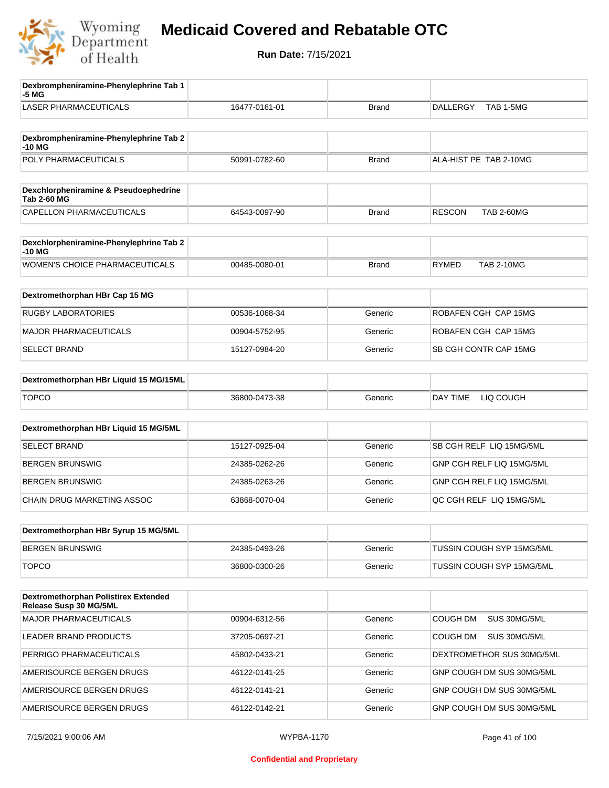

| Dexbrompheniramine-Phenylephrine Tab 1<br>-5 MG                |               |              |                                    |
|----------------------------------------------------------------|---------------|--------------|------------------------------------|
| <b>LASER PHARMACEUTICALS</b>                                   | 16477-0161-01 | <b>Brand</b> | <b>DALLERGY</b><br>TAB 1-5MG       |
| Dexbrompheniramine-Phenylephrine Tab 2                         |               |              |                                    |
| $-10M$<br>POLY PHARMACEUTICALS                                 | 50991-0782-60 | <b>Brand</b> | ALA-HIST PE TAB 2-10MG             |
|                                                                |               |              |                                    |
| Dexchlorpheniramine & Pseudoephedrine<br><b>Tab 2-60 MG</b>    |               |              |                                    |
| <b>CAPELLON PHARMACEUTICALS</b>                                | 64543-0097-90 | <b>Brand</b> | <b>RESCON</b><br><b>TAB 2-60MG</b> |
|                                                                |               |              |                                    |
| Dexchlorpheniramine-Phenylephrine Tab 2<br>-10 MG              |               |              |                                    |
| WOMEN'S CHOICE PHARMACEUTICALS                                 | 00485-0080-01 | <b>Brand</b> | <b>RYMED</b><br><b>TAB 2-10MG</b>  |
| Dextromethorphan HBr Cap 15 MG                                 |               |              |                                    |
| <b>RUGBY LABORATORIES</b>                                      | 00536-1068-34 | Generic      | ROBAFEN CGH CAP 15MG               |
|                                                                |               |              |                                    |
| <b>MAJOR PHARMACEUTICALS</b>                                   | 00904-5752-95 | Generic      | ROBAFEN CGH CAP 15MG               |
| <b>SELECT BRAND</b>                                            | 15127-0984-20 | Generic      | SB CGH CONTR CAP 15MG              |
| Dextromethorphan HBr Liquid 15 MG/15ML                         |               |              |                                    |
| <b>TOPCO</b>                                                   | 36800-0473-38 | Generic      | DAY TIME<br>LIQ COUGH              |
|                                                                |               |              |                                    |
| Dextromethorphan HBr Liquid 15 MG/5ML                          |               |              |                                    |
| <b>SELECT BRAND</b>                                            | 15127-0925-04 | Generic      | SB CGH RELF LIQ 15MG/5ML           |
| <b>BERGEN BRUNSWIG</b>                                         | 24385-0262-26 | Generic      | GNP CGH RELF LIQ 15MG/5ML          |
| <b>BERGEN BRUNSWIG</b>                                         | 24385-0263-26 | Generic      | GNP CGH RELF LIQ 15MG/5ML          |
| CHAIN DRUG MARKETING ASSOC                                     | 63868-0070-04 | Generic      | QC CGH RELF LIQ 15MG/5ML           |
| Dextromethorphan HBr Syrup 15 MG/5ML                           |               |              |                                    |
|                                                                |               |              |                                    |
| <b>BERGEN BRUNSWIG</b>                                         | 24385-0493-26 | Generic      | TUSSIN COUGH SYP 15MG/5ML          |
| <b>TOPCO</b>                                                   | 36800-0300-26 | Generic      | TUSSIN COUGH SYP 15MG/5ML          |
| Dextromethorphan Polistirex Extended<br>Release Susp 30 MG/5ML |               |              |                                    |
| <b>MAJOR PHARMACEUTICALS</b>                                   | 00904-6312-56 | Generic      | COUGH DM<br>SUS 30MG/5ML           |
| LEADER BRAND PRODUCTS                                          | 37205-0697-21 | Generic      | COUGH DM<br>SUS 30MG/5ML           |
| PERRIGO PHARMACEUTICALS                                        | 45802-0433-21 | Generic      | DEXTROMETHOR SUS 30MG/5ML          |
| AMERISOURCE BERGEN DRUGS                                       | 46122-0141-25 | Generic      | GNP COUGH DM SUS 30MG/5ML          |
| AMERISOURCE BERGEN DRUGS                                       | 46122-0141-21 | Generic      | GNP COUGH DM SUS 30MG/5ML          |
| AMERISOURCE BERGEN DRUGS                                       | 46122-0142-21 | Generic      | GNP COUGH DM SUS 30MG/5ML          |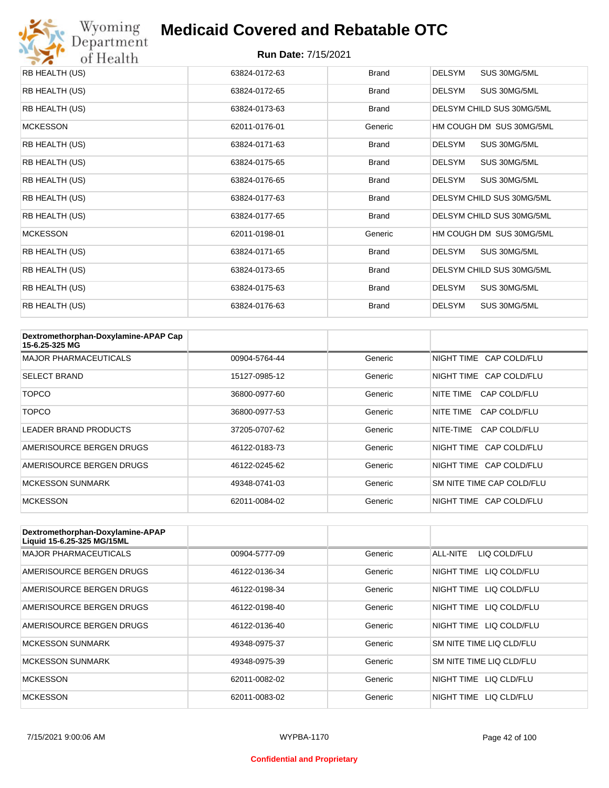

| RB HEALTH (US)  | 63824-0172-63 | <b>Brand</b> | <b>DELSYM</b><br>SUS 30MG/5ML |
|-----------------|---------------|--------------|-------------------------------|
| RB HEALTH (US)  | 63824-0172-65 | <b>Brand</b> | <b>DELSYM</b><br>SUS 30MG/5ML |
| RB HEALTH (US)  | 63824-0173-63 | <b>Brand</b> | DELSYM CHILD SUS 30MG/5ML     |
| <b>MCKESSON</b> | 62011-0176-01 | Generic      | HM COUGH DM SUS 30MG/5ML      |
| RB HEALTH (US)  | 63824-0171-63 | <b>Brand</b> | <b>DELSYM</b><br>SUS 30MG/5ML |
| RB HEALTH (US)  | 63824-0175-65 | <b>Brand</b> | SUS 30MG/5ML<br>DELSYM        |
| RB HEALTH (US)  | 63824-0176-65 | <b>Brand</b> | <b>DELSYM</b><br>SUS 30MG/5ML |
| RB HEALTH (US)  | 63824-0177-63 | <b>Brand</b> | DELSYM CHILD SUS 30MG/5ML     |
| RB HEALTH (US)  | 63824-0177-65 | <b>Brand</b> | DELSYM CHILD SUS 30MG/5ML     |
| <b>MCKESSON</b> | 62011-0198-01 | Generic      | HM COUGH DM SUS 30MG/5ML      |
| RB HEALTH (US)  | 63824-0171-65 | <b>Brand</b> | SUS 30MG/5ML<br>DELSYM        |
| RB HEALTH (US)  | 63824-0173-65 | <b>Brand</b> | DELSYM CHILD SUS 30MG/5ML     |
| RB HEALTH (US)  | 63824-0175-63 | <b>Brand</b> | <b>DELSYM</b><br>SUS 30MG/5ML |
| RB HEALTH (US)  | 63824-0176-63 | <b>Brand</b> | <b>DELSYM</b><br>SUS 30MG/5ML |

| Dextromethorphan-Doxylamine-APAP Cap<br>15-6.25-325 MG |               |         |                           |
|--------------------------------------------------------|---------------|---------|---------------------------|
| <b>MAJOR PHARMACEUTICALS</b>                           | 00904-5764-44 | Generic | NIGHT TIME CAP COLD/FLU   |
| <b>SELECT BRAND</b>                                    | 15127-0985-12 | Generic | NIGHT TIME CAP COLD/FLU   |
| TOPCO                                                  | 36800-0977-60 | Generic | NITE TIME<br>CAP COLD/FLU |
| TOPCO                                                  | 36800-0977-53 | Generic | NITE TIME<br>CAP COLD/FLU |
| LEADER BRAND PRODUCTS                                  | 37205-0707-62 | Generic | NITE-TIME<br>CAP COLD/FLU |
| AMERISOURCE BERGEN DRUGS                               | 46122-0183-73 | Generic | NIGHT TIME CAP COLD/FLU   |
| AMERISOURCE BERGEN DRUGS                               | 46122-0245-62 | Generic | NIGHT TIME CAP COLD/FLU   |
| <b>MCKESSON SUNMARK</b>                                | 49348-0741-03 | Generic | SM NITE TIME CAP COLD/FLU |
| <b>MCKESSON</b>                                        | 62011-0084-02 | Generic | NIGHT TIME CAP COLD/FLU   |

| Dextromethorphan-Doxylamine-APAP<br>Liquid 15-6.25-325 MG/15ML |               |         |                            |
|----------------------------------------------------------------|---------------|---------|----------------------------|
| <b>MAJOR PHARMACEUTICALS</b>                                   | 00904-5777-09 | Generic | ALL-NITE<br>LIQ COLD/FLU   |
| AMERISOURCE BERGEN DRUGS                                       | 46122-0136-34 | Generic | LIQ COLD/FLU<br>NIGHT TIME |
| AMERISOURCE BERGEN DRUGS                                       | 46122-0198-34 | Generic | NIGHT TIME<br>LIQ COLD/FLU |
| AMERISOURCE BERGEN DRUGS                                       | 46122-0198-40 | Generic | NIGHT TIME<br>LIQ COLD/FLU |
| AMERISOURCE BERGEN DRUGS                                       | 46122-0136-40 | Generic | NIGHT TIME LIQ COLD/FLU    |
| <b>MCKESSON SUNMARK</b>                                        | 49348-0975-37 | Generic | SM NITE TIME LIQ CLD/FLU   |
| <b>MCKESSON SUNMARK</b>                                        | 49348-0975-39 | Generic | SM NITE TIME LIQ CLD/FLU   |
| <b>MCKESSON</b>                                                | 62011-0082-02 | Generic | NIGHT TIME LIQ CLD/FLU     |
| <b>MCKESSON</b>                                                | 62011-0083-02 | Generic | NIGHT TIME<br>LIO CLD/FLU  |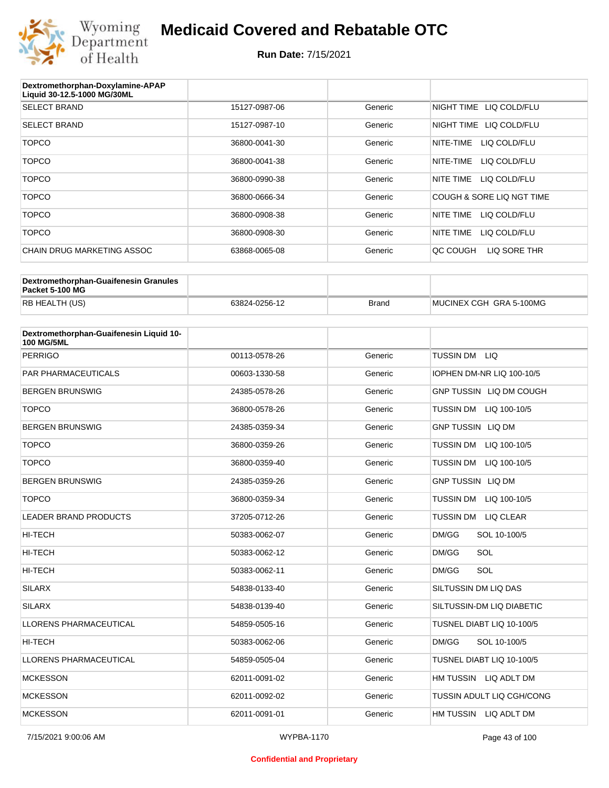

| Dextromethorphan-Doxylamine-APAP<br>Liquid 30-12.5-1000 MG/30ML |               |         |                           |
|-----------------------------------------------------------------|---------------|---------|---------------------------|
| <b>SELECT BRAND</b>                                             | 15127-0987-06 | Generic | NIGHT TIME LIQ COLD/FLU   |
| <b>SELECT BRAND</b>                                             | 15127-0987-10 | Generic | NIGHT TIME LIQ COLD/FLU   |
| <b>TOPCO</b>                                                    | 36800-0041-30 | Generic | LIQ COLD/FLU<br>NITE-TIME |
| <b>TOPCO</b>                                                    | 36800-0041-38 | Generic | NITE-TIME<br>LIQ COLD/FLU |
| <b>TOPCO</b>                                                    | 36800-0990-38 | Generic | NITE TIME<br>LIQ COLD/FLU |
| <b>TOPCO</b>                                                    | 36800-0666-34 | Generic | COUGH & SORE LIQ NGT TIME |
| <b>TOPCO</b>                                                    | 36800-0908-38 | Generic | NITE TIME<br>LIQ COLD/FLU |
| <b>TOPCO</b>                                                    | 36800-0908-30 | Generic | NITE TIME<br>LIQ COLD/FLU |
| CHAIN DRUG MARKETING ASSOC                                      | 63868-0065-08 | Generic | OC COUGH<br>LIQ SORE THR  |

| Dextromethorphan-Guaifenesin Granules<br>Packet 5-100 MG |               |              |                         |
|----------------------------------------------------------|---------------|--------------|-------------------------|
| <b>RB HEALTH (US)</b>                                    | 63824-0256-12 | <b>Brand</b> | MUCINEX CGH GRA 5-100MG |

| Dextromethorphan-Guaifenesin Liquid 10-<br><b>100 MG/5ML</b> |               |         |                                      |
|--------------------------------------------------------------|---------------|---------|--------------------------------------|
| <b>PERRIGO</b>                                               | 00113-0578-26 | Generic | TUSSIN DM LIQ                        |
| <b>PAR PHARMACEUTICALS</b>                                   | 00603-1330-58 | Generic | IOPHEN DM-NR LIQ 100-10/5            |
| <b>BERGEN BRUNSWIG</b>                                       | 24385-0578-26 | Generic | GNP TUSSIN LIQ DM COUGH              |
| <b>TOPCO</b>                                                 | 36800-0578-26 | Generic | TUSSIN DM LIQ 100-10/5               |
| <b>BERGEN BRUNSWIG</b>                                       | 24385-0359-34 | Generic | <b>GNP TUSSIN LIQ DM</b>             |
| <b>TOPCO</b>                                                 | 36800-0359-26 | Generic | <b>TUSSIN DM</b><br>LIQ 100-10/5     |
| <b>TOPCO</b>                                                 | 36800-0359-40 | Generic | <b>TUSSIN DM</b><br>LIQ 100-10/5     |
| <b>BERGEN BRUNSWIG</b>                                       | 24385-0359-26 | Generic | <b>GNP TUSSIN LIQ DM</b>             |
| <b>TOPCO</b>                                                 | 36800-0359-34 | Generic | <b>TUSSIN DM</b><br>LIQ 100-10/5     |
| <b>LEADER BRAND PRODUCTS</b>                                 | 37205-0712-26 | Generic | <b>TUSSIN DM</b><br><b>LIQ CLEAR</b> |
| <b>HI-TECH</b>                                               | 50383-0062-07 | Generic | DM/GG<br>SOL 10-100/5                |
| <b>HI-TECH</b>                                               | 50383-0062-12 | Generic | SOL<br>DM/GG                         |
| <b>HI-TECH</b>                                               | 50383-0062-11 | Generic | DM/GG<br>SOL                         |
| <b>SILARX</b>                                                | 54838-0133-40 | Generic | SILTUSSIN DM LIQ DAS                 |
| <b>SILARX</b>                                                | 54838-0139-40 | Generic | SILTUSSIN-DM LIQ DIABETIC            |
| <b>LLORENS PHARMACEUTICAL</b>                                | 54859-0505-16 | Generic | TUSNEL DIABT LIQ 10-100/5            |
| HI-TECH                                                      | 50383-0062-06 | Generic | DM/GG<br>SOL 10-100/5                |
| LLORENS PHARMACEUTICAL                                       | 54859-0505-04 | Generic | TUSNEL DIABT LIQ 10-100/5            |
| <b>MCKESSON</b>                                              | 62011-0091-02 | Generic | HM TUSSIN LIQ ADLT DM                |
| <b>MCKESSON</b>                                              | 62011-0092-02 | Generic | TUSSIN ADULT LIQ CGH/CONG            |
| <b>MCKESSON</b>                                              | 62011-0091-01 | Generic | HM TUSSIN LIQ ADLT DM                |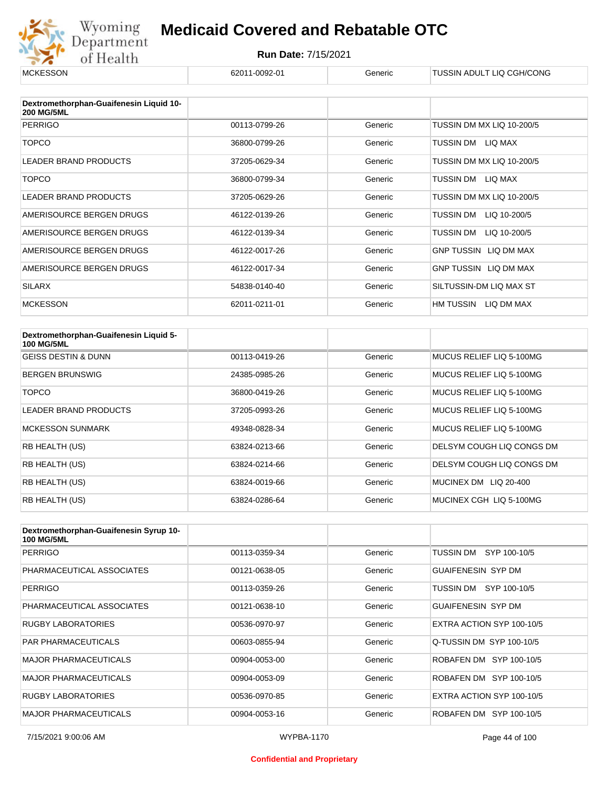

| <b>MCKESSON</b>                                              | 62011-0092-01 | Generic | TUSSIN ADULT LIQ CGH/CONG    |
|--------------------------------------------------------------|---------------|---------|------------------------------|
|                                                              |               |         |                              |
| Dextromethorphan-Guaifenesin Liquid 10-<br><b>200 MG/5ML</b> |               |         |                              |
| <b>PERRIGO</b>                                               | 00113-0799-26 | Generic | TUSSIN DM MX LIQ 10-200/5    |
| <b>TOPCO</b>                                                 | 36800-0799-26 | Generic | TUSSIN DM<br>LIQ MAX         |
| <b>LEADER BRAND PRODUCTS</b>                                 | 37205-0629-34 | Generic | TUSSIN DM MX LIQ 10-200/5    |
| <b>TOPCO</b>                                                 | 36800-0799-34 | Generic | TUSSIN DM<br>LIQ MAX         |
| LEADER BRAND PRODUCTS                                        | 37205-0629-26 | Generic | TUSSIN DM MX LIQ 10-200/5    |
| AMERISOURCE BERGEN DRUGS                                     | 46122-0139-26 | Generic | TUSSIN DM<br>LIQ 10-200/5    |
| AMERISOURCE BERGEN DRUGS                                     | 46122-0139-34 | Generic | TUSSIN DM<br>LIQ 10-200/5    |
| AMERISOURCE BERGEN DRUGS                                     | 46122-0017-26 | Generic | <b>GNP TUSSIN LIQ DM MAX</b> |
| AMERISOURCE BERGEN DRUGS                                     | 46122-0017-34 | Generic | GNP TUSSIN LIQ DM MAX        |
| <b>SILARX</b>                                                | 54838-0140-40 | Generic | SILTUSSIN-DM LIQ MAX ST      |
| <b>MCKESSON</b>                                              | 62011-0211-01 | Generic | HM TUSSIN<br>LIQ DM MAX      |

| Dextromethorphan-Guaifenesin Liquid 5-<br><b>100 MG/5ML</b> |               |         |                           |
|-------------------------------------------------------------|---------------|---------|---------------------------|
| <b>GEISS DESTIN &amp; DUNN</b>                              | 00113-0419-26 | Generic | MUCUS RELIEF LIQ 5-100MG  |
| <b>BERGEN BRUNSWIG</b>                                      | 24385-0985-26 | Generic | MUCUS RELIEF LIQ 5-100MG  |
| TOPCO                                                       | 36800-0419-26 | Generic | MUCUS RELIEF LIQ 5-100MG  |
| <b>LEADER BRAND PRODUCTS</b>                                | 37205-0993-26 | Generic | MUCUS RELIEF LIQ 5-100MG  |
| <b>MCKESSON SUNMARK</b>                                     | 49348-0828-34 | Generic | MUCUS RELIEF LIQ 5-100MG  |
| RB HEALTH (US)                                              | 63824-0213-66 | Generic | DELSYM COUGH LIQ CONGS DM |
| RB HEALTH (US)                                              | 63824-0214-66 | Generic | DELSYM COUGH LIQ CONGS DM |
| RB HEALTH (US)                                              | 63824-0019-66 | Generic | LIQ 20-400<br>MUCINEX DM  |
| RB HEALTH (US)                                              | 63824-0286-64 | Generic | MUCINEX CGH LIQ 5-100MG   |

| Dextromethorphan-Guaifenesin Syrup 10-<br><b>100 MG/5ML</b> |               |         |                           |
|-------------------------------------------------------------|---------------|---------|---------------------------|
| <b>PERRIGO</b>                                              | 00113-0359-34 | Generic | TUSSIN DM<br>SYP 100-10/5 |
| PHARMACEUTICAL ASSOCIATES                                   | 00121-0638-05 | Generic | <b>GUAIFENESIN SYP DM</b> |
| <b>PERRIGO</b>                                              | 00113-0359-26 | Generic | SYP 100-10/5<br>TUSSIN DM |
| PHARMACEUTICAL ASSOCIATES                                   | 00121-0638-10 | Generic | <b>GUAIFENESIN SYP DM</b> |
| RUGBY LABORATORIES                                          | 00536-0970-97 | Generic | EXTRA ACTION SYP 100-10/5 |
| <b>PAR PHARMACEUTICALS</b>                                  | 00603-0855-94 | Generic | Q-TUSSIN DM SYP 100-10/5  |
| <b>MAJOR PHARMACEUTICALS</b>                                | 00904-0053-00 | Generic | ROBAFEN DM SYP 100-10/5   |
| <b>MAJOR PHARMACEUTICALS</b>                                | 00904-0053-09 | Generic | ROBAFEN DM SYP 100-10/5   |
| RUGBY LABORATORIES                                          | 00536-0970-85 | Generic | EXTRA ACTION SYP 100-10/5 |
| <b>MAJOR PHARMACEUTICALS</b>                                | 00904-0053-16 | Generic | ROBAFEN DM SYP 100-10/5   |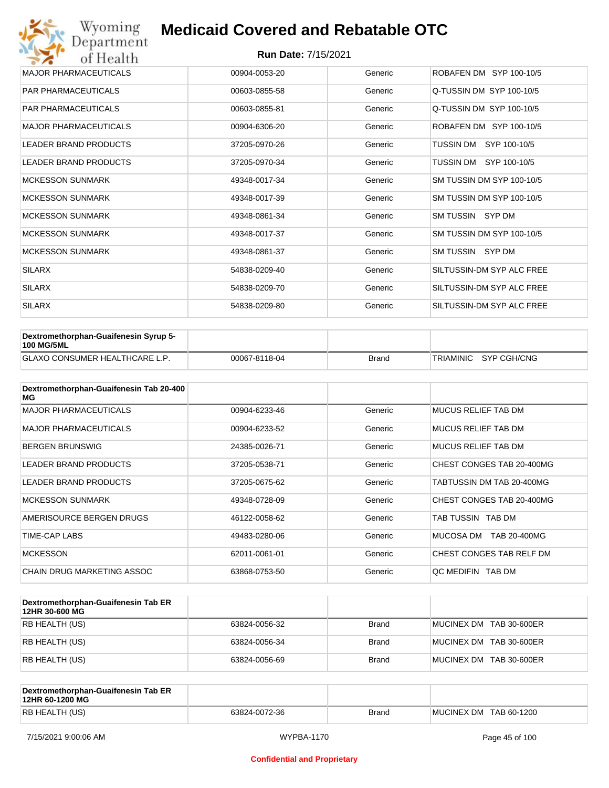| Wyoming<br>Department        | <b>Medicaid Covered and Rebatable OTC</b> |         |                           |  |  |
|------------------------------|-------------------------------------------|---------|---------------------------|--|--|
| of Health                    | <b>Run Date: 7/15/2021</b>                |         |                           |  |  |
| <b>MAJOR PHARMACEUTICALS</b> | 00904-0053-20                             | Generic | ROBAFEN DM SYP 100-10/5   |  |  |
| <b>PAR PHARMACEUTICALS</b>   | 00603-0855-58                             | Generic | Q-TUSSIN DM SYP 100-10/5  |  |  |
| <b>PAR PHARMACEUTICALS</b>   | 00603-0855-81                             | Generic | Q-TUSSIN DM SYP 100-10/5  |  |  |
| <b>MAJOR PHARMACEUTICALS</b> | 00904-6306-20                             | Generic | ROBAFEN DM SYP 100-10/5   |  |  |
| <b>LEADER BRAND PRODUCTS</b> | 37205-0970-26                             | Generic | SYP 100-10/5<br>TUSSIN DM |  |  |
| <b>LEADER BRAND PRODUCTS</b> | 37205-0970-34                             | Generic | TUSSIN DM SYP 100-10/5    |  |  |
| <b>MCKESSON SUNMARK</b>      | 49348-0017-34                             | Generic | SM TUSSIN DM SYP 100-10/5 |  |  |
| <b>MCKESSON SUNMARK</b>      | 49348-0017-39                             | Generic | SM TUSSIN DM SYP 100-10/5 |  |  |
| <b>MCKESSON SUNMARK</b>      | 49348-0861-34                             | Generic | SM TUSSIN SYP DM          |  |  |
| <b>MCKESSON SUNMARK</b>      | 49348-0017-37                             | Generic | SM TUSSIN DM SYP 100-10/5 |  |  |
| <b>MCKESSON SUNMARK</b>      | 49348-0861-37                             | Generic | SM TUSSIN SYP DM          |  |  |
| <b>SILARX</b>                | 54838-0209-40                             | Generic | SILTUSSIN-DM SYP ALC FREE |  |  |
| <b>SILARX</b>                | 54838-0209-70                             | Generic | SILTUSSIN-DM SYP ALC FREE |  |  |
| <b>SILARX</b>                | 54838-0209-80                             | Generic | SILTUSSIN-DM SYP ALC FREE |  |  |

| Dextromethorphan-Guaifenesin Syrup 5-<br><b>100 MG/5ML</b> |               |              |                       |
|------------------------------------------------------------|---------------|--------------|-----------------------|
| <b>GLAXO CONSUMER HEALTHCARE L.P.</b>                      | 00067-8118-04 | <b>Brand</b> | TRIAMINIC SYP CGH/CNG |

| Dextromethorphan-Guaifenesin Tab 20-400<br>MG |               |         |                           |
|-----------------------------------------------|---------------|---------|---------------------------|
| <b>MAJOR PHARMACEUTICALS</b>                  | 00904-6233-46 | Generic | MUCUS RELIEF TAB DM       |
| <b>MAJOR PHARMACEUTICALS</b>                  | 00904-6233-52 | Generic | MUCUS RELIEF TAB DM       |
| <b>BERGEN BRUNSWIG</b>                        | 24385-0026-71 | Generic | MUCUS RELIEF TAB DM       |
| <b>LEADER BRAND PRODUCTS</b>                  | 37205-0538-71 | Generic | CHEST CONGES TAB 20-400MG |
| LEADER BRAND PRODUCTS                         | 37205-0675-62 | Generic | TABTUSSIN DM TAB 20-400MG |
| <b>MCKESSON SUNMARK</b>                       | 49348-0728-09 | Generic | CHEST CONGES TAB 20-400MG |
| AMERISOURCE BERGEN DRUGS                      | 46122-0058-62 | Generic | TAB TUSSIN TAB DM         |
| <b>TIME-CAP LABS</b>                          | 49483-0280-06 | Generic | MUCOSA DM<br>TAB 20-400MG |
| <b>MCKESSON</b>                               | 62011-0061-01 | Generic | CHEST CONGES TAB RELF DM  |
| CHAIN DRUG MARKETING ASSOC                    | 63868-0753-50 | Generic | OC MEDIFIN TAB DM         |

| Dextromethorphan-Guaifenesin Tab ER<br>12HR 30-600 MG |               |              |                         |
|-------------------------------------------------------|---------------|--------------|-------------------------|
| RB HEALTH (US)                                        | 63824-0056-32 | <b>Brand</b> | MUCINEX DM TAB 30-600ER |
| RB HEALTH (US)                                        | 63824-0056-34 | <b>Brand</b> | MUCINEX DM TAB 30-600ER |
| RB HEALTH (US)                                        | 63824-0056-69 | <b>Brand</b> | MUCINEX DM TAB 30-600ER |

| Dextromethorphan-Guaifenesin Tab ER<br>12HR 60-1200 MG |               |              |                        |
|--------------------------------------------------------|---------------|--------------|------------------------|
| RB HEALTH (US)                                         | 63824-0072-36 | <b>Brand</b> | MUCINEX DM TAB 60-1200 |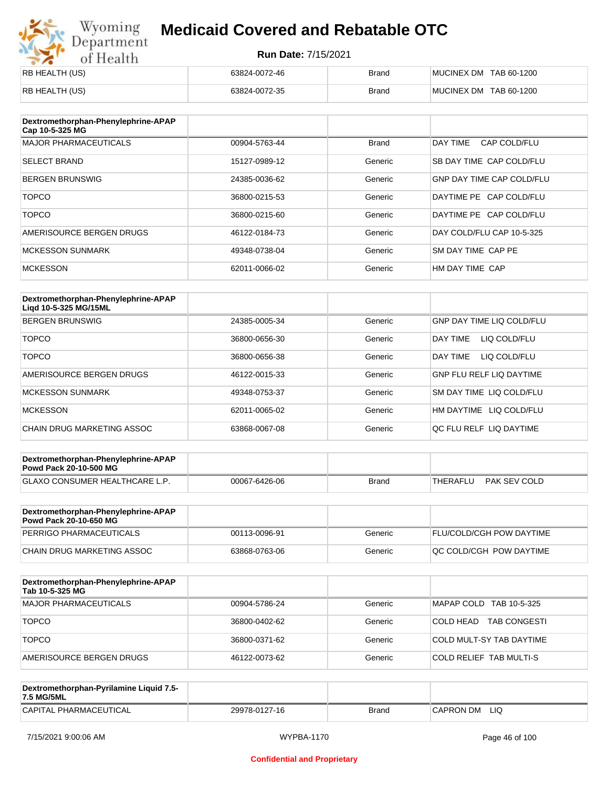# Wyoming<br>Department<br>of Health

### **Medicaid Covered and Rebatable OTC**

| RB HEALTH (US) | 63824-0072-46 | <b>Brand</b> | MUCINEX DM TAB 60-1200 |
|----------------|---------------|--------------|------------------------|
| RB HEALTH (US) | 63824-0072-35 | <b>Brand</b> | MUCINEX DM TAB 60-1200 |

| Dextromethorphan-Phenylephrine-APAP<br>Cap 10-5-325 MG |               |              |                                  |
|--------------------------------------------------------|---------------|--------------|----------------------------------|
| <b>MAJOR PHARMACEUTICALS</b>                           | 00904-5763-44 | <b>Brand</b> | DAY TIME<br>CAP COLD/FLU         |
| <b>SELECT BRAND</b>                                    | 15127-0989-12 | Generic      | SB DAY TIME CAP COLD/FLU         |
| <b>BERGEN BRUNSWIG</b>                                 | 24385-0036-62 | Generic      | <b>GNP DAY TIME CAP COLD/FLU</b> |
| <b>TOPCO</b>                                           | 36800-0215-53 | Generic      | DAYTIME PE CAP COLD/FLU          |
| <b>TOPCO</b>                                           | 36800-0215-60 | Generic      | DAYTIME PE CAP COLD/FLU          |
| AMERISOURCE BERGEN DRUGS                               | 46122-0184-73 | Generic      | DAY COLD/FLU CAP 10-5-325        |
| <b>MCKESSON SUNMARK</b>                                | 49348-0738-04 | Generic      | SM DAY TIME CAP PE               |
| <b>MCKESSON</b>                                        | 62011-0066-02 | Generic      | HM DAY TIME CAP                  |

| Dextromethorphan-Phenylephrine-APAP<br>Ligd 10-5-325 MG/15ML |               |         |                                  |
|--------------------------------------------------------------|---------------|---------|----------------------------------|
| <b>BERGEN BRUNSWIG</b>                                       | 24385-0005-34 | Generic | <b>GNP DAY TIME LIQ COLD/FLU</b> |
| <b>TOPCO</b>                                                 | 36800-0656-30 | Generic | LIQ COLD/FLU<br><b>DAY TIME</b>  |
| <b>TOPCO</b>                                                 | 36800-0656-38 | Generic | <b>DAY TIME</b><br>LIQ COLD/FLU  |
| AMERISOURCE BERGEN DRUGS                                     | 46122-0015-33 | Generic | <b>GNP FLU RELF LIQ DAYTIME</b>  |
| <b>MCKESSON SUNMARK</b>                                      | 49348-0753-37 | Generic | <b>SM DAY TIME LIQ COLD/FLU</b>  |
| <b>MCKESSON</b>                                              | 62011-0065-02 | Generic | HM DAYTIME LIQ COLD/FLU          |
| CHAIN DRUG MARKETING ASSOC                                   | 63868-0067-08 | Generic | OC FLU RELF LIO DAYTIME          |

| Dextromethorphan-Phenylephrine-APAP<br><b>Powd Pack 20-10-500 MG</b> |               |       |                          |
|----------------------------------------------------------------------|---------------|-------|--------------------------|
| <b>GLAXO CONSUMER HEALTHCARE L.P.</b>                                | 00067-6426-06 | Brand | PAK SEV COLD<br>THERAFLU |
|                                                                      |               |       |                          |

| Dextromethorphan-Phenylephrine-APAP<br>Powd Pack 20-10-650 MG |               |         |                                 |
|---------------------------------------------------------------|---------------|---------|---------------------------------|
| PERRIGO PHARMACEUTICALS                                       | 00113-0096-91 | Generic | <b>FLU/COLD/CGH POW DAYTIME</b> |
| CHAIN DRUG MARKETING ASSOC                                    | 63868-0763-06 | Generic | <b>OC COLD/CGH POW DAYTIME</b>  |

| Dextromethorphan-Phenylephrine-APAP<br>Tab 10-5-325 MG |               |         |                                   |
|--------------------------------------------------------|---------------|---------|-----------------------------------|
| <b>MAJOR PHARMACEUTICALS</b>                           | 00904-5786-24 | Generic | MAPAP COLD TAB 10-5-325           |
| <b>TOPCO</b>                                           | 36800-0402-62 | Generic | 'COLD HEAD<br><b>TAB CONGESTI</b> |
| <b>TOPCO</b>                                           | 36800-0371-62 | Generic | COLD MULT-SY TAB DAYTIME          |
| AMERISOURCE BERGEN DRUGS                               | 46122-0073-62 | Generic | <b>COLD RELIEF TAB MULTI-S</b>    |

| Dextromethorphan-Pyrilamine Liquid 7.5-<br>7.5 MG/5ML |               |       |                  |
|-------------------------------------------------------|---------------|-------|------------------|
| CAPITAL PHARMACEUTICAL                                | 29978-0127-16 | Brand | LIQ<br>CAPRON DM |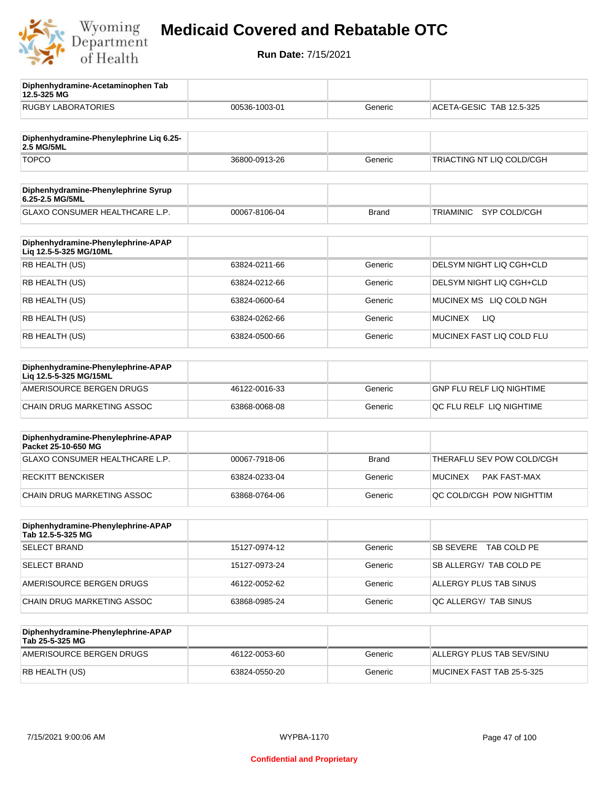

**12.5-325 MG**

**Diphenhydramine-Acetaminophen Tab** 

### **Medicaid Covered and Rebatable OTC**

| <b>RUGBY LABORATORIES</b>                                    | 00536-1003-01 | Generic      | ACETA-GESIC TAB 12.5-325  |
|--------------------------------------------------------------|---------------|--------------|---------------------------|
|                                                              |               |              |                           |
| Diphenhydramine-Phenylephrine Liq 6.25-<br>2.5 MG/5ML        |               |              |                           |
| <b>TOPCO</b>                                                 | 36800-0913-26 | Generic      | TRIACTING NT LIQ COLD/CGH |
| Diphenhydramine-Phenylephrine Syrup<br>6.25-2.5 MG/5ML       |               |              |                           |
| <b>GLAXO CONSUMER HEALTHCARE L.P.</b>                        | 00067-8106-04 | <b>Brand</b> | SYP COLD/CGH<br>TRIAMINIC |
| Diphenhydramine-Phenylephrine-APAP<br>Liq 12.5-5-325 MG/10ML |               |              |                           |
| RB HEALTH (US)                                               | 63824-0211-66 | Generic      | DELSYM NIGHT LIQ CGH+CLD  |
| RB HEALTH (US)                                               | 63824-0212-66 | Generic      | DELSYM NIGHT LIQ CGH+CLD  |
| RB HEALTH (US)                                               | 63824-0600-64 | Generic      | MUCINEX MS LIQ COLD NGH   |
| RB HEALTH (US)                                               | 63824-0262-66 | Generic      | <b>MUCINEX</b><br>LIQ.    |
| RB HEALTH (US)                                               | 63824-0500-66 | Generic      | MUCINEX FAST LIQ COLD FLU |
| Diphenhydramine-Phenylephrine-APAP<br>Lig 12.5-5-325 MG/15ML |               |              |                           |
| AMERISOURCE BERGEN DRUGS                                     | 46122-0016-33 | Generic      | GNP FLU RELF LIQ NIGHTIME |
| CHAIN DRUG MARKETING ASSOC                                   | 63868-0068-08 | Generic      | QC FLU RELF LIQ NIGHTIME  |
| Diphenhydramine-Phenylephrine-APAP<br>Packet 25-10-650 MG    |               |              |                           |
| GLAXO CONSUMER HEALTHCARE L.P.                               | 00067-7918-06 | <b>Brand</b> | THERAFLU SEV POW COLD/CGH |
| <b>RECKITT BENCKISER</b>                                     | 63824-0233-04 | Generic      | MUCINEX<br>PAK FAST-MAX   |
| CHAIN DRUG MARKETING ASSOC                                   | 63868-0764-06 | Generic      | QC COLD/CGH POW NIGHTTIM  |
| Diphenhydramine-Phenylephrine-APAP<br>Tab 12.5-5-325 MG      |               |              |                           |
| <b>SELECT BRAND</b>                                          | 15127-0974-12 | Generic      | SB SEVERE TAB COLD PE     |
| <b>SELECT BRAND</b>                                          | 15127-0973-24 | Generic      | SB ALLERGY/ TAB COLD PE   |
| AMERISOURCE BERGEN DRUGS                                     | 46122-0052-62 | Generic      | ALLERGY PLUS TAB SINUS    |
| CHAIN DRUG MARKETING ASSOC                                   | 63868-0985-24 | Generic      | QC ALLERGY/ TAB SINUS     |
| Diphenhydramine-Phenylephrine-APAP<br>Tab 25-5-325 MG        |               |              |                           |
| AMERISOURCE BERGEN DRUGS                                     | 46122-0053-60 | Generic      | ALLERGY PLUS TAB SEV/SINU |
| RB HEALTH (US)                                               | 63824-0550-20 | Generic      | MUCINEX FAST TAB 25-5-325 |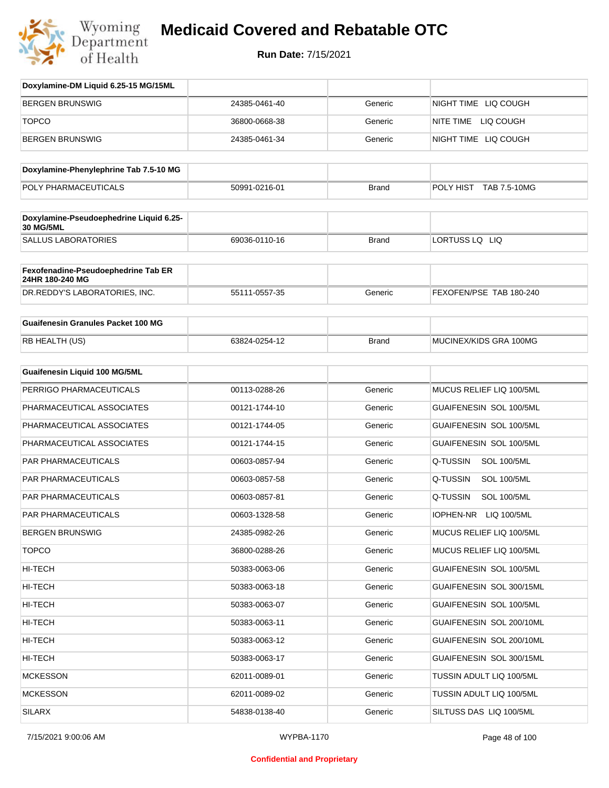

| Doxylamine-DM Liquid 6.25-15 MG/15ML                        |               |              |                                |
|-------------------------------------------------------------|---------------|--------------|--------------------------------|
| <b>BERGEN BRUNSWIG</b>                                      | 24385-0461-40 | Generic      | NIGHT TIME LIQ COUGH           |
| <b>TOPCO</b>                                                | 36800-0668-38 | Generic      | NITE TIME LIQ COUGH            |
| <b>BERGEN BRUNSWIG</b>                                      | 24385-0461-34 | Generic      | NIGHT TIME LIQ COUGH           |
|                                                             |               |              |                                |
| Doxylamine-Phenylephrine Tab 7.5-10 MG                      |               |              |                                |
| POLY PHARMACEUTICALS                                        | 50991-0216-01 | <b>Brand</b> | POLY HIST TAB 7.5-10MG         |
| Doxylamine-Pseudoephedrine Liquid 6.25-<br><b>30 MG/5ML</b> |               |              |                                |
| <b>SALLUS LABORATORIES</b>                                  | 69036-0110-16 | <b>Brand</b> | LORTUSS LQ LIQ                 |
| Fexofenadine-Pseudoephedrine Tab ER<br>24HR 180-240 MG      |               |              |                                |
| DR.REDDY'S LABORATORIES, INC.                               | 55111-0557-35 | Generic      | FEXOFEN/PSE TAB 180-240        |
| <b>Guaifenesin Granules Packet 100 MG</b>                   |               |              |                                |
| RB HEALTH (US)                                              | 63824-0254-12 | <b>Brand</b> | MUCINEX/KIDS GRA 100MG         |
| Guaifenesin Liquid 100 MG/5ML                               |               |              |                                |
| PERRIGO PHARMACEUTICALS                                     | 00113-0288-26 | Generic      | MUCUS RELIEF LIQ 100/5ML       |
| PHARMACEUTICAL ASSOCIATES                                   | 00121-1744-10 | Generic      | GUAIFENESIN SOL 100/5ML        |
| PHARMACEUTICAL ASSOCIATES                                   | 00121-1744-05 | Generic      | GUAIFENESIN SOL 100/5ML        |
| PHARMACEUTICAL ASSOCIATES                                   | 00121-1744-15 | Generic      | GUAIFENESIN SOL 100/5ML        |
| PAR PHARMACEUTICALS                                         | 00603-0857-94 | Generic      | Q-TUSSIN<br><b>SOL 100/5ML</b> |
| PAR PHARMACEUTICALS                                         | 00603-0857-58 | Generic      | Q-TUSSIN<br><b>SOL 100/5ML</b> |
| PAR PHARMACEUTICALS                                         | 00603-0857-81 | Generic      | Q-TUSSIN<br><b>SOL 100/5ML</b> |
| <b>PAR PHARMACEUTICALS</b>                                  | 00603-1328-58 | Generic      | IOPHEN-NR<br>LIQ 100/5ML       |
| <b>BERGEN BRUNSWIG</b>                                      | 24385-0982-26 | Generic      | MUCUS RELIEF LIQ 100/5ML       |
| <b>TOPCO</b>                                                | 36800-0288-26 | Generic      | MUCUS RELIEF LIQ 100/5ML       |
| HI-TECH                                                     | 50383-0063-06 | Generic      | GUAIFENESIN SOL 100/5ML        |
| HI-TECH                                                     | 50383-0063-18 | Generic      | GUAIFENESIN SOL 300/15ML       |
| HI-TECH                                                     | 50383-0063-07 | Generic      | GUAIFENESIN SOL 100/5ML        |
| HI-TECH                                                     | 50383-0063-11 | Generic      | GUAIFENESIN SOL 200/10ML       |
| HI-TECH                                                     | 50383-0063-12 | Generic      | GUAIFENESIN SOL 200/10ML       |
| HI-TECH                                                     | 50383-0063-17 | Generic      | GUAIFENESIN SOL 300/15ML       |
| <b>MCKESSON</b>                                             | 62011-0089-01 | Generic      | TUSSIN ADULT LIQ 100/5ML       |
| <b>MCKESSON</b>                                             | 62011-0089-02 | Generic      | TUSSIN ADULT LIQ 100/5ML       |
| <b>SILARX</b>                                               | 54838-0138-40 | Generic      | SILTUSS DAS LIQ 100/5ML        |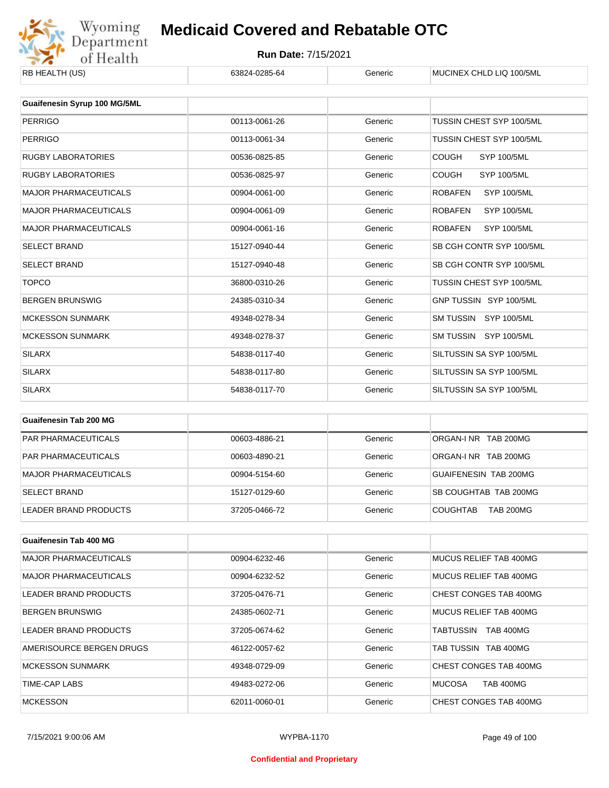

| RB HEALTH (US)                      | 63824-0285-64 | Generic | MUCINEX CHLD LIQ 100/5ML             |
|-------------------------------------|---------------|---------|--------------------------------------|
| <b>Guaifenesin Syrup 100 MG/5ML</b> |               |         |                                      |
|                                     |               |         |                                      |
| <b>PERRIGO</b>                      | 00113-0061-26 | Generic | TUSSIN CHEST SYP 100/5ML             |
| <b>PERRIGO</b>                      | 00113-0061-34 | Generic | TUSSIN CHEST SYP 100/5ML             |
| <b>RUGBY LABORATORIES</b>           | 00536-0825-85 | Generic | <b>COUGH</b><br><b>SYP 100/5ML</b>   |
| <b>RUGBY LABORATORIES</b>           | 00536-0825-97 | Generic | <b>COUGH</b><br><b>SYP 100/5ML</b>   |
| <b>MAJOR PHARMACEUTICALS</b>        | 00904-0061-00 | Generic | <b>ROBAFEN</b><br><b>SYP 100/5ML</b> |
| <b>MAJOR PHARMACEUTICALS</b>        | 00904-0061-09 | Generic | <b>ROBAFEN</b><br><b>SYP 100/5ML</b> |
| <b>MAJOR PHARMACEUTICALS</b>        | 00904-0061-16 | Generic | <b>ROBAFEN</b><br><b>SYP 100/5ML</b> |
| <b>SELECT BRAND</b>                 | 15127-0940-44 | Generic | SB CGH CONTR SYP 100/5ML             |
| <b>SELECT BRAND</b>                 | 15127-0940-48 | Generic | SB CGH CONTR SYP 100/5ML             |
| <b>TOPCO</b>                        | 36800-0310-26 | Generic | TUSSIN CHEST SYP 100/5ML             |
| <b>BERGEN BRUNSWIG</b>              | 24385-0310-34 | Generic | GNP TUSSIN SYP 100/5ML               |
| <b>MCKESSON SUNMARK</b>             | 49348-0278-34 | Generic | SM TUSSIN SYP 100/5ML                |
| <b>MCKESSON SUNMARK</b>             | 49348-0278-37 | Generic | SM TUSSIN SYP 100/5ML                |
| <b>SILARX</b>                       | 54838-0117-40 | Generic | SILTUSSIN SA SYP 100/5ML             |
| <b>SILARX</b>                       | 54838-0117-80 | Generic | SILTUSSIN SA SYP 100/5ML             |
| <b>SILARX</b>                       | 54838-0117-70 | Generic | SILTUSSIN SA SYP 100/5ML             |
|                                     |               |         |                                      |

| Guaifenesin Tab 200 MG       |               |         |                                     |
|------------------------------|---------------|---------|-------------------------------------|
| <b>PAR PHARMACEUTICALS</b>   | 00603-4886-21 | Generic | ORGAN-INR TAB 200MG                 |
| <b>PAR PHARMACEUTICALS</b>   | 00603-4890-21 | Generic | ORGAN-INR TAB 200MG                 |
| <b>MAJOR PHARMACEUTICALS</b> | 00904-5154-60 | Generic | GUAIFENESIN TAB 200MG               |
| <b>SELECT BRAND</b>          | 15127-0129-60 | Generic | SB COUGHTAB TAB 200MG               |
| LEADER BRAND PRODUCTS        | 37205-0466-72 | Generic | <b>TAB 200MG</b><br><b>COUGHTAB</b> |

| Guaifenesin Tab 400 MG       |               |         |                                   |
|------------------------------|---------------|---------|-----------------------------------|
| <b>MAJOR PHARMACEUTICALS</b> | 00904-6232-46 | Generic | MUCUS RELIFE TAB 400MG            |
| <b>MAJOR PHARMACEUTICALS</b> | 00904-6232-52 | Generic | MUCUS RELIEF TAB 400MG            |
| LEADER BRAND PRODUCTS        | 37205-0476-71 | Generic | CHEST CONGES TAB 400MG            |
| <b>BERGEN BRUNSWIG</b>       | 24385-0602-71 | Generic | MUCUS RELIEF TAB 400MG            |
| LEADER BRAND PRODUCTS        | 37205-0674-62 | Generic | TABTUSSIN<br><b>TAB 400MG</b>     |
| AMERISOURCE BERGEN DRUGS     | 46122-0057-62 | Generic | TAB TUSSIN TAB 400MG              |
| MCKESSON SUNMARK             | 49348-0729-09 | Generic | CHEST CONGES TAB 400MG            |
| TIME-CAP LABS                | 49483-0272-06 | Generic | <b>MUCOSA</b><br><b>TAB 400MG</b> |
| <b>MCKESSON</b>              | 62011-0060-01 | Generic | CHEST CONGES TAB 400MG            |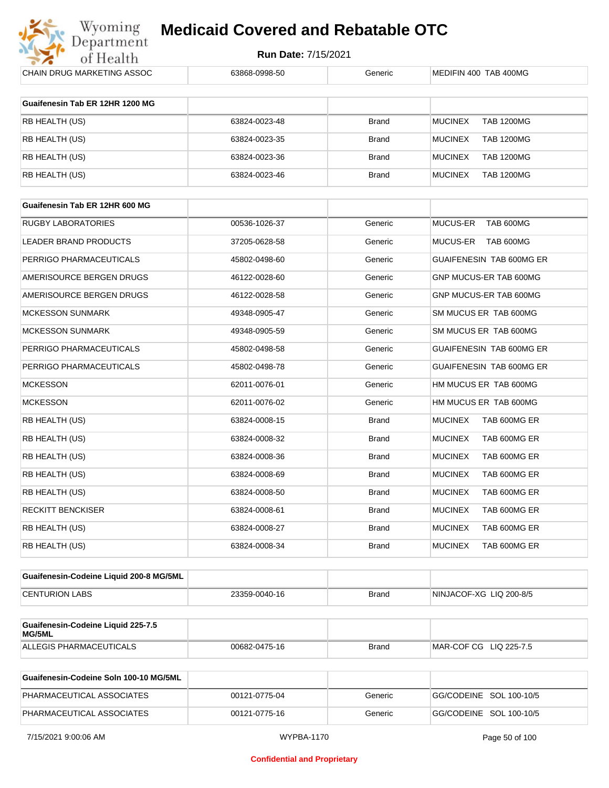

| CHAIN DRUG MARKETING ASSOC              | 63868-0998-50 | Generic      | MEDIFIN 400 TAB 400MG               |
|-----------------------------------------|---------------|--------------|-------------------------------------|
| Guaifenesin Tab ER 12HR 1200 MG         |               |              |                                     |
| RB HEALTH (US)                          | 63824-0023-48 | Brand        | <b>MUCINEX</b><br><b>TAB 1200MG</b> |
| RB HEALTH (US)                          | 63824-0023-35 | <b>Brand</b> | <b>TAB 1200MG</b><br><b>MUCINEX</b> |
| RB HEALTH (US)                          | 63824-0023-36 | Brand        | <b>MUCINEX</b><br><b>TAB 1200MG</b> |
| RB HEALTH (US)                          | 63824-0023-46 | Brand        | <b>MUCINEX</b><br><b>TAB 1200MG</b> |
| Guaifenesin Tab ER 12HR 600 MG          |               |              |                                     |
| <b>RUGBY LABORATORIES</b>               | 00536-1026-37 | Generic      | MUCUS-ER<br>TAB 600MG               |
| LEADER BRAND PRODUCTS                   | 37205-0628-58 | Generic      | MUCUS-ER<br>TAB 600MG               |
| PERRIGO PHARMACEUTICALS                 | 45802-0498-60 | Generic      | GUAIFENESIN TAB 600MG ER            |
| AMERISOURCE BERGEN DRUGS                | 46122-0028-60 | Generic      | GNP MUCUS-ER TAB 600MG              |
| AMERISOURCE BERGEN DRUGS                | 46122-0028-58 | Generic      | GNP MUCUS-ER TAB 600MG              |
| <b>MCKESSON SUNMARK</b>                 | 49348-0905-47 | Generic      | SM MUCUS ER TAB 600MG               |
| <b>MCKESSON SUNMARK</b>                 | 49348-0905-59 | Generic      | SM MUCUS ER TAB 600MG               |
| PERRIGO PHARMACEUTICALS                 | 45802-0498-58 | Generic      | GUAIFENESIN TAB 600MG ER            |
| PERRIGO PHARMACEUTICALS                 | 45802-0498-78 | Generic      | GUAIFENESIN TAB 600MG ER            |
| <b>MCKESSON</b>                         | 62011-0076-01 | Generic      | HM MUCUS ER TAB 600MG               |
| <b>MCKESSON</b>                         | 62011-0076-02 | Generic      | HM MUCUS ER TAB 600MG               |
| RB HEALTH (US)                          | 63824-0008-15 | <b>Brand</b> | <b>MUCINEX</b><br>TAB 600MG ER      |
| RB HEALTH (US)                          | 63824-0008-32 | <b>Brand</b> | <b>MUCINEX</b><br>TAB 600MG ER      |
| RB HEALTH (US)                          | 63824-0008-36 | <b>Brand</b> | <b>MUCINEX</b><br>TAB 600MG ER      |
| RB HEALTH (US)                          | 63824-0008-69 | <b>Brand</b> | TAB 600MG ER<br><b>MUCINEX</b>      |
| RB HEALTH (US)                          | 63824-0008-50 | <b>Brand</b> | <b>MUCINEX</b><br>TAB 600MG ER      |
| <b>RECKITT BENCKISER</b>                | 63824-0008-61 | <b>Brand</b> | <b>MUCINEX</b><br>TAB 600MG ER      |
| RB HEALTH (US)                          | 63824-0008-27 | <b>Brand</b> | <b>MUCINEX</b><br>TAB 600MG ER      |
| RB HEALTH (US)                          | 63824-0008-34 | <b>Brand</b> | <b>MUCINEX</b><br>TAB 600MG ER      |
| Guaifenesin-Codeine Liquid 200-8 MG/5ML |               |              |                                     |
| <b>CENTURION LABS</b>                   | 23359-0040-16 | <b>Brand</b> | NINJACOF-XG LIQ 200-8/5             |
| Guaifenesin-Codeine Liquid 225-7.5      |               |              |                                     |
| MG/5ML                                  |               |              |                                     |
| ALLEGIS PHARMACEUTICALS                 | 00682-0475-16 | <b>Brand</b> | MAR-COF CG LIQ 225-7.5              |

| Guaifenesin-Codeine Soln 100-10 MG/5ML |               |         |                         |
|----------------------------------------|---------------|---------|-------------------------|
| PHARMACEUTICAL ASSOCIATES              | 00121-0775-04 | Generic | GG/CODEINE SOL 100-10/5 |
| PHARMACEUTICAL ASSOCIATES              | 00121-0775-16 | Generic | GG/CODEINE SOL 100-10/5 |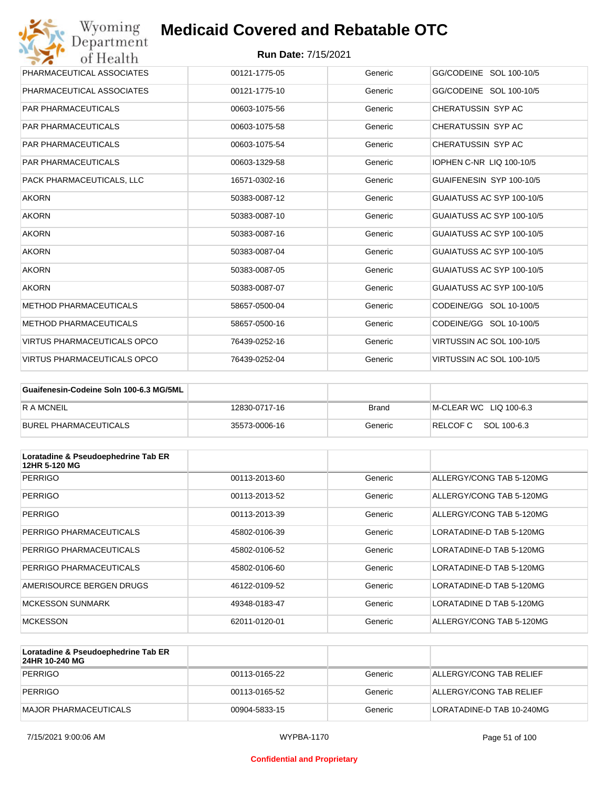| Wyoming<br>Department              | <b>Medicaid Covered and Rebatable OTC</b> |         |                           |
|------------------------------------|-------------------------------------------|---------|---------------------------|
| of Health                          | <b>Run Date: 7/15/2021</b>                |         |                           |
| PHARMACEUTICAL ASSOCIATES          | 00121-1775-05                             | Generic | GG/CODEINE SOL 100-10/5   |
| PHARMACEUTICAL ASSOCIATES          | 00121-1775-10                             | Generic | GG/CODEINE SOL 100-10/5   |
| <b>PAR PHARMACEUTICALS</b>         | 00603-1075-56                             | Generic | CHERATUSSIN SYP AC        |
| <b>PAR PHARMACEUTICALS</b>         | 00603-1075-58                             | Generic | CHERATUSSIN SYP AC        |
| <b>PAR PHARMACEUTICALS</b>         | 00603-1075-54                             | Generic | CHERATUSSIN SYP AC        |
| <b>PAR PHARMACEUTICALS</b>         | 00603-1329-58                             | Generic | IOPHEN C-NR LIQ 100-10/5  |
| PACK PHARMACEUTICALS, LLC          | 16571-0302-16                             | Generic | GUAIFENESIN SYP 100-10/5  |
| <b>AKORN</b>                       | 50383-0087-12                             | Generic | GUAIATUSS AC SYP 100-10/5 |
| <b>AKORN</b>                       | 50383-0087-10                             | Generic | GUAIATUSS AC SYP 100-10/5 |
| <b>AKORN</b>                       | 50383-0087-16                             | Generic | GUAIATUSS AC SYP 100-10/5 |
| <b>AKORN</b>                       | 50383-0087-04                             | Generic | GUAIATUSS AC SYP 100-10/5 |
| <b>AKORN</b>                       | 50383-0087-05                             | Generic | GUAIATUSS AC SYP 100-10/5 |
| <b>AKORN</b>                       | 50383-0087-07                             | Generic | GUAIATUSS AC SYP 100-10/5 |
| <b>METHOD PHARMACEUTICALS</b>      | 58657-0500-04                             | Generic | CODEINE/GG SOL 10-100/5   |
| <b>METHOD PHARMACEUTICALS</b>      | 58657-0500-16                             | Generic | CODEINE/GG SOL 10-100/5   |
| <b>VIRTUS PHARMACEUTICALS OPCO</b> | 76439-0252-16                             | Generic | VIRTUSSIN AC SOL 100-10/5 |
| <b>VIRTUS PHARMACEUTICALS OPCO</b> | 76439-0252-04                             | Generic | VIRTUSSIN AC SOL 100-10/5 |

| Guaifenesin-Codeine Soln 100-6.3 MG/5ML |               |         |                        |
|-----------------------------------------|---------------|---------|------------------------|
| <b>RAMCNEIL</b>                         | 12830-0717-16 | Brand   | M-CLEAR WC LIQ 100-6.3 |
| BUREL PHARMACEUTICALS                   | 35573-0006-16 | Generic | RELCOFC SOL 100-6.3    |

| Loratadine & Pseudoephedrine Tab ER<br>12HR 5-120 MG |               |         |                          |
|------------------------------------------------------|---------------|---------|--------------------------|
| <b>PERRIGO</b>                                       | 00113-2013-60 | Generic | ALLERGY/CONG TAB 5-120MG |
| <b>PERRIGO</b>                                       | 00113-2013-52 | Generic | ALLERGY/CONG TAB 5-120MG |
| <b>PERRIGO</b>                                       | 00113-2013-39 | Generic | ALLERGY/CONG TAB 5-120MG |
| PERRIGO PHARMACEUTICALS                              | 45802-0106-39 | Generic | LORATADINE-D TAB 5-120MG |
| PERRIGO PHARMACEUTICALS                              | 45802-0106-52 | Generic | LORATADINE-D TAB 5-120MG |
| PERRIGO PHARMACEUTICALS                              | 45802-0106-60 | Generic | LORATADINE-D TAB 5-120MG |
| AMERISOURCE BERGEN DRUGS                             | 46122-0109-52 | Generic | LORATADINE-D TAB 5-120MG |
| <b>MCKESSON SUNMARK</b>                              | 49348-0183-47 | Generic | LORATADINE D TAB 5-120MG |
| <b>MCKESSON</b>                                      | 62011-0120-01 | Generic | ALLERGY/CONG TAB 5-120MG |

| Loratadine & Pseudoephedrine Tab ER<br>24HR 10-240 MG |               |         |                           |
|-------------------------------------------------------|---------------|---------|---------------------------|
| PERRIGO                                               | 00113-0165-22 | Generic | ALLERGY/CONG TAB RELIEF   |
| PERRIGO                                               | 00113-0165-52 | Generic | ALLERGY/CONG TAB RELIEF   |
| IMAJOR PHARMACEUTICALS                                | 00904-5833-15 | Generic | LORATADINE-D TAB 10-240MG |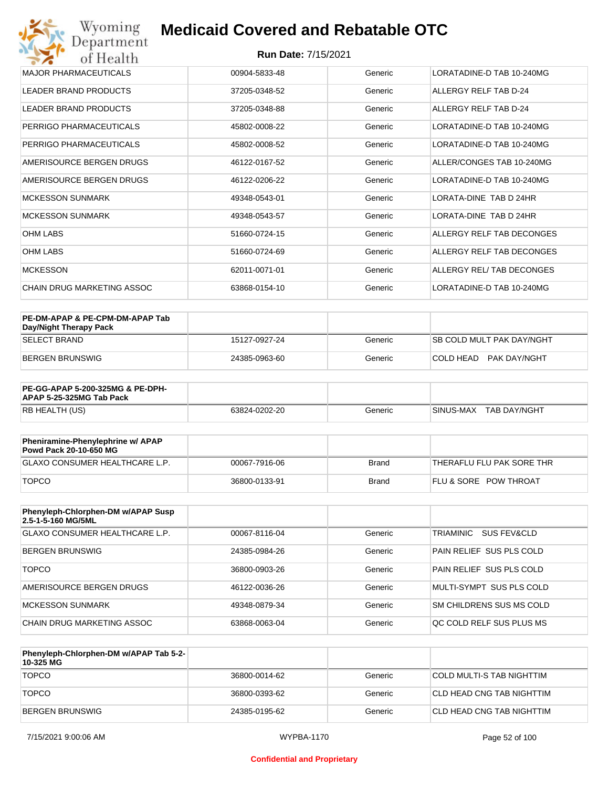| Wyoming<br><b>Medicaid Covered and Rebatable OTC</b><br>Department |                            |         |                                |  |  |  |
|--------------------------------------------------------------------|----------------------------|---------|--------------------------------|--|--|--|
| of Health                                                          | <b>Run Date: 7/15/2021</b> |         |                                |  |  |  |
| <b>MAJOR PHARMACEUTICALS</b>                                       | 00904-5833-48              | Generic | LORATADINE-D TAB 10-240MG      |  |  |  |
| <b>LEADER BRAND PRODUCTS</b>                                       | 37205-0348-52              | Generic | ALLERGY RELF TAB D-24          |  |  |  |
| <b>LEADER BRAND PRODUCTS</b>                                       | 37205-0348-88              | Generic | ALLERGY RELF TAB D-24          |  |  |  |
| PERRIGO PHARMACEUTICALS                                            | 45802-0008-22              | Generic | LORATADINE-D TAB 10-240MG      |  |  |  |
| PERRIGO PHARMACEUTICALS                                            | 45802-0008-52              | Generic | LORATADINE-D TAB 10-240MG      |  |  |  |
| AMERISOURCE BERGEN DRUGS                                           | 46122-0167-52              | Generic | ALLER/CONGES TAB 10-240MG      |  |  |  |
| AMERISOURCE BERGEN DRUGS                                           | 46122-0206-22              | Generic | LORATADINE-D TAB 10-240MG      |  |  |  |
| <b>MCKESSON SUNMARK</b>                                            | 49348-0543-01              | Generic | <b>I ORATA-DINE TAB D 24HR</b> |  |  |  |
| <b>MCKESSON SUNMARK</b>                                            | 49348-0543-57              | Generic | LORATA-DINE TAB D 24HR         |  |  |  |
| <b>OHM LABS</b>                                                    | 51660-0724-15              | Generic | ALLERGY RELF TAB DECONGES      |  |  |  |
| <b>OHM LABS</b>                                                    | 51660-0724-69              | Generic | ALLERGY RELF TAB DECONGES      |  |  |  |
| <b>MCKESSON</b>                                                    | 62011-0071-01              | Generic | ALLERGY REL/ TAB DECONGES      |  |  |  |
| <b>CHAIN DRUG MARKETING ASSOC</b>                                  | 63868-0154-10              | Generic | LORATADINE-D TAB 10-240MG      |  |  |  |

| PE-DM-APAP & PE-CPM-DM-APAP Tab<br>Day/Night Therapy Pack |               |         |                                  |
|-----------------------------------------------------------|---------------|---------|----------------------------------|
| <b>SELECT BRAND</b>                                       | 15127-0927-24 | Generic | <b>SB COLD MULT PAK DAY/NGHT</b> |
| BERGEN BRUNSWIG                                           | 24385-0963-60 | Generic | COLD HEAD PAK DAY/NGHT           |

| <b>PE-GG-APAP 5-200-325MG &amp; PE-DPH-</b><br>APAP 5-25-325MG Tab Pack |               |         |                             |
|-------------------------------------------------------------------------|---------------|---------|-----------------------------|
| RB HEALTH (US)                                                          | 63824-0202-20 | Generic | I SINUS-MAX<br>TAB DAY/NGHT |

| Pheniramine-Phenylephrine w/ APAP<br>Powd Pack 20-10-650 MG |               |              |                                  |
|-------------------------------------------------------------|---------------|--------------|----------------------------------|
| GLAXO CONSUMER HEALTHCARE L.P.                              | 00067-7916-06 | Brand        | THERAFLU FLU PAK SORE THR        |
| <b>TOPCO</b>                                                | 36800-0133-91 | <b>Brand</b> | <b>FLU &amp; SORE POW THROAT</b> |

| Phenyleph-Chlorphen-DM w/APAP Susp<br>2.5-1-5-160 MG/5ML |               |         |                          |
|----------------------------------------------------------|---------------|---------|--------------------------|
| GLAXO CONSUMER HEALTHCARE L.P.                           | 00067-8116-04 | Generic | TRIAMINIC<br>SUS FEV&CLD |
| BERGEN BRUNSWIG                                          | 24385-0984-26 | Generic | PAIN RELIEF SUS PLS COLD |
| <b>TOPCO</b>                                             | 36800-0903-26 | Generic | PAIN RELIEF SUS PLS COLD |
| AMERISOURCE BERGEN DRUGS                                 | 46122-0036-26 | Generic | MULTI-SYMPT SUS PLS COLD |
| MCKESSON SUNMARK                                         | 49348-0879-34 | Generic | SM CHILDRENS SUS MS COLD |
| CHAIN DRUG MARKETING ASSOC                               | 63868-0063-04 | Generic | OC COLD RELF SUS PLUS MS |

| Phenyleph-Chlorphen-DM w/APAP Tab 5-2-<br>10-325 MG |               |         |                           |
|-----------------------------------------------------|---------------|---------|---------------------------|
| <b>TOPCO</b>                                        | 36800-0014-62 | Generic | COLD MULTI-S TAB NIGHTTIM |
| <b>TOPCO</b>                                        | 36800-0393-62 | Generic | CLD HEAD CNG TAB NIGHTTIM |
| <b>BERGEN BRUNSWIG</b>                              | 24385-0195-62 | Generic | CLD HEAD CNG TAB NIGHTTIM |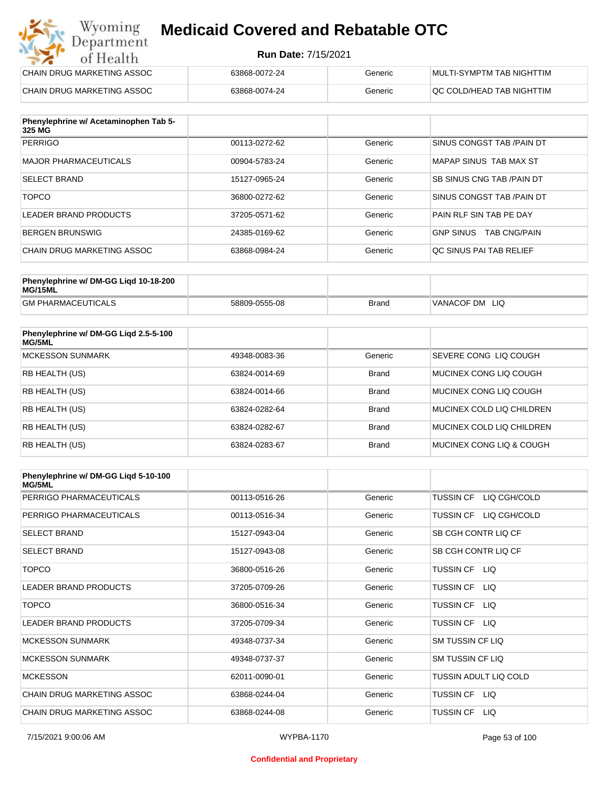#### **Run Date:** 7/15/2021

| Wyoming<br><b>Medicaid Covered and Rebatable OTC</b><br>Department |                            |         |                           |
|--------------------------------------------------------------------|----------------------------|---------|---------------------------|
| of Health                                                          | <b>Run Date: 7/15/2021</b> |         |                           |
| CHAIN DRUG MARKETING ASSOC                                         | 63868-0072-24              | Generic | MULTI-SYMPTM TAB NIGHTTIM |
| CHAIN DRUG MARKETING ASSOC                                         | 63868-0074-24              | Generic | OC COLD/HEAD TAB NIGHTTIM |

| Phenylephrine w/ Acetaminophen Tab 5-<br>325 MG |               |         |                                         |
|-------------------------------------------------|---------------|---------|-----------------------------------------|
| <b>PERRIGO</b>                                  | 00113-0272-62 | Generic | SINUS CONGST TAB / PAIN DT              |
| MAJOR PHARMACEUTICALS                           | 00904-5783-24 | Generic | MAPAP SINUS TAB MAX ST                  |
| <b>SELECT BRAND</b>                             | 15127-0965-24 | Generic | SB SINUS CNG TAB / PAIN DT              |
| <b>TOPCO</b>                                    | 36800-0272-62 | Generic | SINUS CONGST TAB /PAIN DT               |
| LEADER BRAND PRODUCTS                           | 37205-0571-62 | Generic | PAIN RLF SIN TAB PE DAY                 |
| BERGEN BRUNSWIG                                 | 24385-0169-62 | Generic | <b>GNP SINUS</b><br><b>TAB CNG/PAIN</b> |
| CHAIN DRUG MARKETING ASSOC                      | 63868-0984-24 | Generic | OC SINUS PAI TAB RELIEF                 |

| Phenylephrine w/ DM-GG Ligd 10-18-200<br>MG/15ML |               |              |                      |
|--------------------------------------------------|---------------|--------------|----------------------|
| <b>GM PHARMACEUTICALS</b>                        | 58809-0555-08 | <b>Brand</b> | 'VANACOF DM<br>- LIQ |

| Phenylephrine w/ DM-GG Ligd 2.5-5-100<br>MG/5ML |               |              |                              |
|-------------------------------------------------|---------------|--------------|------------------------------|
| <b>MCKESSON SUNMARK</b>                         | 49348-0083-36 | Generic      | <b>SEVERE CONG LIQ COUGH</b> |
| <b>RB HEALTH (US)</b>                           | 63824-0014-69 | <b>Brand</b> | MUCINEX CONG LIO COUGH       |
| <b>RB HEALTH (US)</b>                           | 63824-0014-66 | <b>Brand</b> | MUCINEX CONG LIO COUGH       |
| <b>RB HEALTH (US)</b>                           | 63824-0282-64 | <b>Brand</b> | MUCINEX COLD LIQ CHILDREN    |
| <b>RB HEALTH (US)</b>                           | 63824-0282-67 | <b>Brand</b> | MUCINEX COLD LIQ CHILDREN    |
| <b>RB HEALTH (US)</b>                           | 63824-0283-67 | <b>Brand</b> | MUCINEX CONG LIQ & COUGH     |

| Phenylephrine w/ DM-GG Ligd 5-10-100<br><b>MG/5ML</b> |               |         |                                  |
|-------------------------------------------------------|---------------|---------|----------------------------------|
| PERRIGO PHARMACEUTICALS                               | 00113-0516-26 | Generic | LIQ CGH/COLD<br><b>TUSSIN CF</b> |
| PERRIGO PHARMACEUTICALS                               | 00113-0516-34 | Generic | LIQ CGH/COLD<br><b>TUSSIN CF</b> |
| <b>SELECT BRAND</b>                                   | 15127-0943-04 | Generic | SB CGH CONTR LIQ CF              |
| <b>SELECT BRAND</b>                                   | 15127-0943-08 | Generic | SB CGH CONTR LIQ CF              |
| <b>TOPCO</b>                                          | 36800-0516-26 | Generic | TUSSIN CF LIQ                    |
| <b>LEADER BRAND PRODUCTS</b>                          | 37205-0709-26 | Generic | <b>TUSSIN CF</b><br>LIQ.         |
| <b>TOPCO</b>                                          | 36800-0516-34 | Generic | <b>TUSSIN CF</b><br>LIQ.         |
| <b>LEADER BRAND PRODUCTS</b>                          | 37205-0709-34 | Generic | <b>TUSSIN CF</b><br>LIQ          |
| <b>MCKESSON SUNMARK</b>                               | 49348-0737-34 | Generic | <b>SM TUSSIN CF LIQ</b>          |
| <b>MCKESSON SUNMARK</b>                               | 49348-0737-37 | Generic | SM TUSSIN CF LIQ                 |
| <b>MCKESSON</b>                                       | 62011-0090-01 | Generic | TUSSIN ADULT LIQ COLD            |
| CHAIN DRUG MARKETING ASSOC                            | 63868-0244-04 | Generic | TUSSIN CF LIQ                    |
| CHAIN DRUG MARKETING ASSOC                            | 63868-0244-08 | Generic | <b>TUSSIN CF</b><br>LIQ.         |

#### **Confidential and Proprietary**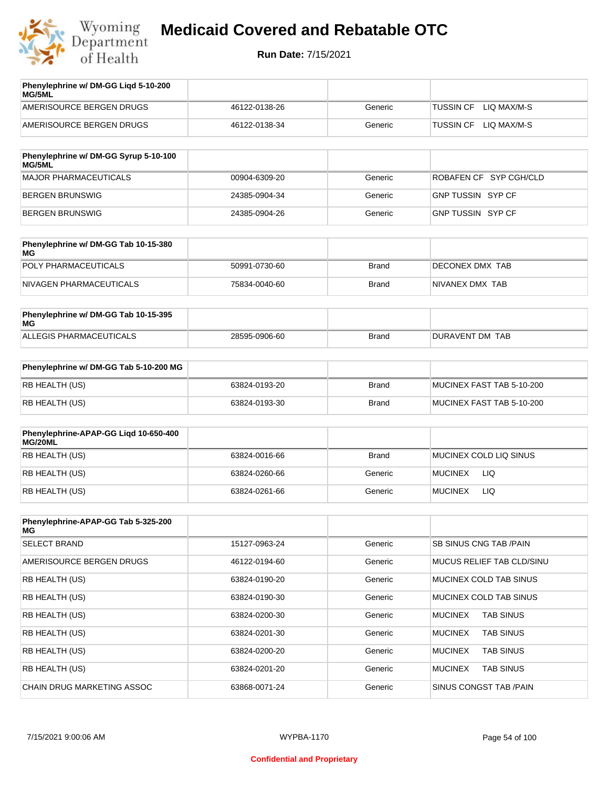

| Phenylephrine w/ DM-GG Liqd 5-10-200<br>MG/5ML |               |         |                                 |
|------------------------------------------------|---------------|---------|---------------------------------|
| AMERISOURCE BERGEN DRUGS                       | 46122-0138-26 | Generic | LIO MAX/M-S<br><b>TUSSIN CF</b> |
| AMERISOURCE BERGEN DRUGS                       | 46122-0138-34 | Generic | LIO MAX/M-S<br><b>TUSSIN CF</b> |
|                                                |               |         |                                 |

| Phenylephrine w/ DM-GG Syrup 5-10-100<br>MG/5ML |               |         |                        |
|-------------------------------------------------|---------------|---------|------------------------|
| MAJOR PHARMACEUTICALS                           | 00904-6309-20 | Generic | ROBAFEN CF SYP CGH/CLD |
| BERGEN BRUNSWIG                                 | 24385-0904-34 | Generic | GNP TUSSIN SYP CF      |
| BERGEN BRUNSWIG                                 | 24385-0904-26 | Generic | GNP TUSSIN SYP CF      |

| Phenylephrine w/ DM-GG Tab 10-15-380<br>MG |               |       |                  |
|--------------------------------------------|---------------|-------|------------------|
| POLY PHARMACEUTICALS                       | 50991-0730-60 | Brand | DECONEX DMX TAB  |
| NIVAGEN PHARMACEUTICALS                    | 75834-0040-60 | Brand | INIVANEX DMX TAB |

| Phenylephrine w/ DM-GG Tab 10-15-395<br>MG |               |              |                 |
|--------------------------------------------|---------------|--------------|-----------------|
| ALLEGIS PHARMACEUTICALS                    | 28595-0906-60 | <b>Brand</b> | DURAVENT DM TAB |

| Phenylephrine w/ DM-GG Tab 5-10-200 MG |               |       |                           |
|----------------------------------------|---------------|-------|---------------------------|
| RB HEALTH (US)                         | 63824-0193-20 | Brand | MUCINEX FAST TAB 5-10-200 |
| RB HEALTH (US)                         | 63824-0193-30 | Brand | MUCINEX FAST TAB 5-10-200 |

| Phenylephrine-APAP-GG Ligd 10-650-400<br>MG/20ML |               |         |                        |
|--------------------------------------------------|---------------|---------|------------------------|
| RB HEALTH (US)                                   | 63824-0016-66 | Brand   | MUCINEX COLD LIQ SINUS |
| RB HEALTH (US)                                   | 63824-0260-66 | Generic | LIQ<br><b>MUCINEX</b>  |
| RB HEALTH (US)                                   | 63824-0261-66 | Generic | <b>MUCINEX</b><br>LIQ  |

| Phenylephrine-APAP-GG Tab 5-325-200<br>MG |               |         |                                    |
|-------------------------------------------|---------------|---------|------------------------------------|
| <b>SELECT BRAND</b>                       | 15127-0963-24 | Generic | <b>SB SINUS CNG TAB /PAIN</b>      |
| AMERISOURCE BERGEN DRUGS                  | 46122-0194-60 | Generic | MUCUS RELIEF TAB CLD/SINU          |
| <b>RB HEALTH (US)</b>                     | 63824-0190-20 | Generic | MUCINEX COLD TAB SINUS             |
| <b>RB HEALTH (US)</b>                     | 63824-0190-30 | Generic | MUCINEX COLD TAB SINUS             |
| <b>RB HEALTH (US)</b>                     | 63824-0200-30 | Generic | <b>TAB SINUS</b><br><b>MUCINEX</b> |
| <b>RB HEALTH (US)</b>                     | 63824-0201-30 | Generic | <b>TAB SINUS</b><br><b>MUCINEX</b> |
| <b>RB HEALTH (US)</b>                     | 63824-0200-20 | Generic | <b>TAB SINUS</b><br><b>MUCINEX</b> |
| <b>RB HEALTH (US)</b>                     | 63824-0201-20 | Generic | <b>TAB SINUS</b><br><b>MUCINEX</b> |
| CHAIN DRUG MARKETING ASSOC                | 63868-0071-24 | Generic | SINUS CONGST TAB /PAIN             |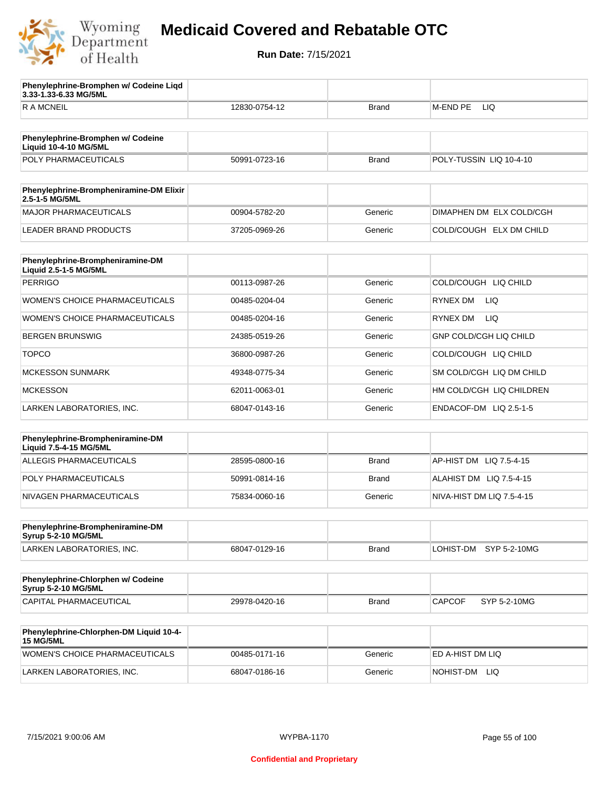

**Phenylephrine-Bromphen w/ Codeine Liqd** 

### **Medicaid Covered and Rebatable OTC**

**Run Date:** 7/15/2021

| 3.33-1.33-6.33 MG/5ML                                             |               |              |                               |
|-------------------------------------------------------------------|---------------|--------------|-------------------------------|
| <b>RAMCNEIL</b>                                                   | 12830-0754-12 | Brand        | <b>LIQ</b><br>M-END PE        |
|                                                                   |               |              |                               |
| Phenylephrine-Bromphen w/ Codeine<br><b>Liquid 10-4-10 MG/5ML</b> |               |              |                               |
| POLY PHARMACEUTICALS                                              | 50991-0723-16 | <b>Brand</b> | POLY-TUSSIN LIQ 10-4-10       |
|                                                                   |               |              |                               |
| Phenylephrine-Brompheniramine-DM Elixir<br>2.5-1-5 MG/5ML         |               |              |                               |
| <b>MAJOR PHARMACEUTICALS</b>                                      | 00904-5782-20 | Generic      | DIMAPHEN DM ELX COLD/CGH      |
| <b>LEADER BRAND PRODUCTS</b>                                      | 37205-0969-26 | Generic      | COLD/COUGH ELX DM CHILD       |
| Phenylephrine-Brompheniramine-DM<br>Liquid 2.5-1-5 MG/5ML         |               |              |                               |
| <b>PERRIGO</b>                                                    | 00113-0987-26 | Generic      | COLD/COUGH LIQ CHILD          |
| WOMEN'S CHOICE PHARMACEUTICALS                                    | 00485-0204-04 | Generic      | RYNEX DM<br>LIQ.              |
| WOMEN'S CHOICE PHARMACEUTICALS                                    | 00485-0204-16 | Generic      | RYNEX DM<br>LIQ.              |
| <b>BERGEN BRUNSWIG</b>                                            | 24385-0519-26 | Generic      | <b>GNP COLD/CGH LIQ CHILD</b> |
| <b>TOPCO</b>                                                      | 36800-0987-26 | Generic      | COLD/COUGH LIQ CHILD          |
| <b>MCKESSON SUNMARK</b>                                           | 49348-0775-34 | Generic      | SM COLD/CGH LIQ DM CHILD      |
| <b>MCKESSON</b>                                                   | 62011-0063-01 | Generic      | HM COLD/CGH LIQ CHILDREN      |
| LARKEN LABORATORIES, INC.                                         | 68047-0143-16 | Generic      | ENDACOF-DM LIQ 2.5-1-5        |
|                                                                   |               |              |                               |
| Phenylephrine-Brompheniramine-DM<br>Liquid 7.5-4-15 MG/5ML        |               |              |                               |
| <b>ALLEGIS PHARMACEUTICALS</b>                                    | 28595-0800-16 | <b>Brand</b> | AP-HIST DM LIQ 7.5-4-15       |
| POLY PHARMACEUTICALS                                              | 50991-0814-16 | <b>Brand</b> | ALAHIST DM LIQ 7.5-4-15       |
| NIVAGEN PHARMACEUTICALS                                           | 75834-0060-16 | Generic      | NIVA-HIST DM LIQ 7.5-4-15     |
|                                                                   |               |              |                               |
| Phenylephrine-Brompheniramine-DM<br>Syrup 5-2-10 MG/5ML           |               |              |                               |
| LARKEN LABORATORIES, INC.                                         | 68047-0129-16 | <b>Brand</b> | LOHIST-DM SYP 5-2-10MG        |
|                                                                   |               |              |                               |
| Phenylephrine-Chlorphen w/ Codeine<br>Syrup 5-2-10 MG/5ML         |               |              |                               |
| CAPITAL PHARMACEUTICAL                                            | 29978-0420-16 | <b>Brand</b> | CAPCOF<br>SYP 5-2-10MG        |
| Phenylephrine-Chlorphen-DM Liquid 10-4-                           |               |              |                               |
| <b>15 MG/5ML</b>                                                  |               |              |                               |
| WOMEN'S CHOICE PHARMACEUTICALS                                    | 00485-0171-16 | Generic      | ED A-HIST DM LIQ              |

LARKEN LABORATORIES, INC. 68047-0186-16 Generic NOHIST-DM LIQ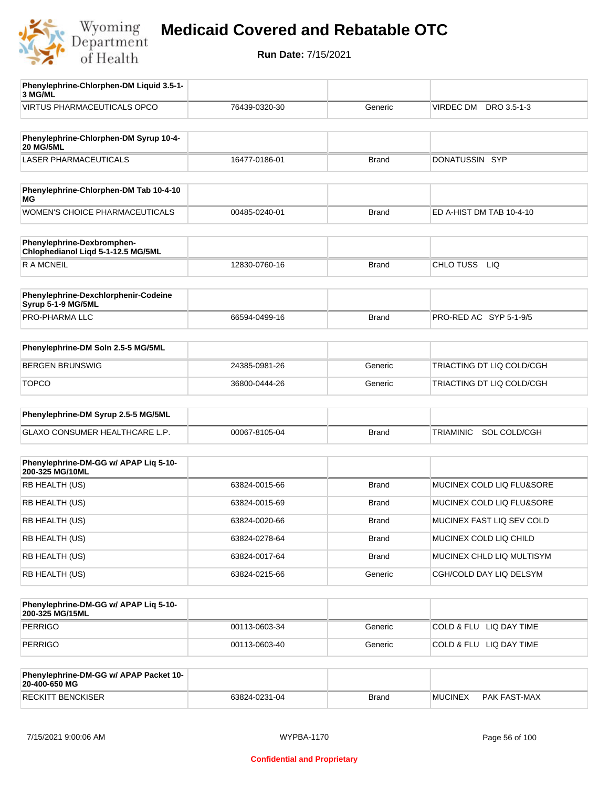

| Phenylephrine-Chlorphen-DM Liquid 3.5-1-<br>3 MG/ML              |               |              |                                |
|------------------------------------------------------------------|---------------|--------------|--------------------------------|
| <b>VIRTUS PHARMACEUTICALS OPCO</b>                               | 76439-0320-30 | Generic      | DRO 3.5-1-3<br>VIRDEC DM       |
| Phenylephrine-Chlorphen-DM Syrup 10-4-<br><b>20 MG/5ML</b>       |               |              |                                |
| <b>LASER PHARMACEUTICALS</b>                                     | 16477-0186-01 | <b>Brand</b> | DONATUSSIN SYP                 |
|                                                                  |               |              |                                |
| Phenylephrine-Chlorphen-DM Tab 10-4-10<br>ΜG                     |               |              |                                |
| WOMEN'S CHOICE PHARMACEUTICALS                                   | 00485-0240-01 | <b>Brand</b> | ED A-HIST DM TAB 10-4-10       |
| Phenylephrine-Dexbromphen-<br>Chlophedianol Liqd 5-1-12.5 MG/5ML |               |              |                                |
| <b>RAMCNEIL</b>                                                  | 12830-0760-16 | <b>Brand</b> | CHLO TUSS LIQ                  |
| Phenylephrine-Dexchlorphenir-Codeine<br>Syrup 5-1-9 MG/5ML       |               |              |                                |
| PRO-PHARMA LLC                                                   | 66594-0499-16 | <b>Brand</b> | PRO-RED AC SYP 5-1-9/5         |
| Phenylephrine-DM Soln 2.5-5 MG/5ML                               |               |              |                                |
| <b>BERGEN BRUNSWIG</b>                                           | 24385-0981-26 | Generic      | TRIACTING DT LIQ COLD/CGH      |
| <b>TOPCO</b>                                                     | 36800-0444-26 | Generic      | TRIACTING DT LIQ COLD/CGH      |
| Phenylephrine-DM Syrup 2.5-5 MG/5ML                              |               |              |                                |
| GLAXO CONSUMER HEALTHCARE L.P.                                   | 00067-8105-04 | <b>Brand</b> | SOL COLD/CGH<br>TRIAMINIC      |
| Phenylephrine-DM-GG w/ APAP Liq 5-10-                            |               |              |                                |
| 200-325 MG/10ML                                                  |               |              |                                |
| RB HEALTH (US)                                                   | 63824-0015-66 | <b>Brand</b> | MUCINEX COLD LIQ FLU&SORE      |
| RB HEALTH (US)                                                   | 63824-0015-69 | <b>Brand</b> | MUCINEX COLD LIQ FLU&SORE      |
| RB HEALTH (US)                                                   | 63824-0020-66 | <b>Brand</b> | MUCINEX FAST LIQ SEV COLD      |
| RB HEALTH (US)                                                   | 63824-0278-64 | <b>Brand</b> | MUCINEX COLD LIQ CHILD         |
| RB HEALTH (US)                                                   | 63824-0017-64 | <b>Brand</b> | MUCINEX CHLD LIQ MULTISYM      |
| RB HEALTH (US)                                                   | 63824-0215-66 | Generic      | CGH/COLD DAY LIQ DELSYM        |
| Phenylephrine-DM-GG w/ APAP Liq 5-10-<br>200-325 MG/15ML         |               |              |                                |
| <b>PERRIGO</b>                                                   | 00113-0603-34 | Generic      | COLD & FLU LIQ DAY TIME        |
| PERRIGO                                                          | 00113-0603-40 | Generic      | COLD & FLU LIQ DAY TIME        |
| Phenylephrine-DM-GG w/ APAP Packet 10-<br>20-400-650 MG          |               |              |                                |
| <b>RECKITT BENCKISER</b>                                         | 63824-0231-04 | <b>Brand</b> | <b>MUCINEX</b><br>PAK FAST-MAX |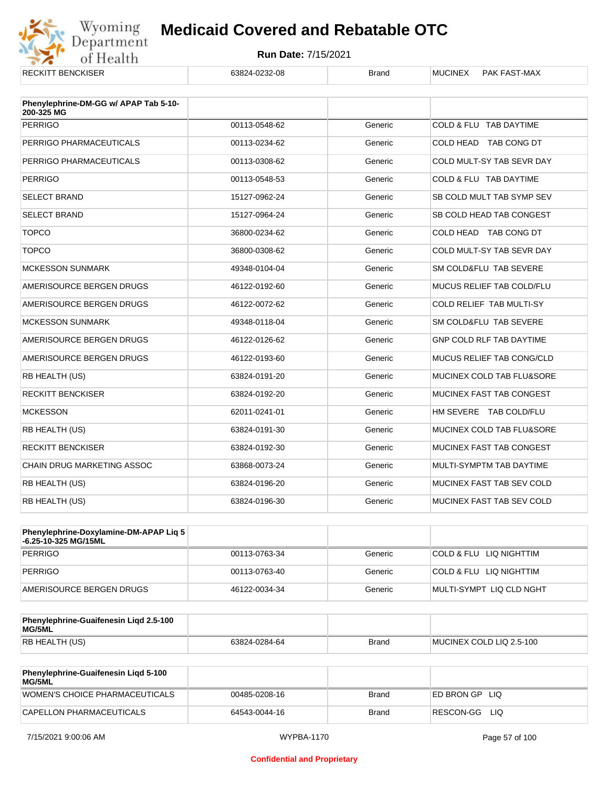

| <b>RECKITT BENCKISER</b>                            | 63824-0232-08 | <b>Brand</b> | <b>MUCINEX</b><br>PAK FAST-MAX  |
|-----------------------------------------------------|---------------|--------------|---------------------------------|
| Phenylephrine-DM-GG w/ APAP Tab 5-10-<br>200-325 MG |               |              |                                 |
| <b>PERRIGO</b>                                      | 00113-0548-62 | Generic      | COLD & FLU TAB DAYTIME          |
| PERRIGO PHARMACEUTICALS                             | 00113-0234-62 | Generic      | COLD HEAD TAB CONG DT           |
| PERRIGO PHARMACEUTICALS                             | 00113-0308-62 | Generic      | COLD MULT-SY TAB SEVR DAY       |
| <b>PERRIGO</b>                                      | 00113-0548-53 | Generic      | COLD & FLU TAB DAYTIME          |
| <b>SELECT BRAND</b>                                 | 15127-0962-24 | Generic      | SB COLD MULT TAB SYMP SEV       |
| <b>SELECT BRAND</b>                                 | 15127-0964-24 | Generic      | SB COLD HEAD TAB CONGEST        |
| <b>TOPCO</b>                                        | 36800-0234-62 | Generic      | COLD HEAD TAB CONG DT           |
| <b>TOPCO</b>                                        | 36800-0308-62 | Generic      | COLD MULT-SY TAB SEVR DAY       |
| <b>MCKESSON SUNMARK</b>                             | 49348-0104-04 | Generic      | SM COLD&FLU TAB SEVERE          |
| AMERISOURCE BERGEN DRUGS                            | 46122-0192-60 | Generic      | MUCUS RELIEF TAB COLD/FLU       |
| AMERISOURCE BERGEN DRUGS                            | 46122-0072-62 | Generic      | COLD RELIEF TAB MULTI-SY        |
| <b>MCKESSON SUNMARK</b>                             | 49348-0118-04 | Generic      | SM COLD&FLU TAB SEVERE          |
| AMERISOURCE BERGEN DRUGS                            | 46122-0126-62 | Generic      | <b>GNP COLD RLF TAB DAYTIME</b> |
| AMERISOURCE BERGEN DRUGS                            | 46122-0193-60 | Generic      | MUCUS RELIEF TAB CONG/CLD       |
| RB HEALTH (US)                                      | 63824-0191-20 | Generic      | MUCINEX COLD TAB FLU&SORE       |
| <b>RECKITT BENCKISER</b>                            | 63824-0192-20 | Generic      | MUCINEX FAST TAB CONGEST        |
| <b>MCKESSON</b>                                     | 62011-0241-01 | Generic      | HM SEVERE TAB COLD/FLU          |
| RB HEALTH (US)                                      | 63824-0191-30 | Generic      | MUCINEX COLD TAB FLU&SORE       |
| <b>RECKITT BENCKISER</b>                            | 63824-0192-30 | Generic      | MUCINEX FAST TAB CONGEST        |
| <b>CHAIN DRUG MARKETING ASSOC</b>                   | 63868-0073-24 | Generic      | MULTI-SYMPTM TAB DAYTIME        |
| RB HEALTH (US)                                      | 63824-0196-20 | Generic      | MUCINEX FAST TAB SEV COLD       |
| RB HEALTH (US)                                      | 63824-0196-30 | Generic      | MUCINEX FAST TAB SEV COLD       |

| Phenylephrine-Doxylamine-DM-APAP Liq 5<br>-6.25-10-325 MG/15ML |               |         |                          |
|----------------------------------------------------------------|---------------|---------|--------------------------|
| <b>PERRIGO</b>                                                 | 00113-0763-34 | Generic | COLD & FLU LIQ NIGHTTIM  |
| PERRIGO                                                        | 00113-0763-40 | Generic | COLD & FLU LIQ NIGHTTIM  |
| AMERISOURCE BERGEN DRUGS                                       | 46122-0034-34 | Generic | MULTI-SYMPT LIQ CLD NGHT |

| Phenylephrine-Guaifenesin Ligd 2.5-100<br>MG/5ML |               |              |                          |
|--------------------------------------------------|---------------|--------------|--------------------------|
| <b>RB HEALTH (US)</b>                            | 63824-0284-64 | <b>Brand</b> | MUCINEX COLD LIQ 2.5-100 |

| Phenylephrine-Guaifenesin Ligd 5-100<br>MG/5ML |               |       |                    |
|------------------------------------------------|---------------|-------|--------------------|
| WOMEN'S CHOICE PHARMACEUTICALS                 | 00485-0208-16 | Brand | IED BRON GPLIO     |
| CAPELLON PHARMACEUTICALS                       | 64543-0044-16 | Brand | RESCON-GG<br>– LIQ |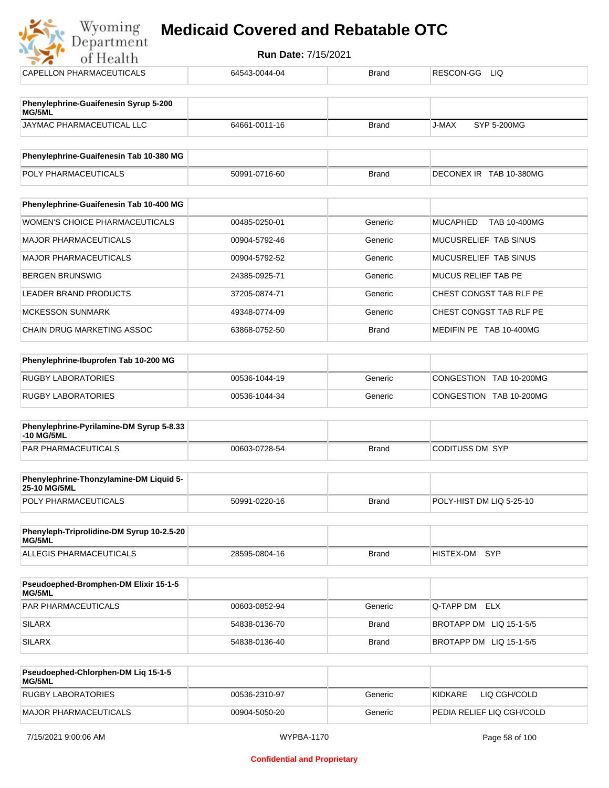| Wyoming<br><b>Medicaid Covered and Rebatable OTC</b><br>Department |               |              |                                 |  |  |  |
|--------------------------------------------------------------------|---------------|--------------|---------------------------------|--|--|--|
| <b>Run Date: 7/15/2021</b><br>of Health                            |               |              |                                 |  |  |  |
| CAPELLON PHARMACEUTICALS                                           | 64543-0044-04 | <b>Brand</b> | RESCON-GG LIQ                   |  |  |  |
| Phenylephrine-Guaifenesin Syrup 5-200<br>MG/5ML                    |               |              |                                 |  |  |  |
| JAYMAC PHARMACEUTICAL LLC                                          | 64661-0011-16 | <b>Brand</b> | J-MAX<br>SYP 5-200MG            |  |  |  |
| Phenylephrine-Guaifenesin Tab 10-380 MG                            |               |              |                                 |  |  |  |
| POLY PHARMACEUTICALS                                               | 50991-0716-60 | <b>Brand</b> | DECONEX IR TAB 10-380MG         |  |  |  |
| Phenylephrine-Guaifenesin Tab 10-400 MG                            |               |              |                                 |  |  |  |
| WOMEN'S CHOICE PHARMACEUTICALS                                     | 00485-0250-01 | Generic      | <b>MUCAPHED</b><br>TAB 10-400MG |  |  |  |
| <b>MAJOR PHARMACEUTICALS</b>                                       | 00904-5792-46 | Generic      | MUCUSRELIEF TAB SINUS           |  |  |  |
| <b>MAJOR PHARMACEUTICALS</b>                                       | 00904-5792-52 | Generic      | MUCUSRELIEF TAB SINUS           |  |  |  |
| <b>BERGEN BRUNSWIG</b>                                             | 24385-0925-71 | Generic      | <b>MUCUS RELIEF TAB PE</b>      |  |  |  |
| <b>LEADER BRAND PRODUCTS</b>                                       | 37205-0874-71 | Generic      | CHEST CONGST TAB RLF PE         |  |  |  |
| <b>MCKESSON SUNMARK</b>                                            | 49348-0774-09 | Generic      | CHEST CONGST TAB RLF PE         |  |  |  |
| CHAIN DRUG MARKETING ASSOC                                         | 63868-0752-50 | <b>Brand</b> | MEDIFIN PE TAB 10-400MG         |  |  |  |
| Phenylephrine-Ibuprofen Tab 10-200 MG                              |               |              |                                 |  |  |  |
| <b>RUGBY LABORATORIES</b>                                          | 00536-1044-19 | Generic      | CONGESTION TAB 10-200MG         |  |  |  |
| <b>RUGBY LABORATORIES</b>                                          | 00536-1044-34 | Generic      | CONGESTION TAB 10-200MG         |  |  |  |
| Phenylephrine-Pyrilamine-DM Syrup 5-8.33<br>-10 MG/5ML             |               |              |                                 |  |  |  |
| <b>PAR PHARMACEUTICALS</b>                                         | 00603-0728-54 | <b>Brand</b> | <b>CODITUSS DM SYP</b>          |  |  |  |
| Phenylephrine-Thonzylamine-DM Liquid 5-<br>25-10 MG/5ML            |               |              |                                 |  |  |  |
| POLY PHARMACEUTICALS                                               | 50991-0220-16 | <b>Brand</b> | POLY-HIST DM LIQ 5-25-10        |  |  |  |

| Phenyleph-Triprolidine-DM Syrup 10-2.5-20<br>MG/5ML |               |       |               |  |
|-----------------------------------------------------|---------------|-------|---------------|--|
| ALLEGIS PHARMACEUTICALS                             | 28595-0804-16 | Brand | HISTEX-DM SYP |  |

| <b>Pseudoephed-Bromphen-DM Elixir 15-1-5</b><br>MG/5ML |               |              |                         |
|--------------------------------------------------------|---------------|--------------|-------------------------|
| <b>PAR PHARMACEUTICALS</b>                             | 00603-0852-94 | Generic      | <b>Q-TAPP DM ELX</b>    |
| <b>SILARX</b>                                          | 54838-0136-70 | Brand        | BROTAPP DM LIQ 15-1-5/5 |
| <b>SILARX</b>                                          | 54838-0136-40 | <b>Brand</b> | BROTAPP DM LIQ 15-1-5/5 |

| <b>Pseudoephed-Chlorphen-DM Lig 15-1-5</b><br>MG/5ML |               |         |                           |
|------------------------------------------------------|---------------|---------|---------------------------|
| RUGBY LABORATORIES                                   | 00536-2310-97 | Generic | LIO CGH/COLD<br>KIDKARE   |
| MAJOR PHARMACEUTICALS                                | 00904-5050-20 | Generic | PEDIA RELIEF LIQ CGH/COLD |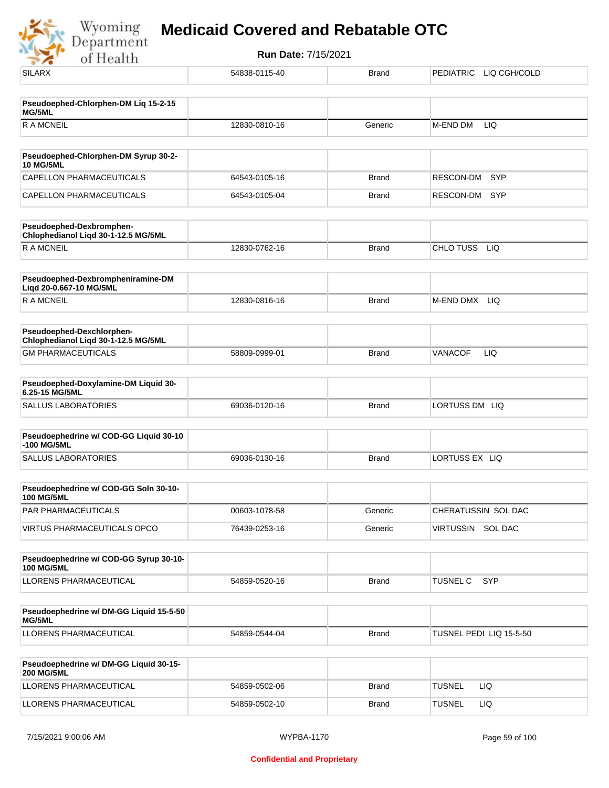Wyoming<br>Department **Run Date:** 7/15/2021 of Health SILARX 54838-0115-40 Brand PEDIATRIC LIQ CGH/COLD **Pseudoephed-Chlorphen-DM Liq 15-2-15 MG/5ML** R A MCNEIL **12830-0810-16** Generic M-END DM LIQ **Pseudoephed-Chlorphen-DM Syrup 30-2-**

| Pseudoepned-Uniorpnen-DM Syrup 30-2-<br><b>10 MG/5ML</b> |               |       |               |
|----------------------------------------------------------|---------------|-------|---------------|
| CAPELLON PHARMACEUTICALS                                 | 64543-0105-16 | Brand | RESCON-DM SYP |
| CAPELLON PHARMACEUTICALS                                 | 64543-0105-04 | Brand | RESCON-DM SYP |

| Pseudoephed-Dexbromphen-<br>Chlophedianol Ligd 30-1-12.5 MG/5ML |               |       |                         |
|-----------------------------------------------------------------|---------------|-------|-------------------------|
| <b>R A MCNEIL</b>                                               | 12830-0762-16 | Brand | LIQ<br><b>CHLO TUSS</b> |

| Pseudoephed-Dexbrompheniramine-DM<br>Ligd 20-0.667-10 MG/5ML |               |       |                  |
|--------------------------------------------------------------|---------------|-------|------------------|
| R A MCNEIL                                                   | 12830-0816-16 | Brand | LIQ<br>M-END DMX |

| <b>Pseudoephed-Dexchlorphen-</b><br>Chlophedianol Ligd 30-1-12.5 MG/5ML |               |              |         |     |
|-------------------------------------------------------------------------|---------------|--------------|---------|-----|
| <b>GM PHARMACEUTICALS</b>                                               | 58809-0999-01 | <b>Brand</b> | VANACOF | LIQ |

| Pseudoephed-Doxylamine-DM Liquid 30-<br>6.25-15 MG/5ML |               |              |                   |
|--------------------------------------------------------|---------------|--------------|-------------------|
| SALLUS LABORATORIES                                    | 69036-0120-16 | <b>Brand</b> | LORTUSS DM<br>LIQ |

| Pseudoephedrine w/ COD-GG Liquid 30-10<br>-100 MG/5ML |               |       |                 |
|-------------------------------------------------------|---------------|-------|-----------------|
| SALLUS LABORATORIES                                   | 69036-0130-16 | Brand | ILORTUSS EX LIQ |

| Pseudoephedrine w/ COD-GG Soln 30-10-<br>100 MG/5ML |               |         |                      |
|-----------------------------------------------------|---------------|---------|----------------------|
| <b>PAR PHARMACEUTICALS</b>                          | 00603-1078-58 | Generic | CHERATUSSIN SOL DAC  |
| VIRTUS PHARMACEUTICALS OPCO                         | 76439-0253-16 | Generic | SOL DAC<br>VIRTUSSIN |

| Pseudoephedrine w/ COD-GG Syrup 30-10-<br><b>100 MG/5ML</b> |               |              |                  |
|-------------------------------------------------------------|---------------|--------------|------------------|
| <b>LLORENS PHARMACEUTICAL</b>                               | 54859-0520-16 | <b>Brand</b> | 'TUSNEL C<br>SYP |

| Pseudoephedrine w/ DM-GG Liquid 15-5-50<br>MG/5ML |               |       |                         |
|---------------------------------------------------|---------------|-------|-------------------------|
| LLORENS PHARMACEUTICAL                            | 54859-0544-04 | Brand | TUSNEL PEDI LIQ 15-5-50 |

| <b>Pseudoephedrine w/ DM-GG Liquid 30-15-</b><br><b>200 MG/5ML</b> |               |       |               |     |
|--------------------------------------------------------------------|---------------|-------|---------------|-----|
| LLORENS PHARMACEUTICAL                                             | 54859-0502-06 | Brand | <b>TUSNEL</b> | LIG |
| LLORENS PHARMACEUTICAL                                             | 54859-0502-10 | Brand | <b>TUSNEL</b> | LIC |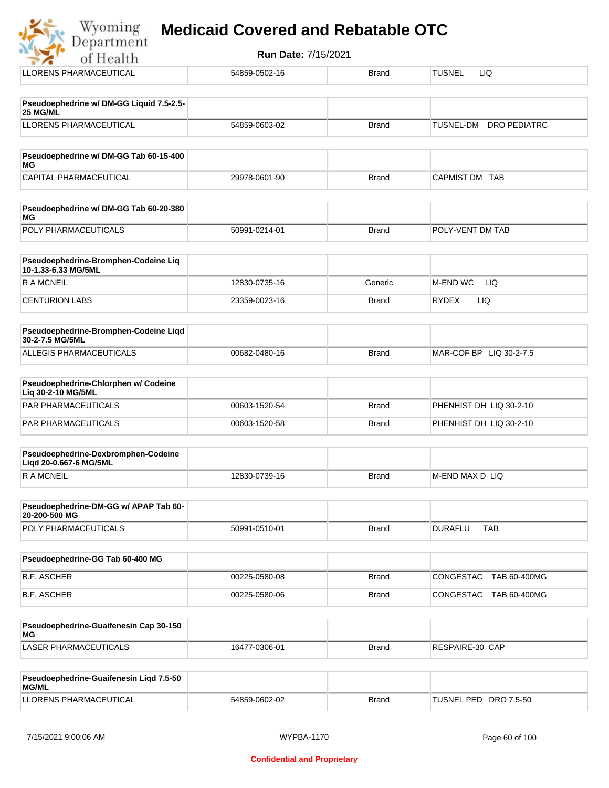|  |  | <b>Medicaid Covered and Rebatable OTC</b> |  |
|--|--|-------------------------------------------|--|
|  |  |                                           |  |

| Department                                                    | <b>Run Date: 7/15/2021</b> |              |                                  |
|---------------------------------------------------------------|----------------------------|--------------|----------------------------------|
| of Health                                                     |                            |              |                                  |
| <b>LLORENS PHARMACEUTICAL</b>                                 | 54859-0502-16              | <b>Brand</b> | <b>TUSNEL</b><br>LIQ.            |
| Pseudoephedrine w/ DM-GG Liquid 7.5-2.5-<br>25 MG/ML          |                            |              |                                  |
| LLORENS PHARMACEUTICAL                                        | 54859-0603-02              | Brand        | <b>DRO PEDIATRC</b><br>TUSNEL-DM |
| Pseudoephedrine w/ DM-GG Tab 60-15-400<br>ΜG                  |                            |              |                                  |
| CAPITAL PHARMACEUTICAL                                        | 29978-0601-90              | Brand        | CAPMIST DM TAB                   |
| Pseudoephedrine w/ DM-GG Tab 60-20-380<br>ΜG                  |                            |              |                                  |
| POLY PHARMACEUTICALS                                          | 50991-0214-01              | <b>Brand</b> | POLY-VENT DM TAB                 |
| Pseudoephedrine-Bromphen-Codeine Liq<br>10-1.33-6.33 MG/5ML   |                            |              |                                  |
| <b>RAMCNEIL</b>                                               | 12830-0735-16              | Generic      | M-END WC<br>LIQ                  |
| <b>CENTURION LABS</b>                                         | 23359-0023-16              | Brand        | <b>RYDEX</b><br>LIQ              |
| Pseudoephedrine-Bromphen-Codeine Liqd<br>30-2-7.5 MG/5ML      |                            |              |                                  |
| ALLEGIS PHARMACEUTICALS                                       | 00682-0480-16              | <b>Brand</b> | MAR-COF BP LIQ 30-2-7.5          |
| Pseudoephedrine-Chlorphen w/ Codeine<br>Liq 30-2-10 MG/5ML    |                            |              |                                  |
| PAR PHARMACEUTICALS                                           | 00603-1520-54              | <b>Brand</b> | PHENHIST DH LIQ 30-2-10          |
| PAR PHARMACEUTICALS                                           | 00603-1520-58              | Brand        | PHENHIST DH LIQ 30-2-10          |
| Pseudoephedrine-Dexbromphen-Codeine<br>Liqd 20-0.667-6 MG/5ML |                            |              |                                  |
| <b>RAMCNEIL</b>                                               | 12830-0739-16              | Brand        | M-END MAX D LIQ                  |
| Pseudoephedrine-DM-GG w/ APAP Tab 60-<br>20-200-500 MG        |                            |              |                                  |
| POLY PHARMACEUTICALS                                          | 50991-0510-01              | <b>Brand</b> | <b>DURAFLU</b><br><b>TAB</b>     |
| Pseudoephedrine-GG Tab 60-400 MG                              |                            |              |                                  |
| <b>B.F. ASCHER</b>                                            | 00225-0580-08              | <b>Brand</b> | CONGESTAC TAB 60-400MG           |
| <b>B.F. ASCHER</b>                                            | 00225-0580-06              | <b>Brand</b> | CONGESTAC TAB 60-400MG           |

| Pseudoephedrine-Guaifenesin Cap 30-150<br>MG |               |       |                 |
|----------------------------------------------|---------------|-------|-----------------|
| LASER PHARMACEUTICALS                        | 16477-0306-01 | Brand | RESPAIRE-30 CAP |

| <b>Pseudoephedrine-Guaifenesin Ligd 7.5-50</b><br><b>MG/ML</b> |               |       |                          |
|----------------------------------------------------------------|---------------|-------|--------------------------|
| LLORENS PHARMACEUTICAL                                         | 54859-0602-02 | Brand | TUSNEL PED<br>DRO 7.5-50 |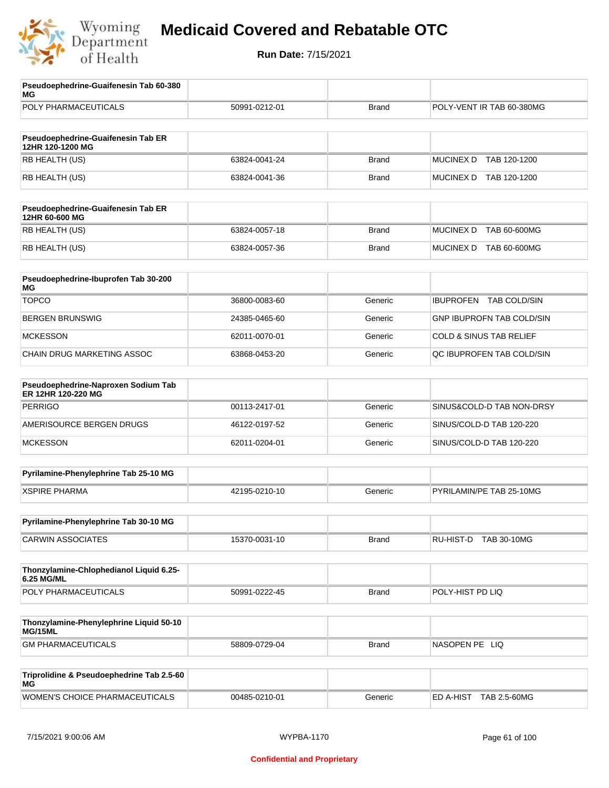

| Pseudoephedrine-Guaifenesin Tab 60-380<br>МG              |               |              |                                         |
|-----------------------------------------------------------|---------------|--------------|-----------------------------------------|
| POLY PHARMACEUTICALS                                      | 50991-0212-01 | <b>Brand</b> | POLY-VENT IR TAB 60-380MG               |
| Pseudoephedrine-Guaifenesin Tab ER<br>12HR 120-1200 MG    |               |              |                                         |
| RB HEALTH (US)                                            | 63824-0041-24 | <b>Brand</b> | <b>MUCINEX D</b><br>TAB 120-1200        |
| RB HEALTH (US)                                            | 63824-0041-36 | <b>Brand</b> | MUCINEX D TAB 120-1200                  |
| Pseudoephedrine-Guaifenesin Tab ER<br>12HR 60-600 MG      |               |              |                                         |
| RB HEALTH (US)                                            | 63824-0057-18 | <b>Brand</b> | <b>MUCINEX D</b><br>TAB 60-600MG        |
| RB HEALTH (US)                                            | 63824-0057-36 | <b>Brand</b> | <b>MUCINEX D</b><br>TAB 60-600MG        |
| Pseudoephedrine-Ibuprofen Tab 30-200<br>ΜG                |               |              |                                         |
| <b>TOPCO</b>                                              | 36800-0083-60 | Generic      | <b>IBUPROFEN</b><br><b>TAB COLD/SIN</b> |
| <b>BERGEN BRUNSWIG</b>                                    | 24385-0465-60 | Generic      | <b>GNP IBUPROFN TAB COLD/SIN</b>        |
| <b>MCKESSON</b>                                           | 62011-0070-01 | Generic      | <b>COLD &amp; SINUS TAB RELIEF</b>      |
| CHAIN DRUG MARKETING ASSOC                                | 63868-0453-20 | Generic      | QC IBUPROFEN TAB COLD/SIN               |
| Pseudoephedrine-Naproxen Sodium Tab<br>ER 12HR 120-220 MG |               |              |                                         |
| <b>PERRIGO</b>                                            | 00113-2417-01 | Generic      | SINUS&COLD-D TAB NON-DRSY               |
| AMERISOURCE BERGEN DRUGS                                  | 46122-0197-52 | Generic      | SINUS/COLD-D TAB 120-220                |
| <b>MCKESSON</b>                                           | 62011-0204-01 | Generic      | SINUS/COLD-D TAB 120-220                |
| Pyrilamine-Phenylephrine Tab 25-10 MG                     |               |              |                                         |
| <b>XSPIRE PHARMA</b>                                      | 42195-0210-10 | Generic      | PYRILAMIN/PE TAB 25-10MG                |
| Pyrilamine-Phenylephrine Tab 30-10 MG                     |               |              |                                         |
| <b>CARWIN ASSOCIATES</b>                                  | 15370-0031-10 | <b>Brand</b> | RU-HIST-D TAB 30-10MG                   |
| Thonzylamine-Chlophedianol Liquid 6.25-<br>6.25 MG/ML     |               |              |                                         |
| POLY PHARMACEUTICALS                                      | 50991-0222-45 | <b>Brand</b> | POLY-HIST PD LIQ                        |
| Thonzylamine-Phenylephrine Liquid 50-10<br>MG/15ML        |               |              |                                         |
| <b>GM PHARMACEUTICALS</b>                                 | 58809-0729-04 | <b>Brand</b> | NASOPEN PE LIQ                          |
| Triprolidine & Pseudoephedrine Tab 2.5-60<br>МG           |               |              |                                         |
| WOMEN'S CHOICE PHARMACEUTICALS                            | 00485-0210-01 | Generic      | ED A-HIST TAB 2.5-60MG                  |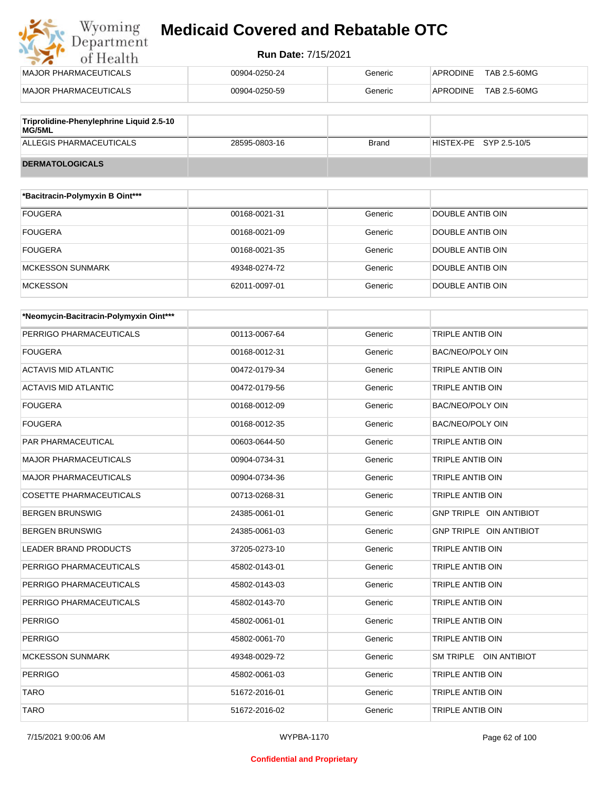## Wyoming<br>Department<br>of Health **Medicaid Covered and Rebatable OTC**

#### **Run Date:** 7/15/2021

| MAJOR PHARMACEUTICALS                    | 00904-0250-24 | Generic | TAB 2.5-60MG<br>APRODINE |
|------------------------------------------|---------------|---------|--------------------------|
| MAJOR PHARMACEUTICALS                    | 00904-0250-59 | Generic | TAB 2.5-60MG<br>APRODINE |
| Triprolidine-Phenylephrine Liquid 2.5-10 |               |         |                          |
| <b>MG/5ML</b>                            |               |         |                          |

| <b>Tripionanie-Frienviepmine Eigald 2.5-To</b><br>MG/5ML |               |              |                        |
|----------------------------------------------------------|---------------|--------------|------------------------|
| ALLEGIS PHARMACEUTICALS                                  | 28595-0803-16 | <b>Brand</b> | HISTEX-PE SYP 2.5-10/5 |
| <b>DERMATOLOGICALS</b>                                   |               |              |                        |

| *Bacitracin-Polymyxin B Oint*** |               |         |                  |
|---------------------------------|---------------|---------|------------------|
| <b>FOUGERA</b>                  | 00168-0021-31 | Generic | DOUBLE ANTIB OIN |
| <b>FOUGERA</b>                  | 00168-0021-09 | Generic | DOUBLE ANTIB OIN |
| <b>FOUGERA</b>                  | 00168-0021-35 | Generic | DOUBLE ANTIB OIN |
| <b>MCKESSON SUNMARK</b>         | 49348-0274-72 | Generic | DOUBLE ANTIB OIN |
| <b>MCKESSON</b>                 | 62011-0097-01 | Generic | DOUBLE ANTIB OIN |

| *Neomycin-Bacitracin-Polymyxin Oint*** |               |         |                         |
|----------------------------------------|---------------|---------|-------------------------|
| PERRIGO PHARMACEUTICALS                | 00113-0067-64 | Generic | TRIPLE ANTIB OIN        |
| <b>FOUGERA</b>                         | 00168-0012-31 | Generic | <b>BAC/NEO/POLY OIN</b> |
| ACTAVIS MID ATLANTIC                   | 00472-0179-34 | Generic | TRIPLE ANTIB OIN        |
| <b>ACTAVIS MID ATLANTIC</b>            | 00472-0179-56 | Generic | <b>TRIPLE ANTIB OIN</b> |
| <b>FOUGERA</b>                         | 00168-0012-09 | Generic | <b>BAC/NEO/POLY OIN</b> |
| <b>FOUGERA</b>                         | 00168-0012-35 | Generic | <b>BAC/NEO/POLY OIN</b> |
| PAR PHARMACEUTICAL                     | 00603-0644-50 | Generic | TRIPLE ANTIB OIN        |
| <b>MAJOR PHARMACEUTICALS</b>           | 00904-0734-31 | Generic | TRIPLE ANTIB OIN        |
| <b>MAJOR PHARMACEUTICALS</b>           | 00904-0734-36 | Generic | TRIPLE ANTIB OIN        |
| <b>COSETTE PHARMACEUTICALS</b>         | 00713-0268-31 | Generic | TRIPLE ANTIB OIN        |
| <b>BERGEN BRUNSWIG</b>                 | 24385-0061-01 | Generic | GNP TRIPLE OIN ANTIBIOT |
| <b>BERGEN BRUNSWIG</b>                 | 24385-0061-03 | Generic | GNP TRIPLE OIN ANTIBIOT |
| <b>LEADER BRAND PRODUCTS</b>           | 37205-0273-10 | Generic | TRIPLE ANTIB OIN        |
| PERRIGO PHARMACEUTICALS                | 45802-0143-01 | Generic | TRIPLE ANTIB OIN        |
| PERRIGO PHARMACEUTICALS                | 45802-0143-03 | Generic | TRIPLE ANTIB OIN        |
| PERRIGO PHARMACEUTICALS                | 45802-0143-70 | Generic | <b>TRIPLE ANTIB OIN</b> |
| <b>PERRIGO</b>                         | 45802-0061-01 | Generic | <b>TRIPLE ANTIB OIN</b> |
| <b>PERRIGO</b>                         | 45802-0061-70 | Generic | TRIPLE ANTIB OIN        |
| <b>MCKESSON SUNMARK</b>                | 49348-0029-72 | Generic | SM TRIPLE OIN ANTIBIOT  |
| <b>PERRIGO</b>                         | 45802-0061-03 | Generic | TRIPLE ANTIB OIN        |
| <b>TARO</b>                            | 51672-2016-01 | Generic | <b>TRIPLE ANTIB OIN</b> |
| <b>TARO</b>                            | 51672-2016-02 | Generic | TRIPLE ANTIB OIN        |

7/15/2021 9:00:06 AM WYPBA-1170 Page 62 of 100

#### **Confidential and Proprietary**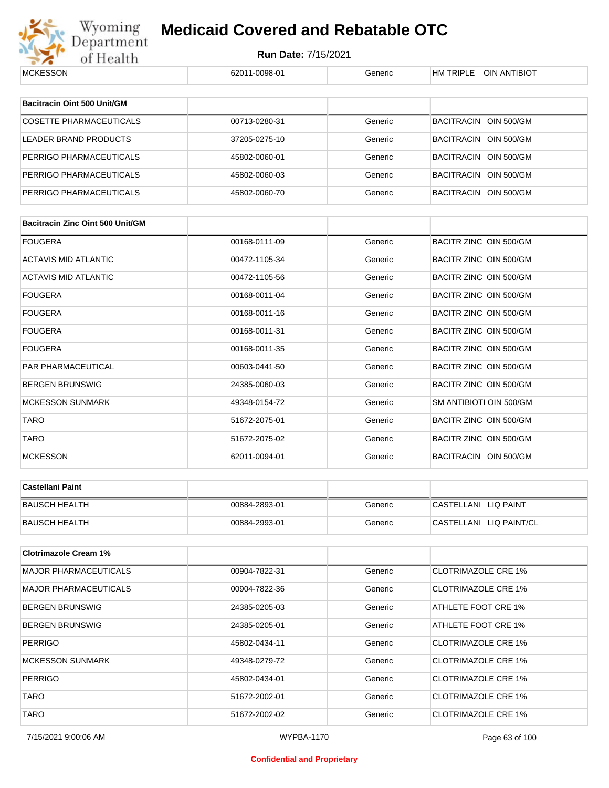

# Wyoming **Medicaid Covered and Rebatable OTC**<br>Department Run Date: 7/15/2021<br>of Health **Medicaid Covered and Rebatable OTC**

| <b>MUNESSUN</b>                         | 020.1.1-0098-0.1 | Generic | HIVI I KIPLE UIN AN HBIUT  |
|-----------------------------------------|------------------|---------|----------------------------|
|                                         |                  |         |                            |
| Bacitracin Oint 500 Unit/GM             |                  |         |                            |
| COSETTE PHARMACEUTICALS                 | 00713-0280-31    | Generic | BACITRACIN OIN 500/GM      |
| <b>LEADER BRAND PRODUCTS</b>            | 37205-0275-10    | Generic | BACITRACIN OIN 500/GM      |
| PERRIGO PHARMACEUTICALS                 | 45802-0060-01    | Generic | BACITRACIN OIN 500/GM      |
| PERRIGO PHARMACEUTICALS                 | 45802-0060-03    | Generic | BACITRACIN OIN 500/GM      |
| PERRIGO PHARMACEUTICALS                 | 45802-0060-70    | Generic | BACITRACIN OIN 500/GM      |
|                                         |                  |         |                            |
| <b>Bacitracin Zinc Oint 500 Unit/GM</b> |                  |         |                            |
| <b>FOUGERA</b>                          | 00168-0111-09    | Generic | BACITR ZINC OIN 500/GM     |
| <b>ACTAVIS MID ATLANTIC</b>             | 00472-1105-34    | Generic | BACITR ZINC OIN 500/GM     |
| <b>ACTAVIS MID ATLANTIC</b>             | 00472-1105-56    | Generic | BACITR ZINC OIN 500/GM     |
| <b>FOUGERA</b>                          | 00168-0011-04    | Generic | BACITR ZINC OIN 500/GM     |
| <b>FOUGERA</b>                          | 00168-0011-16    | Generic | BACITR ZINC OIN 500/GM     |
| <b>FOUGERA</b>                          | 00168-0011-31    | Generic | BACITR ZINC OIN 500/GM     |
| <b>FOUGERA</b>                          | 00168-0011-35    | Generic | BACITR ZINC OIN 500/GM     |
| PAR PHARMACEUTICAL                      | 00603-0441-50    | Generic | BACITR ZINC OIN 500/GM     |
| <b>BERGEN BRUNSWIG</b>                  | 24385-0060-03    | Generic | BACITR ZINC OIN 500/GM     |
| <b>MCKESSON SUNMARK</b>                 | 49348-0154-72    | Generic | SM ANTIBIOTI OIN 500/GM    |
| <b>TARO</b>                             | 51672-2075-01    | Generic | BACITR ZINC OIN 500/GM     |
| <b>TARO</b>                             | 51672-2075-02    | Generic | BACITR ZINC OIN 500/GM     |
| <b>MCKESSON</b>                         | 62011-0094-01    | Generic | BACITRACIN OIN 500/GM      |
|                                         |                  |         |                            |
| <b>Castellani Paint</b>                 |                  |         |                            |
| <b>BAUSCH HEALTH</b>                    | 00884-2893-01    | Generic | CASTELLANI LIQ PAINT       |
| <b>BAUSCH HEALTH</b>                    | 00884-2993-01    | Generic | CASTELLANI LIQ PAINT/CL    |
| <b>Clotrimazole Cream 1%</b>            |                  |         |                            |
| <b>MAJOR PHARMACEUTICALS</b>            | 00904-7822-31    | Generic | <b>CLOTRIMAZOLE CRE 1%</b> |
| <b>MAJOR PHARMACEUTICALS</b>            | 00904-7822-36    | Generic | <b>CLOTRIMAZOLE CRE 1%</b> |
| <b>BERGEN BRUNSWIG</b>                  | 24385-0205-03    | Generic | ATHLETE FOOT CRE 1%        |
| <b>BERGEN BRUNSWIG</b>                  | 24385-0205-01    | Generic | ATHLETE FOOT CRE 1%        |
| <b>PERRIGO</b>                          | 45802-0434-11    | Generic | <b>CLOTRIMAZOLE CRE 1%</b> |
| <b>MCKESSON SUNMARK</b>                 | 49348-0279-72    | Generic | <b>CLOTRIMAZOLE CRE 1%</b> |
| <b>PERRIGO</b>                          | 45802-0434-01    | Generic | <b>CLOTRIMAZOLE CRE 1%</b> |
| <b>TARO</b>                             | 51672-2002-01    | Generic | <b>CLOTRIMAZOLE CRE 1%</b> |
| <b>TARO</b>                             | 51672-2002-02    | Generic | <b>CLOTRIMAZOLE CRE 1%</b> |
|                                         |                  |         |                            |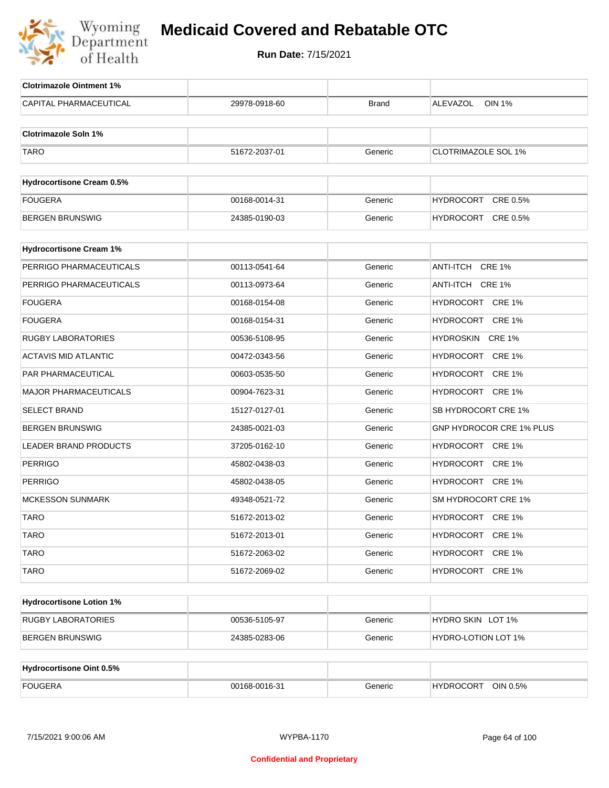

| <b>Clotrimazole Ointment 1%</b>  |               |         |                            |
|----------------------------------|---------------|---------|----------------------------|
| CAPITAL PHARMACEUTICAL           | 29978-0918-60 | Brand   | <b>OIN 1%</b><br>ALEVAZOL  |
| <b>Clotrimazole Soln 1%</b>      |               |         |                            |
| <b>TARO</b>                      | 51672-2037-01 | Generic | <b>CLOTRIMAZOLE SOL 1%</b> |
|                                  |               |         |                            |
| <b>Hydrocortisone Cream 0.5%</b> |               |         |                            |
| <b>FOUGERA</b>                   | 00168-0014-31 | Generic | HYDROCORT<br>CRE 0.5%      |
| <b>BERGEN BRUNSWIG</b>           | 24385-0190-03 | Generic | HYDROCORT CRE 0.5%         |
| <b>Hydrocortisone Cream 1%</b>   |               |         |                            |
|                                  |               |         |                            |
| PERRIGO PHARMACEUTICALS          | 00113-0541-64 | Generic | ANTI-ITCH CRE 1%           |
| PERRIGO PHARMACEUTICALS          | 00113-0973-64 | Generic | ANTI-ITCH CRE 1%           |
| <b>FOUGERA</b>                   | 00168-0154-08 | Generic | HYDROCORT CRE 1%           |
| <b>FOUGERA</b>                   | 00168-0154-31 | Generic | HYDROCORT CRE 1%           |
| <b>RUGBY LABORATORIES</b>        | 00536-5108-95 | Generic | HYDROSKIN CRE 1%           |
| <b>ACTAVIS MID ATLANTIC</b>      | 00472-0343-56 | Generic | HYDROCORT CRE 1%           |
| PAR PHARMACEUTICAL               | 00603-0535-50 | Generic | HYDROCORT CRE 1%           |
| <b>MAJOR PHARMACEUTICALS</b>     | 00904-7623-31 | Generic | HYDROCORT CRE 1%           |
| <b>SELECT BRAND</b>              | 15127-0127-01 | Generic | SB HYDROCORT CRE 1%        |
| <b>BERGEN BRUNSWIG</b>           | 24385-0021-03 | Generic | GNP HYDROCOR CRE 1% PLUS   |
| <b>LEADER BRAND PRODUCTS</b>     | 37205-0162-10 | Generic | HYDROCORT CRE 1%           |
| <b>PERRIGO</b>                   | 45802-0438-03 | Generic | HYDROCORT CRE 1%           |
| <b>PERRIGO</b>                   | 45802-0438-05 | Generic | HYDROCORT CRE 1%           |
| <b>MCKESSON SUNMARK</b>          | 49348-0521-72 | Generic | SM HYDROCORT CRE 1%        |
| <b>TARO</b>                      | 51672-2013-02 | Generic | HYDROCORT CRE 1%           |
| <b>TARO</b>                      | 51672-2013-01 | Generic | HYDROCORT CRE 1%           |
| <b>TARO</b>                      | 51672-2063-02 | Generic | HYDROCORT CRE 1%           |
| <b>TARO</b>                      | 51672-2069-02 | Generic | HYDROCORT CRE 1%           |
| <b>Hydrocortisone Lotion 1%</b>  |               |         |                            |
|                                  |               |         |                            |
| <b>RUGBY LABORATORIES</b>        | 00536-5105-97 | Generic | HYDRO SKIN LOT 1%          |
| <b>BERGEN BRUNSWIG</b>           | 24385-0283-06 | Generic | HYDRO-LOTION LOT 1%        |
| <b>Hydrocortisone Oint 0.5%</b>  |               |         |                            |
| <b>FOUGERA</b>                   | 00168-0016-31 | Generic | HYDROCORT OIN 0.5%         |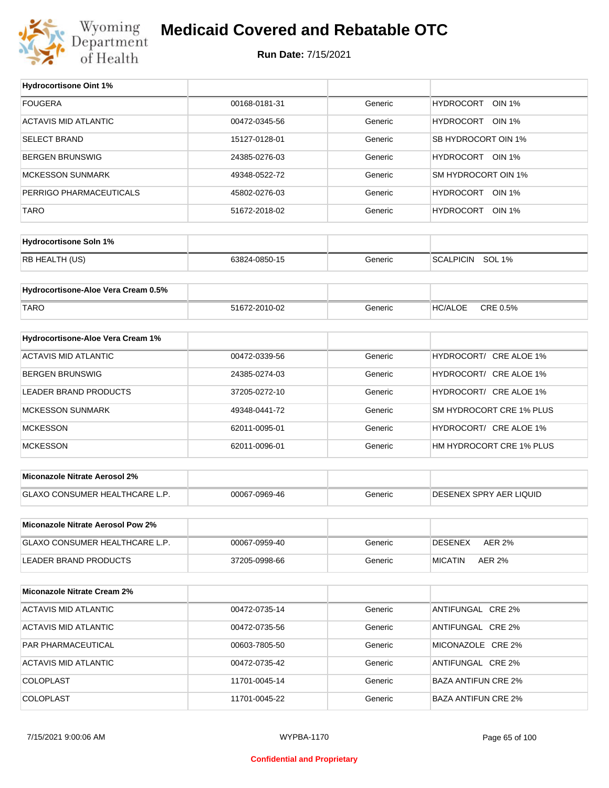

### **Medicaid Covered and Rebatable OTC**

**Run Date:** 7/15/2021

 $\top$ 

| <b>Hydrocortisone Oint 1%</b>         |               |         |                            |
|---------------------------------------|---------------|---------|----------------------------|
| <b>FOUGERA</b>                        | 00168-0181-31 | Generic | HYDROCORT OIN 1%           |
| <b>ACTAVIS MID ATLANTIC</b>           | 00472-0345-56 | Generic | HYDROCORT OIN 1%           |
| <b>SELECT BRAND</b>                   | 15127-0128-01 | Generic | SB HYDROCORT OIN 1%        |
| <b>BERGEN BRUNSWIG</b>                | 24385-0276-03 | Generic | HYDROCORT OIN 1%           |
| <b>MCKESSON SUNMARK</b>               | 49348-0522-72 | Generic | SM HYDROCORT OIN 1%        |
| PERRIGO PHARMACEUTICALS               | 45802-0276-03 | Generic | HYDROCORT OIN 1%           |
| <b>TARO</b>                           | 51672-2018-02 | Generic | HYDROCORT OIN 1%           |
|                                       |               |         |                            |
| <b>Hydrocortisone Soln 1%</b>         |               |         |                            |
| RB HEALTH (US)                        | 63824-0850-15 | Generic | SCALPICIN SOL 1%           |
| Hydrocortisone-Aloe Vera Cream 0.5%   |               |         |                            |
|                                       |               |         |                            |
| <b>TARO</b>                           | 51672-2010-02 | Generic | <b>HC/ALOE</b><br>CRE 0.5% |
| Hydrocortisone-Aloe Vera Cream 1%     |               |         |                            |
| <b>ACTAVIS MID ATLANTIC</b>           | 00472-0339-56 | Generic | HYDROCORT/ CRE ALOE 1%     |
| <b>BERGEN BRUNSWIG</b>                | 24385-0274-03 | Generic | HYDROCORT/ CRE ALOE 1%     |
| LEADER BRAND PRODUCTS                 | 37205-0272-10 | Generic | HYDROCORT/ CRE ALOE 1%     |
| <b>MCKESSON SUNMARK</b>               | 49348-0441-72 | Generic | SM HYDROCORT CRE 1% PLUS   |
| <b>MCKESSON</b>                       | 62011-0095-01 | Generic | HYDROCORT/ CRE ALOE 1%     |
| <b>MCKESSON</b>                       | 62011-0096-01 | Generic | HM HYDROCORT CRE 1% PLUS   |
|                                       |               |         |                            |
| <b>Miconazole Nitrate Aerosol 2%</b>  |               |         |                            |
| GLAXO CONSUMER HEALTHCARE L.P.        | 00067-0969-46 | Generic | DESENEX SPRY AER LIQUID    |
|                                       |               |         |                            |
| Miconazole Nitrate Aerosol Pow 2%     |               |         |                            |
| <b>GLAXO CONSUMER HEALTHCARE L.P.</b> | 00067-0959-40 | Generic | <b>AER 2%</b><br>DESENEX   |
| LEADER BRAND PRODUCTS                 | 37205-0998-66 | Generic | <b>MICATIN</b><br>AER 2%   |
| <b>Miconazole Nitrate Cream 2%</b>    |               |         |                            |
| <b>ACTAVIS MID ATLANTIC</b>           | 00472-0735-14 | Generic | ANTIFUNGAL CRE 2%          |
| <b>ACTAVIS MID ATLANTIC</b>           | 00472-0735-56 | Generic | ANTIFUNGAL CRE 2%          |
| PAR PHARMACEUTICAL                    | 00603-7805-50 | Generic | MICONAZOLE CRE 2%          |
| <b>ACTAVIS MID ATLANTIC</b>           | 00472-0735-42 | Generic | ANTIFUNGAL CRE 2%          |
| <b>COLOPLAST</b>                      | 11701-0045-14 | Generic | <b>BAZA ANTIFUN CRE 2%</b> |
| <b>COLOPLAST</b>                      | 11701-0045-22 | Generic | <b>BAZA ANTIFUN CRE 2%</b> |
|                                       |               |         |                            |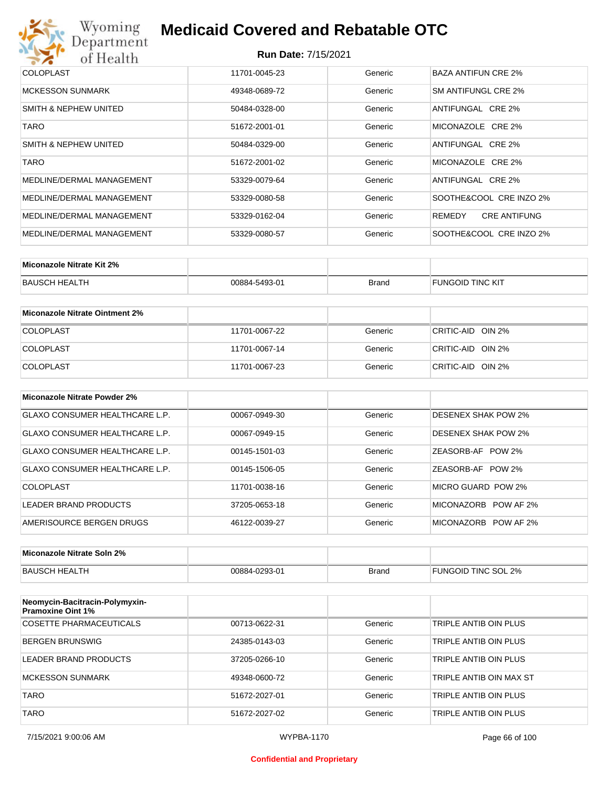

| <b>COLOPLAST</b>          | 11701-0045-23 | Generic | BAZA ANTIFUN CRE 2%           |
|---------------------------|---------------|---------|-------------------------------|
| <b>MCKESSON SUNMARK</b>   | 49348-0689-72 | Generic | SM ANTIFUNGL CRE 2%           |
| SMITH & NEPHEW UNITED     | 50484-0328-00 | Generic | ANTIFUNGAL CRE 2%             |
| TARO                      | 51672-2001-01 | Generic | MICONAZOLE CRE 2%             |
| SMITH & NEPHEW UNITED     | 50484-0329-00 | Generic | ANTIFUNGAL CRE 2%             |
| TARO                      | 51672-2001-02 | Generic | MICONAZOLE CRE 2%             |
| MEDLINE/DERMAL MANAGEMENT | 53329-0079-64 | Generic | ANTIFUNGAL CRE 2%             |
| MEDLINE/DERMAL MANAGEMENT | 53329-0080-58 | Generic | SOOTHE&COOL CRE INZO 2%       |
| MEDLINE/DERMAL MANAGEMENT | 53329-0162-04 | Generic | <b>CRE ANTIFUNG</b><br>REMEDY |
| MEDLINE/DERMAL MANAGEMENT | 53329-0080-57 | Generic | SOOTHE&COOL CRE INZO 2%       |

| Miconazole Nitrate Kit 2% |               |              |                         |
|---------------------------|---------------|--------------|-------------------------|
| BAUSCH HEALTH             | 00884-5493-01 | <b>Brand</b> | <b>FUNGOID TINC KIT</b> |

| Miconazole Nitrate Ointment 2% |               |         |                   |
|--------------------------------|---------------|---------|-------------------|
| <b>COLOPLAST</b>               | 11701-0067-22 | Generic | CRITIC-AID OIN 2% |
| <b>COLOPLAST</b>               | 11701-0067-14 | Generic | CRITIC-AID OIN 2% |
| <b>COLOPLAST</b>               | 11701-0067-23 | Generic | CRITIC-AID OIN 2% |

| Miconazole Nitrate Powder 2%          |               |         |                            |
|---------------------------------------|---------------|---------|----------------------------|
| <b>GLAXO CONSUMER HEALTHCARE L.P.</b> | 00067-0949-30 | Generic | <b>DESENEX SHAK POW 2%</b> |
| GLAXO CONSUMER HEALTHCARE L.P.        | 00067-0949-15 | Generic | <b>DESENEX SHAK POW 2%</b> |
| GLAXO CONSUMER HEALTHCARE L.P.        | 00145-1501-03 | Generic | ZEASORB-AF POW 2%          |
| GLAXO CONSUMER HEALTHCARE L.P.        | 00145-1506-05 | Generic | ZEASORB-AF POW 2%          |
| COLOPLAST                             | 11701-0038-16 | Generic | MICRO GUARD POW 2%         |
| LEADER BRAND PRODUCTS                 | 37205-0653-18 | Generic | MICONAZORB POW AF 2%       |
| AMERISOURCE BERGEN DRUGS              | 46122-0039-27 | Generic | MICONAZORB POW AF 2%       |

| Miconazole Nitrate Soln 2% |               |       |                     |
|----------------------------|---------------|-------|---------------------|
| BAUSCH HEALTH              | 00884-0293-01 | Brand | FUNGOID TINC SOL 2% |

| Neomycin-Bacitracin-Polymyxin-<br><b>Pramoxine Oint 1%</b> |               |         |                         |
|------------------------------------------------------------|---------------|---------|-------------------------|
| COSETTE PHARMACEUTICALS                                    | 00713-0622-31 | Generic | TRIPLE ANTIB OIN PLUS   |
| BERGEN BRUNSWIG                                            | 24385-0143-03 | Generic | TRIPLE ANTIB OIN PLUS   |
| LEADER BRAND PRODUCTS                                      | 37205-0266-10 | Generic | TRIPLE ANTIB OIN PLUS   |
| MCKESSON SUNMARK                                           | 49348-0600-72 | Generic | TRIPLE ANTIB OIN MAX ST |
| <b>TARO</b>                                                | 51672-2027-01 | Generic | TRIPLE ANTIB OIN PLUS   |
| <b>TARO</b>                                                | 51672-2027-02 | Generic | TRIPLE ANTIB OIN PLUS   |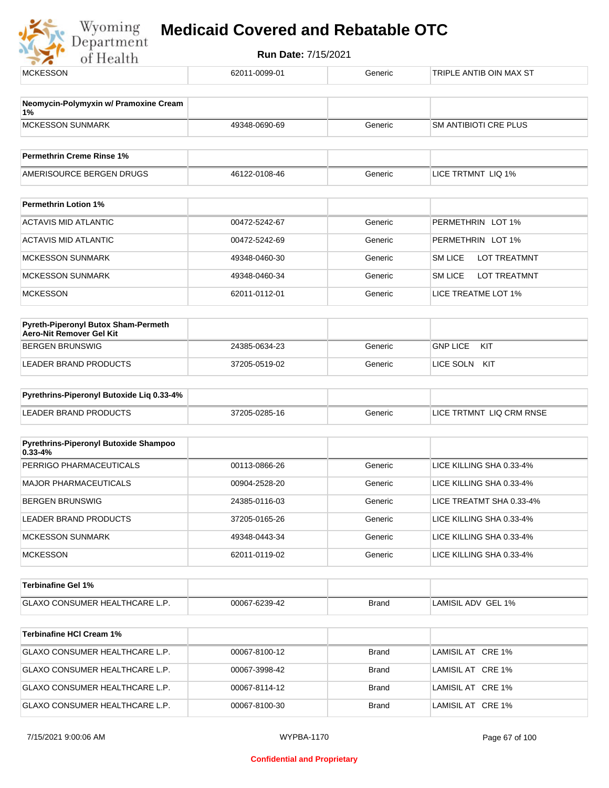

| <b>MCKESSON</b>                                    | 62011-0099-01 | Generic      | TRIPLE ANTIB OIN MAX ST        |
|----------------------------------------------------|---------------|--------------|--------------------------------|
| Neomycin-Polymyxin w/ Pramoxine Cream              |               |              |                                |
| 1%<br><b>MCKESSON SUNMARK</b>                      |               |              |                                |
|                                                    | 49348-0690-69 | Generic      | <b>SM ANTIBIOTI CRE PLUS</b>   |
| <b>Permethrin Creme Rinse 1%</b>                   |               |              |                                |
| AMERISOURCE BERGEN DRUGS                           | 46122-0108-46 | Generic      | LICE TRTMNT LIQ 1%             |
| <b>Permethrin Lotion 1%</b>                        |               |              |                                |
| <b>ACTAVIS MID ATLANTIC</b>                        | 00472-5242-67 | Generic      | PERMETHRIN LOT 1%              |
| <b>ACTAVIS MID ATLANTIC</b>                        | 00472-5242-69 | Generic      | PERMETHRIN LOT 1%              |
| <b>MCKESSON SUNMARK</b>                            | 49348-0460-30 | Generic      | <b>LOT TREATMNT</b><br>SM LICE |
| <b>MCKESSON SUNMARK</b>                            | 49348-0460-34 | Generic      | <b>LOT TREATMNT</b><br>SM LICE |
| <b>MCKESSON</b>                                    | 62011-0112-01 | Generic      | LICE TREATME LOT 1%            |
| Pyreth-Piperonyl Butox Sham-Permeth                |               |              |                                |
| Aero-Nit Remover Gel Kit<br><b>BERGEN BRUNSWIG</b> | 24385-0634-23 | Generic      | <b>GNP LICE</b><br>KIT         |
| LEADER BRAND PRODUCTS                              | 37205-0519-02 | Generic      | LICE SOLN KIT                  |
|                                                    |               |              |                                |
| Pyrethrins-Piperonyl Butoxide Liq 0.33-4%          |               |              |                                |
| <b>LEADER BRAND PRODUCTS</b>                       | 37205-0285-16 | Generic      | LICE TRTMNT LIQ CRM RNSE       |
| Pyrethrins-Piperonyl Butoxide Shampoo              |               |              |                                |
| $0.33 - 4%$                                        |               |              |                                |
| PERRIGO PHARMACEUTICALS                            | 00113-0866-26 | Generic      | LICE KILLING SHA 0.33-4%       |
| <b>MAJOR PHARMACEUTICALS</b>                       | 00904-2528-20 | Generic      | LICE KILLING SHA 0.33-4%       |
| <b>BERGEN BRUNSWIG</b>                             | 24385-0116-03 | Generic      | LICE TREATMT SHA 0.33-4%       |
| LEADER BRAND PRODUCTS                              | 37205-0165-26 | Generic      | LICE KILLING SHA 0.33-4%       |
| <b>MCKESSON SUNMARK</b>                            | 49348-0443-34 | Generic      | LICE KILLING SHA 0.33-4%       |
| <b>MCKESSON</b>                                    | 62011-0119-02 | Generic      | LICE KILLING SHA 0.33-4%       |
| <b>Terbinafine Gel 1%</b>                          |               |              |                                |
| GLAXO CONSUMER HEALTHCARE L.P.                     | 00067-6239-42 | Brand        | LAMISIL ADV GEL 1%             |
|                                                    |               |              |                                |
| <b>Terbinafine HCI Cream 1%</b>                    |               |              |                                |
| GLAXO CONSUMER HEALTHCARE L.P.                     | 00067-8100-12 | <b>Brand</b> | LAMISIL AT CRE 1%              |
| GLAXO CONSUMER HEALTHCARE L.P.                     | 00067-3998-42 | <b>Brand</b> | LAMISIL AT CRE 1%              |
| GLAXO CONSUMER HEALTHCARE L.P.                     | 00067-8114-12 | <b>Brand</b> | LAMISIL AT CRE 1%              |
| GLAXO CONSUMER HEALTHCARE L.P.                     | 00067-8100-30 | <b>Brand</b> | LAMISIL AT CRE 1%              |
|                                                    |               |              |                                |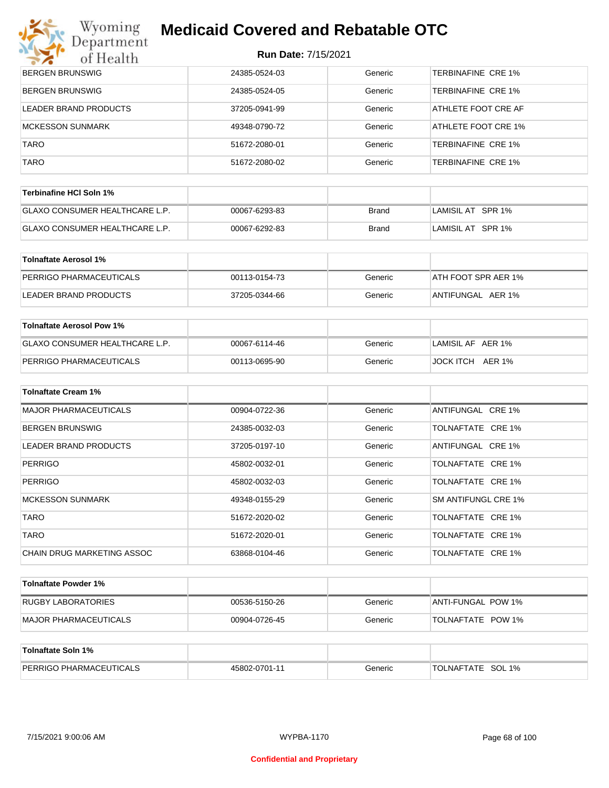# **Wyoming Medicaid Covered and Rebatable OTC**<br>Department

| $\mathcal{L}$<br>of Health            | $11$ $11$ $100$ $10$ $11$ |              |                           |
|---------------------------------------|---------------------------|--------------|---------------------------|
| <b>BERGEN BRUNSWIG</b>                | 24385-0524-03             | Generic      | <b>TERBINAFINE CRE 1%</b> |
| <b>BERGEN BRUNSWIG</b>                | 24385-0524-05             | Generic      | <b>TERBINAFINE CRE 1%</b> |
| LEADER BRAND PRODUCTS                 | 37205-0941-99             | Generic      | ATHLETE FOOT CRE AF       |
| <b>MCKESSON SUNMARK</b>               | 49348-0790-72             | Generic      | ATHLETE FOOT CRE 1%       |
| <b>TARO</b>                           | 51672-2080-01             | Generic      | TERBINAFINE CRE 1%        |
| <b>TARO</b>                           | 51672-2080-02             | Generic      | TERBINAFINE CRE 1%        |
| Terbinafine HCI Soln 1%               |                           |              |                           |
| GLAXO CONSUMER HEALTHCARE L.P.        | 00067-6293-83             | <b>Brand</b> | LAMISIL AT SPR 1%         |
| GLAXO CONSUMER HEALTHCARE L.P.        | 00067-6292-83             | <b>Brand</b> | LAMISIL AT SPR 1%         |
| <b>Tolnaftate Aerosol 1%</b>          |                           |              |                           |
| PERRIGO PHARMACEUTICALS               | 00113-0154-73             | Generic      | ATH FOOT SPR AER 1%       |
| LEADER BRAND PRODUCTS                 | 37205-0344-66             | Generic      | ANTIFUNGAL AER 1%         |
|                                       |                           |              |                           |
| <b>Tolnaftate Aerosol Pow 1%</b>      |                           |              |                           |
| <b>GLAXO CONSUMER HEALTHCARE L.P.</b> | 00067-6114-46             | Generic      | LAMISIL AF AER 1%         |
| PERRIGO PHARMACEUTICALS               | 00113-0695-90             | Generic      | JOCK ITCH AER 1%          |
| <b>Tolnaftate Cream 1%</b>            |                           |              |                           |
| <b>MAJOR PHARMACEUTICALS</b>          | 00904-0722-36             | Generic      | ANTIFUNGAL CRE 1%         |
| <b>BERGEN BRUNSWIG</b>                | 24385-0032-03             | Generic      | TOLNAFTATE CRE 1%         |
| <b>LEADER BRAND PRODUCTS</b>          | 37205-0197-10             | Generic      | ANTIFUNGAL CRE 1%         |
| <b>PERRIGO</b>                        | 45802-0032-01             | Generic      | TOLNAFTATE CRE 1%         |
| <b>PERRIGO</b>                        | 45802-0032-03             | Generic      | TOLNAFTATE CRE 1%         |
| <b>MCKESSON SUNMARK</b>               | 49348-0155-29             | Generic      | SM ANTIFUNGL CRE 1%       |
| <b>TARO</b>                           | 51672-2020-02             | Generic      | TOLNAFTATE CRE 1%         |
| <b>TARO</b>                           | 51672-2020-01             | Generic      | TOLNAFTATE CRE 1%         |
| CHAIN DRUG MARKETING ASSOC            | 63868-0104-46             | Generic      | TOLNAFTATE CRE 1%         |
| <b>Tolnaftate Powder 1%</b>           |                           |              |                           |
| RUGBY LABORATORIES                    | 00536-5150-26             | Generic      | ANTI-FUNGAL POW 1%        |
| <b>MAJOR PHARMACEUTICALS</b>          | 00904-0726-45             | Generic      | TOLNAFTATE POW 1%         |
| <b>Tolnaftate Soln 1%</b>             |                           |              |                           |

| ) PHARMACEUTICALS<br>PERRK<br>שט | 45802-0701-11 | 3eneric | SOL<br><b>TATE</b><br>1%<br><b>TOLNAFT</b> |
|----------------------------------|---------------|---------|--------------------------------------------|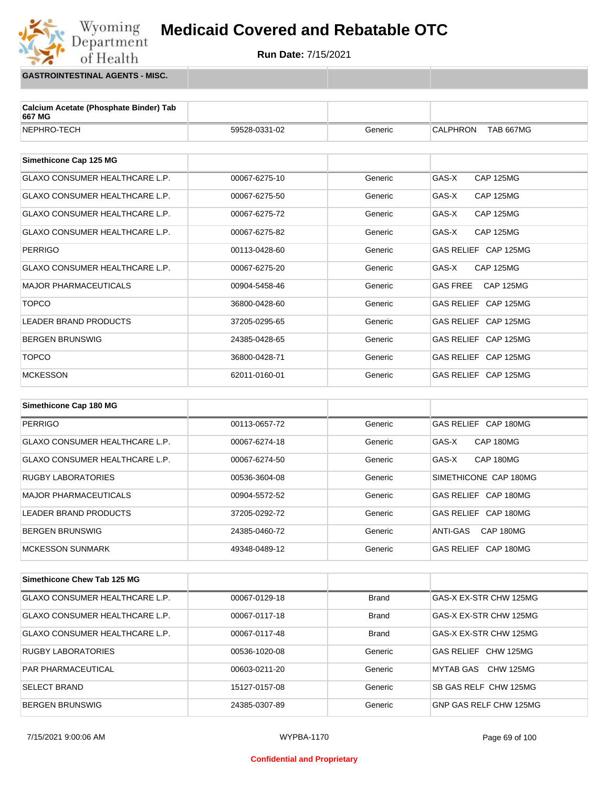

**GASTROINTESTINAL AGENTS - MISC.**

Wyoming<br>Department

of Health

| Calcium Acetate (Phosphate Binder) Tab<br>667 MG |               |         |                                     |
|--------------------------------------------------|---------------|---------|-------------------------------------|
| NEPHRO-TECH                                      | 59528-0331-02 | Generic | <b>CALPHRON</b><br>TAB 667MG        |
|                                                  |               |         |                                     |
| Simethicone Cap 125 MG                           |               |         |                                     |
| <b>GLAXO CONSUMER HEALTHCARE L.P.</b>            | 00067-6275-10 | Generic | GAS-X<br><b>CAP 125MG</b>           |
| <b>GLAXO CONSUMER HEALTHCARE L.P.</b>            | 00067-6275-50 | Generic | GAS-X<br><b>CAP 125MG</b>           |
| <b>GLAXO CONSUMER HEALTHCARE L.P.</b>            | 00067-6275-72 | Generic | GAS-X<br><b>CAP 125MG</b>           |
| <b>GLAXO CONSUMER HEALTHCARE L.P.</b>            | 00067-6275-82 | Generic | GAS-X<br><b>CAP 125MG</b>           |
| <b>PERRIGO</b>                                   | 00113-0428-60 | Generic | GAS RELIEF CAP 125MG                |
| <b>GLAXO CONSUMER HEALTHCARE L.P.</b>            | 00067-6275-20 | Generic | GAS-X<br><b>CAP 125MG</b>           |
| <b>MAJOR PHARMACEUTICALS</b>                     | 00904-5458-46 | Generic | <b>GAS FREE</b><br><b>CAP 125MG</b> |
| <b>TOPCO</b>                                     | 36800-0428-60 | Generic | GAS RELIEF CAP 125MG                |
| <b>LEADER BRAND PRODUCTS</b>                     | 37205-0295-65 | Generic | GAS RELIEF CAP 125MG                |
| <b>BERGEN BRUNSWIG</b>                           | 24385-0428-65 | Generic | GAS RELIEF CAP 125MG                |
| <b>TOPCO</b>                                     | 36800-0428-71 | Generic | GAS RELIEF CAP 125MG                |
| <b>MCKESSON</b>                                  | 62011-0160-01 | Generic | GAS RELIEF CAP 125MG                |
|                                                  |               |         |                                     |
| Simethicone Cap 180 MG                           |               |         |                                     |
| <b>PERRIGO</b>                                   | 00113-0657-72 | Generic | GAS RELIEF CAP 180MG                |

| <b>PERRIGO</b>                 | 00113-0657-72 | Generic | GAS RELIEF CAP 180MG      |
|--------------------------------|---------------|---------|---------------------------|
| GLAXO CONSUMER HEALTHCARE L.P. | 00067-6274-18 | Generic | CAP 180MG<br>GAS-X        |
| GLAXO CONSUMER HEALTHCARE L.P. | 00067-6274-50 | Generic | <b>CAP 180MG</b><br>GAS-X |
| <b>RUGBY LABORATORIES</b>      | 00536-3604-08 | Generic | SIMETHICONE CAP 180MG     |
| <b>MAJOR PHARMACEUTICALS</b>   | 00904-5572-52 | Generic | GAS RELIEF CAP 180MG      |
| LEADER BRAND PRODUCTS          | 37205-0292-72 | Generic | GAS RELIEF CAP 180MG      |
| BERGEN BRUNSWIG                | 24385-0460-72 | Generic | ANTI-GAS<br>CAP 180MG     |
| MCKESSON SUNMARK               | 49348-0489-12 | Generic | GAS RELIEF CAP 180MG      |

| Simethicone Chew Tab 125 MG           |               |              |                              |
|---------------------------------------|---------------|--------------|------------------------------|
| <b>GLAXO CONSUMER HEALTHCARE L.P.</b> | 00067-0129-18 | <b>Brand</b> | GAS-X EX-STR CHW 125MG       |
| <b>GLAXO CONSUMER HEALTHCARE L.P.</b> | 00067-0117-18 | <b>Brand</b> | GAS-X EX-STR CHW 125MG       |
| <b>GLAXO CONSUMER HEALTHCARE L.P.</b> | 00067-0117-48 | <b>Brand</b> | GAS-X EX-STR CHW 125MG       |
| <b>RUGBY LABORATORIES</b>             | 00536-1020-08 | Generic      | GAS RELIEF CHW 125MG         |
| <b>PAR PHARMACEUTICAL</b>             | 00603-0211-20 | Generic      | MYTAB GAS CHW 125MG          |
| <b>SELECT BRAND</b>                   | 15127-0157-08 | Generic      | <b>SB GAS RELF CHW 125MG</b> |
| BERGEN BRUNSWIG                       | 24385-0307-89 | Generic      | GNP GAS RELF CHW 125MG       |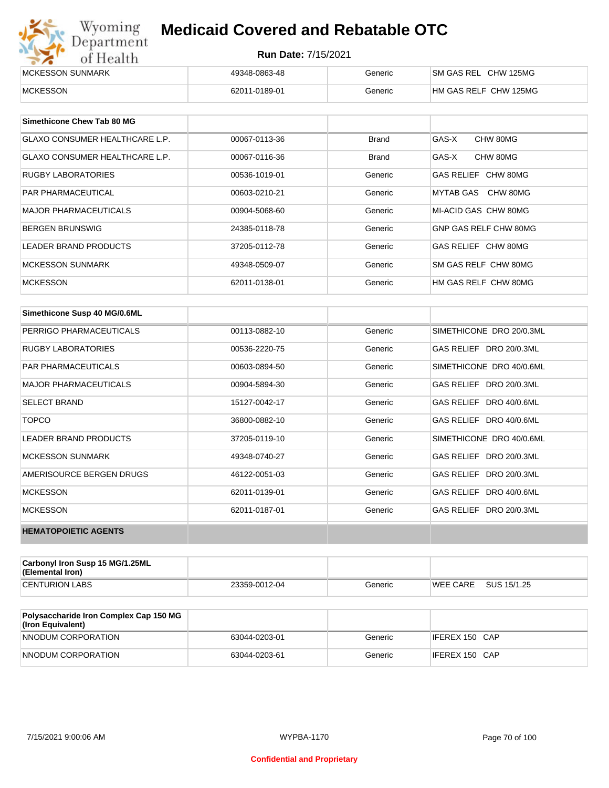| Wyoming<br>Department    | <b>Medicaid Covered and Rebatable OTC</b> |         |                       |  |
|--------------------------|-------------------------------------------|---------|-----------------------|--|
| of Health                | <b>Run Date: 7/15/2021</b>                |         |                       |  |
| <b>IMCKESSON SUNMARK</b> | 49348-0863-48                             | Generic | SM GAS REL CHW 125MG  |  |
| <b>MCKESSON</b>          | 62011-0189-01                             | Generic | HM GAS RELF CHW 125MG |  |

| Simethicone Chew Tab 80 MG            |               |              |                       |
|---------------------------------------|---------------|--------------|-----------------------|
| <b>GLAXO CONSUMER HEALTHCARE L.P.</b> | 00067-0113-36 | <b>Brand</b> | GAS-X<br>CHW 80MG     |
| GLAXO CONSUMER HEALTHCARE L.P.        | 00067-0116-36 | Brand        | CHW 80MG<br>GAS-X     |
| RUGBY LABORATORIES                    | 00536-1019-01 | Generic      | GAS RELIEF CHW 80MG   |
| <b>PAR PHARMACEUTICAL</b>             | 00603-0210-21 | Generic      | CHW 80MG<br>MYTAB GAS |
| <b>MAJOR PHARMACEUTICALS</b>          | 00904-5068-60 | Generic      | MI-ACID GAS CHW 80MG  |
| <b>BERGEN BRUNSWIG</b>                | 24385-0118-78 | Generic      | GNP GAS RELF CHW 80MG |
| <b>LEADER BRAND PRODUCTS</b>          | 37205-0112-78 | Generic      | GAS RELIEF CHW 80MG   |
| <b>MCKESSON SUNMARK</b>               | 49348-0509-07 | Generic      | SM GAS RELF CHW 80MG  |
| <b>MCKESSON</b>                       | 62011-0138-01 | Generic      | HM GAS RELF CHW 80MG  |

| Simethicone Susp 40 MG/0.6ML |               |         |                          |
|------------------------------|---------------|---------|--------------------------|
| PERRIGO PHARMACEUTICALS      | 00113-0882-10 | Generic | SIMETHICONE DRO 20/0.3ML |
| <b>RUGBY LABORATORIES</b>    | 00536-2220-75 | Generic | GAS RELIEF DRO 20/0.3ML  |
| <b>PAR PHARMACEUTICALS</b>   | 00603-0894-50 | Generic | SIMETHICONE DRO 40/0.6ML |
| <b>MAJOR PHARMACEUTICALS</b> | 00904-5894-30 | Generic | GAS RELIEF DRO 20/0.3ML  |
| <b>SELECT BRAND</b>          | 15127-0042-17 | Generic | GAS RELIEF DRO 40/0.6ML  |
| <b>TOPCO</b>                 | 36800-0882-10 | Generic | GAS RELIEF DRO 40/0.6ML  |
| <b>LEADER BRAND PRODUCTS</b> | 37205-0119-10 | Generic | SIMETHICONE DRO 40/0.6ML |
| <b>MCKESSON SUNMARK</b>      | 49348-0740-27 | Generic | GAS RELIEF DRO 20/0.3ML  |
| AMERISOURCE BERGEN DRUGS     | 46122-0051-03 | Generic | GAS RELIEF DRO 20/0.3ML  |
| <b>MCKESSON</b>              | 62011-0139-01 | Generic | GAS RELIEF DRO 40/0.6ML  |
| <b>MCKESSON</b>              | 62011-0187-01 | Generic | GAS RELIEF DRO 20/0.3ML  |
| <b>HEMATOPOIETIC AGENTS</b>  |               |         |                          |

| Carbonyl Iron Susp 15 MG/1.25ML<br>(Elemental Iron) |               |         |                 |             |
|-----------------------------------------------------|---------------|---------|-----------------|-------------|
| <b>CENTURION LABS</b>                               | 23359-0012-04 | Generic | <b>WEE CARE</b> | SUS 15/1.25 |

| <b>Polysaccharide Iron Complex Cap 150 MG</b><br>(Iron Equivalent) |               |         |                |
|--------------------------------------------------------------------|---------------|---------|----------------|
| NNODUM CORPORATION                                                 | 63044-0203-01 | Generic | IFEREX 150 CAP |
| NNODUM CORPORATION                                                 | 63044-0203-61 | Generic | IFEREX 150 CAP |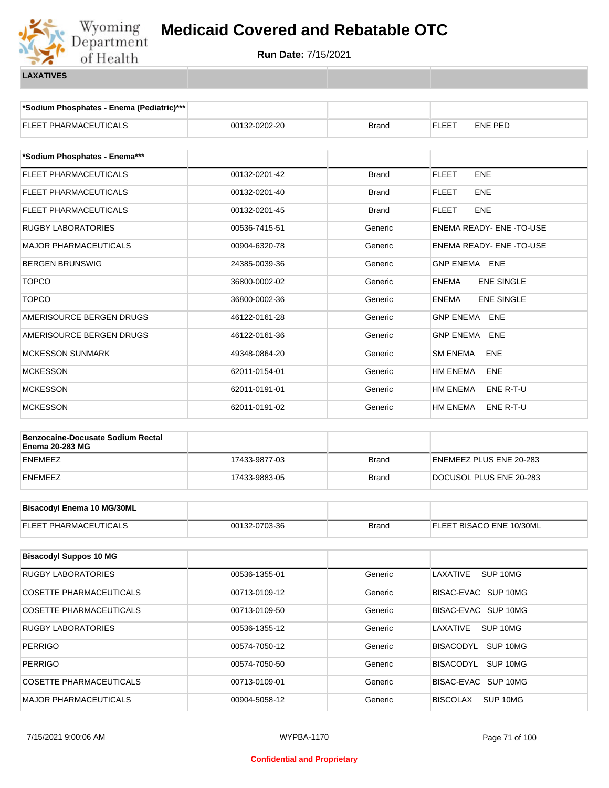

**\*Sodium Phosphates - Enema (Pediatric)\*\*\***

| <b>FLEET PHARMACEUTICALS</b>                                       | 00132-0202-20 | Brand        | FLEET<br><b>ENE PED</b>           |
|--------------------------------------------------------------------|---------------|--------------|-----------------------------------|
|                                                                    |               |              |                                   |
| *Sodium Phosphates - Enema***                                      |               |              |                                   |
| FLEET PHARMACEUTICALS                                              | 00132-0201-42 | <b>Brand</b> | <b>FLEET</b><br><b>ENE</b>        |
| FLEET PHARMACEUTICALS                                              | 00132-0201-40 | <b>Brand</b> | <b>FLEET</b><br><b>ENE</b>        |
| FLEET PHARMACEUTICALS                                              | 00132-0201-45 | <b>Brand</b> | <b>FLEET</b><br><b>ENE</b>        |
| <b>RUGBY LABORATORIES</b>                                          | 00536-7415-51 | Generic      | ENEMA READY- ENE - TO-USE         |
| <b>MAJOR PHARMACEUTICALS</b>                                       | 00904-6320-78 | Generic      | ENEMA READY- ENE -TO-USE          |
| <b>BERGEN BRUNSWIG</b>                                             | 24385-0039-36 | Generic      | GNP ENEMA ENE                     |
| <b>TOPCO</b>                                                       | 36800-0002-02 | Generic      | <b>ENE SINGLE</b><br><b>ENEMA</b> |
| <b>TOPCO</b>                                                       | 36800-0002-36 | Generic      | <b>ENEMA</b><br><b>ENE SINGLE</b> |
| AMERISOURCE BERGEN DRUGS                                           | 46122-0161-28 | Generic      | GNP ENEMA ENE                     |
| AMERISOURCE BERGEN DRUGS                                           | 46122-0161-36 | Generic      | <b>GNP ENEMA</b><br>ENE           |
| <b>MCKESSON SUNMARK</b>                                            | 49348-0864-20 | Generic      | <b>SM ENEMA</b><br>ENE            |
| <b>MCKESSON</b>                                                    | 62011-0154-01 | Generic      | HM ENEMA<br><b>ENE</b>            |
| <b>MCKESSON</b>                                                    | 62011-0191-01 | Generic      | <b>HM ENEMA</b><br>ENE R-T-U      |
| <b>MCKESSON</b>                                                    | 62011-0191-02 | Generic      | HM ENEMA<br>ENE R-T-U             |
|                                                                    |               |              |                                   |
| <b>Benzocaine-Docusate Sodium Rectal</b><br><b>Enema 20-283 MG</b> |               |              |                                   |
| <b>ENEMEEZ</b>                                                     | 17433-9877-03 | <b>Brand</b> | ENEMEEZ PLUS ENE 20-283           |
| <b>ENEMEEZ</b>                                                     | 17433-9883-05 | Brand        | DOCUSOL PLUS ENE 20-283           |
|                                                                    |               |              |                                   |
| <b>Bisacodyl Enema 10 MG/30ML</b>                                  |               |              |                                   |
| FLEET PHARMACEUTICALS                                              | 00132-0703-36 | <b>Brand</b> | FLEET BISACO ENE 10/30ML          |
|                                                                    |               |              |                                   |
| <b>Bisacodyl Suppos 10 MG</b>                                      |               |              |                                   |
| <b>RUGBY LABORATORIES</b>                                          | 00536-1355-01 | Generic      | LAXATIVE<br>SUP 10MG              |
| COSETTE PHARMACEUTICALS                                            | 00713-0109-12 | Generic      | BISAC-EVAC SUP 10MG               |
| <b>COSETTE PHARMACEUTICALS</b>                                     | 00713-0109-50 | Generic      | BISAC-EVAC SUP 10MG               |
| RUGBY LABORATORIES                                                 | 00536-1355-12 | Generic      | LAXATIVE<br>SUP 10MG              |
| <b>PERRIGO</b>                                                     | 00574-7050-12 | Generic      | BISACODYL SUP 10MG                |
| PERRIGO                                                            | 00574-7050-50 | Generic      | BISACODYL SUP 10MG                |
| COSETTE PHARMACEUTICALS                                            | 00713-0109-01 | Generic      | BISAC-EVAC SUP 10MG               |
| MAJOR PHARMACEUTICALS                                              | 00904-5058-12 | Generic      | SUP 10MG<br><b>BISCOLAX</b>       |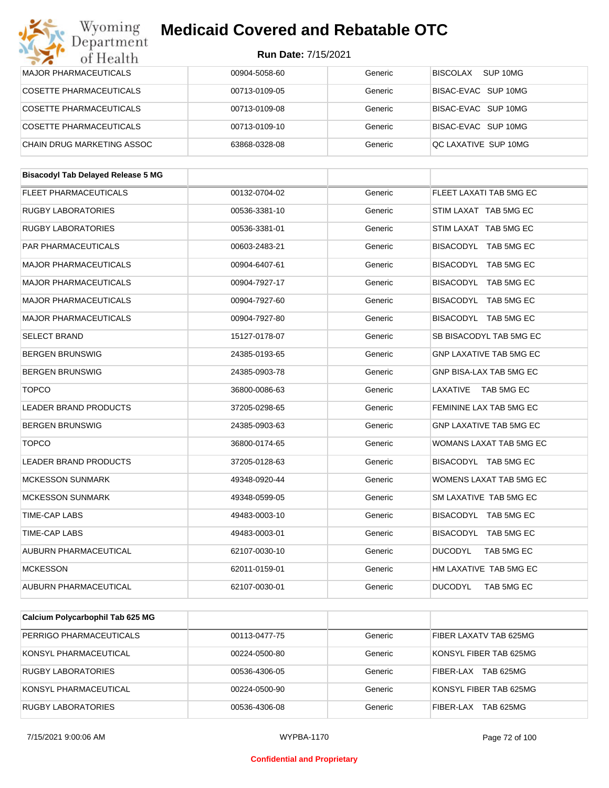| Wyoming<br>Department                     | <b>Medicaid Covered and Rebatable OTC</b> |         |                                |
|-------------------------------------------|-------------------------------------------|---------|--------------------------------|
| of Health                                 | <b>Run Date: 7/15/2021</b>                |         |                                |
| <b>MAJOR PHARMACEUTICALS</b>              | 00904-5058-60                             | Generic | BISCOLAX<br>SUP 10MG           |
| <b>COSETTE PHARMACEUTICALS</b>            | 00713-0109-05                             | Generic | BISAC-EVAC SUP 10MG            |
| <b>COSETTE PHARMACEUTICALS</b>            | 00713-0109-08                             | Generic | BISAC-EVAC SUP 10MG            |
| <b>COSETTE PHARMACEUTICALS</b>            | 00713-0109-10                             | Generic | BISAC-EVAC SUP 10MG            |
| CHAIN DRUG MARKETING ASSOC                | 63868-0328-08                             | Generic | QC LAXATIVE SUP 10MG           |
| <b>Bisacodyl Tab Delayed Release 5 MG</b> |                                           |         |                                |
| <b>FLEET PHARMACEUTICALS</b>              | 00132-0704-02                             | Generic | FLEET LAXATI TAB 5MG EC        |
| <b>RUGBY LABORATORIES</b>                 | 00536-3381-10                             | Generic | STIM LAXAT TAB 5MG EC          |
| RUGBY LABORATORIES                        | 00536-3381-01                             | Generic | STIM LAXAT TAB 5MG EC          |
| PAR PHARMACEUTICALS                       | 00603-2483-21                             | Generic | BISACODYL TAB 5MG EC           |
| <b>MAJOR PHARMACEUTICALS</b>              | 00904-6407-61                             | Generic | BISACODYL TAB 5MG EC           |
| <b>MAJOR PHARMACEUTICALS</b>              | 00904-7927-17                             | Generic | BISACODYL TAB 5MG EC           |
| <b>MAJOR PHARMACEUTICALS</b>              | 00904-7927-60                             | Generic | BISACODYL TAB 5MG EC           |
| <b>MAJOR PHARMACEUTICALS</b>              | 00904-7927-80                             | Generic | BISACODYL TAB 5MG EC           |
| <b>SELECT BRAND</b>                       | 15127-0178-07                             | Generic | SB BISACODYL TAB 5MG EC        |
| <b>BERGEN BRUNSWIG</b>                    | 24385-0193-65                             | Generic | <b>GNP LAXATIVE TAB 5MG EC</b> |
| <b>BERGEN BRUNSWIG</b>                    | 24385-0903-78                             | Generic | <b>GNP BISA-LAX TAB 5MG EC</b> |
| <b>TOPCO</b>                              | 36800-0086-63                             | Generic | LAXATIVE<br>TAB 5MG EC         |
| <b>LEADER BRAND PRODUCTS</b>              | 37205-0298-65                             | Generic | FEMININE LAX TAB 5MG EC        |
| <b>BERGEN BRUNSWIG</b>                    | 24385-0903-63                             | Generic | <b>GNP LAXATIVE TAB 5MG EC</b> |
| <b>TOPCO</b>                              | 36800-0174-65                             | Generic | WOMANS LAXAT TAB 5MG EC        |
| LEADER BRAND PRODUCTS                     | 37205-0128-63                             | Generic | BISACODYL TAB 5MG EC           |
| <b>MCKESSON SUNMARK</b>                   | 49348-0920-44                             | Generic | WOMENS LAXAT TAB 5MG EC        |
| <b>MCKESSON SUNMARK</b>                   | 49348-0599-05                             | Generic | SM LAXATIVE TAB 5MG EC         |
| TIME-CAP LABS                             | 49483-0003-10                             | Generic | BISACODYL TAB 5MG EC           |
| TIME-CAP LABS                             | 49483-0003-01                             | Generic | BISACODYL TAB 5MG EC           |
| AUBURN PHARMACEUTICAL                     | 62107-0030-10                             | Generic | <b>DUCODYL</b><br>TAB 5MG EC   |
| <b>MCKESSON</b>                           | 62011-0159-01                             | Generic | HM LAXATIVE TAB 5MG EC         |
| AUBURN PHARMACEUTICAL                     | 62107-0030-01                             | Generic | <b>DUCODYL</b><br>TAB 5MG EC   |
|                                           |                                           |         |                                |
| Calcium Polycarbophil Tab 625 MG          |                                           |         |                                |
| PERRIGO PHARMACEUTICALS                   | 00113-0477-75                             | Generic | FIBER LAXATV TAB 625MG         |

| PERRIGO PHARMACEUTICALS | 00113-0477-75 | Generic | FIBER LAXATV TAB 625MG        |
|-------------------------|---------------|---------|-------------------------------|
| KONSYL PHARMACEUTICAL   | 00224-0500-80 | Generic | KONSYL FIBER TAB 625MG        |
| RUGBY LABORATORIES      | 00536-4306-05 | Generic | <b>TAB 625MG</b><br>FIBER-LAX |
| KONSYL PHARMACEUTICAL   | 00224-0500-90 | Generic | KONSYL FIBER TAB 625MG        |
| RUGBY LABORATORIES      | 00536-4306-08 | Generic | <b>TAB 625MG</b><br>FIBER-LAX |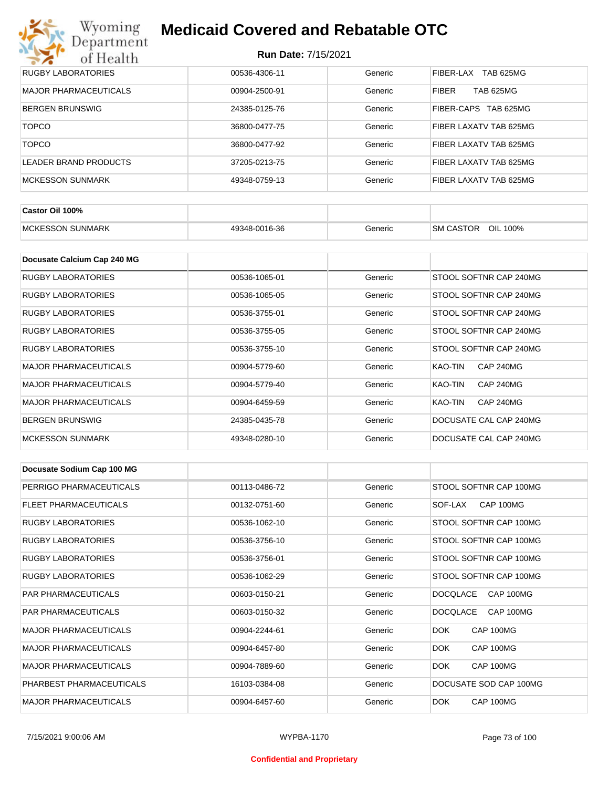## Wyoming<br>Department<br>of Health **Medicaid Covered and Rebatable OTC**

| RUGBY LABORATORIES    | 00536-4306-11 | Generic | TAB 625MG<br><b>FIBER-LAX</b>    |
|-----------------------|---------------|---------|----------------------------------|
| MAJOR PHARMACEUTICALS | 00904-2500-91 | Generic | <b>FIBER</b><br><b>TAB 625MG</b> |
| BERGEN BRUNSWIG       | 24385-0125-76 | Generic | FIBER-CAPS TAB 625MG             |
| <b>TOPCO</b>          | 36800-0477-75 | Generic | FIBER LAXATV TAB 625MG           |
| <b>TOPCO</b>          | 36800-0477-92 | Generic | FIBER LAXATV TAB 625MG           |
| LEADER BRAND PRODUCTS | 37205-0213-75 | Generic | FIBER LAXATV TAB 625MG           |
| MCKESSON SUNMARK      | 49348-0759-13 | Generic | FIBER LAXATV TAB 625MG           |

| Castor Oil 100%              |               |         |                                 |
|------------------------------|---------------|---------|---------------------------------|
| . SUNMARK<br><b>MCKESSON</b> | 49348-0016-36 | Generic | OIL<br><b>SM CASTOR</b><br>100% |

| Docusate Calcium Cap 240 MG  |               |         |                             |
|------------------------------|---------------|---------|-----------------------------|
| RUGBY LABORATORIES           | 00536-1065-01 | Generic | STOOL SOFTNR CAP 240MG      |
| <b>RUGBY LABORATORIES</b>    | 00536-1065-05 | Generic | STOOL SOFTNR CAP 240MG      |
| RUGBY LABORATORIES           | 00536-3755-01 | Generic | STOOL SOFTNR CAP 240MG      |
| <b>RUGBY LABORATORIES</b>    | 00536-3755-05 | Generic | STOOL SOFTNR CAP 240MG      |
| <b>RUGBY LABORATORIES</b>    | 00536-3755-10 | Generic | STOOL SOFTNR CAP 240MG      |
| <b>MAJOR PHARMACEUTICALS</b> | 00904-5779-60 | Generic | <b>CAP 240MG</b><br>KAO-TIN |
| <b>MAJOR PHARMACEUTICALS</b> | 00904-5779-40 | Generic | KAO-TIN<br><b>CAP 240MG</b> |
| <b>MAJOR PHARMACEUTICALS</b> | 00904-6459-59 | Generic | <b>CAP 240MG</b><br>KAO-TIN |
| <b>BERGEN BRUNSWIG</b>       | 24385-0435-78 | Generic | DOCUSATE CAL CAP 240MG      |
| <b>MCKESSON SUNMARK</b>      | 49348-0280-10 | Generic | DOCUSATE CAL CAP 240MG      |

| Docusate Sodium Cap 100 MG   |               |         |                              |
|------------------------------|---------------|---------|------------------------------|
| PERRIGO PHARMACEUTICALS      | 00113-0486-72 | Generic | STOOL SOFTNR CAP 100MG       |
| <b>FLEET PHARMACEUTICALS</b> | 00132-0751-60 | Generic | CAP 100MG<br>SOF-LAX         |
| <b>RUGBY LABORATORIES</b>    | 00536-1062-10 | Generic | STOOL SOFTNR CAP 100MG       |
| <b>RUGBY LABORATORIES</b>    | 00536-3756-10 | Generic | STOOL SOFTNR CAP 100MG       |
| <b>RUGBY LABORATORIES</b>    | 00536-3756-01 | Generic | STOOL SOFTNR CAP 100MG       |
| <b>RUGBY LABORATORIES</b>    | 00536-1062-29 | Generic | STOOL SOFTNR CAP 100MG       |
| <b>PAR PHARMACEUTICALS</b>   | 00603-0150-21 | Generic | CAP 100MG<br><b>DOCQLACE</b> |
| <b>PAR PHARMACEUTICALS</b>   | 00603-0150-32 | Generic | <b>DOCQLACE</b><br>CAP 100MG |
| <b>MAJOR PHARMACEUTICALS</b> | 00904-2244-61 | Generic | <b>DOK</b><br>CAP 100MG      |
| <b>MAJOR PHARMACEUTICALS</b> | 00904-6457-80 | Generic | DOK.<br>CAP 100MG            |
| <b>MAJOR PHARMACEUTICALS</b> | 00904-7889-60 | Generic | <b>DOK</b><br>CAP 100MG      |
| PHARBEST PHARMACEUTICALS     | 16103-0384-08 | Generic | DOCUSATE SOD CAP 100MG       |
| <b>MAJOR PHARMACEUTICALS</b> | 00904-6457-60 | Generic | CAP 100MG<br>DOK.            |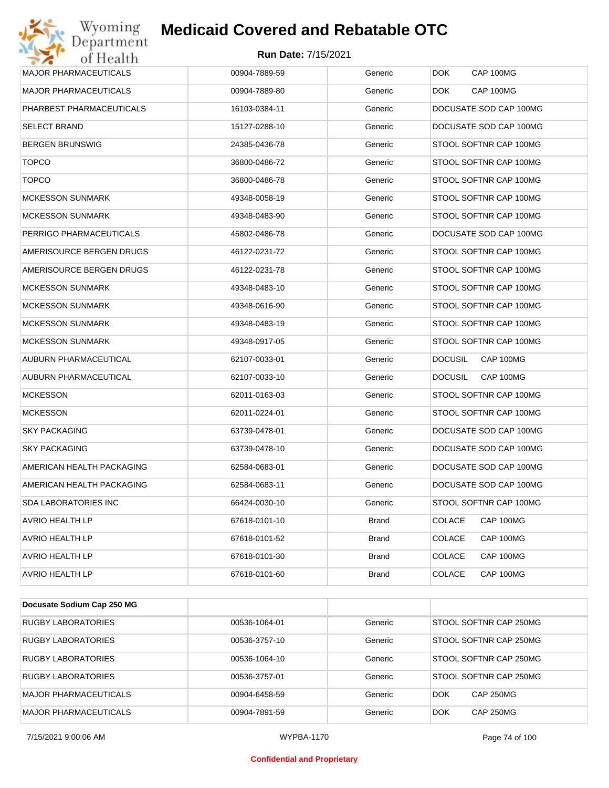| Department<br>of Health      | <b>Run Date: 7/15/2021</b> |              |                             |
|------------------------------|----------------------------|--------------|-----------------------------|
| <b>MAJOR PHARMACEUTICALS</b> | 00904-7889-59              | Generic      | <b>DOK</b><br>CAP 100MG     |
| <b>MAJOR PHARMACEUTICALS</b> | 00904-7889-80              | Generic      | CAP 100MG<br><b>DOK</b>     |
| PHARBEST PHARMACEUTICALS     | 16103-0384-11              | Generic      | DOCUSATE SOD CAP 100MG      |
| <b>SELECT BRAND</b>          | 15127-0288-10              | Generic      | DOCUSATE SOD CAP 100MG      |
| <b>BERGEN BRUNSWIG</b>       | 24385-0436-78              | Generic      | STOOL SOFTNR CAP 100MG      |
| <b>TOPCO</b>                 | 36800-0486-72              | Generic      | STOOL SOFTNR CAP 100MG      |
| <b>TOPCO</b>                 | 36800-0486-78              | Generic      | STOOL SOFTNR CAP 100MG      |
| <b>MCKESSON SUNMARK</b>      | 49348-0058-19              | Generic      | STOOL SOFTNR CAP 100MG      |
| <b>MCKESSON SUNMARK</b>      | 49348-0483-90              | Generic      | STOOL SOFTNR CAP 100MG      |
| PERRIGO PHARMACEUTICALS      | 45802-0486-78              | Generic      | DOCUSATE SOD CAP 100MG      |
| AMERISOURCE BERGEN DRUGS     | 46122-0231-72              | Generic      | STOOL SOFTNR CAP 100MG      |
| AMERISOURCE BERGEN DRUGS     | 46122-0231-78              | Generic      | STOOL SOFTNR CAP 100MG      |
| <b>MCKESSON SUNMARK</b>      | 49348-0483-10              | Generic      | STOOL SOFTNR CAP 100MG      |
| <b>MCKESSON SUNMARK</b>      | 49348-0616-90              | Generic      | STOOL SOFTNR CAP 100MG      |
| <b>MCKESSON SUNMARK</b>      | 49348-0483-19              | Generic      | STOOL SOFTNR CAP 100MG      |
| <b>MCKESSON SUNMARK</b>      | 49348-0917-05              | Generic      | STOOL SOFTNR CAP 100MG      |
| AUBURN PHARMACEUTICAL        | 62107-0033-01              | Generic      | CAP 100MG<br><b>DOCUSIL</b> |
| AUBURN PHARMACEUTICAL        | 62107-0033-10              | Generic      | <b>DOCUSIL</b><br>CAP 100MG |
| <b>MCKESSON</b>              | 62011-0163-03              | Generic      | STOOL SOFTNR CAP 100MG      |
| <b>MCKESSON</b>              | 62011-0224-01              | Generic      | STOOL SOFTNR CAP 100MG      |
| <b>SKY PACKAGING</b>         | 63739-0478-01              | Generic      | DOCUSATE SOD CAP 100MG      |
| <b>SKY PACKAGING</b>         | 63739-0478-10              | Generic      | DOCUSATE SOD CAP 100MG      |
| AMERICAN HEALTH PACKAGING    | 62584-0683-01              | Generic      | DOCUSATE SOD CAP 100MG      |
| AMERICAN HEALTH PACKAGING    | 62584-0683-11              | Generic      | DOCUSATE SOD CAP 100MG      |
| <b>SDA LABORATORIES INC</b>  | 66424-0030-10              | Generic      | STOOL SOFTNR CAP 100MG      |
| AVRIO HEALTH LP              | 67618-0101-10              | <b>Brand</b> | CAP 100MG<br><b>COLACE</b>  |
| <b>AVRIO HEALTH LP</b>       | 67618-0101-52              | <b>Brand</b> | <b>COLACE</b><br>CAP 100MG  |
| AVRIO HEALTH LP              | 67618-0101-30              | Brand        | <b>COLACE</b><br>CAP 100MG  |
| AVRIO HEALTH LP              | 67618-0101-60              | <b>Brand</b> | <b>COLACE</b><br>CAP 100MG  |

| Docusate Sodium Cap 250 MG   |               |         |                                |
|------------------------------|---------------|---------|--------------------------------|
| <b>RUGBY LABORATORIES</b>    | 00536-1064-01 | Generic | STOOL SOFTNR CAP 250MG         |
| <b>RUGBY LABORATORIES</b>    | 00536-3757-10 | Generic | STOOL SOFTNR CAP 250MG         |
| <b>RUGBY LABORATORIES</b>    | 00536-1064-10 | Generic | STOOL SOFTNR CAP 250MG         |
| <b>RUGBY LABORATORIES</b>    | 00536-3757-01 | Generic | STOOL SOFTNR CAP 250MG         |
| <b>MAJOR PHARMACEUTICALS</b> | 00904-6458-59 | Generic | <b>CAP 250MG</b><br>DOK        |
| <b>MAJOR PHARMACEUTICALS</b> | 00904-7891-59 | Generic | <b>CAP 250MG</b><br><b>DOK</b> |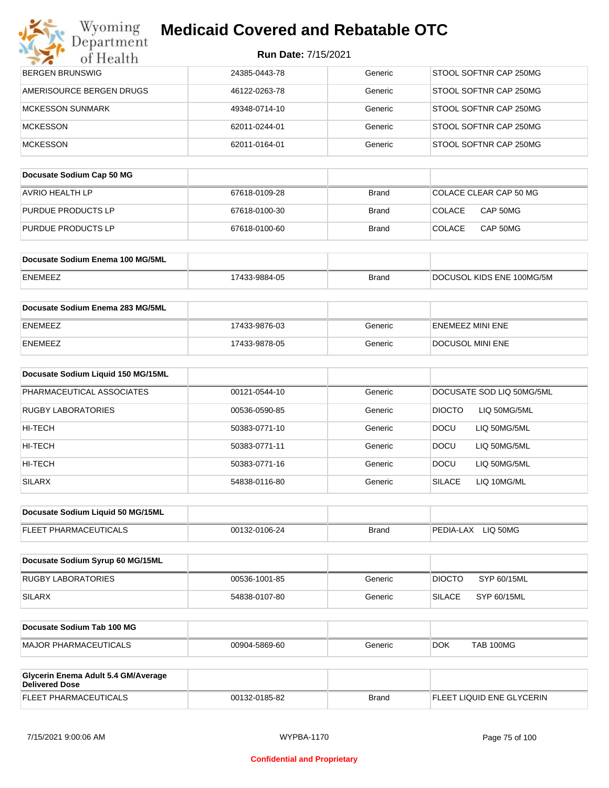| <b>Run Date: 7/15/2021</b> |
|----------------------------|
|----------------------------|

| Department<br>of Health                                      | <b>Run Date: 7/15/2021</b> |              |                               |
|--------------------------------------------------------------|----------------------------|--------------|-------------------------------|
| <b>BERGEN BRUNSWIG</b>                                       | 24385-0443-78              | Generic      | STOOL SOFTNR CAP 250MG        |
| AMERISOURCE BERGEN DRUGS                                     | 46122-0263-78              | Generic      | STOOL SOFTNR CAP 250MG        |
| <b>MCKESSON SUNMARK</b>                                      | 49348-0714-10              | Generic      | STOOL SOFTNR CAP 250MG        |
| <b>MCKESSON</b>                                              | 62011-0244-01              | Generic      | STOOL SOFTNR CAP 250MG        |
| <b>MCKESSON</b>                                              | 62011-0164-01              | Generic      | STOOL SOFTNR CAP 250MG        |
|                                                              |                            |              |                               |
| Docusate Sodium Cap 50 MG                                    |                            |              |                               |
| <b>AVRIO HEALTH LP</b>                                       | 67618-0109-28              | <b>Brand</b> | COLACE CLEAR CAP 50 MG        |
| PURDUE PRODUCTS LP                                           | 67618-0100-30              | Brand        | <b>COLACE</b><br>CAP 50MG     |
| PURDUE PRODUCTS LP                                           | 67618-0100-60              | <b>Brand</b> | <b>COLACE</b><br>CAP 50MG     |
|                                                              |                            |              |                               |
| Docusate Sodium Enema 100 MG/5ML                             |                            |              |                               |
| ENEMEEZ                                                      | 17433-9884-05              | <b>Brand</b> | DOCUSOL KIDS ENE 100MG/5M     |
| Docusate Sodium Enema 283 MG/5ML                             |                            |              |                               |
| ENEMEEZ                                                      | 17433-9876-03              | Generic      | <b>ENEMEEZ MINI ENE</b>       |
| ENEMEEZ                                                      | 17433-9878-05              | Generic      | DOCUSOL MINI ENE              |
|                                                              |                            |              |                               |
| Docusate Sodium Liquid 150 MG/15ML                           |                            |              |                               |
| PHARMACEUTICAL ASSOCIATES                                    | 00121-0544-10              | Generic      | DOCUSATE SOD LIQ 50MG/5ML     |
| RUGBY LABORATORIES                                           | 00536-0590-85              | Generic      | <b>DIOCTO</b><br>LIQ 50MG/5ML |
| HI-TECH                                                      | 50383-0771-10              | Generic      | <b>DOCU</b><br>LIQ 50MG/5ML   |
| HI-TECH                                                      | 50383-0771-11              | Generic      | <b>DOCU</b><br>LIQ 50MG/5ML   |
| HI-TECH                                                      | 50383-0771-16              | Generic      | DOCU<br>LIQ 50MG/5ML          |
| <b>SILARX</b>                                                | 54838-0116-80              | Generic      | <b>SILACE</b><br>LIQ 10MG/ML  |
|                                                              |                            |              |                               |
| Docusate Sodium Liquid 50 MG/15ML                            |                            |              |                               |
| FLEET PHARMACEUTICALS                                        | 00132-0106-24              | <b>Brand</b> | PEDIA-LAX LIQ 50MG            |
| Docusate Sodium Syrup 60 MG/15ML                             |                            |              |                               |
| RUGBY LABORATORIES                                           | 00536-1001-85              | Generic      | <b>DIOCTO</b><br>SYP 60/15ML  |
| <b>SILARX</b>                                                | 54838-0107-80              | Generic      | <b>SILACE</b><br>SYP 60/15ML  |
|                                                              |                            |              |                               |
| Docusate Sodium Tab 100 MG                                   |                            |              |                               |
| <b>MAJOR PHARMACEUTICALS</b>                                 | 00904-5869-60              | Generic      | <b>TAB 100MG</b><br>DOK.      |
|                                                              |                            |              |                               |
| Glycerin Enema Adult 5.4 GM/Average<br><b>Delivered Dose</b> |                            |              |                               |
| FLEET PHARMACEUTICALS                                        | 00132-0185-82              | <b>Brand</b> | FLEET LIQUID ENE GLYCERIN     |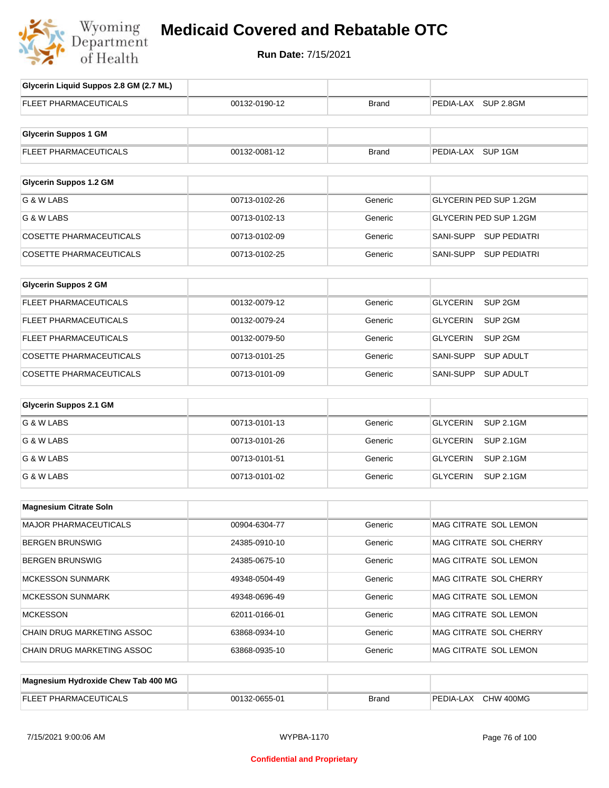

## **Medicaid Covered and Rebatable OTC**

**Run Date:** 7/15/2021

| Glycerin Liquid Suppos 2.8 GM (2.7 ML) |               |              |                                       |
|----------------------------------------|---------------|--------------|---------------------------------------|
| <b>FLEET PHARMACEUTICALS</b>           | 00132-0190-12 | <b>Brand</b> | PEDIA-LAX SUP 2.8GM                   |
|                                        |               |              |                                       |
| <b>Glycerin Suppos 1 GM</b>            |               |              |                                       |
| FLEET PHARMACEUTICALS                  | 00132-0081-12 | <b>Brand</b> | PEDIA-LAX SUP 1GM                     |
|                                        |               |              |                                       |
| <b>Glycerin Suppos 1.2 GM</b>          |               |              |                                       |
| G & W LABS                             | 00713-0102-26 | Generic      | GLYCERIN PED SUP 1.2GM                |
| G & W LABS                             | 00713-0102-13 | Generic      | GLYCERIN PED SUP 1.2GM                |
| <b>COSETTE PHARMACEUTICALS</b>         | 00713-0102-09 | Generic      | SANI-SUPP<br><b>SUP PEDIATRI</b>      |
| <b>COSETTE PHARMACEUTICALS</b>         | 00713-0102-25 | Generic      | <b>SUP PEDIATRI</b><br>SANI-SUPP      |
|                                        |               |              |                                       |
| <b>Glycerin Suppos 2 GM</b>            |               |              |                                       |
| <b>FLEET PHARMACEUTICALS</b>           | 00132-0079-12 | Generic      | SUP <sub>2GM</sub><br><b>GLYCERIN</b> |
| FLEET PHARMACEUTICALS                  | 00132-0079-24 | Generic      | SUP <sub>2GM</sub><br><b>GLYCERIN</b> |
| FLEET PHARMACEUTICALS                  | 00132-0079-50 | Generic      | <b>GLYCERIN</b><br>SUP <sub>2GM</sub> |
| <b>COSETTE PHARMACEUTICALS</b>         | 00713-0101-25 | Generic      | <b>SANI-SUPP</b><br><b>SUP ADULT</b>  |
| <b>COSETTE PHARMACEUTICALS</b>         | 00713-0101-09 | Generic      | SANI-SUPP<br><b>SUP ADULT</b>         |
|                                        |               |              |                                       |
| <b>Glycerin Suppos 2.1 GM</b>          |               |              |                                       |
| G & W LABS                             | 00713-0101-13 | Generic      | <b>SUP 2.1GM</b><br><b>GLYCERIN</b>   |
| G & W LABS                             | 00713-0101-26 | Generic      | <b>GLYCERIN</b><br><b>SUP 2.1GM</b>   |
| G & W LABS                             | 00713-0101-51 | Generic      | <b>GLYCERIN</b><br><b>SUP 2.1GM</b>   |
| G & W LABS                             | 00713-0101-02 | Generic      | <b>GLYCERIN</b><br><b>SUP 2.1GM</b>   |
|                                        |               |              |                                       |
| <b>Magnesium Citrate Soln</b>          |               |              |                                       |
| MAJOR PHARMACEUTICALS                  | 00904-6304-77 | Generic      | MAG CITRATE SOL LEMON                 |
| <b>BERGEN BRUNSWIG</b>                 | 24385-0910-10 | Generic      | MAG CITRATE SOL CHERRY                |
| <b>BERGEN BRUNSWIG</b>                 | 24385-0675-10 | Generic      | MAG CITRATE SOL LEMON                 |
| <b>MCKESSON SUNMARK</b>                | 49348-0504-49 | Generic      | MAG CITRATE SOL CHERRY                |
| <b>MCKESSON SUNMARK</b>                | 49348-0696-49 | Generic      | MAG CITRATE SOL LEMON                 |
| <b>MCKESSON</b>                        | 62011-0166-01 | Generic      | MAG CITRATE SOL LEMON                 |
| CHAIN DRUG MARKETING ASSOC             | 63868-0934-10 | Generic      | MAG CITRATE SOL CHERRY                |
| CHAIN DRUG MARKETING ASSOC             | 63868-0935-10 | Generic      | MAG CITRATE SOL LEMON                 |
|                                        |               |              |                                       |
| Magnesium Hydroxide Chew Tab 400 MG    |               |              |                                       |
| FLEET PHARMACEUTICALS                  | 00132-0655-01 | <b>Brand</b> | PEDIA-LAX CHW 400MG                   |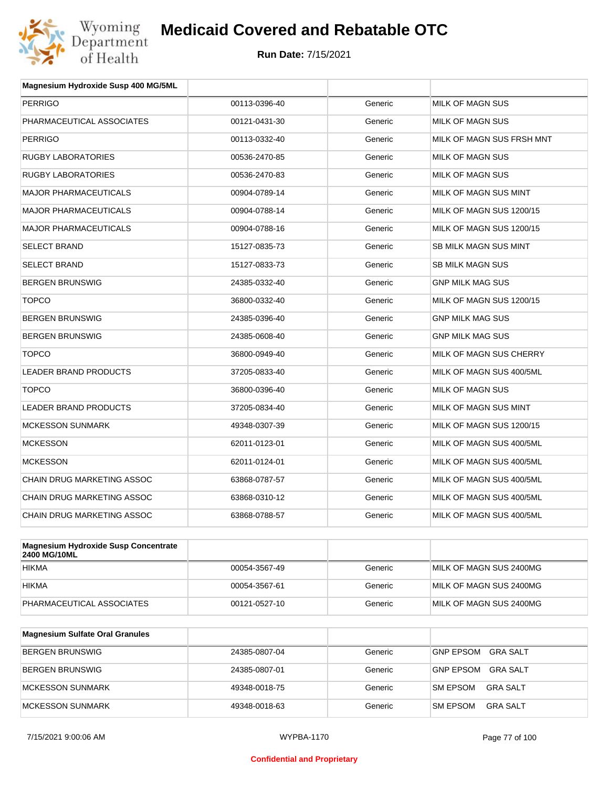

| Magnesium Hydroxide Susp 400 MG/5ML  |               |         |                              |
|--------------------------------------|---------------|---------|------------------------------|
| <b>PERRIGO</b>                       | 00113-0396-40 | Generic | MILK OF MAGN SUS             |
| PHARMACEUTICAL ASSOCIATES            | 00121-0431-30 | Generic | <b>MILK OF MAGN SUS</b>      |
| <b>PERRIGO</b>                       | 00113-0332-40 | Generic | MILK OF MAGN SUS FRSH MNT    |
| <b>RUGBY LABORATORIES</b>            | 00536-2470-85 | Generic | MILK OF MAGN SUS             |
| <b>RUGBY LABORATORIES</b>            | 00536-2470-83 | Generic | MILK OF MAGN SUS             |
| <b>MAJOR PHARMACEUTICALS</b>         | 00904-0789-14 | Generic | MILK OF MAGN SUS MINT        |
| <b>MAJOR PHARMACEUTICALS</b>         | 00904-0788-14 | Generic | MILK OF MAGN SUS 1200/15     |
| <b>MAJOR PHARMACEUTICALS</b>         | 00904-0788-16 | Generic | MILK OF MAGN SUS 1200/15     |
| <b>SELECT BRAND</b>                  | 15127-0835-73 | Generic | <b>SB MILK MAGN SUS MINT</b> |
| <b>SELECT BRAND</b>                  | 15127-0833-73 | Generic | <b>SB MILK MAGN SUS</b>      |
| <b>BERGEN BRUNSWIG</b>               | 24385-0332-40 | Generic | <b>GNP MILK MAG SUS</b>      |
| <b>TOPCO</b>                         | 36800-0332-40 | Generic | MILK OF MAGN SUS 1200/15     |
| <b>BERGEN BRUNSWIG</b>               | 24385-0396-40 | Generic | <b>GNP MILK MAG SUS</b>      |
| <b>BERGEN BRUNSWIG</b>               | 24385-0608-40 | Generic | <b>GNP MILK MAG SUS</b>      |
| <b>TOPCO</b>                         | 36800-0949-40 | Generic | MILK OF MAGN SUS CHERRY      |
| <b>LEADER BRAND PRODUCTS</b>         | 37205-0833-40 | Generic | MILK OF MAGN SUS 400/5ML     |
| <b>TOPCO</b>                         | 36800-0396-40 | Generic | MILK OF MAGN SUS             |
| <b>LEADER BRAND PRODUCTS</b>         | 37205-0834-40 | Generic | MILK OF MAGN SUS MINT        |
| <b>MCKESSON SUNMARK</b>              | 49348-0307-39 | Generic | MILK OF MAGN SUS 1200/15     |
| <b>MCKESSON</b>                      | 62011-0123-01 | Generic | MILK OF MAGN SUS 400/5ML     |
| <b>MCKESSON</b>                      | 62011-0124-01 | Generic | MILK OF MAGN SUS 400/5ML     |
| <b>CHAIN DRUG MARKETING ASSOC</b>    | 63868-0787-57 | Generic | MILK OF MAGN SUS 400/5ML     |
| CHAIN DRUG MARKETING ASSOC           | 63868-0310-12 | Generic | MILK OF MAGN SUS 400/5ML     |
| CHAIN DRUG MARKETING ASSOC           | 63868-0788-57 | Generic | MILK OF MAGN SUS 400/5ML     |
|                                      |               |         |                              |
| Magnesium Hydroxide Susp Concentrate |               |         |                              |

| Magnesium Hydroxide Susp Concentrate<br>2400 MG/10ML |               |         |                         |
|------------------------------------------------------|---------------|---------|-------------------------|
| <b>HIKMA</b>                                         | 00054-3567-49 | Generic | MILK OF MAGN SUS 2400MG |
| <b>HIKMA</b>                                         | 00054-3567-61 | Generic | MILK OF MAGN SUS 2400MG |
| PHARMACEUTICAL ASSOCIATES                            | 00121-0527-10 | Generic | MILK OF MAGN SUS 2400MG |

| <b>Magnesium Sulfate Oral Granules</b> |               |         |                                    |
|----------------------------------------|---------------|---------|------------------------------------|
| BERGEN BRUNSWIG                        | 24385-0807-04 | Generic | <b>GNP EPSOM</b><br>GRA SALT       |
| BERGEN BRUNSWIG                        | 24385-0807-01 | Generic | GRA SALT<br>GNP EPSOM              |
| <b>IMCKESSON SUNMARK</b>               | 49348-0018-75 | Generic | <b>SM EPSOM</b><br>GRA SALT        |
| MCKESSON SUNMARK                       | 49348-0018-63 | Generic | <b>SM EPSOM</b><br><b>GRA SALT</b> |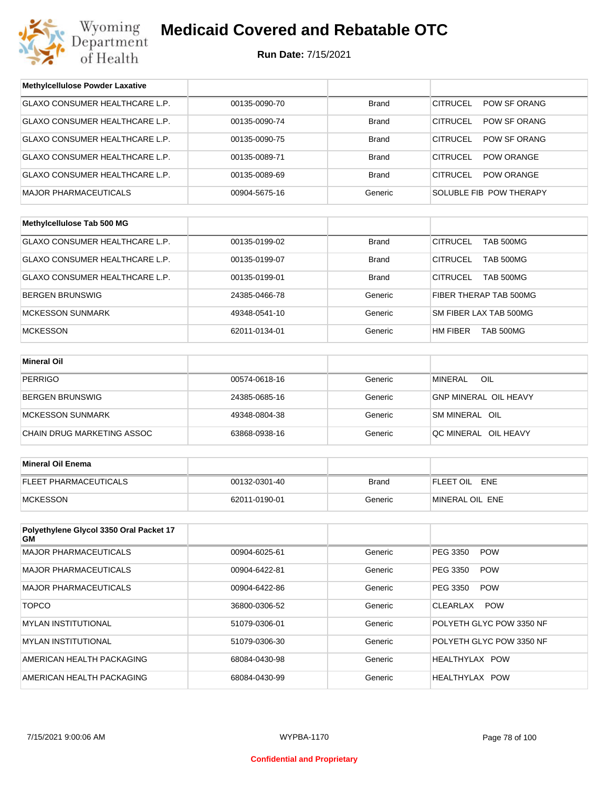

| <b>Methylcellulose Powder Laxative</b>        |               |              |                                     |  |
|-----------------------------------------------|---------------|--------------|-------------------------------------|--|
| GLAXO CONSUMER HEALTHCARE L.P.                | 00135-0090-70 | <b>Brand</b> | <b>CITRUCEL</b><br>POW SF ORANG     |  |
| GLAXO CONSUMER HEALTHCARE L.P.                | 00135-0090-74 | <b>Brand</b> | <b>CITRUCEL</b><br>POW SF ORANG     |  |
| GLAXO CONSUMER HEALTHCARE L.P.                | 00135-0090-75 | <b>Brand</b> | <b>CITRUCEL</b><br>POW SF ORANG     |  |
| GLAXO CONSUMER HEALTHCARE L.P.                | 00135-0089-71 | <b>Brand</b> | <b>CITRUCEL</b><br>POW ORANGE       |  |
| GLAXO CONSUMER HEALTHCARE L.P.                | 00135-0089-69 | <b>Brand</b> | <b>CITRUCEL</b><br>POW ORANGE       |  |
| <b>MAJOR PHARMACEUTICALS</b>                  | 00904-5675-16 | Generic      | SOLUBLE FIB POW THERAPY             |  |
|                                               |               |              |                                     |  |
| Methylcellulose Tab 500 MG                    |               |              |                                     |  |
| GLAXO CONSUMER HEALTHCARE L.P.                | 00135-0199-02 | <b>Brand</b> | <b>CITRUCEL</b><br><b>TAB 500MG</b> |  |
| GLAXO CONSUMER HEALTHCARE L.P.                | 00135-0199-07 | <b>Brand</b> | <b>CITRUCEL</b><br>TAB 500MG        |  |
| <b>GLAXO CONSUMER HEALTHCARE L.P.</b>         | 00135-0199-01 | <b>Brand</b> | <b>CITRUCEL</b><br><b>TAB 500MG</b> |  |
| BERGEN BRUNSWIG                               | 24385-0466-78 | Generic      | FIBER THERAP TAB 500MG              |  |
| <b>MCKESSON SUNMARK</b>                       | 49348-0541-10 | Generic      | SM FIBER LAX TAB 500MG              |  |
| <b>MCKESSON</b>                               | 62011-0134-01 | Generic      | <b>HM FIBER</b><br>TAB 500MG        |  |
|                                               |               |              |                                     |  |
| <b>Mineral Oil</b>                            |               |              |                                     |  |
| <b>PERRIGO</b>                                | 00574-0618-16 | Generic      | <b>MINERAL</b><br>OIL               |  |
| BERGEN BRUNSWIG                               | 24385-0685-16 | Generic      | <b>GNP MINERAL OIL HEAVY</b>        |  |
| <b>MCKESSON SUNMARK</b>                       | 49348-0804-38 | Generic      | SM MINERAL OIL                      |  |
| CHAIN DRUG MARKETING ASSOC                    | 63868-0938-16 | Generic      | QC MINERAL OIL HEAVY                |  |
|                                               |               |              |                                     |  |
| <b>Mineral Oil Enema</b>                      |               |              |                                     |  |
| FLEET PHARMACEUTICALS                         | 00132-0301-40 | <b>Brand</b> | FLEET OIL ENE                       |  |
| <b>MCKESSON</b>                               | 62011-0190-01 | Generic      | MINERAL OIL ENE                     |  |
|                                               |               |              |                                     |  |
| Polyethylene Glycol 3350 Oral Packet 17<br>GМ |               |              |                                     |  |
| <b>MAJOR PHARMACEUTICALS</b>                  | 00904-6025-61 | Generic      | PEG 3350<br><b>POW</b>              |  |
| <b>MAJOR PHARMACEUTICALS</b>                  | 00904-6422-81 | Generic      | PEG 3350<br><b>POW</b>              |  |
| <b>MAJOR PHARMACEUTICALS</b>                  | 00904-6422-86 | Generic      | PEG 3350<br><b>POW</b>              |  |
| <b>TOPCO</b>                                  | 36800-0306-52 | Generic      | CLEARLAX<br><b>POW</b>              |  |
| <b>MYLAN INSTITUTIONAL</b>                    | 51079-0306-01 | Generic      | POLYETH GLYC POW 3350 NF            |  |
| <b>MYLAN INSTITUTIONAL</b>                    | 51079-0306-30 | Generic      | POLYETH GLYC POW 3350 NF            |  |
| AMERICAN HEALTH PACKAGING                     | 68084-0430-98 | Generic      | HEALTHYLAX POW                      |  |
| AMERICAN HEALTH PACKAGING                     | 68084-0430-99 | Generic      | HEALTHYLAX POW                      |  |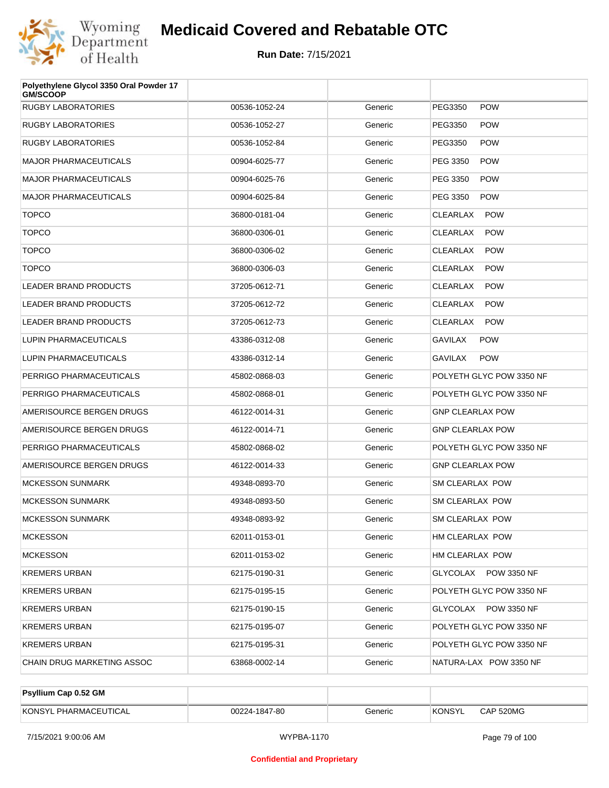

| Polyethylene Glycol 3350 Oral Powder 17<br><b>GM/SCOOP</b> |               |         |                               |
|------------------------------------------------------------|---------------|---------|-------------------------------|
| <b>RUGBY LABORATORIES</b>                                  | 00536-1052-24 | Generic | PEG3350<br><b>POW</b>         |
| <b>RUGBY LABORATORIES</b>                                  | 00536-1052-27 | Generic | <b>POW</b><br>PEG3350         |
| <b>RUGBY LABORATORIES</b>                                  | 00536-1052-84 | Generic | <b>POW</b><br>PEG3350         |
| <b>MAJOR PHARMACEUTICALS</b>                               | 00904-6025-77 | Generic | PEG 3350<br><b>POW</b>        |
| <b>MAJOR PHARMACEUTICALS</b>                               | 00904-6025-76 | Generic | PEG 3350<br><b>POW</b>        |
| <b>MAJOR PHARMACEUTICALS</b>                               | 00904-6025-84 | Generic | PEG 3350<br><b>POW</b>        |
| <b>TOPCO</b>                                               | 36800-0181-04 | Generic | <b>POW</b><br><b>CLEARLAX</b> |
| <b>TOPCO</b>                                               | 36800-0306-01 | Generic | <b>CLEARLAX</b><br><b>POW</b> |
| <b>TOPCO</b>                                               | 36800-0306-02 | Generic | <b>CLEARLAX</b><br><b>POW</b> |
| <b>TOPCO</b>                                               | 36800-0306-03 | Generic | <b>CLEARLAX</b><br><b>POW</b> |
| LEADER BRAND PRODUCTS                                      | 37205-0612-71 | Generic | <b>CLEARLAX</b><br><b>POW</b> |
| <b>LEADER BRAND PRODUCTS</b>                               | 37205-0612-72 | Generic | <b>CLEARLAX</b><br><b>POW</b> |
| <b>LEADER BRAND PRODUCTS</b>                               | 37205-0612-73 | Generic | <b>CLEARLAX</b><br><b>POW</b> |
| LUPIN PHARMACEUTICALS                                      | 43386-0312-08 | Generic | <b>GAVILAX</b><br><b>POW</b>  |
| LUPIN PHARMACEUTICALS                                      | 43386-0312-14 | Generic | <b>POW</b><br>GAVILAX         |
| PERRIGO PHARMACEUTICALS                                    | 45802-0868-03 | Generic | POLYETH GLYC POW 3350 NF      |
| PERRIGO PHARMACEUTICALS                                    | 45802-0868-01 | Generic | POLYETH GLYC POW 3350 NF      |
| AMERISOURCE BERGEN DRUGS                                   | 46122-0014-31 | Generic | <b>GNP CLEARLAX POW</b>       |
| AMERISOURCE BERGEN DRUGS                                   | 46122-0014-71 | Generic | <b>GNP CLEARLAX POW</b>       |
| PERRIGO PHARMACEUTICALS                                    | 45802-0868-02 | Generic | POLYETH GLYC POW 3350 NF      |
| AMERISOURCE BERGEN DRUGS                                   | 46122-0014-33 | Generic | <b>GNP CLEARLAX POW</b>       |
| <b>MCKESSON SUNMARK</b>                                    | 49348-0893-70 | Generic | <b>SM CLEARLAX POW</b>        |
| <b>MCKESSON SUNMARK</b>                                    | 49348-0893-50 | Generic | SM CLEARLAX POW               |
| <b>MCKESSON SUNMARK</b>                                    | 49348-0893-92 | Generic | SM CLEARLAX POW               |
| <b>MCKESSON</b>                                            | 62011-0153-01 | Generic | HM CLEARLAX POW               |
| <b>MCKESSON</b>                                            | 62011-0153-02 | Generic | HM CLEARLAX POW               |
| <b>KREMERS URBAN</b>                                       | 62175-0190-31 | Generic | GLYCOLAX POW 3350 NF          |
| <b>KREMERS URBAN</b>                                       | 62175-0195-15 | Generic | POLYETH GLYC POW 3350 NF      |
| <b>KREMERS URBAN</b>                                       | 62175-0190-15 | Generic | GLYCOLAX POW 3350 NF          |
| <b>KREMERS URBAN</b>                                       | 62175-0195-07 | Generic | POLYETH GLYC POW 3350 NF      |
| <b>KREMERS URBAN</b>                                       | 62175-0195-31 | Generic | POLYETH GLYC POW 3350 NF      |
| CHAIN DRUG MARKETING ASSOC                                 | 63868-0002-14 | Generic | NATURA-LAX POW 3350 NF        |

| <b>Psyllium Cap 0.52 GM</b> |               |         |        |           |
|-----------------------------|---------------|---------|--------|-----------|
| KONSYL PHARMACEUTICAL       | 00224-1847-80 | Generic | KONSYL | CAP 520MG |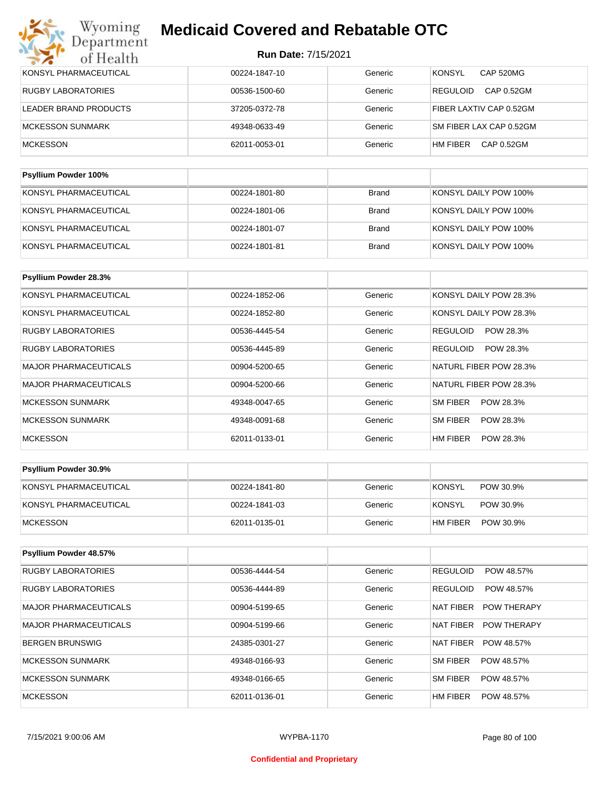| KONSYL PHARMACEUTICAL       | 00224-1847-10 | Generic      | <b>CAP 520MG</b><br><b>KONSYL</b> |
|-----------------------------|---------------|--------------|-----------------------------------|
| <b>RUGBY LABORATORIES</b>   | 00536-1500-60 | Generic      | CAP 0.52GM<br><b>REGULOID</b>     |
| LEADER BRAND PRODUCTS       | 37205-0372-78 | Generic      | FIBER LAXTIV CAP 0.52GM           |
| <b>MCKESSON SUNMARK</b>     | 49348-0633-49 | Generic      | SM FIBER LAX CAP 0.52GM           |
| <b>MCKESSON</b>             | 62011-0053-01 | Generic      | HM FIBER<br>CAP 0.52GM            |
|                             |               |              |                                   |
| <b>Psyllium Powder 100%</b> |               |              |                                   |
| KONSYL PHARMACEUTICAL       | 00224-1801-80 | <b>Brand</b> | KONSYL DAILY POW 100%             |

| KONSYL PHARMACEUTICAL | 00224-1801-06 | Brand | KONSYL DAILY POW 100% |
|-----------------------|---------------|-------|-----------------------|
| KONSYL PHARMACEUTICAL | 00224-1801-07 | Brand | KONSYL DAILY POW 100% |
| KONSYL PHARMACEUTICAL | 00224-1801-81 | Brand | KONSYL DAILY POW 100% |

| Psyllium Powder 28.3%        |               |         |                              |
|------------------------------|---------------|---------|------------------------------|
| KONSYL PHARMACEUTICAL        | 00224-1852-06 | Generic | KONSYL DAILY POW 28.3%       |
| KONSYL PHARMACEUTICAL        | 00224-1852-80 | Generic | KONSYL DAILY POW 28.3%       |
| <b>RUGBY LABORATORIES</b>    | 00536-4445-54 | Generic | POW 28.3%<br><b>REGULOID</b> |
| <b>RUGBY LABORATORIES</b>    | 00536-4445-89 | Generic | POW 28.3%<br><b>REGULOID</b> |
| <b>MAJOR PHARMACEUTICALS</b> | 00904-5200-65 | Generic | NATURL FIBER POW 28.3%       |
| <b>MAJOR PHARMACEUTICALS</b> | 00904-5200-66 | Generic | NATURL FIBER POW 28.3%       |
| <b>MCKESSON SUNMARK</b>      | 49348-0047-65 | Generic | <b>SM FIBER</b><br>POW 28.3% |
| <b>MCKESSON SUNMARK</b>      | 49348-0091-68 | Generic | <b>SM FIBER</b><br>POW 28.3% |
| <b>MCKESSON</b>              | 62011-0133-01 | Generic | HM FIBER<br>POW 28.3%        |

| <b>Psyllium Powder 30.9%</b> |               |         |                            |
|------------------------------|---------------|---------|----------------------------|
| KONSYL PHARMACEUTICAL        | 00224-1841-80 | Generic | <b>KONSYL</b><br>POW 30.9% |
| KONSYL PHARMACEUTICAL        | 00224-1841-03 | Generic | KONSYL<br>POW 30.9%        |
| <b>IMCKESSON</b>             | 62011-0135-01 | Generic | HM FIBER<br>POW 30.9%      |

| <b>Psyllium Powder 48.57%</b> |               |         |                                 |
|-------------------------------|---------------|---------|---------------------------------|
| <b>RUGBY LABORATORIES</b>     | 00536-4444-54 | Generic | <b>REGULOID</b><br>POW 48.57%   |
| <b>RUGBY LABORATORIES</b>     | 00536-4444-89 | Generic | <b>REGULOID</b><br>POW 48.57%   |
| <b>MAJOR PHARMACEUTICALS</b>  | 00904-5199-65 | Generic | NAT FIBER<br><b>POW THERAPY</b> |
| <b>MAJOR PHARMACEUTICALS</b>  | 00904-5199-66 | Generic | NAT FIBER<br><b>POW THERAPY</b> |
| <b>BERGEN BRUNSWIG</b>        | 24385-0301-27 | Generic | <b>NAT FIBER</b><br>POW 48.57%  |
| <b>MCKESSON SUNMARK</b>       | 49348-0166-93 | Generic | SM FIBER<br>POW 48.57%          |
| <b>MCKESSON SUNMARK</b>       | 49348-0166-65 | Generic | SM FIBER<br>POW 48.57%          |
| <b>MCKESSON</b>               | 62011-0136-01 | Generic | HM FIBER<br>POW 48.57%          |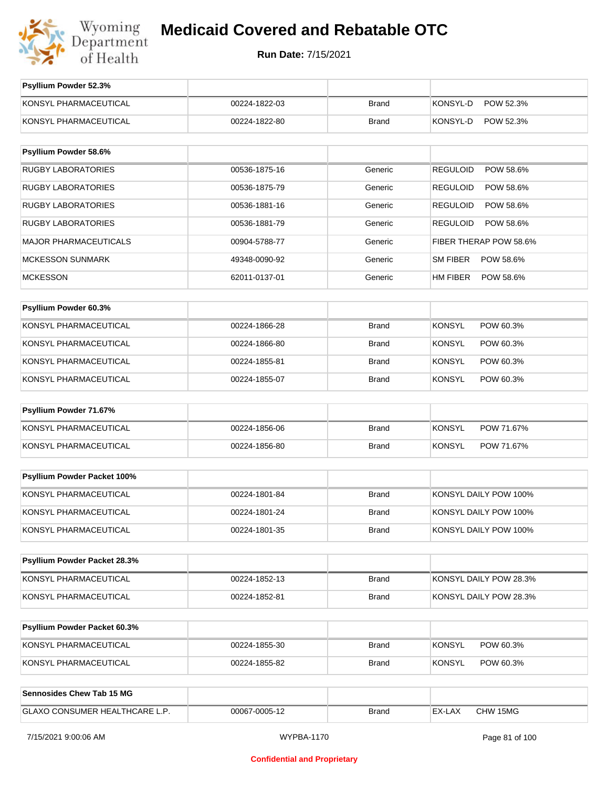

| Psyllium Powder 52.3%          |               |              |                              |
|--------------------------------|---------------|--------------|------------------------------|
| KONSYL PHARMACEUTICAL          | 00224-1822-03 | <b>Brand</b> | <b>KONSYL-D</b><br>POW 52.3% |
| KONSYL PHARMACEUTICAL          | 00224-1822-80 | <b>Brand</b> | KONSYL-D<br>POW 52.3%        |
| Psyllium Powder 58.6%          |               |              |                              |
|                                |               |              |                              |
| <b>RUGBY LABORATORIES</b>      | 00536-1875-16 | Generic      | <b>REGULOID</b><br>POW 58.6% |
| <b>RUGBY LABORATORIES</b>      | 00536-1875-79 | Generic      | <b>REGULOID</b><br>POW 58.6% |
| <b>RUGBY LABORATORIES</b>      | 00536-1881-16 | Generic      | <b>REGULOID</b><br>POW 58.6% |
| RUGBY LABORATORIES             | 00536-1881-79 | Generic      | <b>REGULOID</b><br>POW 58.6% |
| MAJOR PHARMACEUTICALS          | 00904-5788-77 | Generic      | FIBER THERAP POW 58.6%       |
| <b>MCKESSON SUNMARK</b>        | 49348-0090-92 | Generic      | SM FIBER<br>POW 58.6%        |
| <b>MCKESSON</b>                | 62011-0137-01 | Generic      | HM FIBER<br>POW 58.6%        |
|                                |               |              |                              |
| Psyllium Powder 60.3%          |               |              |                              |
| KONSYL PHARMACEUTICAL          | 00224-1866-28 | <b>Brand</b> | <b>KONSYL</b><br>POW 60.3%   |
| KONSYL PHARMACEUTICAL          | 00224-1866-80 | <b>Brand</b> | <b>KONSYL</b><br>POW 60.3%   |
| KONSYL PHARMACEUTICAL          | 00224-1855-81 | <b>Brand</b> | <b>KONSYL</b><br>POW 60.3%   |
| KONSYL PHARMACEUTICAL          | 00224-1855-07 | <b>Brand</b> | <b>KONSYL</b><br>POW 60.3%   |
| Psyllium Powder 71.67%         |               |              |                              |
| KONSYL PHARMACEUTICAL          | 00224-1856-06 | <b>Brand</b> | <b>KONSYL</b><br>POW 71.67%  |
| KONSYL PHARMACEUTICAL          | 00224-1856-80 | Brand        | <b>KONSYL</b><br>POW 71.67%  |
|                                |               |              |                              |
| Psyllium Powder Packet 100%    |               |              |                              |
| KONSYL PHARMACEUTICAL          | 00224-1801-84 | <b>Brand</b> | KONSYL DAILY POW 100%        |
| KONSYL PHARMACEUTICAL          | 00224-1801-24 | <b>Brand</b> | KONSYL DAILY POW 100%        |
| KONSYL PHARMACEUTICAL          | 00224-1801-35 | <b>Brand</b> | KONSYL DAILY POW 100%        |
|                                |               |              |                              |
| Psyllium Powder Packet 28.3%   |               |              |                              |
| KONSYL PHARMACEUTICAL          | 00224-1852-13 | <b>Brand</b> | KONSYL DAILY POW 28.3%       |
| KONSYL PHARMACEUTICAL          | 00224-1852-81 | Brand        | KONSYL DAILY POW 28.3%       |
| Psyllium Powder Packet 60.3%   |               |              |                              |
| KONSYL PHARMACEUTICAL          | 00224-1855-30 | Brand        | <b>KONSYL</b><br>POW 60.3%   |
| KONSYL PHARMACEUTICAL          | 00224-1855-82 | <b>Brand</b> | <b>KONSYL</b><br>POW 60.3%   |
|                                |               |              |                              |
| Sennosides Chew Tab 15 MG      |               |              |                              |
| GLAXO CONSUMER HEALTHCARE L.P. | 00067-0005-12 | Brand        | EX-LAX<br>CHW 15MG           |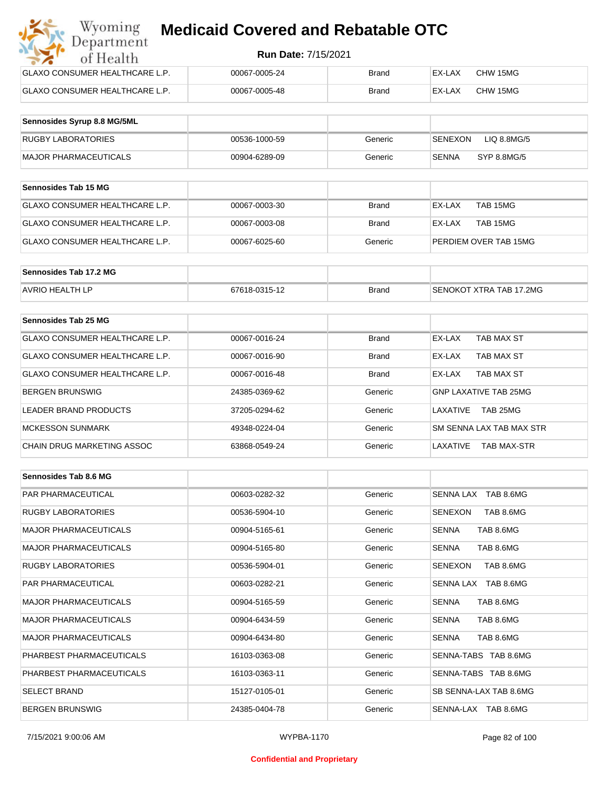| Wyoming<br><b>Medicaid Covered and Rebatable OTC</b><br>Department |                            |              |        |          |  |
|--------------------------------------------------------------------|----------------------------|--------------|--------|----------|--|
| of Health                                                          | <b>Run Date: 7/15/2021</b> |              |        |          |  |
| <b>GLAXO CONSUMER HEALTHCARE L.P.</b>                              | 00067-0005-24              | Brand        | EX-LAX | CHW 15MG |  |
| GLAXO CONSUMER HEALTHCARE L.P.                                     | 00067-0005-48              | <b>Brand</b> | EX-LAX | CHW 15MG |  |

| Sennosides Syrup 8.8 MG/5ML |               |         |                        |
|-----------------------------|---------------|---------|------------------------|
| <b>RUGBY LABORATORIES</b>   | 00536-1000-59 | Generic | SENEXON<br>LIQ 8.8MG/5 |
| MAJOR PHARMACEUTICALS       | 00904-6289-09 | Generic | SYP 8.8MG/5<br>SENNA   |

| <b>Sennosides Tab 15 MG</b>     |               |         |                       |
|---------------------------------|---------------|---------|-----------------------|
| IGLAXO CONSUMER HEALTHCARE L.P. | 00067-0003-30 | Brand   | TAB 15MG<br>EX-LAX    |
| GLAXO CONSUMER HEALTHCARE L.P.  | 00067-0003-08 | Brand   | TAB 15MG<br>EX-LAX    |
| IGLAXO CONSUMER HEALTHCARE L.P. | 00067-6025-60 | Generic | PERDIEM OVER TAB 15MG |

| Sennosides Tab 17.2 MG |               |              |                         |
|------------------------|---------------|--------------|-------------------------|
| <b>AVRIO HEALTH LP</b> | 67618-0315-12 | <b>Brand</b> | SENOKOT XTRA TAB 17.2MG |

| Sennosides Tab 25 MG           |               |              |                                |
|--------------------------------|---------------|--------------|--------------------------------|
| GLAXO CONSUMER HEALTHCARE L.P. | 00067-0016-24 | <b>Brand</b> | EX-LAX<br>TAB MAX ST           |
| GLAXO CONSUMER HEALTHCARE L.P. | 00067-0016-90 | <b>Brand</b> | TAB MAX ST<br>EX-LAX           |
| GLAXO CONSUMER HEALTHCARE L.P. | 00067-0016-48 | <b>Brand</b> | TAB MAX ST<br>EX-LAX           |
| <b>BERGEN BRUNSWIG</b>         | 24385-0369-62 | Generic      | GNP LAXATIVE TAB 25MG          |
| LEADER BRAND PRODUCTS          | 37205-0294-62 | Generic      | TAB 25MG<br>I AXATIVE          |
| <b>MCKESSON SUNMARK</b>        | 49348-0224-04 | Generic      | SM SENNA LAX TAB MAX STR       |
| CHAIN DRUG MARKETING ASSOC     | 63868-0549-24 | Generic      | LAXATIVE<br><b>TAB MAX-STR</b> |

| Sennosides Tab 8.6 MG        |               |         |                           |
|------------------------------|---------------|---------|---------------------------|
| <b>PAR PHARMACEUTICAL</b>    | 00603-0282-32 | Generic | SENNA LAX TAB 8.6MG       |
| <b>RUGBY LABORATORIES</b>    | 00536-5904-10 | Generic | SENEXON<br>TAB 8.6MG      |
| <b>MAJOR PHARMACEUTICALS</b> | 00904-5165-61 | Generic | TAB 8.6MG<br><b>SENNA</b> |
| <b>MAJOR PHARMACEUTICALS</b> | 00904-5165-80 | Generic | TAB 8.6MG<br><b>SENNA</b> |
| <b>RUGBY LABORATORIES</b>    | 00536-5904-01 | Generic | TAB 8.6MG<br>SENEXON      |
| <b>PAR PHARMACEUTICAL</b>    | 00603-0282-21 | Generic | SENNA LAX TAB 8.6MG       |
| <b>MAJOR PHARMACEUTICALS</b> | 00904-5165-59 | Generic | TAB 8.6MG<br><b>SENNA</b> |
| <b>MAJOR PHARMACEUTICALS</b> | 00904-6434-59 | Generic | <b>SENNA</b><br>TAB 8.6MG |
| <b>MAJOR PHARMACEUTICALS</b> | 00904-6434-80 | Generic | <b>SENNA</b><br>TAB 8.6MG |
| PHARBEST PHARMACEUTICALS     | 16103-0363-08 | Generic | SENNA-TABS TAB 8.6MG      |
| PHARBEST PHARMACEUTICALS     | 16103-0363-11 | Generic | SENNA-TABS TAB 8.6MG      |
| <b>SELECT BRAND</b>          | 15127-0105-01 | Generic | SB SENNA-LAX TAB 8.6MG    |
| <b>BERGEN BRUNSWIG</b>       | 24385-0404-78 | Generic | SENNA-LAX TAB 8.6MG       |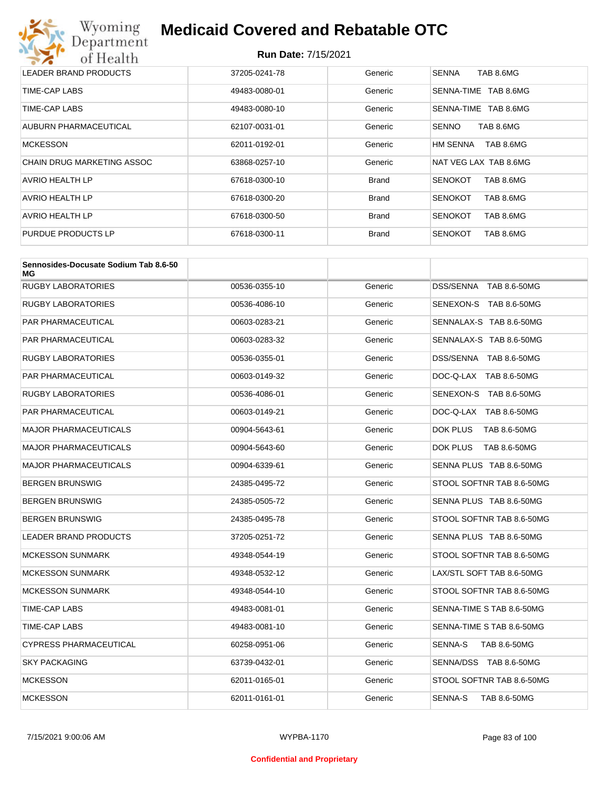

| LEADER BRAND PRODUCTS      | 37205-0241-78 | Generic      | <b>SENNA</b><br>TAB 8.6MG   |
|----------------------------|---------------|--------------|-----------------------------|
| TIME-CAP LABS              | 49483-0080-01 | Generic      | SENNA-TIME<br>TAB 8.6MG     |
| TIME-CAP LABS              | 49483-0080-10 | Generic      | TAB 8.6MG<br>SENNA-TIME     |
| AUBURN PHARMACEUTICAL      | 62107-0031-01 | Generic      | TAB 8.6MG<br><b>SENNO</b>   |
| <b>MCKESSON</b>            | 62011-0192-01 | Generic      | HM SENNA<br>TAB 8.6MG       |
| CHAIN DRUG MARKETING ASSOC | 63868-0257-10 | Generic      | NAT VEG LAX TAB 8.6MG       |
| <b>AVRIO HEALTH LP</b>     | 67618-0300-10 | <b>Brand</b> | TAB 8.6MG<br><b>SENOKOT</b> |
| AVRIO HEALTH LP            | 67618-0300-20 | <b>Brand</b> | TAB 8.6MG<br><b>SENOKOT</b> |
| AVRIO HEALTH LP            | 67618-0300-50 | <b>Brand</b> | <b>SENOKOT</b><br>TAB 8.6MG |
| PURDUE PRODUCTS LP         | 67618-0300-11 | <b>Brand</b> | <b>SENOKOT</b><br>TAB 8.6MG |

| Sennosides-Docusate Sodium Tab 8.6-50<br>МG |               |         |                           |
|---------------------------------------------|---------------|---------|---------------------------|
| <b>RUGBY LABORATORIES</b>                   | 00536-0355-10 | Generic | DSS/SENNA TAB 8.6-50MG    |
| <b>RUGBY LABORATORIES</b>                   | 00536-4086-10 | Generic | SENEXON-S TAB 8.6-50MG    |
| <b>PAR PHARMACEUTICAL</b>                   | 00603-0283-21 | Generic | SENNALAX-S TAB 8.6-50MG   |
| PAR PHARMACEUTICAL                          | 00603-0283-32 | Generic | SENNALAX-S TAB 8.6-50MG   |
| <b>RUGBY LABORATORIES</b>                   | 00536-0355-01 | Generic | DSS/SENNA TAB 8.6-50MG    |
| PAR PHARMACEUTICAL                          | 00603-0149-32 | Generic | DOC-Q-LAX TAB 8.6-50MG    |
| <b>RUGBY LABORATORIES</b>                   | 00536-4086-01 | Generic | SENEXON-S TAB 8.6-50MG    |
| <b>PAR PHARMACEUTICAL</b>                   | 00603-0149-21 | Generic | DOC-Q-LAX TAB 8.6-50MG    |
| <b>MAJOR PHARMACEUTICALS</b>                | 00904-5643-61 | Generic | DOK PLUS<br>TAB 8.6-50MG  |
| <b>MAJOR PHARMACEUTICALS</b>                | 00904-5643-60 | Generic | DOK PLUS<br>TAB 8.6-50MG  |
| <b>MAJOR PHARMACEUTICALS</b>                | 00904-6339-61 | Generic | SENNA PLUS TAB 8.6-50MG   |
| <b>BERGEN BRUNSWIG</b>                      | 24385-0495-72 | Generic | STOOL SOFTNR TAB 8.6-50MG |
| <b>BERGEN BRUNSWIG</b>                      | 24385-0505-72 | Generic | SENNA PLUS TAB 8.6-50MG   |
| <b>BERGEN BRUNSWIG</b>                      | 24385-0495-78 | Generic | STOOL SOFTNR TAB 8.6-50MG |
| <b>LEADER BRAND PRODUCTS</b>                | 37205-0251-72 | Generic | SENNA PLUS TAB 8.6-50MG   |
| <b>MCKESSON SUNMARK</b>                     | 49348-0544-19 | Generic | STOOL SOFTNR TAB 8.6-50MG |
| <b>MCKESSON SUNMARK</b>                     | 49348-0532-12 | Generic | LAX/STL SOFT TAB 8.6-50MG |
| <b>MCKESSON SUNMARK</b>                     | 49348-0544-10 | Generic | STOOL SOFTNR TAB 8.6-50MG |
| TIME-CAP LABS                               | 49483-0081-01 | Generic | SENNA-TIME S TAB 8.6-50MG |
| TIME-CAP LABS                               | 49483-0081-10 | Generic | SENNA-TIME S TAB 8.6-50MG |
| <b>CYPRESS PHARMACEUTICAL</b>               | 60258-0951-06 | Generic | SENNA-S<br>TAB 8.6-50MG   |
| <b>SKY PACKAGING</b>                        | 63739-0432-01 | Generic | SENNA/DSS TAB 8.6-50MG    |
| <b>MCKESSON</b>                             | 62011-0165-01 | Generic | STOOL SOFTNR TAB 8.6-50MG |
| <b>MCKESSON</b>                             | 62011-0161-01 | Generic | SENNA-S<br>TAB 8.6-50MG   |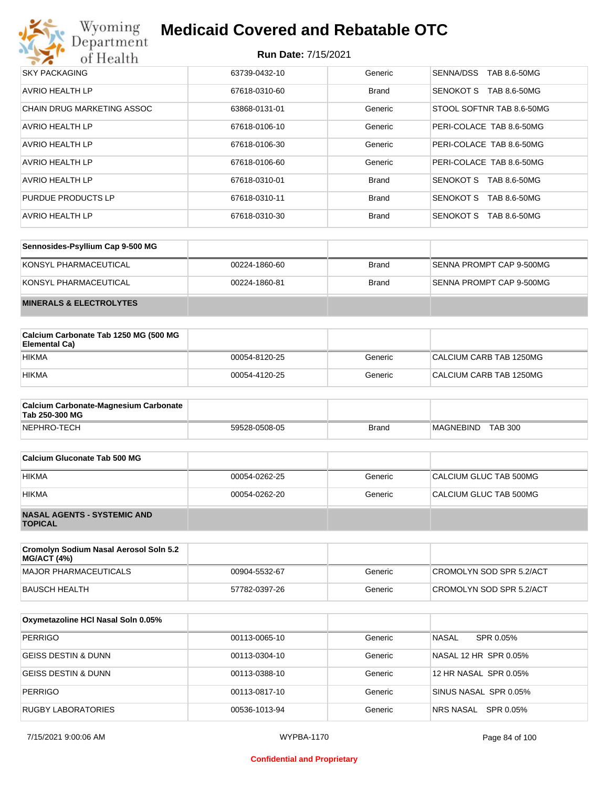

| <b>SKY PACKAGING</b>       | 63739-0432-10 | Generic      | SENNA/DSS<br>TAB 8.6-50MG |
|----------------------------|---------------|--------------|---------------------------|
| AVRIO HEALTH LP            | 67618-0310-60 | <b>Brand</b> | TAB 8.6-50MG<br>SENOKOT S |
| CHAIN DRUG MARKETING ASSOC | 63868-0131-01 | Generic      | STOOL SOFTNR TAB 8.6-50MG |
| AVRIO HEALTH LP            | 67618-0106-10 | Generic      | PERI-COLACE TAB 8.6-50MG  |
| <b>AVRIO HEALTH LP</b>     | 67618-0106-30 | Generic      | PERI-COLACE TAB 8.6-50MG  |
| AVRIO HEALTH LP            | 67618-0106-60 | Generic      | PERI-COLACE TAB 8.6-50MG  |
| AVRIO HEALTH LP            | 67618-0310-01 | <b>Brand</b> | SENOKOT S<br>TAB 8.6-50MG |
| PURDUE PRODUCTS LP         | 67618-0310-11 | <b>Brand</b> | SENOKOT S<br>TAB 8.6-50MG |
| AVRIO HEALTH LP            | 67618-0310-30 | <b>Brand</b> | SENOKOT S<br>TAB 8.6-50MG |

| Sennosides-Psyllium Cap 9-500 MG   |               |              |                          |
|------------------------------------|---------------|--------------|--------------------------|
| KONSYL PHARMACEUTICAL              | 00224-1860-60 | <b>Brand</b> | SENNA PROMPT CAP 9-500MG |
| KONSYL PHARMACEUTICAL              | 00224-1860-81 | <b>Brand</b> | SENNA PROMPT CAP 9-500MG |
| <b>MINERALS &amp; ELECTROLYTES</b> |               |              |                          |

| Calcium Carbonate Tab 1250 MG (500 MG<br>Elemental Ca) |               |         |                         |
|--------------------------------------------------------|---------------|---------|-------------------------|
| <b>HIKMA</b>                                           | 00054-8120-25 | Generic | CALCIUM CARB TAB 1250MG |
| <b>HIKMA</b>                                           | 00054-4120-25 | Generic | CALCIUM CARB TAB 1250MG |

| <b>Calcium Carbonate-Magnesium Carbonate</b><br>Tab 250-300 MG |               |              |                                    |
|----------------------------------------------------------------|---------------|--------------|------------------------------------|
| NEPHRO-TECH                                                    | 59528-0508-05 | <b>Brand</b> | <b>TAB 300</b><br><b>MAGNEBIND</b> |

| Calcium Gluconate Tab 500 MG                         |               |         |                        |
|------------------------------------------------------|---------------|---------|------------------------|
| <b>HIKMA</b>                                         | 00054-0262-25 | Generic | CALCIUM GLUC TAB 500MG |
| <b>HIKMA</b>                                         | 00054-0262-20 | Generic | CALCIUM GLUC TAB 500MG |
| <b>NASAL AGENTS - SYSTEMIC AND</b><br><b>TOPICAL</b> |               |         |                        |

| Cromolyn Sodium Nasal Aerosol Soln 5.2<br><b>MG/ACT (4%)</b> |               |         |                          |
|--------------------------------------------------------------|---------------|---------|--------------------------|
| MAJOR PHARMACEUTICALS                                        | 00904-5532-67 | Generic | CROMOLYN SOD SPR 5.2/ACT |
| BAUSCH HEALTH                                                | 57782-0397-26 | Generic | CROMOLYN SOD SPR 5.2/ACT |

| Oxymetazoline HCI Nasal Soln 0.05% |               |         |                        |
|------------------------------------|---------------|---------|------------------------|
| <b>PERRIGO</b>                     | 00113-0065-10 | Generic | NASAL<br>SPR 0.05%     |
| IGEISS DESTIN & DUNN               | 00113-0304-10 | Generic | NASAL 12 HR SPR 0.05%  |
| IGEISS DESTIN & DUNN               | 00113-0388-10 | Generic | 12 HR NASAL SPR 0.05%  |
| <b>PERRIGO</b>                     | 00113-0817-10 | Generic | SINUS NASAL SPR 0.05%  |
| RUGBY LABORATORIES                 | 00536-1013-94 | Generic | SPR 0.05%<br>NRS NASAL |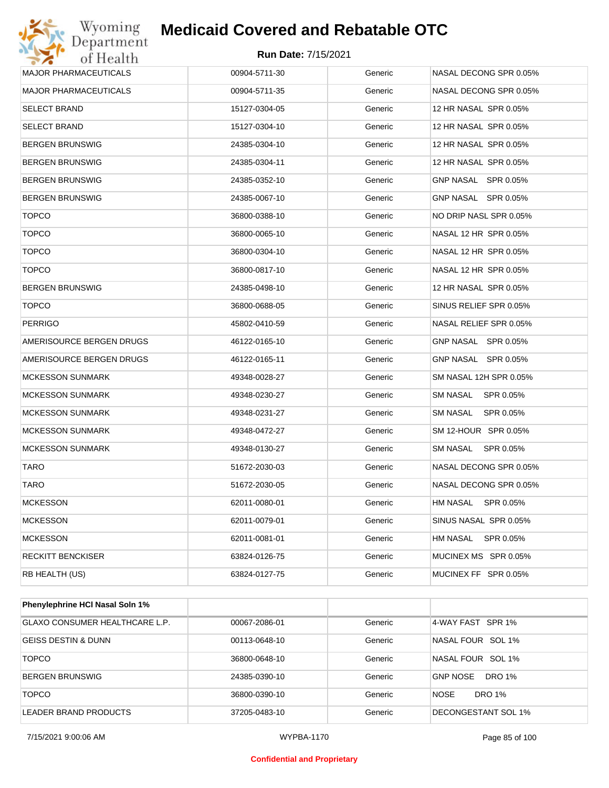

| Wyoming<br>Department        | <b>Medicaid Covered and Rebatable OTC</b> |         |                              |
|------------------------------|-------------------------------------------|---------|------------------------------|
| of Health                    | <b>Run Date: 7/15/2021</b>                |         |                              |
| <b>MAJOR PHARMACEUTICALS</b> | 00904-5711-30                             | Generic | NASAL DECONG SPR 0.05%       |
| <b>MAJOR PHARMACEUTICALS</b> | 00904-5711-35                             | Generic | NASAL DECONG SPR 0.05%       |
| <b>SELECT BRAND</b>          | 15127-0304-05                             | Generic | 12 HR NASAL SPR 0.05%        |
| <b>SELECT BRAND</b>          | 15127-0304-10                             | Generic | 12 HR NASAL SPR 0.05%        |
| <b>BERGEN BRUNSWIG</b>       | 24385-0304-10                             | Generic | 12 HR NASAL SPR 0.05%        |
| <b>BERGEN BRUNSWIG</b>       | 24385-0304-11                             | Generic | 12 HR NASAL SPR 0.05%        |
| <b>BERGEN BRUNSWIG</b>       | 24385-0352-10                             | Generic | GNP NASAL SPR 0.05%          |
| <b>BERGEN BRUNSWIG</b>       | 24385-0067-10                             | Generic | GNP NASAL SPR 0.05%          |
| <b>TOPCO</b>                 | 36800-0388-10                             | Generic | NO DRIP NASL SPR 0.05%       |
| <b>TOPCO</b>                 | 36800-0065-10                             | Generic | NASAL 12 HR SPR 0.05%        |
| <b>TOPCO</b>                 | 36800-0304-10                             | Generic | NASAL 12 HR SPR 0.05%        |
| <b>TOPCO</b>                 | 36800-0817-10                             | Generic | NASAL 12 HR SPR 0.05%        |
| <b>BERGEN BRUNSWIG</b>       | 24385-0498-10                             | Generic | 12 HR NASAL SPR 0.05%        |
| <b>TOPCO</b>                 | 36800-0688-05                             | Generic | SINUS RELIEF SPR 0.05%       |
| <b>PERRIGO</b>               | 45802-0410-59                             | Generic | NASAL RELIEF SPR 0.05%       |
| AMERISOURCE BERGEN DRUGS     | 46122-0165-10                             | Generic | GNP NASAL SPR 0.05%          |
| AMERISOURCE BERGEN DRUGS     | 46122-0165-11                             | Generic | GNP NASAL SPR 0.05%          |
| <b>MCKESSON SUNMARK</b>      | 49348-0028-27                             | Generic | SM NASAL 12H SPR 0.05%       |
| <b>MCKESSON SUNMARK</b>      | 49348-0230-27                             | Generic | SM NASAL<br>SPR 0.05%        |
| <b>MCKESSON SUNMARK</b>      | 49348-0231-27                             | Generic | <b>SM NASAL</b><br>SPR 0.05% |
| <b>MCKESSON SUNMARK</b>      | 49348-0472-27                             | Generic | SM 12-HOUR SPR 0.05%         |
| <b>MCKESSON SUNMARK</b>      | 49348-0130-27                             | Generic | SM NASAL<br>SPR 0.05%        |
| TARO                         | 51672-2030-03                             | Generic | NASAL DECONG SPR 0.05%       |
| <b>TARO</b>                  | 51672-2030-05                             | Generic | NASAL DECONG SPR 0.05%       |
| <b>MCKESSON</b>              | 62011-0080-01                             | Generic | HM NASAL<br>SPR 0.05%        |
| MCKESSON                     | 62011-0079-01                             | Generic | SINUS NASAL SPR 0.05%        |
| <b>MCKESSON</b>              | 62011-0081-01                             | Generic | HM NASAL<br>SPR 0.05%        |
| <b>RECKITT BENCKISER</b>     | 63824-0126-75                             | Generic | MUCINEX MS SPR 0.05%         |
| RB HEALTH (US)               | 63824-0127-75                             | Generic | MUCINEX FF SPR 0.05%         |

| <b>Phenylephrine HCI Nasal Soln 1%</b> |               |         |                           |
|----------------------------------------|---------------|---------|---------------------------|
| <b>GLAXO CONSUMER HEALTHCARE L.P.</b>  | 00067-2086-01 | Generic | 4-WAY FAST SPR 1%         |
| <b>GEISS DESTIN &amp; DUNN</b>         | 00113-0648-10 | Generic | NASAL FOUR SOL 1%         |
| <b>TOPCO</b>                           | 36800-0648-10 | Generic | NASAL FOUR SOL 1%         |
| <b>BERGEN BRUNSWIG</b>                 | 24385-0390-10 | Generic | <b>GNP NOSE</b><br>DRO 1% |
| <b>TOPCO</b>                           | 36800-0390-10 | Generic | <b>NOSE</b><br>DRO 1%     |
| LEADER BRAND PRODUCTS                  | 37205-0483-10 | Generic | DECONGESTANT SOL 1%       |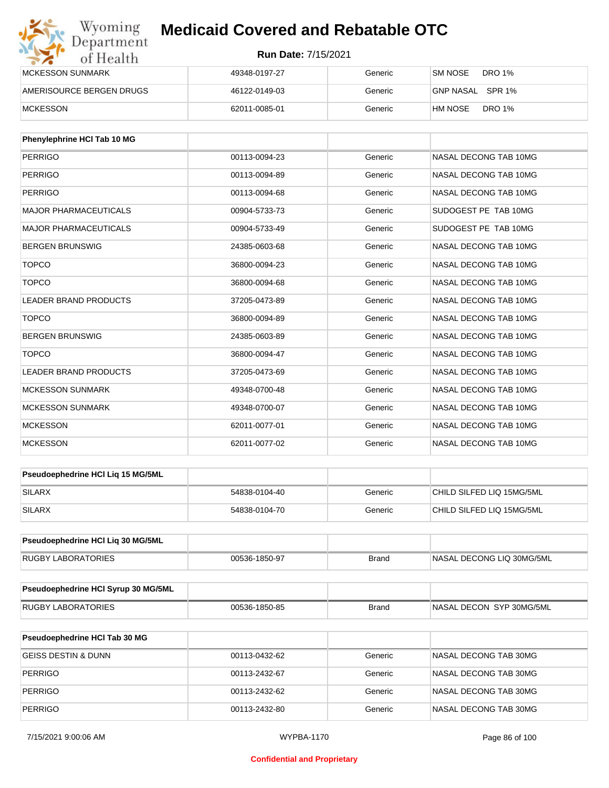| Wyoming<br>Department    | <b>Medicaid Covered and Rebatable OTC</b> |         |                          |  |
|--------------------------|-------------------------------------------|---------|--------------------------|--|
| of Health                | <b>Run Date: 7/15/2021</b>                |         |                          |  |
| <b>MCKESSON SUNMARK</b>  | 49348-0197-27                             | Generic | DRO 1%<br>SM NOSE        |  |
| AMERISOURCE BERGEN DRUGS | 46122-0149-03                             | Generic | GNP NASAL SPR 1%         |  |
| <b>MCKESSON</b>          | 62011-0085-01                             | Generic | <b>DRO 1%</b><br>HM NOSE |  |

| Phenylephrine HCI Tab 10 MG  |               |         |                       |
|------------------------------|---------------|---------|-----------------------|
| <b>PERRIGO</b>               | 00113-0094-23 | Generic | NASAL DECONG TAB 10MG |
| <b>PERRIGO</b>               | 00113-0094-89 | Generic | NASAL DECONG TAB 10MG |
| <b>PERRIGO</b>               | 00113-0094-68 | Generic | NASAL DECONG TAB 10MG |
| <b>MAJOR PHARMACEUTICALS</b> | 00904-5733-73 | Generic | SUDOGEST PE TAB 10MG  |
| <b>MAJOR PHARMACEUTICALS</b> | 00904-5733-49 | Generic | SUDOGEST PE TAB 10MG  |
| <b>BERGEN BRUNSWIG</b>       | 24385-0603-68 | Generic | NASAL DECONG TAB 10MG |
| <b>TOPCO</b>                 | 36800-0094-23 | Generic | NASAL DECONG TAB 10MG |
| <b>TOPCO</b>                 | 36800-0094-68 | Generic | NASAL DECONG TAB 10MG |
| <b>LEADER BRAND PRODUCTS</b> | 37205-0473-89 | Generic | NASAL DECONG TAB 10MG |
| <b>TOPCO</b>                 | 36800-0094-89 | Generic | NASAL DECONG TAB 10MG |
| <b>BERGEN BRUNSWIG</b>       | 24385-0603-89 | Generic | NASAL DECONG TAB 10MG |
| <b>TOPCO</b>                 | 36800-0094-47 | Generic | NASAL DECONG TAB 10MG |
| <b>LEADER BRAND PRODUCTS</b> | 37205-0473-69 | Generic | NASAL DECONG TAB 10MG |
| <b>MCKESSON SUNMARK</b>      | 49348-0700-48 | Generic | NASAL DECONG TAB 10MG |
| <b>MCKESSON SUNMARK</b>      | 49348-0700-07 | Generic | NASAL DECONG TAB 10MG |
| <b>MCKESSON</b>              | 62011-0077-01 | Generic | NASAL DECONG TAB 10MG |
| <b>MCKESSON</b>              | 62011-0077-02 | Generic | NASAL DECONG TAB 10MG |

| <b>Pseudoephedrine HCI Lig 15 MG/5ML</b> |               |         |                           |
|------------------------------------------|---------------|---------|---------------------------|
| <b>SILARX</b>                            | 54838-0104-40 | Generic | CHILD SILFED LIQ 15MG/5ML |
| <b>SILARX</b>                            | 54838-0104-70 | Generic | CHILD SILFED LIQ 15MG/5ML |

| <b>Pseudoephedrine HCI Lig 30 MG/5ML</b> |               |       |                            |
|------------------------------------------|---------------|-------|----------------------------|
| <b>RUGBY LABORATORIES</b>                | 00536-1850-97 | Brand | INASAL DECONG LIQ 30MG/5ML |

| <b>Pseudoephedrine HCI Syrup 30 MG/5ML</b> |               |       |                          |
|--------------------------------------------|---------------|-------|--------------------------|
| RUGBY LABORATORIES                         | 00536-1850-85 | Brand | NASAL DECON SYP 30MG/5ML |

| <b>Pseudoephedrine HCI Tab 30 MG</b> |               |         |                       |
|--------------------------------------|---------------|---------|-----------------------|
| GEISS DESTIN & DUNN                  | 00113-0432-62 | Generic | NASAL DECONG TAB 30MG |
| PERRIGO                              | 00113-2432-67 | Generic | NASAL DECONG TAB 30MG |
| PERRIGO                              | 00113-2432-62 | Generic | NASAL DECONG TAB 30MG |
| PERRIGO                              | 00113-2432-80 | Generic | NASAL DECONG TAB 30MG |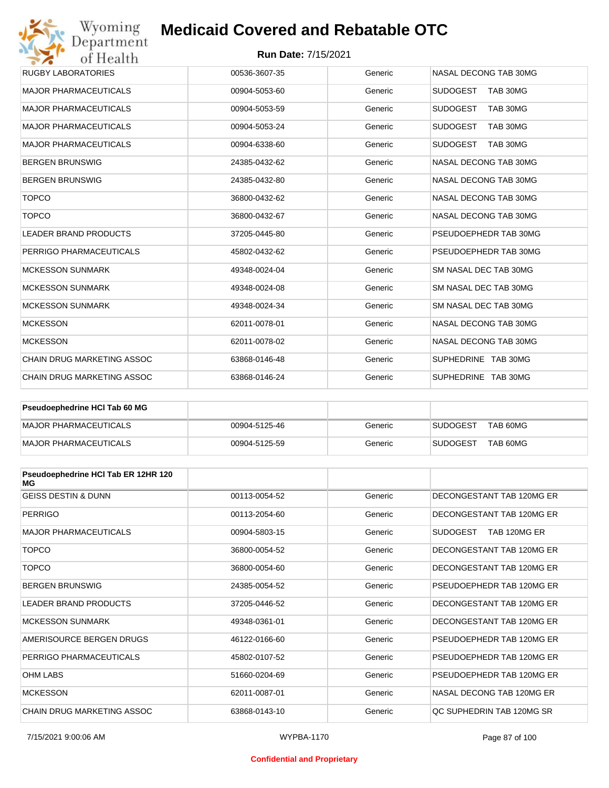#### **Run Date:** 7/15/2021

| Wyoming<br>Department             | <b>Medicaid Covered and Rebatable OTC</b> |         |                             |
|-----------------------------------|-------------------------------------------|---------|-----------------------------|
| of Health                         | <b>Run Date: 7/15/2021</b>                |         |                             |
| <b>RUGBY LABORATORIES</b>         | 00536-3607-35                             | Generic | NASAL DECONG TAB 30MG       |
| <b>MAJOR PHARMACEUTICALS</b>      | 00904-5053-60                             | Generic | <b>SUDOGEST</b><br>TAB 30MG |
| <b>MAJOR PHARMACEUTICALS</b>      | 00904-5053-59                             | Generic | <b>SUDOGEST</b><br>TAB 30MG |
| <b>MAJOR PHARMACEUTICALS</b>      | 00904-5053-24                             | Generic | <b>SUDOGEST</b><br>TAB 30MG |
| <b>MAJOR PHARMACEUTICALS</b>      | 00904-6338-60                             | Generic | <b>SUDOGEST</b><br>TAB 30MG |
| <b>BERGEN BRUNSWIG</b>            | 24385-0432-62                             | Generic | NASAL DECONG TAB 30MG       |
| <b>BERGEN BRUNSWIG</b>            | 24385-0432-80                             | Generic | NASAL DECONG TAB 30MG       |
| <b>TOPCO</b>                      | 36800-0432-62                             | Generic | NASAL DECONG TAB 30MG       |
| <b>TOPCO</b>                      | 36800-0432-67                             | Generic | NASAL DECONG TAB 30MG       |
| <b>LEADER BRAND PRODUCTS</b>      | 37205-0445-80                             | Generic | PSEUDOEPHEDR TAB 30MG       |
| PERRIGO PHARMACEUTICALS           | 45802-0432-62                             | Generic | PSEUDOEPHEDR TAB 30MG       |
| <b>MCKESSON SUNMARK</b>           | 49348-0024-04                             | Generic | SM NASAL DEC TAB 30MG       |
| <b>MCKESSON SUNMARK</b>           | 49348-0024-08                             | Generic | SM NASAL DEC TAB 30MG       |
| <b>MCKESSON SUNMARK</b>           | 49348-0024-34                             | Generic | SM NASAL DEC TAB 30MG       |
| <b>MCKESSON</b>                   | 62011-0078-01                             | Generic | NASAL DECONG TAB 30MG       |
| <b>MCKESSON</b>                   | 62011-0078-02                             | Generic | NASAL DECONG TAB 30MG       |
| <b>CHAIN DRUG MARKETING ASSOC</b> | 63868-0146-48                             | Generic | SUPHEDRINE TAB 30MG         |
| CHAIN DRUG MARKETING ASSOC        | 63868-0146-24                             | Generic | SUPHEDRINE TAB 30MG         |

| <b>Pseudoephedrine HCI Tab 60 MG</b> |               |         |                             |
|--------------------------------------|---------------|---------|-----------------------------|
| MAJOR PHARMACEUTICALS                | 00904-5125-46 | Generic | TAB 60MG<br><b>SUDOGEST</b> |
| MAJOR PHARMACEUTICALS                | 00904-5125-59 | Generic | TAB 60MG<br><b>SUDOGEST</b> |

| Pseudoephedrine HCI Tab ER 12HR 120<br>МG |               |         |                           |
|-------------------------------------------|---------------|---------|---------------------------|
| <b>GEISS DESTIN &amp; DUNN</b>            | 00113-0054-52 | Generic | DECONGESTANT TAB 120MG ER |
| <b>PERRIGO</b>                            | 00113-2054-60 | Generic | DECONGESTANT TAB 120MG ER |
| <b>MAJOR PHARMACEUTICALS</b>              | 00904-5803-15 | Generic | SUDOGEST<br>TAB 120MG ER  |
| <b>TOPCO</b>                              | 36800-0054-52 | Generic | DECONGESTANT TAB 120MG ER |
| <b>TOPCO</b>                              | 36800-0054-60 | Generic | DECONGESTANT TAB 120MG ER |
| <b>BERGEN BRUNSWIG</b>                    | 24385-0054-52 | Generic | PSEUDOEPHEDR TAB 120MG ER |
| <b>LEADER BRAND PRODUCTS</b>              | 37205-0446-52 | Generic | DECONGESTANT TAB 120MG ER |
| <b>MCKESSON SUNMARK</b>                   | 49348-0361-01 | Generic | DECONGESTANT TAB 120MG ER |
| AMERISOURCE BERGEN DRUGS                  | 46122-0166-60 | Generic | PSEUDOEPHEDR TAB 120MG ER |
| PERRIGO PHARMACEUTICALS                   | 45802-0107-52 | Generic | PSEUDOEPHEDR TAB 120MG ER |
| <b>OHM LABS</b>                           | 51660-0204-69 | Generic | PSEUDOEPHEDR TAB 120MG ER |
| <b>MCKESSON</b>                           | 62011-0087-01 | Generic | NASAL DECONG TAB 120MG ER |
| CHAIN DRUG MARKETING ASSOC                | 63868-0143-10 | Generic | OC SUPHEDRIN TAB 120MG SR |

#### **Confidential and Proprietary**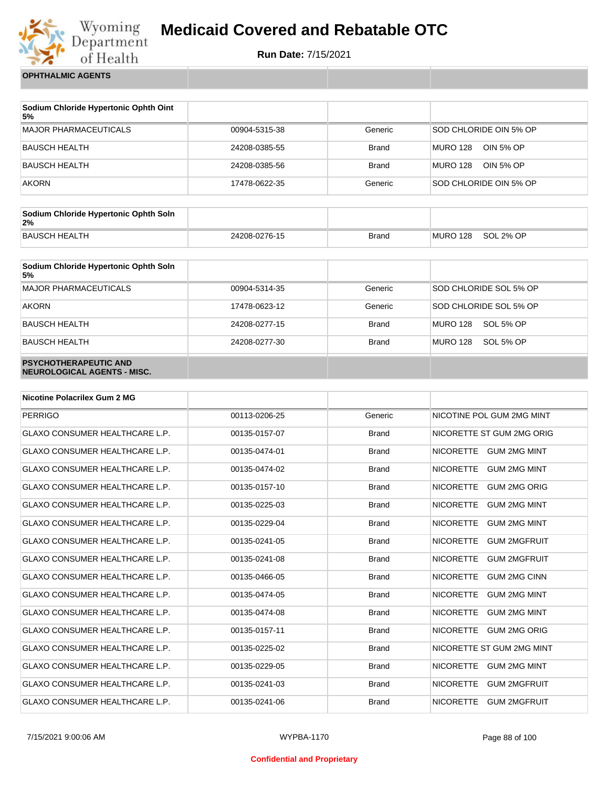

**Run Date:** 7/15/2021

**OPHTHALMIC AGENTS**

| Sodium Chloride Hypertonic Ophth Oint<br>5% |               |              |                              |
|---------------------------------------------|---------------|--------------|------------------------------|
| MAJOR PHARMACEUTICALS                       | 00904-5315-38 | Generic      | SOD CHLORIDE OIN 5% OP       |
| BAUSCH HEALTH                               | 24208-0385-55 | <b>Brand</b> | <b>MURO 128</b><br>OIN 5% OP |
| BAUSCH HEALTH                               | 24208-0385-56 | <b>Brand</b> | MURO 128<br>OIN 5% OP        |
| <b>AKORN</b>                                | 17478-0622-35 | Generic      | SOD CHLORIDE OIN 5% OP       |

| Sodium Chloride Hypertonic Ophth Soln<br>2% |               |       |          |           |
|---------------------------------------------|---------------|-------|----------|-----------|
| BAUSCH HEALTH                               | 24208-0276-15 | Brand | MURO 128 | SOL 2% OP |

| Sodium Chloride Hypertonic Ophth Soln<br>5%                 |               |              |                        |
|-------------------------------------------------------------|---------------|--------------|------------------------|
| <b>MAJOR PHARMACEUTICALS</b>                                | 00904-5314-35 | Generic      | SOD CHLORIDE SOL 5% OP |
| <b>AKORN</b>                                                | 17478-0623-12 | Generic      | SOD CHLORIDE SOL 5% OP |
| <b>BAUSCH HEALTH</b>                                        | 24208-0277-15 | <b>Brand</b> | MURO 128<br>SOL 5% OP  |
| <b>BAUSCH HEALTH</b>                                        | 24208-0277-30 | <b>Brand</b> | MURO 128<br>SOL 5% OP  |
| <b>PSYCHOTHERAPEUTIC AND</b><br>NEUROLOGICAL AGENTS - MISC. |               |              |                        |

| <b>Nicotine Polacrilex Gum 2 MG</b>   |               |              |                                         |
|---------------------------------------|---------------|--------------|-----------------------------------------|
| <b>PERRIGO</b>                        | 00113-0206-25 | Generic      | NICOTINE POL GUM 2MG MINT               |
| <b>GLAXO CONSUMER HEALTHCARE L.P.</b> | 00135-0157-07 | <b>Brand</b> | NICORETTE ST GUM 2MG ORIG               |
| <b>GLAXO CONSUMER HEALTHCARE L.P.</b> | 00135-0474-01 | <b>Brand</b> | <b>NICORETTE</b><br>GUM 2MG MINT        |
| <b>GLAXO CONSUMER HEALTHCARE L.P.</b> | 00135-0474-02 | <b>Brand</b> | <b>NICORETTE</b><br><b>GUM 2MG MINT</b> |
| <b>GLAXO CONSUMER HEALTHCARE L.P.</b> | 00135-0157-10 | <b>Brand</b> | <b>NICORETTE</b><br><b>GUM 2MG ORIG</b> |
| <b>GLAXO CONSUMER HEALTHCARE L.P.</b> | 00135-0225-03 | <b>Brand</b> | <b>NICORETTE</b><br><b>GUM 2MG MINT</b> |
| <b>GLAXO CONSUMER HEALTHCARE L.P.</b> | 00135-0229-04 | <b>Brand</b> | <b>NICORETTE</b><br><b>GUM 2MG MINT</b> |
| <b>GLAXO CONSUMER HEALTHCARE L.P.</b> | 00135-0241-05 | <b>Brand</b> | <b>NICORETTE</b><br><b>GUM 2MGFRUIT</b> |
| <b>GLAXO CONSUMER HEALTHCARE L.P.</b> | 00135-0241-08 | <b>Brand</b> | <b>NICORETTE</b><br><b>GUM 2MGFRUIT</b> |
| <b>GLAXO CONSUMER HEALTHCARE L.P.</b> | 00135-0466-05 | <b>Brand</b> | <b>NICORETTE</b><br><b>GUM 2MG CINN</b> |
| GLAXO CONSUMER HEALTHCARE L.P.        | 00135-0474-05 | <b>Brand</b> | <b>NICORETTE</b><br><b>GUM 2MG MINT</b> |
| <b>GLAXO CONSUMER HEALTHCARE L.P.</b> | 00135-0474-08 | <b>Brand</b> | <b>NICORETTE</b><br><b>GUM 2MG MINT</b> |
| <b>GLAXO CONSUMER HEALTHCARE L.P.</b> | 00135-0157-11 | <b>Brand</b> | <b>NICORETTE</b><br><b>GUM 2MG ORIG</b> |
| <b>GLAXO CONSUMER HEALTHCARE L.P.</b> | 00135-0225-02 | <b>Brand</b> | NICORETTE ST GUM 2MG MINT               |
| <b>GLAXO CONSUMER HEALTHCARE L.P.</b> | 00135-0229-05 | <b>Brand</b> | <b>NICORETTE</b><br><b>GUM 2MG MINT</b> |
| <b>GLAXO CONSUMER HEALTHCARE L.P.</b> | 00135-0241-03 | <b>Brand</b> | <b>NICORETTE</b><br><b>GUM 2MGFRUIT</b> |
| <b>GLAXO CONSUMER HEALTHCARE L.P.</b> | 00135-0241-06 | <b>Brand</b> | <b>NICORETTE</b><br><b>GUM 2MGFRUIT</b> |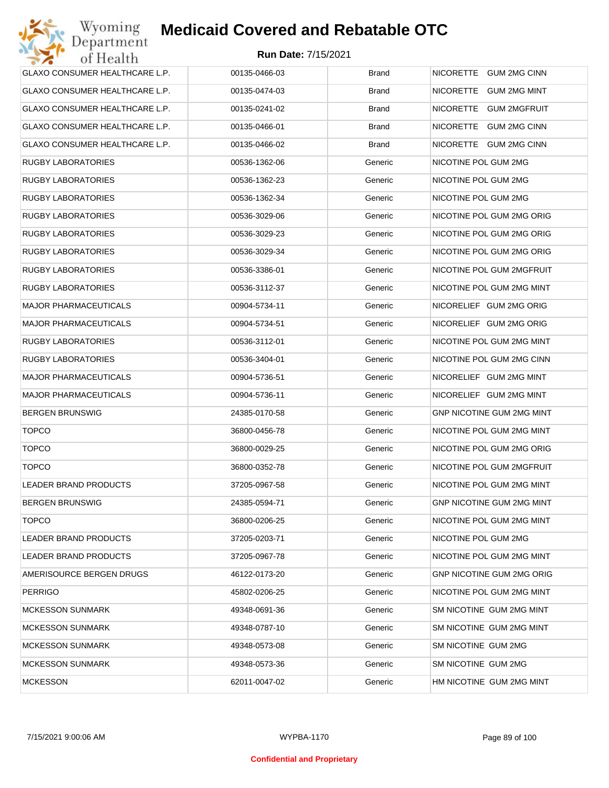| <b>GLAXO CONSUMER HEALTHCARE L.P.</b> | 00135-0466-03 | <b>Brand</b> | NICORETTE GUM 2MG CINN           |
|---------------------------------------|---------------|--------------|----------------------------------|
| GLAXO CONSUMER HEALTHCARE L.P.        | 00135-0474-03 | <b>Brand</b> | NICORETTE GUM 2MG MINT           |
| GLAXO CONSUMER HEALTHCARE L.P.        | 00135-0241-02 | <b>Brand</b> | NICORETTE GUM 2MGFRUIT           |
| <b>GLAXO CONSUMER HEALTHCARE L.P.</b> | 00135-0466-01 | <b>Brand</b> | NICORETTE GUM 2MG CINN           |
| GLAXO CONSUMER HEALTHCARE L.P.        | 00135-0466-02 | <b>Brand</b> | NICORETTE GUM 2MG CINN           |
| <b>RUGBY LABORATORIES</b>             | 00536-1362-06 | Generic      | NICOTINE POL GUM 2MG             |
| <b>RUGBY LABORATORIES</b>             | 00536-1362-23 | Generic      | NICOTINE POL GUM 2MG             |
| <b>RUGBY LABORATORIES</b>             | 00536-1362-34 | Generic      | NICOTINE POL GUM 2MG             |
| <b>RUGBY LABORATORIES</b>             | 00536-3029-06 | Generic      | NICOTINE POL GUM 2MG ORIG        |
| <b>RUGBY LABORATORIES</b>             | 00536-3029-23 | Generic      | NICOTINE POL GUM 2MG ORIG        |
| <b>RUGBY LABORATORIES</b>             | 00536-3029-34 | Generic      | NICOTINE POL GUM 2MG ORIG        |
| <b>RUGBY LABORATORIES</b>             | 00536-3386-01 | Generic      | NICOTINE POL GUM 2MGFRUIT        |
| <b>RUGBY LABORATORIES</b>             | 00536-3112-37 | Generic      | NICOTINE POL GUM 2MG MINT        |
| <b>MAJOR PHARMACEUTICALS</b>          | 00904-5734-11 | Generic      | NICORELIEF GUM 2MG ORIG          |
| <b>MAJOR PHARMACEUTICALS</b>          | 00904-5734-51 | Generic      | NICORELIEF GUM 2MG ORIG          |
| <b>RUGBY LABORATORIES</b>             | 00536-3112-01 | Generic      | NICOTINE POL GUM 2MG MINT        |
| <b>RUGBY LABORATORIES</b>             | 00536-3404-01 | Generic      | NICOTINE POL GUM 2MG CINN        |
| <b>MAJOR PHARMACEUTICALS</b>          | 00904-5736-51 | Generic      | NICORELIEF GUM 2MG MINT          |
| <b>MAJOR PHARMACEUTICALS</b>          | 00904-5736-11 | Generic      | NICORELIEF GUM 2MG MINT          |
| <b>BERGEN BRUNSWIG</b>                | 24385-0170-58 | Generic      | <b>GNP NICOTINE GUM 2MG MINT</b> |
| <b>TOPCO</b>                          | 36800-0456-78 | Generic      | NICOTINE POL GUM 2MG MINT        |
| <b>TOPCO</b>                          | 36800-0029-25 | Generic      | NICOTINE POL GUM 2MG ORIG        |
| <b>TOPCO</b>                          | 36800-0352-78 | Generic      | NICOTINE POL GUM 2MGFRUIT        |
| <b>LEADER BRAND PRODUCTS</b>          | 37205-0967-58 | Generic      | NICOTINE POL GUM 2MG MINT        |
| <b>BERGEN BRUNSWIG</b>                | 24385-0594-71 | Generic      | <b>GNP NICOTINE GUM 2MG MINT</b> |
| <b>TOPCO</b>                          | 36800-0206-25 | Generic      | NICOTINE POL GUM 2MG MINT        |
| LEADER BRAND PRODUCTS                 | 37205-0203-71 | Generic      | NICOTINE POL GUM 2MG             |
| LEADER BRAND PRODUCTS                 | 37205-0967-78 | Generic      | NICOTINE POL GUM 2MG MINT        |
| AMERISOURCE BERGEN DRUGS              | 46122-0173-20 | Generic      | <b>GNP NICOTINE GUM 2MG ORIG</b> |
| <b>PERRIGO</b>                        | 45802-0206-25 | Generic      | NICOTINE POL GUM 2MG MINT        |
| <b>MCKESSON SUNMARK</b>               | 49348-0691-36 | Generic      | SM NICOTINE GUM 2MG MINT         |
| <b>MCKESSON SUNMARK</b>               | 49348-0787-10 | Generic      | SM NICOTINE GUM 2MG MINT         |
| <b>MCKESSON SUNMARK</b>               | 49348-0573-08 | Generic      | SM NICOTINE GUM 2MG              |
| <b>MCKESSON SUNMARK</b>               | 49348-0573-36 | Generic      | SM NICOTINE GUM 2MG              |
| <b>MCKESSON</b>                       | 62011-0047-02 | Generic      | HM NICOTINE GUM 2MG MINT         |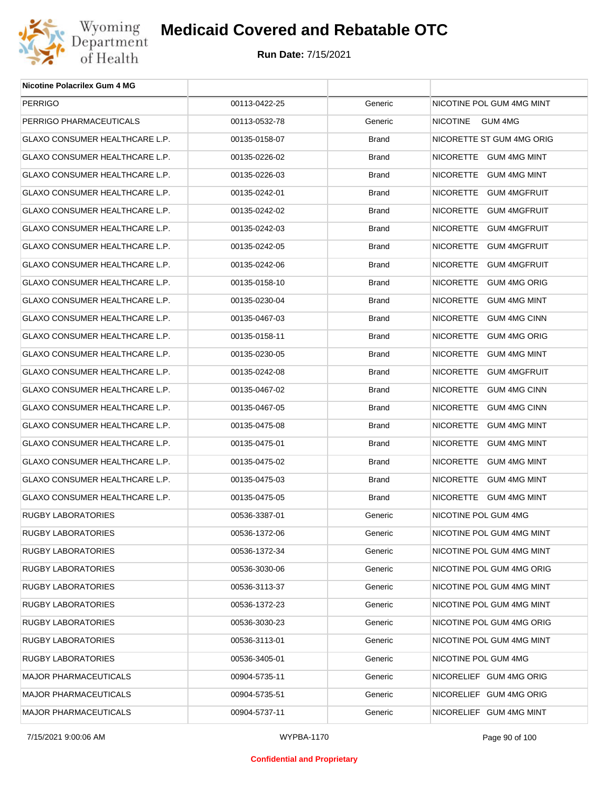

| Nicotine Polacrilex Gum 4 MG          |               |              |                            |
|---------------------------------------|---------------|--------------|----------------------------|
| <b>PERRIGO</b>                        | 00113-0422-25 | Generic      | NICOTINE POL GUM 4MG MINT  |
| PERRIGO PHARMACEUTICALS               | 00113-0532-78 | Generic      | <b>NICOTINE</b><br>GUM 4MG |
| GLAXO CONSUMER HEALTHCARE L.P.        | 00135-0158-07 | <b>Brand</b> | NICORETTE ST GUM 4MG ORIG  |
| GLAXO CONSUMER HEALTHCARE L.P.        | 00135-0226-02 | <b>Brand</b> | NICORETTE GUM 4MG MINT     |
| GLAXO CONSUMER HEALTHCARE L.P.        | 00135-0226-03 | <b>Brand</b> | NICORETTE GUM 4MG MINT     |
| GLAXO CONSUMER HEALTHCARE L.P.        | 00135-0242-01 | <b>Brand</b> | NICORETTE GUM 4MGFRUIT     |
| <b>GLAXO CONSUMER HEALTHCARE L.P.</b> | 00135-0242-02 | <b>Brand</b> | NICORETTE GUM 4MGFRUIT     |
| GLAXO CONSUMER HEALTHCARE L.P.        | 00135-0242-03 | <b>Brand</b> | NICORETTE GUM 4MGFRUIT     |
| GLAXO CONSUMER HEALTHCARE L.P.        | 00135-0242-05 | <b>Brand</b> | NICORETTE GUM 4MGFRUIT     |
| GLAXO CONSUMER HEALTHCARE L.P.        | 00135-0242-06 | <b>Brand</b> | NICORETTE GUM 4MGFRUIT     |
| <b>GLAXO CONSUMER HEALTHCARE L.P.</b> | 00135-0158-10 | <b>Brand</b> | NICORETTE GUM 4MG ORIG     |
| GLAXO CONSUMER HEALTHCARE L.P.        | 00135-0230-04 | <b>Brand</b> | NICORETTE GUM 4MG MINT     |
| <b>GLAXO CONSUMER HEALTHCARE L.P.</b> | 00135-0467-03 | <b>Brand</b> | NICORETTE GUM 4MG CINN     |
| GLAXO CONSUMER HEALTHCARE L.P.        | 00135-0158-11 | <b>Brand</b> | NICORETTE GUM 4MG ORIG     |
| <b>GLAXO CONSUMER HEALTHCARE L.P.</b> | 00135-0230-05 | <b>Brand</b> | NICORETTE GUM 4MG MINT     |
| GLAXO CONSUMER HEALTHCARE L.P.        | 00135-0242-08 | <b>Brand</b> | NICORETTE GUM 4MGFRUIT     |
| GLAXO CONSUMER HEALTHCARE L.P.        | 00135-0467-02 | <b>Brand</b> | NICORETTE GUM 4MG CINN     |
| GLAXO CONSUMER HEALTHCARE L.P.        | 00135-0467-05 | <b>Brand</b> | NICORETTE GUM 4MG CINN     |
| GLAXO CONSUMER HEALTHCARE L.P.        | 00135-0475-08 | <b>Brand</b> | NICORETTE GUM 4MG MINT     |
| GLAXO CONSUMER HEALTHCARE L.P.        | 00135-0475-01 | <b>Brand</b> | NICORETTE GUM 4MG MINT     |
| GLAXO CONSUMER HEALTHCARE L.P.        | 00135-0475-02 | <b>Brand</b> | NICORETTE GUM 4MG MINT     |
| GLAXO CONSUMER HEALTHCARE L.P.        | 00135-0475-03 | <b>Brand</b> | NICORETTE GUM 4MG MINT     |
| <b>GLAXO CONSUMER HEALTHCARE L.P.</b> | 00135-0475-05 | <b>Brand</b> | NICORETTE GUM 4MG MINT     |
| RUGBY LABORATORIES                    | 00536-3387-01 | Generic      | NICOTINE POL GUM 4MG       |
| RUGBY LABORATORIES                    | 00536-1372-06 | Generic      | NICOTINE POL GUM 4MG MINT  |
| <b>RUGBY LABORATORIES</b>             | 00536-1372-34 | Generic      | NICOTINE POL GUM 4MG MINT  |
| <b>RUGBY LABORATORIES</b>             | 00536-3030-06 | Generic      | NICOTINE POL GUM 4MG ORIG  |
| <b>RUGBY LABORATORIES</b>             | 00536-3113-37 | Generic      | NICOTINE POL GUM 4MG MINT  |
| <b>RUGBY LABORATORIES</b>             | 00536-1372-23 | Generic      | NICOTINE POL GUM 4MG MINT  |
| <b>RUGBY LABORATORIES</b>             | 00536-3030-23 | Generic      | NICOTINE POL GUM 4MG ORIG  |
| <b>RUGBY LABORATORIES</b>             | 00536-3113-01 | Generic      | NICOTINE POL GUM 4MG MINT  |
| RUGBY LABORATORIES                    | 00536-3405-01 | Generic      | NICOTINE POL GUM 4MG       |
| <b>MAJOR PHARMACEUTICALS</b>          | 00904-5735-11 | Generic      | NICORELIEF GUM 4MG ORIG    |
| <b>MAJOR PHARMACEUTICALS</b>          | 00904-5735-51 | Generic      | NICORELIEF GUM 4MG ORIG    |
| MAJOR PHARMACEUTICALS                 | 00904-5737-11 | Generic      | NICORELIEF GUM 4MG MINT    |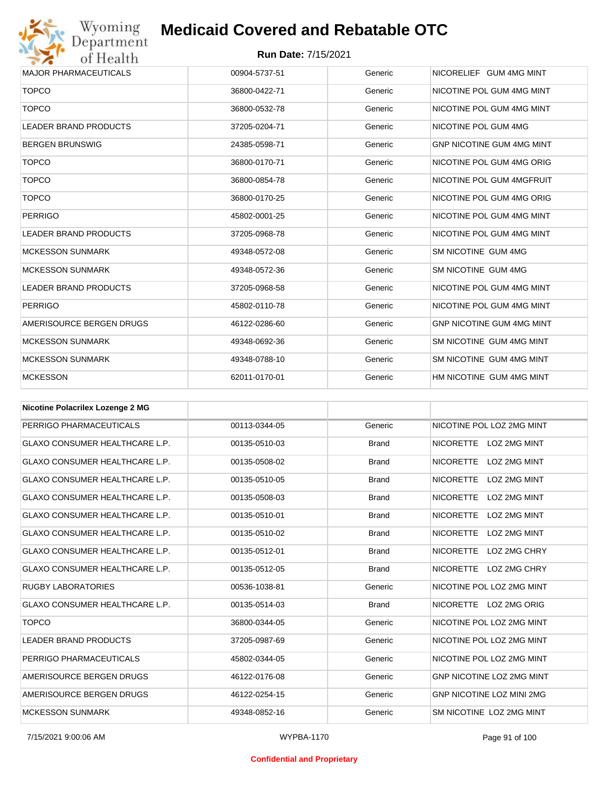## Wyoming<br>Department<br>of Health

## **Medicaid Covered and Rebatable OTC**

| <b>MAJOR PHARMACEUTICALS</b> | 00904-5737-51 | Generic | NICORELIEF GUM 4MG MINT          |
|------------------------------|---------------|---------|----------------------------------|
| <b>TOPCO</b>                 | 36800-0422-71 | Generic | NICOTINE POL GUM 4MG MINT        |
| <b>TOPCO</b>                 | 36800-0532-78 | Generic | NICOTINE POL GUM 4MG MINT        |
| <b>LEADER BRAND PRODUCTS</b> | 37205-0204-71 | Generic | NICOTINE POL GUM 4MG             |
| <b>BERGEN BRUNSWIG</b>       | 24385-0598-71 | Generic | <b>GNP NICOTINE GUM 4MG MINT</b> |
| <b>TOPCO</b>                 | 36800-0170-71 | Generic | NICOTINE POL GUM 4MG ORIG        |
| <b>TOPCO</b>                 | 36800-0854-78 | Generic | NICOTINE POL GUM 4MGFRUIT        |
| <b>TOPCO</b>                 | 36800-0170-25 | Generic | NICOTINE POL GUM 4MG ORIG        |
| <b>PERRIGO</b>               | 45802-0001-25 | Generic | NICOTINE POL GUM 4MG MINT        |
| <b>LEADER BRAND PRODUCTS</b> | 37205-0968-78 | Generic | NICOTINE POL GUM 4MG MINT        |
| <b>MCKESSON SUNMARK</b>      | 49348-0572-08 | Generic | SM NICOTINE GUM 4MG              |
| <b>MCKESSON SUNMARK</b>      | 49348-0572-36 | Generic | SM NICOTINE GUM 4MG              |
| <b>LEADER BRAND PRODUCTS</b> | 37205-0968-58 | Generic | NICOTINE POL GUM 4MG MINT        |
| <b>PERRIGO</b>               | 45802-0110-78 | Generic | NICOTINE POL GUM 4MG MINT        |
| AMERISOURCE BERGEN DRUGS     | 46122-0286-60 | Generic | <b>GNP NICOTINE GUM 4MG MINT</b> |
| <b>MCKESSON SUNMARK</b>      | 49348-0692-36 | Generic | SM NICOTINE GUM 4MG MINT         |
| <b>MCKESSON SUNMARK</b>      | 49348-0788-10 | Generic | SM NICOTINE GUM 4MG MINT         |
| <b>MCKESSON</b>              | 62011-0170-01 | Generic | HM NICOTINE GUM 4MG MINT         |
|                              |               |         |                                  |

| <b>Nicotine Polacrilex Lozenge 2 MG</b> |               |              |                                         |
|-----------------------------------------|---------------|--------------|-----------------------------------------|
| PERRIGO PHARMACEUTICALS                 | 00113-0344-05 | Generic      | NICOTINE POL LOZ 2MG MINT               |
| <b>GLAXO CONSUMER HEALTHCARE L.P.</b>   | 00135-0510-03 | <b>Brand</b> | <b>NICORETTE</b><br>LOZ 2MG MINT        |
| <b>GLAXO CONSUMER HEALTHCARE L.P.</b>   | 00135-0508-02 | <b>Brand</b> | <b>NICORETTE</b><br><b>LOZ 2MG MINT</b> |
| <b>GLAXO CONSUMER HEALTHCARE L.P.</b>   | 00135-0510-05 | <b>Brand</b> | <b>NICORETTE</b><br>LOZ 2MG MINT        |
| <b>GLAXO CONSUMER HEALTHCARE L.P.</b>   | 00135-0508-03 | <b>Brand</b> | <b>NICORETTE</b><br>LOZ 2MG MINT        |
| <b>GLAXO CONSUMER HEALTHCARE L.P.</b>   | 00135-0510-01 | <b>Brand</b> | <b>NICORETTE</b><br><b>LOZ 2MG MINT</b> |
| <b>GLAXO CONSUMER HEALTHCARE L.P.</b>   | 00135-0510-02 | <b>Brand</b> | <b>NICORETTE</b><br>LOZ 2MG MINT        |
| <b>GLAXO CONSUMER HEALTHCARE L.P.</b>   | 00135-0512-01 | <b>Brand</b> | <b>NICORETTE</b><br>LOZ 2MG CHRY        |
| <b>GLAXO CONSUMER HEALTHCARE L.P.</b>   | 00135-0512-05 | <b>Brand</b> | <b>NICORETTE</b><br>LOZ 2MG CHRY        |
| <b>RUGBY LABORATORIES</b>               | 00536-1038-81 | Generic      | NICOTINE POL LOZ 2MG MINT               |
| <b>GLAXO CONSUMER HEALTHCARE L.P.</b>   | 00135-0514-03 | <b>Brand</b> | NICORETTE LOZ 2MG ORIG                  |
| <b>TOPCO</b>                            | 36800-0344-05 | Generic      | NICOTINE POL LOZ 2MG MINT               |
| <b>LEADER BRAND PRODUCTS</b>            | 37205-0987-69 | Generic      | NICOTINE POL LOZ 2MG MINT               |
| PERRIGO PHARMACEUTICALS                 | 45802-0344-05 | Generic      | NICOTINE POL LOZ 2MG MINT               |
| AMERISOURCE BERGEN DRUGS                | 46122-0176-08 | Generic      | GNP NICOTINE LOZ 2MG MINT               |
| AMERISOURCE BERGEN DRUGS                | 46122-0254-15 | Generic      | <b>GNP NICOTINE LOZ MINI 2MG</b>        |
| <b>MCKESSON SUNMARK</b>                 | 49348-0852-16 | Generic      | SM NICOTINE LOZ 2MG MINT                |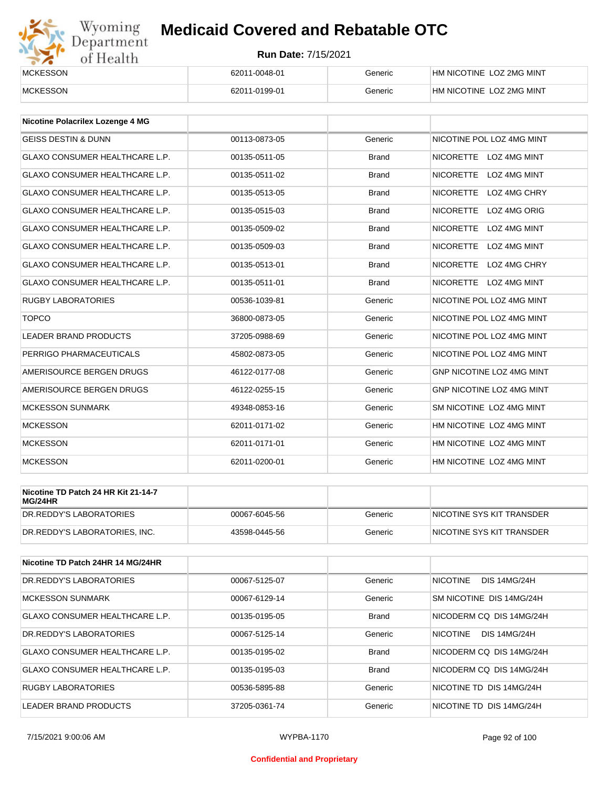# Wyoming<br>Department<br>of Health

## **Medicaid Covered and Rebatable OTC**

| <b>MCKESSON</b> | 62011-0048-01 | Generic | HM NICOTINE LOZ 2MG MINT |
|-----------------|---------------|---------|--------------------------|
| <b>MCKESSON</b> | 62011-0199-01 | Generic | HM NICOTINE LOZ 2MG MINT |

| <b>Nicotine Polacrilex Lozenge 4 MG</b> |               |              |                                         |
|-----------------------------------------|---------------|--------------|-----------------------------------------|
| <b>GEISS DESTIN &amp; DUNN</b>          | 00113-0873-05 | Generic      | NICOTINE POL LOZ 4MG MINT               |
| <b>GLAXO CONSUMER HEALTHCARE L.P.</b>   | 00135-0511-05 | <b>Brand</b> | <b>NICORETTE</b><br>LOZ 4MG MINT        |
| <b>GLAXO CONSUMER HEALTHCARE L.P.</b>   | 00135-0511-02 | <b>Brand</b> | <b>NICORETTE</b><br>LOZ 4MG MINT        |
| <b>GLAXO CONSUMER HEALTHCARE L.P.</b>   | 00135-0513-05 | <b>Brand</b> | <b>NICORETTE</b><br>LOZ 4MG CHRY        |
| <b>GLAXO CONSUMER HEALTHCARE L.P.</b>   | 00135-0515-03 | <b>Brand</b> | <b>NICORETTE</b><br>LOZ 4MG ORIG        |
| <b>GLAXO CONSUMER HEALTHCARE L.P.</b>   | 00135-0509-02 | <b>Brand</b> | <b>NICORETTE</b><br><b>LOZ 4MG MINT</b> |
| <b>GLAXO CONSUMER HEALTHCARE L.P.</b>   | 00135-0509-03 | <b>Brand</b> | <b>NICORETTE</b><br>LOZ 4MG MINT        |
| <b>GLAXO CONSUMER HEALTHCARE L.P.</b>   | 00135-0513-01 | <b>Brand</b> | <b>NICORETTE</b><br>LOZ 4MG CHRY        |
| <b>GLAXO CONSUMER HEALTHCARE L.P.</b>   | 00135-0511-01 | <b>Brand</b> | NICORETTE LOZ 4MG MINT                  |
| <b>RUGBY LABORATORIES</b>               | 00536-1039-81 | Generic      | NICOTINE POL LOZ 4MG MINT               |
| <b>TOPCO</b>                            | 36800-0873-05 | Generic      | NICOTINE POL LOZ 4MG MINT               |
| <b>LEADER BRAND PRODUCTS</b>            | 37205-0988-69 | Generic      | NICOTINE POL LOZ 4MG MINT               |
| PERRIGO PHARMACEUTICALS                 | 45802-0873-05 | Generic      | NICOTINE POL LOZ 4MG MINT               |
| AMERISOURCE BERGEN DRUGS                | 46122-0177-08 | Generic      | GNP NICOTINE LOZ 4MG MINT               |
| AMERISOURCE BERGEN DRUGS                | 46122-0255-15 | Generic      | <b>GNP NICOTINE LOZ 4MG MINT</b>        |
| <b>MCKESSON SUNMARK</b>                 | 49348-0853-16 | Generic      | SM NICOTINE LOZ 4MG MINT                |
| <b>MCKESSON</b>                         | 62011-0171-02 | Generic      | HM NICOTINE LOZ 4MG MINT                |
| <b>MCKESSON</b>                         | 62011-0171-01 | Generic      | HM NICOTINE LOZ 4MG MINT                |
| <b>MCKESSON</b>                         | 62011-0200-01 | Generic      | HM NICOTINE LOZ 4MG MINT                |

| Nicotine TD Patch 24 HR Kit 21-14-7<br>MG/24HR |               |         |                            |
|------------------------------------------------|---------------|---------|----------------------------|
| IDR.REDDY'S LABORATORIES                       | 00067-6045-56 | Generic | INICOTINE SYS KIT TRANSDER |
| DR.REDDY'S LABORATORIES, INC.                  | 43598-0445-56 | Generic | NICOTINE SYS KIT TRANSDER  |

| Nicotine TD Patch 24HR 14 MG/24HR |               |              |                                        |
|-----------------------------------|---------------|--------------|----------------------------------------|
| DR.REDDY'S LABORATORIES           | 00067-5125-07 | Generic      | <b>NICOTINE</b><br><b>DIS 14MG/24H</b> |
| <b>MCKESSON SUNMARK</b>           | 00067-6129-14 | Generic      | SM NICOTINE DIS 14MG/24H               |
| GLAXO CONSUMER HEALTHCARE L.P.    | 00135-0195-05 | <b>Brand</b> | NICODERM CO DIS 14MG/24H               |
| DR.REDDY'S LABORATORIES           | 00067-5125-14 | Generic      | <b>NICOTINE</b><br><b>DIS 14MG/24H</b> |
| GLAXO CONSUMER HEALTHCARE L.P.    | 00135-0195-02 | <b>Brand</b> | NICODERM CO DIS 14MG/24H               |
| GLAXO CONSUMER HEALTHCARE L.P.    | 00135-0195-03 | <b>Brand</b> | NICODERM CO DIS 14MG/24H               |
| <b>RUGBY LABORATORIES</b>         | 00536-5895-88 | Generic      | NICOTINE TD DIS 14MG/24H               |
| LEADER BRAND PRODUCTS             | 37205-0361-74 | Generic      | NICOTINE TD DIS 14MG/24H               |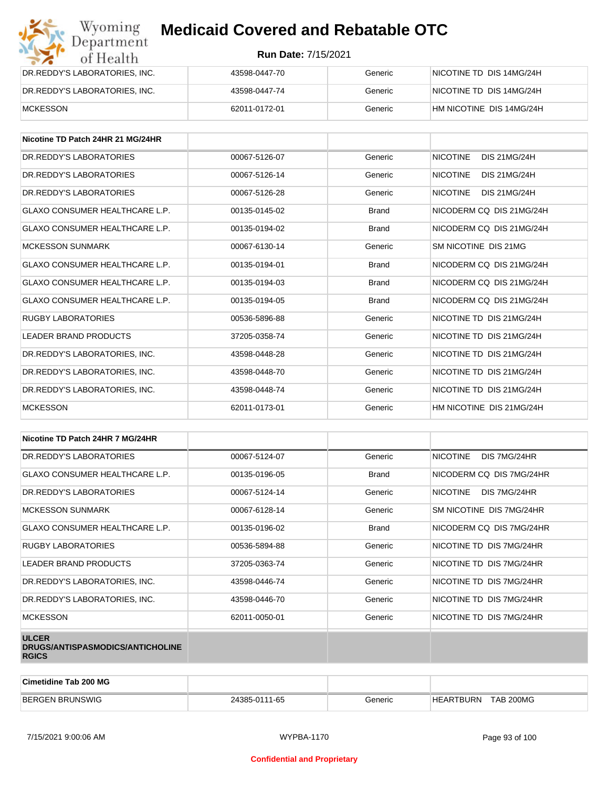| Wyoming<br>Department         | <b>Medicaid Covered and Rebatable OTC</b><br><b>Run Date: 7/15/2021</b> |         |                          |  |
|-------------------------------|-------------------------------------------------------------------------|---------|--------------------------|--|
| of Health                     |                                                                         |         |                          |  |
| DR.REDDY'S LABORATORIES, INC. | 43598-0447-70                                                           | Generic | NICOTINE TD DIS 14MG/24H |  |
| DR.REDDY'S LABORATORIES, INC. | 43598-0447-74                                                           | Generic | NICOTINE TD DIS 14MG/24H |  |
| <b>MCKESSON</b>               | 62011-0172-01                                                           | Generic | HM NICOTINE DIS 14MG/24H |  |

| Nicotine TD Patch 24HR 21 MG/24HR     |               |              |                                        |
|---------------------------------------|---------------|--------------|----------------------------------------|
| DR. REDDY'S LABORATORIES              | 00067-5126-07 | Generic      | <b>NICOTINE</b><br><b>DIS 21MG/24H</b> |
| DR. REDDY'S LABORATORIES              | 00067-5126-14 | Generic      | <b>NICOTINE</b><br><b>DIS 21MG/24H</b> |
| DR. REDDY'S LABORATORIES              | 00067-5126-28 | Generic      | <b>NICOTINE</b><br>DIS 21MG/24H        |
| <b>GLAXO CONSUMER HEALTHCARE L.P.</b> | 00135-0145-02 | <b>Brand</b> | NICODERM CO DIS 21MG/24H               |
| <b>GLAXO CONSUMER HEALTHCARE L.P.</b> | 00135-0194-02 | <b>Brand</b> | NICODERM CQ DIS 21MG/24H               |
| <b>MCKESSON SUNMARK</b>               | 00067-6130-14 | Generic      | SM NICOTINE DIS 21MG                   |
| <b>GLAXO CONSUMER HEALTHCARE L.P.</b> | 00135-0194-01 | <b>Brand</b> | NICODERM CO DIS 21MG/24H               |
| <b>GLAXO CONSUMER HEALTHCARE L.P.</b> | 00135-0194-03 | <b>Brand</b> | NICODERM CQ DIS 21MG/24H               |
| <b>GLAXO CONSUMER HEALTHCARE L.P.</b> | 00135-0194-05 | <b>Brand</b> | NICODERM CO DIS 21MG/24H               |
| <b>RUGBY LABORATORIES</b>             | 00536-5896-88 | Generic      | NICOTINE TD DIS 21MG/24H               |
| <b>LEADER BRAND PRODUCTS</b>          | 37205-0358-74 | Generic      | NICOTINE TD DIS 21MG/24H               |
| DR.REDDY'S LABORATORIES, INC.         | 43598-0448-28 | Generic      | NICOTINE TD DIS 21MG/24H               |
| DR.REDDY'S LABORATORIES, INC.         | 43598-0448-70 | Generic      | NICOTINE TD DIS 21MG/24H               |
| DR.REDDY'S LABORATORIES, INC.         | 43598-0448-74 | Generic      | NICOTINE TD DIS 21MG/24H               |
| <b>MCKESSON</b>                       | 62011-0173-01 | Generic      | HM NICOTINE DIS 21MG/24H               |

| Nicotine TD Patch 24HR 7 MG/24HR                                 |               |              |                                 |
|------------------------------------------------------------------|---------------|--------------|---------------------------------|
| DR.REDDY'S LABORATORIES                                          | 00067-5124-07 | Generic      | <b>NICOTINE</b><br>DIS 7MG/24HR |
| GLAXO CONSUMER HEALTHCARE L.P.                                   | 00135-0196-05 | <b>Brand</b> | NICODERM CQ DIS 7MG/24HR        |
| DR. REDDY'S LABORATORIES                                         | 00067-5124-14 | Generic      | DIS 7MG/24HR<br><b>NICOTINE</b> |
| <b>MCKESSON SUNMARK</b>                                          | 00067-6128-14 | Generic      | SM NICOTINE DIS 7MG/24HR        |
| <b>GLAXO CONSUMER HEALTHCARE L.P.</b>                            | 00135-0196-02 | <b>Brand</b> | NICODERM CQ DIS 7MG/24HR        |
| <b>RUGBY LABORATORIES</b>                                        | 00536-5894-88 | Generic      | NICOTINE TD DIS 7MG/24HR        |
| LEADER BRAND PRODUCTS                                            | 37205-0363-74 | Generic      | NICOTINE TD DIS 7MG/24HR        |
| DR.REDDY'S LABORATORIES, INC.                                    | 43598-0446-74 | Generic      | NICOTINE TD DIS 7MG/24HR        |
| DR.REDDY'S LABORATORIES, INC.                                    | 43598-0446-70 | Generic      | NICOTINE TD DIS 7MG/24HR        |
| <b>MCKESSON</b>                                                  | 62011-0050-01 | Generic      | NICOTINE TD DIS 7MG/24HR        |
| <b>ULCER</b><br>DRUGS/ANTISPASMODICS/ANTICHOLINE<br><b>RGICS</b> |               |              |                                 |

| Cimetidine Tab 200 MG  |               |                |                                      |
|------------------------|---------------|----------------|--------------------------------------|
| <b>BERGEN BRUNSWIG</b> | 24385-0111-65 | <b>Generic</b> | <b>TAB 200MG</b><br><b>HEARTBURN</b> |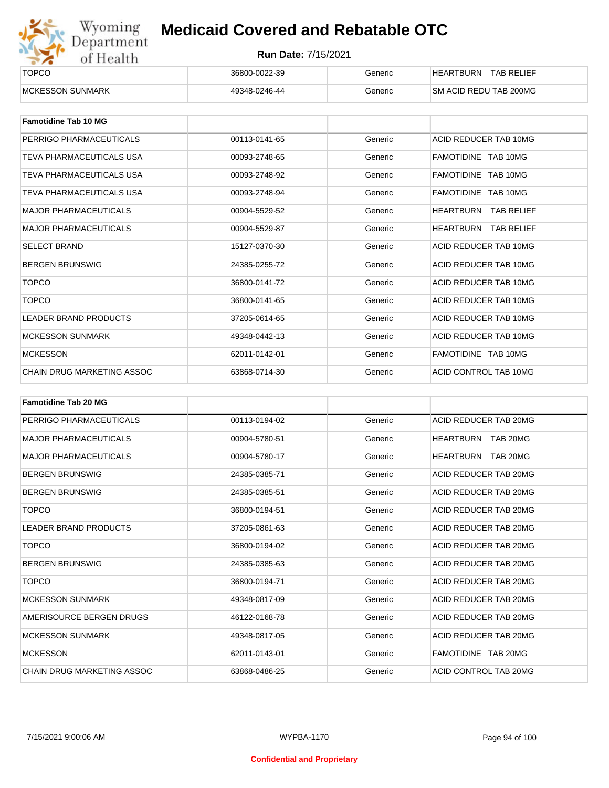

| ______<br><b>TOPCO</b>   | 36800-0022-39 | Generic | <b>TAB RELIEF</b><br><b>HEARTBURN</b> |
|--------------------------|---------------|---------|---------------------------------------|
| <b>IMCKESSON SUNMARK</b> | 49348-0246-44 | Generic | <b>SM ACID REDU TAB 200MG</b>         |

| <b>Famotidine Tab 10 MG</b>     |               |         |                                |
|---------------------------------|---------------|---------|--------------------------------|
| PERRIGO PHARMACEUTICALS         | 00113-0141-65 | Generic | ACID REDUCER TAB 10MG          |
| TEVA PHARMACEUTICALS USA        | 00093-2748-65 | Generic | FAMOTIDINE TAB 10MG            |
| TEVA PHARMACEUTICALS USA        | 00093-2748-92 | Generic | FAMOTIDINE TAB 10MG            |
| <b>TEVA PHARMACEUTICALS USA</b> | 00093-2748-94 | Generic | FAMOTIDINE TAB 10MG            |
| <b>MAJOR PHARMACEUTICALS</b>    | 00904-5529-52 | Generic | HEARTBURN<br><b>TAB RELIEF</b> |
| <b>MAJOR PHARMACEUTICALS</b>    | 00904-5529-87 | Generic | HEARTBURN<br><b>TAB RELIEF</b> |
| <b>SELECT BRAND</b>             | 15127-0370-30 | Generic | ACID REDUCER TAB 10MG          |
| <b>BERGEN BRUNSWIG</b>          | 24385-0255-72 | Generic | ACID REDUCER TAB 10MG          |
| <b>TOPCO</b>                    | 36800-0141-72 | Generic | ACID REDUCER TAB 10MG          |
| <b>TOPCO</b>                    | 36800-0141-65 | Generic | ACID REDUCER TAB 10MG          |
| <b>LEADER BRAND PRODUCTS</b>    | 37205-0614-65 | Generic | ACID REDUCER TAB 10MG          |
| <b>MCKESSON SUNMARK</b>         | 49348-0442-13 | Generic | ACID REDUCER TAB 10MG          |
| <b>MCKESSON</b>                 | 62011-0142-01 | Generic | FAMOTIDINE TAB 10MG            |
| CHAIN DRUG MARKETING ASSOC      | 63868-0714-30 | Generic | ACID CONTROL TAB 10MG          |

| <b>Famotidine Tab 20 MG</b>  |               |         |                       |
|------------------------------|---------------|---------|-----------------------|
| PERRIGO PHARMACEUTICALS      | 00113-0194-02 | Generic | ACID REDUCER TAB 20MG |
| <b>MAJOR PHARMACEUTICALS</b> | 00904-5780-51 | Generic | HEARTBURN TAB 20MG    |
| <b>MAJOR PHARMACEUTICALS</b> | 00904-5780-17 | Generic | HEARTBURN<br>TAB 20MG |
| <b>BERGEN BRUNSWIG</b>       | 24385-0385-71 | Generic | ACID REDUCER TAB 20MG |
| <b>BERGEN BRUNSWIG</b>       | 24385-0385-51 | Generic | ACID REDUCER TAB 20MG |
| <b>TOPCO</b>                 | 36800-0194-51 | Generic | ACID REDUCER TAB 20MG |
| <b>LEADER BRAND PRODUCTS</b> | 37205-0861-63 | Generic | ACID REDUCER TAB 20MG |
| <b>TOPCO</b>                 | 36800-0194-02 | Generic | ACID REDUCER TAB 20MG |
| <b>BERGEN BRUNSWIG</b>       | 24385-0385-63 | Generic | ACID REDUCER TAB 20MG |
| <b>TOPCO</b>                 | 36800-0194-71 | Generic | ACID REDUCER TAB 20MG |
| <b>MCKESSON SUNMARK</b>      | 49348-0817-09 | Generic | ACID REDUCER TAB 20MG |
| AMERISOURCE BERGEN DRUGS     | 46122-0168-78 | Generic | ACID REDUCER TAB 20MG |
| <b>MCKESSON SUNMARK</b>      | 49348-0817-05 | Generic | ACID REDUCER TAB 20MG |
| <b>MCKESSON</b>              | 62011-0143-01 | Generic | FAMOTIDINE TAB 20MG   |
| CHAIN DRUG MARKETING ASSOC   | 63868-0486-25 | Generic | ACID CONTROL TAB 20MG |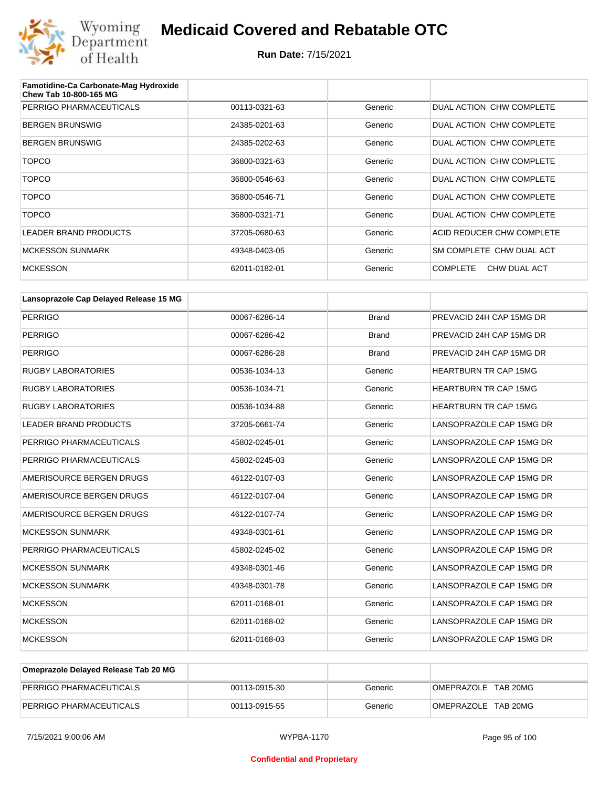

| Famotidine-Ca Carbonate-Mag Hydroxide<br><b>Chew Tab 10-800-165 MG</b> |               |         |                                 |
|------------------------------------------------------------------------|---------------|---------|---------------------------------|
| PERRIGO PHARMACEUTICALS                                                | 00113-0321-63 | Generic | DUAL ACTION CHW COMPLETE        |
| <b>BERGEN BRUNSWIG</b>                                                 | 24385-0201-63 | Generic | DUAL ACTION CHW COMPLETE        |
| <b>BERGEN BRUNSWIG</b>                                                 | 24385-0202-63 | Generic | DUAL ACTION CHW COMPLETE        |
| <b>TOPCO</b>                                                           | 36800-0321-63 | Generic | DUAL ACTION CHW COMPLETE        |
| <b>TOPCO</b>                                                           | 36800-0546-63 | Generic | DUAL ACTION CHW COMPLETE        |
| <b>TOPCO</b>                                                           | 36800-0546-71 | Generic | DUAL ACTION CHW COMPLETE        |
| <b>TOPCO</b>                                                           | 36800-0321-71 | Generic | DUAL ACTION CHW COMPLETE        |
| <b>LEADER BRAND PRODUCTS</b>                                           | 37205-0680-63 | Generic | ACID REDUCER CHW COMPLETE       |
| <b>MCKESSON SUNMARK</b>                                                | 49348-0403-05 | Generic | SM COMPLETE CHW DUAL ACT        |
| <b>MCKESSON</b>                                                        | 62011-0182-01 | Generic | <b>COMPLETE</b><br>CHW DUAL ACT |

| Lansoprazole Cap Delayed Release 15 MG |               |              |                              |
|----------------------------------------|---------------|--------------|------------------------------|
| <b>PERRIGO</b>                         | 00067-6286-14 | <b>Brand</b> | PREVACID 24H CAP 15MG DR     |
| <b>PERRIGO</b>                         | 00067-6286-42 | <b>Brand</b> | PREVACID 24H CAP 15MG DR     |
| <b>PERRIGO</b>                         | 00067-6286-28 | <b>Brand</b> | PREVACID 24H CAP 15MG DR     |
| <b>RUGBY LABORATORIES</b>              | 00536-1034-13 | Generic      | <b>HEARTBURN TR CAP 15MG</b> |
| <b>RUGBY LABORATORIES</b>              | 00536-1034-71 | Generic      | <b>HEARTBURN TR CAP 15MG</b> |
| <b>RUGBY LABORATORIES</b>              | 00536-1034-88 | Generic      | <b>HEARTBURN TR CAP 15MG</b> |
| <b>LEADER BRAND PRODUCTS</b>           | 37205-0661-74 | Generic      | LANSOPRAZOLE CAP 15MG DR     |
| PERRIGO PHARMACEUTICALS                | 45802-0245-01 | Generic      | LANSOPRAZOLE CAP 15MG DR     |
| PERRIGO PHARMACEUTICALS                | 45802-0245-03 | Generic      | LANSOPRAZOLE CAP 15MG DR     |
| AMERISOURCE BERGEN DRUGS               | 46122-0107-03 | Generic      | LANSOPRAZOLE CAP 15MG DR     |
| AMERISOURCE BERGEN DRUGS               | 46122-0107-04 | Generic      | LANSOPRAZOLE CAP 15MG DR     |
| AMERISOURCE BERGEN DRUGS               | 46122-0107-74 | Generic      | LANSOPRAZOLE CAP 15MG DR     |
| <b>MCKESSON SUNMARK</b>                | 49348-0301-61 | Generic      | LANSOPRAZOLE CAP 15MG DR     |
| PERRIGO PHARMACEUTICALS                | 45802-0245-02 | Generic      | LANSOPRAZOLE CAP 15MG DR     |
| <b>MCKESSON SUNMARK</b>                | 49348-0301-46 | Generic      | LANSOPRAZOLE CAP 15MG DR     |
| <b>MCKESSON SUNMARK</b>                | 49348-0301-78 | Generic      | LANSOPRAZOLE CAP 15MG DR     |
| <b>MCKESSON</b>                        | 62011-0168-01 | Generic      | LANSOPRAZOLE CAP 15MG DR     |
| <b>MCKESSON</b>                        | 62011-0168-02 | Generic      | LANSOPRAZOLE CAP 15MG DR     |
| <b>MCKESSON</b>                        | 62011-0168-03 | Generic      | LANSOPRAZOLE CAP 15MG DR     |

| Omeprazole Delayed Release Tab 20 MG |               |         |                     |
|--------------------------------------|---------------|---------|---------------------|
| PERRIGO PHARMACEUTICALS              | 00113-0915-30 | Generic | OMEPRAZOLE TAB 20MG |
| PERRIGO PHARMACEUTICALS              | 00113-0915-55 | Generic | OMEPRAZOLE TAB 20MG |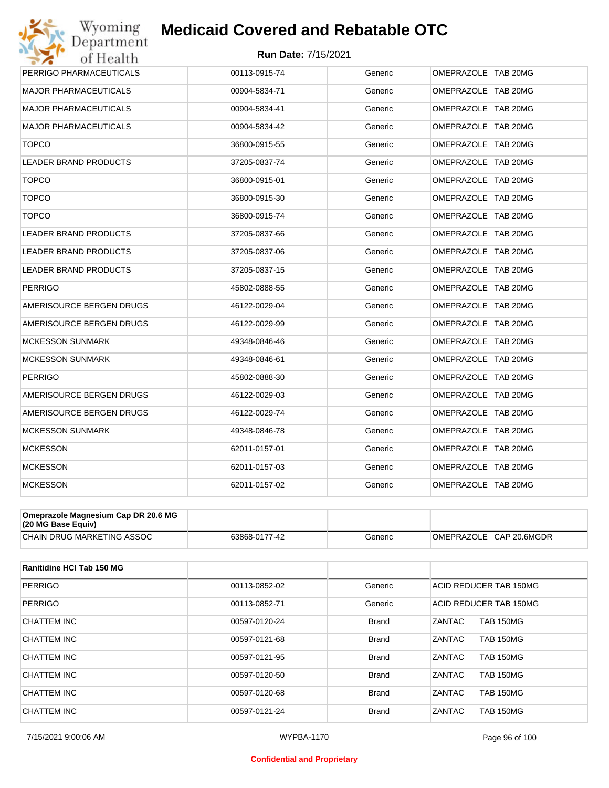#### **Run Date:** 7/15/2021

| Department<br>of Health      | <b>Run Date: 7/15/2021</b> |         |                     |
|------------------------------|----------------------------|---------|---------------------|
| PERRIGO PHARMACEUTICALS      | 00113-0915-74              | Generic | OMEPRAZOLE TAB 20MG |
| <b>MAJOR PHARMACEUTICALS</b> | 00904-5834-71              | Generic | OMEPRAZOLE TAB 20MG |
| <b>MAJOR PHARMACEUTICALS</b> | 00904-5834-41              | Generic | OMEPRAZOLE TAB 20MG |
| <b>MAJOR PHARMACEUTICALS</b> | 00904-5834-42              | Generic | OMEPRAZOLE TAB 20MG |
| <b>TOPCO</b>                 | 36800-0915-55              | Generic | OMEPRAZOLE TAB 20MG |
| <b>LEADER BRAND PRODUCTS</b> | 37205-0837-74              | Generic | OMEPRAZOLE TAB 20MG |
| <b>TOPCO</b>                 | 36800-0915-01              | Generic | OMEPRAZOLE TAB 20MG |
| <b>TOPCO</b>                 | 36800-0915-30              | Generic | OMEPRAZOLE TAB 20MG |
| <b>TOPCO</b>                 | 36800-0915-74              | Generic | OMEPRAZOLE TAB 20MG |
| <b>LEADER BRAND PRODUCTS</b> | 37205-0837-66              | Generic | OMEPRAZOLE TAB 20MG |
| <b>LEADER BRAND PRODUCTS</b> | 37205-0837-06              | Generic | OMEPRAZOLE TAB 20MG |
| <b>LEADER BRAND PRODUCTS</b> | 37205-0837-15              | Generic | OMEPRAZOLE TAB 20MG |
| <b>PERRIGO</b>               | 45802-0888-55              | Generic | OMEPRAZOLE TAB 20MG |
| AMERISOURCE BERGEN DRUGS     | 46122-0029-04              | Generic | OMEPRAZOLE TAB 20MG |
| AMERISOURCE BERGEN DRUGS     | 46122-0029-99              | Generic | OMEPRAZOLE TAB 20MG |
| <b>MCKESSON SUNMARK</b>      | 49348-0846-46              | Generic | OMEPRAZOLE TAB 20MG |
| <b>MCKESSON SUNMARK</b>      | 49348-0846-61              | Generic | OMEPRAZOLE TAB 20MG |
| <b>PERRIGO</b>               | 45802-0888-30              | Generic | OMEPRAZOLE TAB 20MG |
| AMERISOURCE BERGEN DRUGS     | 46122-0029-03              | Generic | OMEPRAZOLE TAB 20MG |
| AMERISOURCE BERGEN DRUGS     | 46122-0029-74              | Generic | OMEPRAZOLE TAB 20MG |
| <b>MCKESSON SUNMARK</b>      | 49348-0846-78              | Generic | OMEPRAZOLE TAB 20MG |
| <b>MCKESSON</b>              | 62011-0157-01              | Generic | OMEPRAZOLE TAB 20MG |
| <b>MCKESSON</b>              | 62011-0157-03              | Generic | OMEPRAZOLE TAB 20MG |
| <b>MCKESSON</b>              | 62011-0157-02              | Generic | OMEPRAZOLE TAB 20MG |

| $(20 \text{ MG Base}$ Equiv)      |               |         |                            |
|-----------------------------------|---------------|---------|----------------------------|
| <b>CHAIN DRUG MARKETING ASSOC</b> | 63868-0177-42 | Generic | OMEPRAZOLE<br>CAP 20.6MGDR |

| <b>Ranitidine HCI Tab 150 MG</b> |               |              |                            |
|----------------------------------|---------------|--------------|----------------------------|
| <b>PERRIGO</b>                   | 00113-0852-02 | Generic      | ACID REDUCER TAB 150MG     |
| <b>PERRIGO</b>                   | 00113-0852-71 | Generic      | ACID REDUCER TAB 150MG     |
| CHATTEM INC                      | 00597-0120-24 | <b>Brand</b> | <b>TAB 150MG</b><br>ZANTAC |
| CHATTEM INC                      | 00597-0121-68 | <b>Brand</b> | ZANTAC<br><b>TAB 150MG</b> |
| CHATTEM INC                      | 00597-0121-95 | <b>Brand</b> | ZANTAC<br><b>TAB 150MG</b> |
| CHATTEM INC                      | 00597-0120-50 | <b>Brand</b> | ZANTAC<br><b>TAB 150MG</b> |
| <b>CHATTEM INC</b>               | 00597-0120-68 | <b>Brand</b> | ZANTAC<br><b>TAB 150MG</b> |
| CHATTEM INC                      | 00597-0121-24 | <b>Brand</b> | ZANTAC<br><b>TAB 150MG</b> |

#### **Confidential and Proprietary**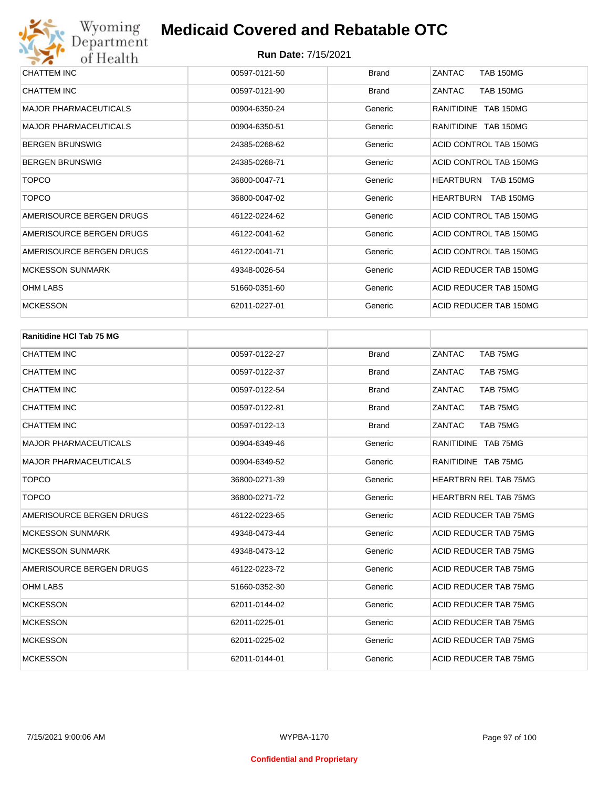| CHATTEM INC                  | 00597-0121-50 | <b>Brand</b> | ZANTAC<br><b>TAB 150MG</b>           |
|------------------------------|---------------|--------------|--------------------------------------|
| CHATTEM INC                  | 00597-0121-90 | <b>Brand</b> | <b>TAB 150MG</b><br>ZANTAC           |
| <b>MAJOR PHARMACEUTICALS</b> | 00904-6350-24 | Generic      | RANITIDINE TAB 150MG                 |
| <b>MAJOR PHARMACEUTICALS</b> | 00904-6350-51 | Generic      | RANITIDINE TAB 150MG                 |
| <b>BERGEN BRUNSWIG</b>       | 24385-0268-62 | Generic      | ACID CONTROL TAB 150MG               |
| <b>BERGEN BRUNSWIG</b>       | 24385-0268-71 | Generic      | ACID CONTROL TAB 150MG               |
| <b>TOPCO</b>                 | 36800-0047-71 | Generic      | <b>HEARTBURN</b><br><b>TAB 150MG</b> |
| <b>TOPCO</b>                 | 36800-0047-02 | Generic      | <b>TAB 150MG</b><br>HEARTBURN        |
| AMERISOURCE BERGEN DRUGS     | 46122-0224-62 | Generic      | ACID CONTROL TAB 150MG               |
| AMERISOURCE BERGEN DRUGS     | 46122-0041-62 | Generic      | ACID CONTROL TAB 150MG               |
| AMERISOURCE BERGEN DRUGS     | 46122-0041-71 | Generic      | ACID CONTROL TAB 150MG               |
| <b>MCKESSON SUNMARK</b>      | 49348-0026-54 | Generic      | ACID REDUCER TAB 150MG               |
| OHM LABS                     | 51660-0351-60 | Generic      | ACID REDUCER TAB 150MG               |
| <b>MCKESSON</b>              | 62011-0227-01 | Generic      | ACID REDUCER TAB 150MG               |

| <b>Ranitidine HCI Tab 75 MG</b> |               |              |                              |
|---------------------------------|---------------|--------------|------------------------------|
| <b>CHATTEM INC</b>              | 00597-0122-27 | <b>Brand</b> | TAB 75MG<br>ZANTAC           |
| <b>CHATTEM INC</b>              | 00597-0122-37 | <b>Brand</b> | ZANTAC<br>TAB 75MG           |
| <b>CHATTEM INC</b>              | 00597-0122-54 | <b>Brand</b> | ZANTAC<br>TAB 75MG           |
| <b>CHATTEM INC</b>              | 00597-0122-81 | <b>Brand</b> | ZANTAC<br>TAB 75MG           |
| <b>CHATTEM INC</b>              | 00597-0122-13 | <b>Brand</b> | ZANTAC<br>TAB 75MG           |
| <b>MAJOR PHARMACEUTICALS</b>    | 00904-6349-46 | Generic      | RANITIDINE TAB 75MG          |
| <b>MAJOR PHARMACEUTICALS</b>    | 00904-6349-52 | Generic      | RANITIDINE TAB 75MG          |
| <b>TOPCO</b>                    | 36800-0271-39 | Generic      | <b>HEARTBRN REL TAB 75MG</b> |
| <b>TOPCO</b>                    | 36800-0271-72 | Generic      | <b>HEARTBRN REL TAB 75MG</b> |
| AMERISOURCE BERGEN DRUGS        | 46122-0223-65 | Generic      | ACID REDUCER TAB 75MG        |
| <b>MCKESSON SUNMARK</b>         | 49348-0473-44 | Generic      | <b>ACID REDUCER TAB 75MG</b> |
| <b>MCKESSON SUNMARK</b>         | 49348-0473-12 | Generic      | ACID REDUCER TAB 75MG        |
| AMERISOURCE BERGEN DRUGS        | 46122-0223-72 | Generic      | ACID REDUCER TAB 75MG        |
| <b>OHM LABS</b>                 | 51660-0352-30 | Generic      | ACID REDUCER TAB 75MG        |
| <b>MCKESSON</b>                 | 62011-0144-02 | Generic      | ACID REDUCER TAB 75MG        |
| <b>MCKESSON</b>                 | 62011-0225-01 | Generic      | ACID REDUCER TAB 75MG        |
| <b>MCKESSON</b>                 | 62011-0225-02 | Generic      | ACID REDUCER TAB 75MG        |
| <b>MCKESSON</b>                 | 62011-0144-01 | Generic      | ACID REDUCER TAB 75MG        |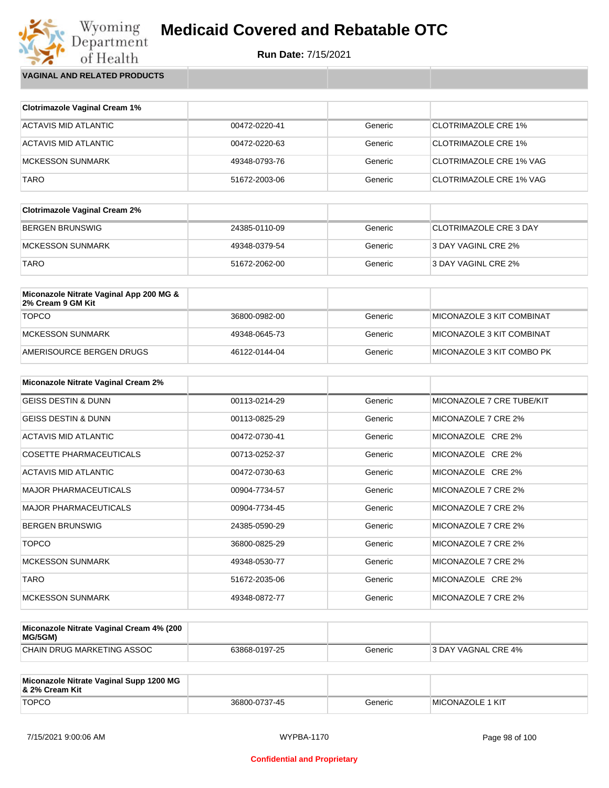

Wyoming<br>Department<br>of Health **VAGINAL AND RELATED PRODUCTS**

| <b>Clotrimazole Vaginal Cream 1%</b> |               |         |                                |
|--------------------------------------|---------------|---------|--------------------------------|
| ACTAVIS MID ATLANTIC                 | 00472-0220-41 | Generic | CLOTRIMAZOLE CRE 1%            |
| ACTAVIS MID ATLANTIC                 | 00472-0220-63 | Generic | <b>CLOTRIMAZOLE CRE 1%</b>     |
| MCKESSON SUNMARK                     | 49348-0793-76 | Generic | <b>CLOTRIMAZOLE CRE 1% VAG</b> |
| <b>TARO</b>                          | 51672-2003-06 | Generic | <b>CLOTRIMAZOLE CRE 1% VAG</b> |

| <b>Clotrimazole Vaginal Cream 2%</b> |               |         |                               |
|--------------------------------------|---------------|---------|-------------------------------|
| BERGEN BRUNSWIG                      | 24385-0110-09 | Generic | <b>CLOTRIMAZOLE CRE 3 DAY</b> |
| IMCKESSON SUNMARK                    | 49348-0379-54 | Generic | 3 DAY VAGINL CRE 2%           |
| <b>TARO</b>                          | 51672-2062-00 | Generic | 3 DAY VAGINL CRE 2%           |

| Miconazole Nitrate Vaginal App 200 MG &<br>2% Cream 9 GM Kit |               |         |                            |
|--------------------------------------------------------------|---------------|---------|----------------------------|
| <b>TOPCO</b>                                                 | 36800-0982-00 | Generic | MICONAZOLE 3 KIT COMBINAT  |
| MCKESSON SUNMARK                                             | 49348-0645-73 | Generic | MICONAZOLE 3 KIT COMBINAT  |
| AMERISOURCE BERGEN DRUGS                                     | 46122-0144-04 | Generic | IMICONAZOLE 3 KIT COMBO PK |

| <b>Miconazole Nitrate Vaginal Cream 2%</b> |               |         |                           |
|--------------------------------------------|---------------|---------|---------------------------|
| <b>GEISS DESTIN &amp; DUNN</b>             | 00113-0214-29 | Generic | MICONAZOLE 7 CRE TUBE/KIT |
| <b>GEISS DESTIN &amp; DUNN</b>             | 00113-0825-29 | Generic | MICONAZOLE 7 CRE 2%       |
| ACTAVIS MID ATLANTIC                       | 00472-0730-41 | Generic | MICONAZOLE CRE 2%         |
| <b>COSETTE PHARMACEUTICALS</b>             | 00713-0252-37 | Generic | MICONAZOLE CRE 2%         |
| ACTAVIS MID ATLANTIC                       | 00472-0730-63 | Generic | MICONAZOLE CRE 2%         |
| <b>MAJOR PHARMACEUTICALS</b>               | 00904-7734-57 | Generic | MICONAZOLE 7 CRE 2%       |
| <b>MAJOR PHARMACEUTICALS</b>               | 00904-7734-45 | Generic | MICONAZOLE 7 CRE 2%       |
| <b>BERGEN BRUNSWIG</b>                     | 24385-0590-29 | Generic | MICONAZOLE 7 CRE 2%       |
| <b>TOPCO</b>                               | 36800-0825-29 | Generic | MICONAZOLE 7 CRE 2%       |
| <b>MCKESSON SUNMARK</b>                    | 49348-0530-77 | Generic | MICONAZOLE 7 CRE 2%       |
| <b>TARO</b>                                | 51672-2035-06 | Generic | MICONAZOLE CRE 2%         |
| <b>MCKESSON SUNMARK</b>                    | 49348-0872-77 | Generic | MICONAZOLE 7 CRE 2%       |

| Miconazole Nitrate Vaginal Cream 4% (200<br>MG/5GM) |               |         |                     |
|-----------------------------------------------------|---------------|---------|---------------------|
| CHAIN DRUG MARKETING ASSOC                          | 63868-0197-25 | Generic | 3 DAY VAGNAL CRE 4% |

| Miconazole Nitrate Vaginal Supp 1200 MG<br>∣& 2% Cream Kit |               |         |                          |
|------------------------------------------------------------|---------------|---------|--------------------------|
| <b>TOPCO</b>                                               | 36800-0737-45 | Generic | <b>IMICONAZOLE 1 KIT</b> |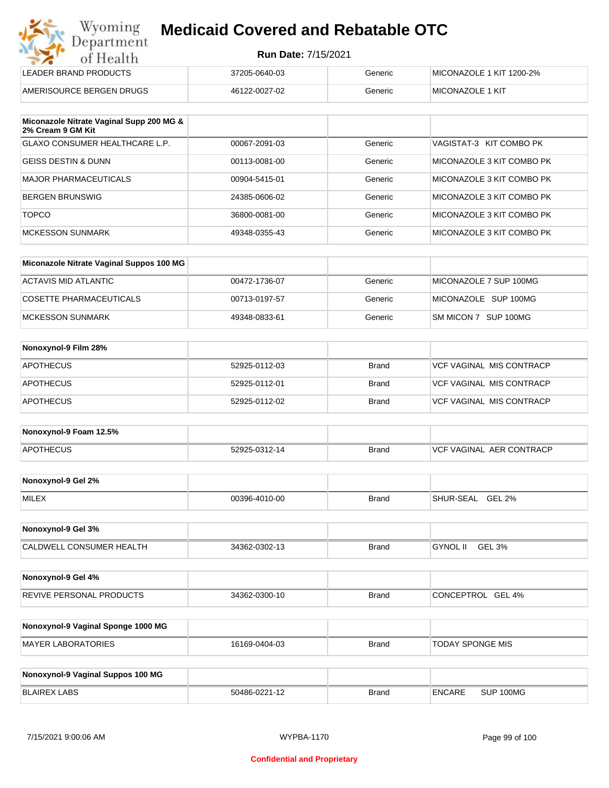| Wyoming                 | <b>Medicaid Cover</b> |
|-------------------------|-----------------------|
| Department<br>of Health | Rur                   |

## **red and Rebatable OTC**

| ---                      |               |         |                          |  |
|--------------------------|---------------|---------|--------------------------|--|
| LEADER BRAND PRODUCTS    | 37205-0640-03 | Generic | MICONAZOLE 1 KIT 1200-2% |  |
| AMERISOURCE BERGEN DRUGS | 46122-0027-02 | Generic | <b>MICONAZOLE 1 KIT</b>  |  |

| Miconazole Nitrate Vaginal Supp 200 MG &<br>2% Cream 9 GM Kit |               |         |                           |
|---------------------------------------------------------------|---------------|---------|---------------------------|
| GLAXO CONSUMER HEALTHCARE L.P.                                | 00067-2091-03 | Generic | VAGISTAT-3 KIT COMBO PK   |
| <b>GEISS DESTIN &amp; DUNN</b>                                | 00113-0081-00 | Generic | MICONAZOLE 3 KIT COMBO PK |
| <b>MAJOR PHARMACEUTICALS</b>                                  | 00904-5415-01 | Generic | MICONAZOLE 3 KIT COMBO PK |
| <b>BERGEN BRUNSWIG</b>                                        | 24385-0606-02 | Generic | MICONAZOLE 3 KIT COMBO PK |
| <b>TOPCO</b>                                                  | 36800-0081-00 | Generic | MICONAZOLE 3 KIT COMBO PK |
| MCKESSON SUNMARK                                              | 49348-0355-43 | Generic | MICONAZOLE 3 KIT COMBO PK |

| Miconazole Nitrate Vaginal Suppos 100 MG |               |         |                        |
|------------------------------------------|---------------|---------|------------------------|
| ACTAVIS MID ATLANTIC                     | 00472-1736-07 | Generic | MICONAZOLE 7 SUP 100MG |
| COSETTE PHARMACEUTICALS                  | 00713-0197-57 | Generic | MICONAZOLE SUP 100MG   |
| MCKESSON SUNMARK                         | 49348-0833-61 | Generic | SM MICON 7 SUP 100MG   |

| Nonoxynol-9 Film 28% |               |              |                                 |
|----------------------|---------------|--------------|---------------------------------|
| <b>APOTHECUS</b>     | 52925-0112-03 | <b>Brand</b> | <b>VCF VAGINAL MIS CONTRACP</b> |
| <b>APOTHECUS</b>     | 52925-0112-01 | <b>Brand</b> | VCF VAGINAL MIS CONTRACP        |
| <b>APOTHECUS</b>     | 52925-0112-02 | <b>Brand</b> | <b>VCF VAGINAL MIS CONTRACP</b> |

| Nonoxynol-9 Foam 12.5% |               |              |                                  |
|------------------------|---------------|--------------|----------------------------------|
| <b>APOTHECUS</b>       | 52925-0312-14 | <b>Brand</b> | <b>IVCF VAGINAL AER CONTRACP</b> |

| Nonoxynol-9 Gel 2% |               |       |                                   |
|--------------------|---------------|-------|-----------------------------------|
| <b>MILEX</b>       | 00396-4010-00 | Brand | <b>GEL 2%</b><br><b>SHUR-SEAL</b> |

| Nonoxynol-9 Gel 3%              |               |              |                                       |
|---------------------------------|---------------|--------------|---------------------------------------|
| <b>CALDWELL CONSUMER HEALTH</b> | 34362-0302-13 | <b>Brand</b> | <b>GEL</b><br>3% ـ<br><b>GYNOL II</b> |

| Nonoxynol-9 Gel 4%              |               |              |                   |
|---------------------------------|---------------|--------------|-------------------|
| <b>REVIVE PERSONAL PRODUCTS</b> | 34362-0300-10 | <b>Brand</b> | CONCEPTROL GEL 4% |

| Nonoxynol-9 Vaginal Sponge 1000 MG |               |       |                  |
|------------------------------------|---------------|-------|------------------|
| MAYER LABORATORIES                 | 16169-0404-03 | Brand | TODAY SPONGE MIS |

| Nonoxynol-9 Vaginal Suppos 100 MG |               |              |        |           |
|-----------------------------------|---------------|--------------|--------|-----------|
| BLAIREX LABS                      | 50486-0221-12 | <b>Brand</b> | ENCARE | SUP 100MG |